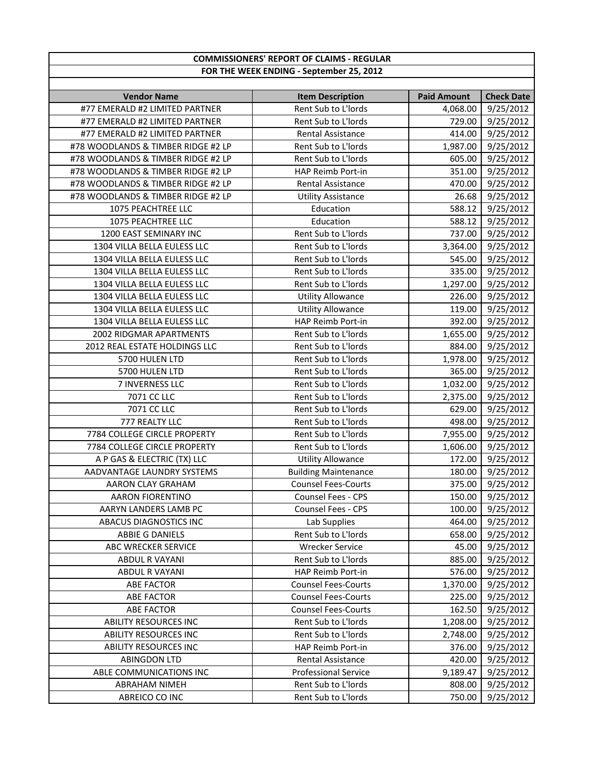| <b>COMMISSIONERS' REPORT OF CLAIMS - REGULAR</b> |                                          |                    |                   |
|--------------------------------------------------|------------------------------------------|--------------------|-------------------|
|                                                  | FOR THE WEEK ENDING - September 25, 2012 |                    |                   |
|                                                  |                                          |                    |                   |
| <b>Vendor Name</b>                               | <b>Item Description</b>                  | <b>Paid Amount</b> | <b>Check Date</b> |
| #77 EMERALD #2 LIMITED PARTNER                   | Rent Sub to L'Iords                      | 4,068.00           | 9/25/2012         |
| #77 EMERALD #2 LIMITED PARTNER                   | Rent Sub to L'Iords                      | 729.00             | 9/25/2012         |
| #77 EMERALD #2 LIMITED PARTNER                   | Rental Assistance                        | 414.00             | 9/25/2012         |
| #78 WOODLANDS & TIMBER RIDGE #2 LP               | Rent Sub to L'Iords                      | 1,987.00           | 9/25/2012         |
| #78 WOODLANDS & TIMBER RIDGE #2 LP               | Rent Sub to L'Iords                      | 605.00             | 9/25/2012         |
| #78 WOODLANDS & TIMBER RIDGE #2 LP               | HAP Reimb Port-in                        | 351.00             | 9/25/2012         |
| #78 WOODLANDS & TIMBER RIDGE #2 LP               | <b>Rental Assistance</b>                 | 470.00             | 9/25/2012         |
| #78 WOODLANDS & TIMBER RIDGE #2 LP               | <b>Utility Assistance</b>                | 26.68              | 9/25/2012         |
| 1075 PEACHTREE LLC                               | Education                                | 588.12             | 9/25/2012         |
| 1075 PEACHTREE LLC                               | Education                                | 588.12             | 9/25/2012         |
| 1200 EAST SEMINARY INC                           | Rent Sub to L'Iords                      | 737.00             | 9/25/2012         |
| 1304 VILLA BELLA EULESS LLC                      | Rent Sub to L'Iords                      | 3,364.00           | 9/25/2012         |
| 1304 VILLA BELLA EULESS LLC                      | Rent Sub to L'Iords                      | 545.00             | 9/25/2012         |
| 1304 VILLA BELLA EULESS LLC                      | Rent Sub to L'Iords                      | 335.00             | 9/25/2012         |
| 1304 VILLA BELLA EULESS LLC                      | Rent Sub to L'Iords                      | 1,297.00           | 9/25/2012         |
| 1304 VILLA BELLA EULESS LLC                      | <b>Utility Allowance</b>                 | 226.00             | 9/25/2012         |
| 1304 VILLA BELLA EULESS LLC                      | <b>Utility Allowance</b>                 | 119.00             | 9/25/2012         |
| 1304 VILLA BELLA EULESS LLC                      | HAP Reimb Port-in                        | 392.00             | 9/25/2012         |
| 2002 RIDGMAR APARTMENTS                          | Rent Sub to L'Iords                      | 1,655.00           | 9/25/2012         |
| 2012 REAL ESTATE HOLDINGS LLC                    | Rent Sub to L'Iords                      | 884.00             | 9/25/2012         |
| 5700 HULEN LTD                                   | Rent Sub to L'Iords                      | 1,978.00           | 9/25/2012         |
| 5700 HULEN LTD                                   | Rent Sub to L'Iords                      | 365.00             | 9/25/2012         |
| 7 INVERNESS LLC                                  | Rent Sub to L'Iords                      | 1,032.00           | 9/25/2012         |
| 7071 CC LLC                                      | Rent Sub to L'Iords                      | 2,375.00           | 9/25/2012         |
| 7071 CC LLC                                      | Rent Sub to L'Iords                      | 629.00             | 9/25/2012         |
| 777 REALTY LLC                                   | Rent Sub to L'Iords                      | 498.00             | 9/25/2012         |
| 7784 COLLEGE CIRCLE PROPERTY                     | Rent Sub to L'Iords                      | 7,955.00           | 9/25/2012         |
| 7784 COLLEGE CIRCLE PROPERTY                     | Rent Sub to L'Iords                      | 1,606.00           | 9/25/2012         |
| A P GAS & ELECTRIC (TX) LLC                      | <b>Utility Allowance</b>                 | 172.00             | 9/25/2012         |
| AADVANTAGE LAUNDRY SYSTEMS                       | <b>Building Maintenance</b>              | 180.00             | 9/25/2012         |
| AARON CLAY GRAHAM                                | <b>Counsel Fees-Courts</b>               |                    | 375.00 9/25/2012  |
| <b>AARON FIORENTINO</b>                          | Counsel Fees - CPS                       | 150.00             | 9/25/2012         |
| AARYN LANDERS LAMB PC                            | <b>Counsel Fees - CPS</b>                | 100.00             | 9/25/2012         |
| ABACUS DIAGNOSTICS INC                           | Lab Supplies                             | 464.00             | 9/25/2012         |
| <b>ABBIE G DANIELS</b>                           | Rent Sub to L'Iords                      | 658.00             | 9/25/2012         |
| ABC WRECKER SERVICE                              | <b>Wrecker Service</b>                   | 45.00              | 9/25/2012         |
| <b>ABDUL R VAYANI</b>                            | Rent Sub to L'Iords                      | 885.00             | 9/25/2012         |
| <b>ABDUL R VAYANI</b>                            | HAP Reimb Port-in                        | 576.00             | 9/25/2012         |
| <b>ABE FACTOR</b>                                | <b>Counsel Fees-Courts</b>               | 1,370.00           | 9/25/2012         |
| ABE FACTOR                                       | <b>Counsel Fees-Courts</b>               | 225.00             | 9/25/2012         |
| <b>ABE FACTOR</b>                                | <b>Counsel Fees-Courts</b>               | 162.50             | 9/25/2012         |
| ABILITY RESOURCES INC                            | Rent Sub to L'Iords                      | 1,208.00           | 9/25/2012         |
| <b>ABILITY RESOURCES INC</b>                     | Rent Sub to L'Iords                      | 2,748.00           | 9/25/2012         |
| <b>ABILITY RESOURCES INC</b>                     | HAP Reimb Port-in                        | 376.00             | 9/25/2012         |
| <b>ABINGDON LTD</b>                              | Rental Assistance                        | 420.00             | 9/25/2012         |
| ABLE COMMUNICATIONS INC                          | <b>Professional Service</b>              | 9,189.47           | 9/25/2012         |
| ABRAHAM NIMEH                                    | Rent Sub to L'Iords                      | 808.00             | 9/25/2012         |
| ABREICO CO INC                                   | Rent Sub to L'Iords                      | 750.00             | 9/25/2012         |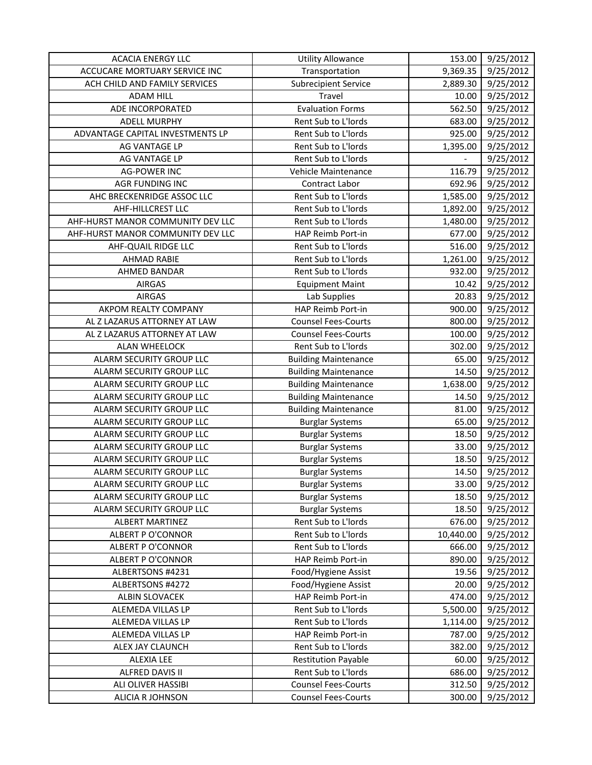| <b>ACACIA ENERGY LLC</b>          | <b>Utility Allowance</b>    | 153.00                   | 9/25/2012 |
|-----------------------------------|-----------------------------|--------------------------|-----------|
| ACCUCARE MORTUARY SERVICE INC     | Transportation              | 9,369.35                 | 9/25/2012 |
| ACH CHILD AND FAMILY SERVICES     | <b>Subrecipient Service</b> | 2,889.30                 | 9/25/2012 |
| <b>ADAM HILL</b>                  | Travel                      | 10.00                    | 9/25/2012 |
| ADE INCORPORATED                  | <b>Evaluation Forms</b>     | 562.50                   | 9/25/2012 |
| <b>ADELL MURPHY</b>               | Rent Sub to L'Iords         | 683.00                   | 9/25/2012 |
| ADVANTAGE CAPITAL INVESTMENTS LP  | Rent Sub to L'Iords         | 925.00                   | 9/25/2012 |
| AG VANTAGE LP                     | Rent Sub to L'Iords         | 1,395.00                 | 9/25/2012 |
| AG VANTAGE LP                     | Rent Sub to L'Iords         | $\overline{\phantom{0}}$ | 9/25/2012 |
| <b>AG-POWER INC</b>               | Vehicle Maintenance         | 116.79                   | 9/25/2012 |
| AGR FUNDING INC                   | Contract Labor              | 692.96                   | 9/25/2012 |
| AHC BRECKENRIDGE ASSOC LLC        | Rent Sub to L'Iords         | 1,585.00                 | 9/25/2012 |
| AHF-HILLCREST LLC                 | Rent Sub to L'Iords         | 1,892.00                 | 9/25/2012 |
| AHF-HURST MANOR COMMUNITY DEV LLC | Rent Sub to L'Iords         | 1,480.00                 | 9/25/2012 |
| AHF-HURST MANOR COMMUNITY DEV LLC | HAP Reimb Port-in           | 677.00                   | 9/25/2012 |
| AHF-QUAIL RIDGE LLC               | Rent Sub to L'Iords         | 516.00                   | 9/25/2012 |
| <b>AHMAD RABIE</b>                | Rent Sub to L'Iords         | 1,261.00                 | 9/25/2012 |
| AHMED BANDAR                      | Rent Sub to L'Iords         | 932.00                   | 9/25/2012 |
| <b>AIRGAS</b>                     | <b>Equipment Maint</b>      | 10.42                    | 9/25/2012 |
| <b>AIRGAS</b>                     | Lab Supplies                | 20.83                    | 9/25/2012 |
| AKPOM REALTY COMPANY              | HAP Reimb Port-in           | 900.00                   | 9/25/2012 |
| AL Z LAZARUS ATTORNEY AT LAW      | <b>Counsel Fees-Courts</b>  | 800.00                   | 9/25/2012 |
| AL Z LAZARUS ATTORNEY AT LAW      | <b>Counsel Fees-Courts</b>  | 100.00                   | 9/25/2012 |
| <b>ALAN WHEELOCK</b>              | Rent Sub to L'Iords         | 302.00                   | 9/25/2012 |
| ALARM SECURITY GROUP LLC          | <b>Building Maintenance</b> | 65.00                    | 9/25/2012 |
| ALARM SECURITY GROUP LLC          | <b>Building Maintenance</b> | 14.50                    | 9/25/2012 |
| ALARM SECURITY GROUP LLC          | <b>Building Maintenance</b> | 1,638.00                 | 9/25/2012 |
| ALARM SECURITY GROUP LLC          | <b>Building Maintenance</b> | 14.50                    | 9/25/2012 |
| ALARM SECURITY GROUP LLC          | <b>Building Maintenance</b> | 81.00                    | 9/25/2012 |
| ALARM SECURITY GROUP LLC          | <b>Burglar Systems</b>      | 65.00                    | 9/25/2012 |
| ALARM SECURITY GROUP LLC          | <b>Burglar Systems</b>      | 18.50                    | 9/25/2012 |
| <b>ALARM SECURITY GROUP LLC</b>   | <b>Burglar Systems</b>      | 33.00                    | 9/25/2012 |
| ALARM SECURITY GROUP LLC          | <b>Burglar Systems</b>      | 18.50                    | 9/25/2012 |
| ALARM SECURITY GROUP LLC          | <b>Burglar Systems</b>      | 14.50                    | 9/25/2012 |
| ALARM SECURITY GROUP LLC          | <b>Burglar Systems</b>      | 33.00                    | 9/25/2012 |
| ALARM SECURITY GROUP LLC          | <b>Burglar Systems</b>      | 18.50                    | 9/25/2012 |
| ALARM SECURITY GROUP LLC          | <b>Burglar Systems</b>      | 18.50                    | 9/25/2012 |
| <b>ALBERT MARTINEZ</b>            | Rent Sub to L'Iords         | 676.00                   | 9/25/2012 |
| ALBERT P O'CONNOR                 | Rent Sub to L'Iords         | 10,440.00                | 9/25/2012 |
| <b>ALBERT P O'CONNOR</b>          | Rent Sub to L'Iords         | 666.00                   | 9/25/2012 |
| ALBERT P O'CONNOR                 | HAP Reimb Port-in           | 890.00                   | 9/25/2012 |
| ALBERTSONS #4231                  | Food/Hygiene Assist         | 19.56                    | 9/25/2012 |
| ALBERTSONS #4272                  | Food/Hygiene Assist         | 20.00                    | 9/25/2012 |
| ALBIN SLOVACEK                    | HAP Reimb Port-in           | 474.00                   | 9/25/2012 |
| ALEMEDA VILLAS LP                 | Rent Sub to L'Iords         | 5,500.00                 | 9/25/2012 |
| ALEMEDA VILLAS LP                 | Rent Sub to L'Iords         | 1,114.00                 | 9/25/2012 |
| ALEMEDA VILLAS LP                 | HAP Reimb Port-in           | 787.00                   | 9/25/2012 |
| ALEX JAY CLAUNCH                  | Rent Sub to L'Iords         | 382.00                   | 9/25/2012 |
| <b>ALEXIA LEE</b>                 | <b>Restitution Payable</b>  | 60.00                    | 9/25/2012 |
| ALFRED DAVIS II                   | Rent Sub to L'Iords         | 686.00                   | 9/25/2012 |
| ALI OLIVER HASSIBI                | <b>Counsel Fees-Courts</b>  | 312.50                   | 9/25/2012 |
| ALICIA R JOHNSON                  | <b>Counsel Fees-Courts</b>  | 300.00                   | 9/25/2012 |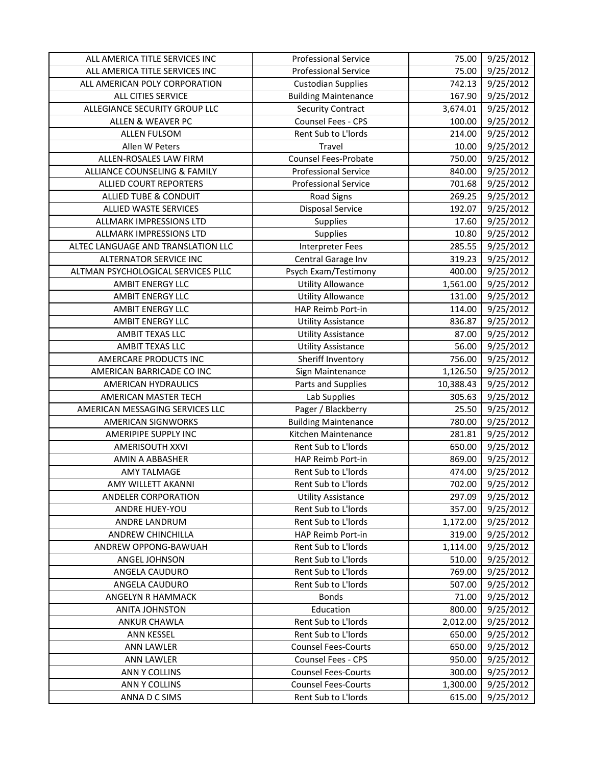| ALL AMERICA TITLE SERVICES INC     | <b>Professional Service</b> | 75.00     | 9/25/2012 |
|------------------------------------|-----------------------------|-----------|-----------|
| ALL AMERICA TITLE SERVICES INC     | <b>Professional Service</b> | 75.00     | 9/25/2012 |
| ALL AMERICAN POLY CORPORATION      | <b>Custodian Supplies</b>   | 742.13    | 9/25/2012 |
| ALL CITIES SERVICE                 | <b>Building Maintenance</b> | 167.90    | 9/25/2012 |
| ALLEGIANCE SECURITY GROUP LLC      | <b>Security Contract</b>    | 3,674.01  | 9/25/2012 |
| <b>ALLEN &amp; WEAVER PC</b>       | Counsel Fees - CPS          | 100.00    | 9/25/2012 |
| <b>ALLEN FULSOM</b>                | Rent Sub to L'Iords         | 214.00    | 9/25/2012 |
| Allen W Peters                     | Travel                      | 10.00     | 9/25/2012 |
| ALLEN-ROSALES LAW FIRM             | <b>Counsel Fees-Probate</b> | 750.00    | 9/25/2012 |
| ALLIANCE COUNSELING & FAMILY       | <b>Professional Service</b> | 840.00    | 9/25/2012 |
| <b>ALLIED COURT REPORTERS</b>      | <b>Professional Service</b> | 701.68    | 9/25/2012 |
| ALLIED TUBE & CONDUIT              | <b>Road Signs</b>           | 269.25    | 9/25/2012 |
| <b>ALLIED WASTE SERVICES</b>       | <b>Disposal Service</b>     | 192.07    | 9/25/2012 |
| ALLMARK IMPRESSIONS LTD            | Supplies                    | 17.60     | 9/25/2012 |
| ALLMARK IMPRESSIONS LTD            | Supplies                    | 10.80     | 9/25/2012 |
| ALTEC LANGUAGE AND TRANSLATION LLC | <b>Interpreter Fees</b>     | 285.55    | 9/25/2012 |
| ALTERNATOR SERVICE INC             | Central Garage Inv          | 319.23    | 9/25/2012 |
| ALTMAN PSYCHOLOGICAL SERVICES PLLC | Psych Exam/Testimony        | 400.00    | 9/25/2012 |
| <b>AMBIT ENERGY LLC</b>            | <b>Utility Allowance</b>    | 1,561.00  | 9/25/2012 |
| <b>AMBIT ENERGY LLC</b>            | <b>Utility Allowance</b>    | 131.00    | 9/25/2012 |
| <b>AMBIT ENERGY LLC</b>            | HAP Reimb Port-in           | 114.00    | 9/25/2012 |
| <b>AMBIT ENERGY LLC</b>            | <b>Utility Assistance</b>   | 836.87    | 9/25/2012 |
| AMBIT TEXAS LLC                    | <b>Utility Assistance</b>   | 87.00     | 9/25/2012 |
| AMBIT TEXAS LLC                    | <b>Utility Assistance</b>   | 56.00     | 9/25/2012 |
| AMERCARE PRODUCTS INC              | Sheriff Inventory           | 756.00    | 9/25/2012 |
| AMERICAN BARRICADE CO INC          | Sign Maintenance            | 1,126.50  | 9/25/2012 |
| AMERICAN HYDRAULICS                | Parts and Supplies          | 10,388.43 | 9/25/2012 |
| <b>AMERICAN MASTER TECH</b>        | Lab Supplies                | 305.63    | 9/25/2012 |
| AMERICAN MESSAGING SERVICES LLC    | Pager / Blackberry          | 25.50     | 9/25/2012 |
| <b>AMERICAN SIGNWORKS</b>          | <b>Building Maintenance</b> | 780.00    | 9/25/2012 |
| AMERIPIPE SUPPLY INC               | Kitchen Maintenance         | 281.81    | 9/25/2012 |
| AMERISOUTH XXVI                    | Rent Sub to L'Iords         | 650.00    | 9/25/2012 |
| AMIN A ABBASHER                    | HAP Reimb Port-in           | 869.00    | 9/25/2012 |
| <b>AMY TALMAGE</b>                 | Rent Sub to L'Iords         | 474.00    | 9/25/2012 |
| AMY WILLETT AKANNI                 | Rent Sub to L'Iords         | 702.00    | 9/25/2012 |
| <b>ANDELER CORPORATION</b>         | <b>Utility Assistance</b>   | 297.09    | 9/25/2012 |
| ANDRE HUEY-YOU                     | Rent Sub to L'Iords         | 357.00    | 9/25/2012 |
| ANDRE LANDRUM                      | Rent Sub to L'Iords         | 1,172.00  | 9/25/2012 |
| ANDREW CHINCHILLA                  | HAP Reimb Port-in           | 319.00    | 9/25/2012 |
| ANDREW OPPONG-BAWUAH               | Rent Sub to L'Iords         | 1,114.00  | 9/25/2012 |
| ANGEL JOHNSON                      | Rent Sub to L'Iords         | 510.00    | 9/25/2012 |
| ANGELA CAUDURO                     | Rent Sub to L'Iords         | 769.00    | 9/25/2012 |
| ANGELA CAUDURO                     | Rent Sub to L'Iords         | 507.00    | 9/25/2012 |
| ANGELYN R HAMMACK                  | <b>Bonds</b>                | 71.00     | 9/25/2012 |
| <b>ANITA JOHNSTON</b>              | Education                   | 800.00    | 9/25/2012 |
| <b>ANKUR CHAWLA</b>                | Rent Sub to L'Iords         | 2,012.00  | 9/25/2012 |
| ANN KESSEL                         | Rent Sub to L'Iords         | 650.00    | 9/25/2012 |
| <b>ANN LAWLER</b>                  | <b>Counsel Fees-Courts</b>  | 650.00    | 9/25/2012 |
| <b>ANN LAWLER</b>                  | <b>Counsel Fees - CPS</b>   | 950.00    | 9/25/2012 |
| ANN Y COLLINS                      | <b>Counsel Fees-Courts</b>  | 300.00    | 9/25/2012 |
| ANN Y COLLINS                      | <b>Counsel Fees-Courts</b>  | 1,300.00  | 9/25/2012 |
| ANNA D C SIMS                      | Rent Sub to L'Iords         | 615.00    | 9/25/2012 |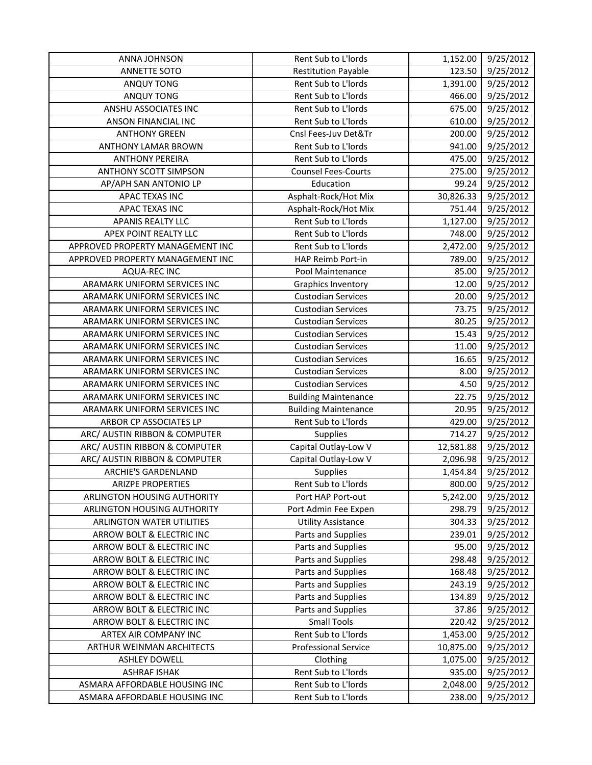| ANNA JOHNSON                     | Rent Sub to L'Iords         | 1,152.00  | 9/25/2012           |
|----------------------------------|-----------------------------|-----------|---------------------|
| ANNETTE SOTO                     | <b>Restitution Payable</b>  | 123.50    | 9/25/2012           |
| <b>ANQUY TONG</b>                | Rent Sub to L'Iords         | 1,391.00  | 9/25/2012           |
| ANQUY TONG                       | Rent Sub to L'Iords         | 466.00    | 9/25/2012           |
| ANSHU ASSOCIATES INC             | Rent Sub to L'Iords         | 675.00    | 9/25/2012           |
| ANSON FINANCIAL INC              | Rent Sub to L'Iords         | 610.00    | 9/25/2012           |
| <b>ANTHONY GREEN</b>             | Cnsl Fees-Juv Det&Tr        | 200.00    | 9/25/2012           |
| <b>ANTHONY LAMAR BROWN</b>       | Rent Sub to L'Iords         | 941.00    | 9/25/2012           |
| <b>ANTHONY PEREIRA</b>           | Rent Sub to L'Iords         | 475.00    | 9/25/2012           |
| <b>ANTHONY SCOTT SIMPSON</b>     | <b>Counsel Fees-Courts</b>  | 275.00    | 9/25/2012           |
| AP/APH SAN ANTONIO LP            | Education                   | 99.24     | 9/25/2012           |
| APAC TEXAS INC                   | Asphalt-Rock/Hot Mix        | 30,826.33 | 9/25/2012           |
| APAC TEXAS INC                   | Asphalt-Rock/Hot Mix        | 751.44    | 9/25/2012           |
| <b>APANIS REALTY LLC</b>         | Rent Sub to L'Iords         | 1,127.00  | 9/25/2012           |
| APEX POINT REALTY LLC            | Rent Sub to L'Iords         | 748.00    | 9/25/2012           |
| APPROVED PROPERTY MANAGEMENT INC | Rent Sub to L'Iords         | 2,472.00  | 9/25/2012           |
| APPROVED PROPERTY MANAGEMENT INC | HAP Reimb Port-in           | 789.00    | 9/25/2012           |
| <b>AQUA-REC INC</b>              | Pool Maintenance            | 85.00     | 9/25/2012           |
| ARAMARK UNIFORM SERVICES INC     | <b>Graphics Inventory</b>   | 12.00     | 9/25/2012           |
| ARAMARK UNIFORM SERVICES INC     | <b>Custodian Services</b>   | 20.00     | 9/25/2012           |
| ARAMARK UNIFORM SERVICES INC     | <b>Custodian Services</b>   | 73.75     | 9/25/2012           |
| ARAMARK UNIFORM SERVICES INC     | <b>Custodian Services</b>   | 80.25     | 9/25/2012           |
| ARAMARK UNIFORM SERVICES INC     | <b>Custodian Services</b>   | 15.43     | 9/25/2012           |
| ARAMARK UNIFORM SERVICES INC     | <b>Custodian Services</b>   | 11.00     | 9/25/2012           |
| ARAMARK UNIFORM SERVICES INC     | <b>Custodian Services</b>   | 16.65     | 9/25/2012           |
| ARAMARK UNIFORM SERVICES INC     | <b>Custodian Services</b>   | 8.00      | 9/25/2012           |
| ARAMARK UNIFORM SERVICES INC     | <b>Custodian Services</b>   | 4.50      | 9/25/2012           |
| ARAMARK UNIFORM SERVICES INC     | <b>Building Maintenance</b> | 22.75     | 9/25/2012           |
| ARAMARK UNIFORM SERVICES INC     | <b>Building Maintenance</b> | 20.95     | 9/25/2012           |
| ARBOR CP ASSOCIATES LP           | Rent Sub to L'Iords         | 429.00    | 9/25/2012           |
| ARC/ AUSTIN RIBBON & COMPUTER    | Supplies                    | 714.27    | 9/25/2012           |
| ARC/ AUSTIN RIBBON & COMPUTER    | Capital Outlay-Low V        | 12,581.88 | 9/25/2012           |
| ARC/ AUSTIN RIBBON & COMPUTER    | Capital Outlay-Low V        | 2,096.98  | 9/25/2012           |
| ARCHIE'S GARDENLAND              | Supplies                    | 1,454.84  | $\frac{9}{25}/2012$ |
| <b>ARIZPE PROPERTIES</b>         | Rent Sub to L'Iords         | 800.00    | 9/25/2012           |
| ARLINGTON HOUSING AUTHORITY      | Port HAP Port-out           | 5,242.00  | 9/25/2012           |
| ARLINGTON HOUSING AUTHORITY      | Port Admin Fee Expen        | 298.79    | 9/25/2012           |
| <b>ARLINGTON WATER UTILITIES</b> | <b>Utility Assistance</b>   | 304.33    | 9/25/2012           |
| ARROW BOLT & ELECTRIC INC        | Parts and Supplies          | 239.01    | 9/25/2012           |
| ARROW BOLT & ELECTRIC INC        | Parts and Supplies          | 95.00     | 9/25/2012           |
| ARROW BOLT & ELECTRIC INC        | Parts and Supplies          | 298.48    | 9/25/2012           |
| ARROW BOLT & ELECTRIC INC        | Parts and Supplies          | 168.48    | 9/25/2012           |
| ARROW BOLT & ELECTRIC INC        | Parts and Supplies          | 243.19    | 9/25/2012           |
| ARROW BOLT & ELECTRIC INC        | Parts and Supplies          | 134.89    | 9/25/2012           |
| ARROW BOLT & ELECTRIC INC        | Parts and Supplies          | 37.86     | 9/25/2012           |
| ARROW BOLT & ELECTRIC INC        | <b>Small Tools</b>          | 220.42    | 9/25/2012           |
| ARTEX AIR COMPANY INC            | Rent Sub to L'Iords         | 1,453.00  | 9/25/2012           |
| ARTHUR WEINMAN ARCHITECTS        | <b>Professional Service</b> | 10,875.00 | 9/25/2012           |
| <b>ASHLEY DOWELL</b>             | Clothing                    | 1,075.00  | 9/25/2012           |
| <b>ASHRAF ISHAK</b>              | Rent Sub to L'Iords         | 935.00    | 9/25/2012           |
| ASMARA AFFORDABLE HOUSING INC    | Rent Sub to L'Iords         | 2,048.00  | 9/25/2012           |
| ASMARA AFFORDABLE HOUSING INC    | Rent Sub to L'Iords         | 238.00    | 9/25/2012           |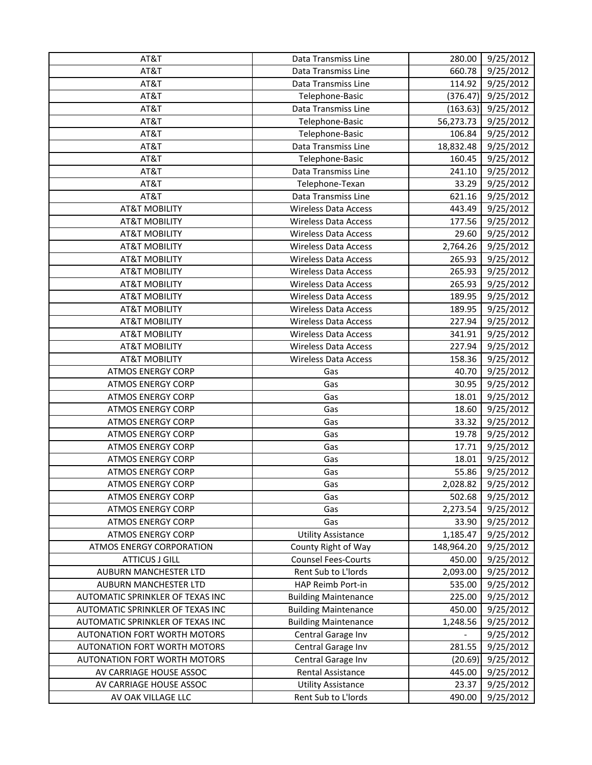| AT&T                                | Data Transmiss Line         | 280.00     | 9/25/2012          |
|-------------------------------------|-----------------------------|------------|--------------------|
| AT&T                                | Data Transmiss Line         | 660.78     | 9/25/2012          |
| AT&T                                | Data Transmiss Line         | 114.92     | 9/25/2012          |
| AT&T                                | Telephone-Basic             | (376.47)   | 9/25/2012          |
| AT&T                                | Data Transmiss Line         | (163.63)   | 9/25/2012          |
| AT&T                                | Telephone-Basic             | 56,273.73  | 9/25/2012          |
| AT&T                                | Telephone-Basic             | 106.84     | 9/25/2012          |
| AT&T                                | Data Transmiss Line         | 18,832.48  | 9/25/2012          |
| AT&T                                | Telephone-Basic             | 160.45     | 9/25/2012          |
| AT&T                                | Data Transmiss Line         | 241.10     | 9/25/2012          |
| AT&T                                | Telephone-Texan             | 33.29      | 9/25/2012          |
| AT&T                                | Data Transmiss Line         | 621.16     | 9/25/2012          |
| <b>AT&amp;T MOBILITY</b>            | Wireless Data Access        | 443.49     | 9/25/2012          |
| <b>AT&amp;T MOBILITY</b>            | Wireless Data Access        | 177.56     | 9/25/2012          |
| <b>AT&amp;T MOBILITY</b>            | Wireless Data Access        | 29.60      | 9/25/2012          |
| <b>AT&amp;T MOBILITY</b>            | <b>Wireless Data Access</b> | 2,764.26   | 9/25/2012          |
| <b>AT&amp;T MOBILITY</b>            | <b>Wireless Data Access</b> | 265.93     | 9/25/2012          |
| <b>AT&amp;T MOBILITY</b>            | <b>Wireless Data Access</b> | 265.93     | 9/25/2012          |
| <b>AT&amp;T MOBILITY</b>            | <b>Wireless Data Access</b> | 265.93     | 9/25/2012          |
| <b>AT&amp;T MOBILITY</b>            | <b>Wireless Data Access</b> | 189.95     | 9/25/2012          |
| <b>AT&amp;T MOBILITY</b>            | Wireless Data Access        | 189.95     | 9/25/2012          |
| <b>AT&amp;T MOBILITY</b>            | <b>Wireless Data Access</b> | 227.94     | 9/25/2012          |
| <b>AT&amp;T MOBILITY</b>            | <b>Wireless Data Access</b> | 341.91     | 9/25/2012          |
| <b>AT&amp;T MOBILITY</b>            | <b>Wireless Data Access</b> | 227.94     | 9/25/2012          |
| <b>AT&amp;T MOBILITY</b>            | <b>Wireless Data Access</b> | 158.36     | 9/25/2012          |
| <b>ATMOS ENERGY CORP</b>            | Gas                         | 40.70      | 9/25/2012          |
| <b>ATMOS ENERGY CORP</b>            | Gas                         | 30.95      | 9/25/2012          |
| <b>ATMOS ENERGY CORP</b>            | Gas                         | 18.01      | 9/25/2012          |
| <b>ATMOS ENERGY CORP</b>            | Gas                         | 18.60      | 9/25/2012          |
| <b>ATMOS ENERGY CORP</b>            | Gas                         | 33.32      | 9/25/2012          |
| <b>ATMOS ENERGY CORP</b>            | Gas                         | 19.78      | 9/25/2012          |
| <b>ATMOS ENERGY CORP</b>            | Gas                         | 17.71      | 9/25/2012          |
| <b>ATMOS ENERGY CORP</b>            | Gas                         | 18.01      | 9/25/2012          |
| <b>ATMOS ENERGY CORP</b>            | Gas                         | 55.86      | 9/25/2012          |
| <b>ATMOS ENERGY CORP</b>            | Gas                         |            | 2,028.82 9/25/2012 |
| <b>ATMOS ENERGY CORP</b>            | Gas                         | 502.68     | 9/25/2012          |
| <b>ATMOS ENERGY CORP</b>            | Gas                         | 2,273.54   | 9/25/2012          |
| <b>ATMOS ENERGY CORP</b>            | Gas                         | 33.90      | 9/25/2012          |
| <b>ATMOS ENERGY CORP</b>            | <b>Utility Assistance</b>   | 1,185.47   | 9/25/2012          |
| <b>ATMOS ENERGY CORPORATION</b>     | County Right of Way         | 148,964.20 | 9/25/2012          |
| <b>ATTICUS J GILL</b>               | <b>Counsel Fees-Courts</b>  | 450.00     | 9/25/2012          |
| AUBURN MANCHESTER LTD               | Rent Sub to L'Iords         | 2,093.00   | 9/25/2012          |
| AUBURN MANCHESTER LTD               | HAP Reimb Port-in           | 535.00     | 9/25/2012          |
| AUTOMATIC SPRINKLER OF TEXAS INC    | <b>Building Maintenance</b> | 225.00     | 9/25/2012          |
| AUTOMATIC SPRINKLER OF TEXAS INC    | <b>Building Maintenance</b> | 450.00     | 9/25/2012          |
| AUTOMATIC SPRINKLER OF TEXAS INC    | <b>Building Maintenance</b> | 1,248.56   | 9/25/2012          |
| <b>AUTONATION FORT WORTH MOTORS</b> | Central Garage Inv          |            | 9/25/2012          |
| <b>AUTONATION FORT WORTH MOTORS</b> | Central Garage Inv          | 281.55     | 9/25/2012          |
| <b>AUTONATION FORT WORTH MOTORS</b> | Central Garage Inv          | (20.69)    | 9/25/2012          |
| AV CARRIAGE HOUSE ASSOC             | Rental Assistance           | 445.00     | 9/25/2012          |
| AV CARRIAGE HOUSE ASSOC             | <b>Utility Assistance</b>   | 23.37      | 9/25/2012          |
| AV OAK VILLAGE LLC                  | Rent Sub to L'Iords         | 490.00     | 9/25/2012          |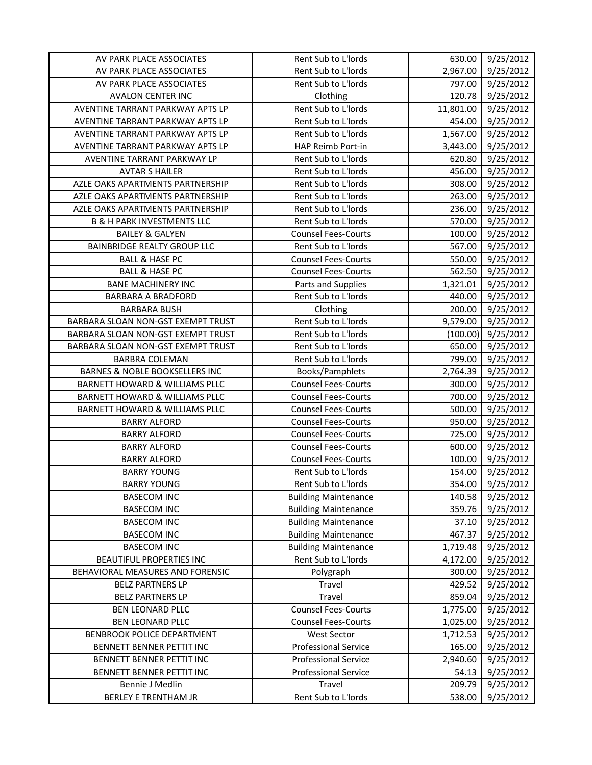| AV PARK PLACE ASSOCIATES                  | Rent Sub to L'Iords         | 630.00    | 9/25/2012 |
|-------------------------------------------|-----------------------------|-----------|-----------|
| AV PARK PLACE ASSOCIATES                  | Rent Sub to L'Iords         | 2,967.00  | 9/25/2012 |
| AV PARK PLACE ASSOCIATES                  | Rent Sub to L'Iords         | 797.00    | 9/25/2012 |
| <b>AVALON CENTER INC</b>                  | Clothing                    | 120.78    | 9/25/2012 |
| AVENTINE TARRANT PARKWAY APTS LP          | Rent Sub to L'Iords         | 11,801.00 | 9/25/2012 |
| AVENTINE TARRANT PARKWAY APTS LP          | Rent Sub to L'Iords         | 454.00    | 9/25/2012 |
| AVENTINE TARRANT PARKWAY APTS LP          | Rent Sub to L'Iords         | 1,567.00  | 9/25/2012 |
| AVENTINE TARRANT PARKWAY APTS LP          | HAP Reimb Port-in           | 3,443.00  | 9/25/2012 |
| AVENTINE TARRANT PARKWAY LP               | Rent Sub to L'Iords         | 620.80    | 9/25/2012 |
| <b>AVTAR S HAILER</b>                     | Rent Sub to L'Iords         | 456.00    | 9/25/2012 |
| AZLE OAKS APARTMENTS PARTNERSHIP          | Rent Sub to L'Iords         | 308.00    | 9/25/2012 |
| AZLE OAKS APARTMENTS PARTNERSHIP          | Rent Sub to L'Iords         | 263.00    | 9/25/2012 |
| AZLE OAKS APARTMENTS PARTNERSHIP          | Rent Sub to L'Iords         | 236.00    | 9/25/2012 |
| <b>B &amp; H PARK INVESTMENTS LLC</b>     | Rent Sub to L'Iords         | 570.00    | 9/25/2012 |
| <b>BAILEY &amp; GALYEN</b>                | <b>Counsel Fees-Courts</b>  | 100.00    | 9/25/2012 |
| <b>BAINBRIDGE REALTY GROUP LLC</b>        | Rent Sub to L'Iords         | 567.00    | 9/25/2012 |
| <b>BALL &amp; HASE PC</b>                 | <b>Counsel Fees-Courts</b>  | 550.00    | 9/25/2012 |
| <b>BALL &amp; HASE PC</b>                 | <b>Counsel Fees-Courts</b>  | 562.50    | 9/25/2012 |
| <b>BANE MACHINERY INC</b>                 | Parts and Supplies          | 1,321.01  | 9/25/2012 |
| <b>BARBARA A BRADFORD</b>                 | Rent Sub to L'Iords         | 440.00    | 9/25/2012 |
| <b>BARBARA BUSH</b>                       | Clothing                    | 200.00    | 9/25/2012 |
| BARBARA SLOAN NON-GST EXEMPT TRUST        | Rent Sub to L'Iords         | 9,579.00  | 9/25/2012 |
| BARBARA SLOAN NON-GST EXEMPT TRUST        | Rent Sub to L'Iords         | (100.00)  | 9/25/2012 |
| BARBARA SLOAN NON-GST EXEMPT TRUST        | Rent Sub to L'Iords         | 650.00    | 9/25/2012 |
| <b>BARBRA COLEMAN</b>                     | Rent Sub to L'Iords         | 799.00    | 9/25/2012 |
| <b>BARNES &amp; NOBLE BOOKSELLERS INC</b> | Books/Pamphlets             | 2,764.39  | 9/25/2012 |
| <b>BARNETT HOWARD &amp; WILLIAMS PLLC</b> | <b>Counsel Fees-Courts</b>  | 300.00    | 9/25/2012 |
| <b>BARNETT HOWARD &amp; WILLIAMS PLLC</b> | <b>Counsel Fees-Courts</b>  | 700.00    | 9/25/2012 |
| BARNETT HOWARD & WILLIAMS PLLC            | <b>Counsel Fees-Courts</b>  | 500.00    | 9/25/2012 |
| <b>BARRY ALFORD</b>                       | <b>Counsel Fees-Courts</b>  | 950.00    | 9/25/2012 |
| <b>BARRY ALFORD</b>                       | <b>Counsel Fees-Courts</b>  | 725.00    | 9/25/2012 |
| <b>BARRY ALFORD</b>                       | <b>Counsel Fees-Courts</b>  | 600.00    | 9/25/2012 |
| <b>BARRY ALFORD</b>                       | <b>Counsel Fees-Courts</b>  | 100.00    | 9/25/2012 |
| <b>BARRY YOUNG</b>                        | Rent Sub to L'Iords         | 154.00    | 9/25/2012 |
| <b>BARRY YOUNG</b>                        | Rent Sub to L'Iords         | 354.00    | 9/25/2012 |
| <b>BASECOM INC</b>                        | <b>Building Maintenance</b> | 140.58    | 9/25/2012 |
| <b>BASECOM INC</b>                        | <b>Building Maintenance</b> | 359.76    | 9/25/2012 |
| <b>BASECOM INC</b>                        | <b>Building Maintenance</b> | 37.10     | 9/25/2012 |
| <b>BASECOM INC</b>                        | <b>Building Maintenance</b> | 467.37    | 9/25/2012 |
| <b>BASECOM INC</b>                        | <b>Building Maintenance</b> | 1,719.48  | 9/25/2012 |
| <b>BEAUTIFUL PROPERTIES INC</b>           | Rent Sub to L'Iords         | 4,172.00  | 9/25/2012 |
| BEHAVIORAL MEASURES AND FORENSIC          | Polygraph                   | 300.00    | 9/25/2012 |
| <b>BELZ PARTNERS LP</b>                   | Travel                      | 429.52    | 9/25/2012 |
| <b>BELZ PARTNERS LP</b>                   | Travel                      | 859.04    | 9/25/2012 |
| BEN LEONARD PLLC                          | <b>Counsel Fees-Courts</b>  | 1,775.00  | 9/25/2012 |
| <b>BEN LEONARD PLLC</b>                   | <b>Counsel Fees-Courts</b>  | 1,025.00  | 9/25/2012 |
| BENBROOK POLICE DEPARTMENT                | <b>West Sector</b>          | 1,712.53  | 9/25/2012 |
| BENNETT BENNER PETTIT INC                 | <b>Professional Service</b> | 165.00    | 9/25/2012 |
| BENNETT BENNER PETTIT INC                 | <b>Professional Service</b> | 2,940.60  | 9/25/2012 |
| BENNETT BENNER PETTIT INC                 | <b>Professional Service</b> | 54.13     | 9/25/2012 |
| Bennie J Medlin                           | Travel                      | 209.79    | 9/25/2012 |
| <b>BERLEY E TRENTHAM JR</b>               | Rent Sub to L'Iords         | 538.00    | 9/25/2012 |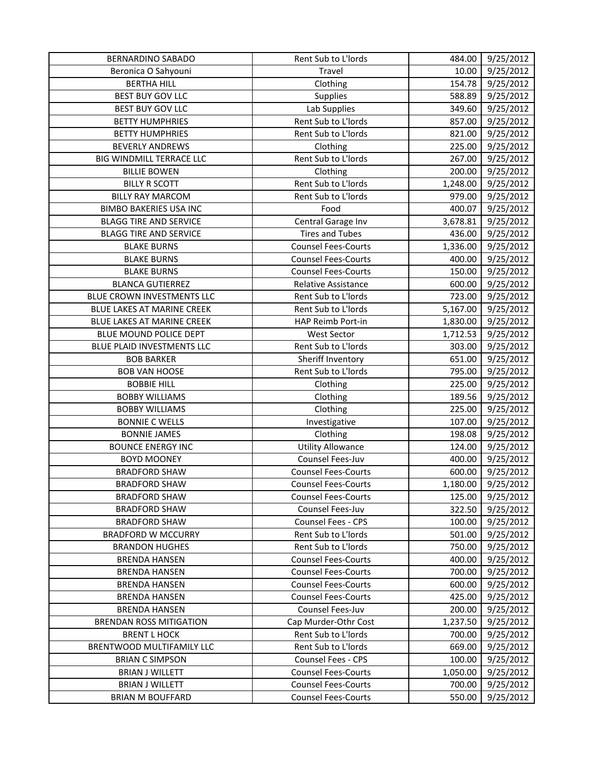| <b>BERNARDINO SABADO</b>          | Rent Sub to L'Iords        | 484.00   | 9/25/2012              |
|-----------------------------------|----------------------------|----------|------------------------|
| Beronica O Sahyouni               | Travel                     | 10.00    | 9/25/2012              |
| <b>BERTHA HILL</b>                | Clothing                   | 154.78   | 9/25/2012              |
| <b>BEST BUY GOV LLC</b>           | Supplies                   | 588.89   | 9/25/2012              |
| <b>BEST BUY GOV LLC</b>           | Lab Supplies               | 349.60   | 9/25/2012              |
| <b>BETTY HUMPHRIES</b>            | Rent Sub to L'Iords        | 857.00   | 9/25/2012              |
| <b>BETTY HUMPHRIES</b>            | Rent Sub to L'Iords        | 821.00   | 9/25/2012              |
| <b>BEVERLY ANDREWS</b>            | Clothing                   | 225.00   | 9/25/2012              |
| BIG WINDMILL TERRACE LLC          | Rent Sub to L'Iords        | 267.00   | $\frac{1}{9}$ /25/2012 |
| <b>BILLIE BOWEN</b>               | Clothing                   | 200.00   | 9/25/2012              |
| <b>BILLY R SCOTT</b>              | Rent Sub to L'Iords        | 1,248.00 | 9/25/2012              |
| <b>BILLY RAY MARCOM</b>           | Rent Sub to L'Iords        | 979.00   | 9/25/2012              |
| <b>BIMBO BAKERIES USA INC</b>     | Food                       | 400.07   | 9/25/2012              |
| <b>BLAGG TIRE AND SERVICE</b>     | Central Garage Inv         | 3,678.81 | 9/25/2012              |
| <b>BLAGG TIRE AND SERVICE</b>     | <b>Tires and Tubes</b>     | 436.00   | 9/25/2012              |
| <b>BLAKE BURNS</b>                | <b>Counsel Fees-Courts</b> | 1,336.00 | 9/25/2012              |
| <b>BLAKE BURNS</b>                | <b>Counsel Fees-Courts</b> | 400.00   | 9/25/2012              |
| <b>BLAKE BURNS</b>                | <b>Counsel Fees-Courts</b> | 150.00   | 9/25/2012              |
| <b>BLANCA GUTIERREZ</b>           | <b>Relative Assistance</b> | 600.00   | 9/25/2012              |
| BLUE CROWN INVESTMENTS LLC        | Rent Sub to L'Iords        | 723.00   | 9/25/2012              |
| BLUE LAKES AT MARINE CREEK        | Rent Sub to L'Iords        | 5,167.00 | 9/25/2012              |
| <b>BLUE LAKES AT MARINE CREEK</b> | HAP Reimb Port-in          | 1,830.00 | 9/25/2012              |
| BLUE MOUND POLICE DEPT            | <b>West Sector</b>         | 1,712.53 | 9/25/2012              |
| BLUE PLAID INVESTMENTS LLC        | Rent Sub to L'Iords        | 303.00   | 9/25/2012              |
| <b>BOB BARKER</b>                 | Sheriff Inventory          | 651.00   | 9/25/2012              |
| <b>BOB VAN HOOSE</b>              | Rent Sub to L'Iords        | 795.00   | 9/25/2012              |
| <b>BOBBIE HILL</b>                | Clothing                   | 225.00   | 9/25/2012              |
| <b>BOBBY WILLIAMS</b>             | Clothing                   | 189.56   | 9/25/2012              |
| <b>BOBBY WILLIAMS</b>             | Clothing                   | 225.00   | 9/25/2012              |
| <b>BONNIE C WELLS</b>             | Investigative              | 107.00   | 9/25/2012              |
| <b>BONNIE JAMES</b>               | Clothing                   | 198.08   | 9/25/2012              |
| <b>BOUNCE ENERGY INC</b>          | <b>Utility Allowance</b>   | 124.00   | 9/25/2012              |
| <b>BOYD MOONEY</b>                | Counsel Fees-Juv           | 400.00   | 9/25/2012              |
| <b>BRADFORD SHAW</b>              | <b>Counsel Fees-Courts</b> | 600.00   | 9/25/2012              |
| <b>BRADFORD SHAW</b>              | <b>Counsel Fees-Courts</b> | 1,180.00 | 9/25/2012              |
| <b>BRADFORD SHAW</b>              | <b>Counsel Fees-Courts</b> | 125.00   | 9/25/2012              |
| <b>BRADFORD SHAW</b>              | <b>Counsel Fees-Juv</b>    | 322.50   | 9/25/2012              |
| <b>BRADFORD SHAW</b>              | <b>Counsel Fees - CPS</b>  | 100.00   | 9/25/2012              |
| <b>BRADFORD W MCCURRY</b>         | Rent Sub to L'Iords        | 501.00   | 9/25/2012              |
| <b>BRANDON HUGHES</b>             | Rent Sub to L'Iords        | 750.00   | 9/25/2012              |
| <b>BRENDA HANSEN</b>              | <b>Counsel Fees-Courts</b> | 400.00   | 9/25/2012              |
| <b>BRENDA HANSEN</b>              | <b>Counsel Fees-Courts</b> | 700.00   | 9/25/2012              |
| <b>BRENDA HANSEN</b>              | <b>Counsel Fees-Courts</b> | 600.00   | 9/25/2012              |
| <b>BRENDA HANSEN</b>              | <b>Counsel Fees-Courts</b> | 425.00   | 9/25/2012              |
| <b>BRENDA HANSEN</b>              | Counsel Fees-Juv           | 200.00   | 9/25/2012              |
| <b>BRENDAN ROSS MITIGATION</b>    | Cap Murder-Othr Cost       | 1,237.50 | 9/25/2012              |
| <b>BRENT L HOCK</b>               | Rent Sub to L'Iords        | 700.00   | 9/25/2012              |
| BRENTWOOD MULTIFAMILY LLC         | Rent Sub to L'Iords        | 669.00   | 9/25/2012              |
| <b>BRIAN C SIMPSON</b>            | <b>Counsel Fees - CPS</b>  | 100.00   | 9/25/2012              |
| <b>BRIAN J WILLETT</b>            | <b>Counsel Fees-Courts</b> | 1,050.00 | 9/25/2012              |
| <b>BRIAN J WILLETT</b>            | <b>Counsel Fees-Courts</b> | 700.00   | 9/25/2012              |
| <b>BRIAN M BOUFFARD</b>           | <b>Counsel Fees-Courts</b> | 550.00   | 9/25/2012              |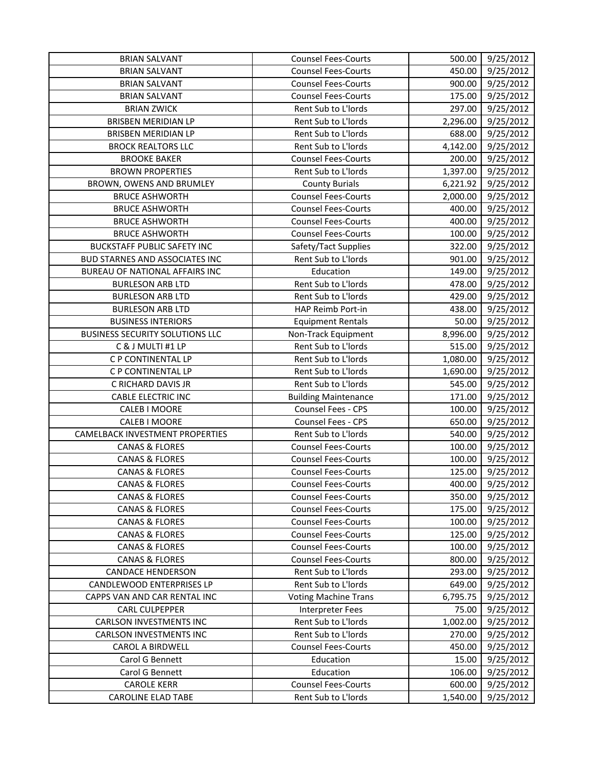| <b>BRIAN SALVANT</b>                   | <b>Counsel Fees-Courts</b>  | 500.00   | 9/25/2012 |
|----------------------------------------|-----------------------------|----------|-----------|
| <b>BRIAN SALVANT</b>                   | <b>Counsel Fees-Courts</b>  | 450.00   | 9/25/2012 |
| <b>BRIAN SALVANT</b>                   | <b>Counsel Fees-Courts</b>  | 900.00   | 9/25/2012 |
| <b>BRIAN SALVANT</b>                   | <b>Counsel Fees-Courts</b>  | 175.00   | 9/25/2012 |
| <b>BRIAN ZWICK</b>                     | Rent Sub to L'Iords         | 297.00   | 9/25/2012 |
| <b>BRISBEN MERIDIAN LP</b>             | Rent Sub to L'Iords         | 2,296.00 | 9/25/2012 |
| BRISBEN MERIDIAN LP                    | Rent Sub to L'Iords         | 688.00   | 9/25/2012 |
| <b>BROCK REALTORS LLC</b>              | Rent Sub to L'Iords         | 4,142.00 | 9/25/2012 |
| <b>BROOKE BAKER</b>                    | <b>Counsel Fees-Courts</b>  | 200.00   | 9/25/2012 |
| <b>BROWN PROPERTIES</b>                | Rent Sub to L'Iords         | 1,397.00 | 9/25/2012 |
| BROWN, OWENS AND BRUMLEY               | <b>County Burials</b>       | 6,221.92 | 9/25/2012 |
| <b>BRUCE ASHWORTH</b>                  | <b>Counsel Fees-Courts</b>  | 2,000.00 | 9/25/2012 |
| <b>BRUCE ASHWORTH</b>                  | <b>Counsel Fees-Courts</b>  | 400.00   | 9/25/2012 |
| <b>BRUCE ASHWORTH</b>                  | <b>Counsel Fees-Courts</b>  | 400.00   | 9/25/2012 |
| <b>BRUCE ASHWORTH</b>                  | <b>Counsel Fees-Courts</b>  | 100.00   | 9/25/2012 |
| <b>BUCKSTAFF PUBLIC SAFETY INC</b>     | Safety/Tact Supplies        | 322.00   | 9/25/2012 |
| <b>BUD STARNES AND ASSOCIATES INC</b>  | Rent Sub to L'Iords         | 901.00   | 9/25/2012 |
| BUREAU OF NATIONAL AFFAIRS INC         | Education                   | 149.00   | 9/25/2012 |
| <b>BURLESON ARB LTD</b>                | Rent Sub to L'Iords         | 478.00   | 9/25/2012 |
| <b>BURLESON ARB LTD</b>                | Rent Sub to L'Iords         | 429.00   | 9/25/2012 |
| <b>BURLESON ARB LTD</b>                | HAP Reimb Port-in           | 438.00   | 9/25/2012 |
| <b>BUSINESS INTERIORS</b>              | <b>Equipment Rentals</b>    | 50.00    | 9/25/2012 |
| <b>BUSINESS SECURITY SOLUTIONS LLC</b> | Non-Track Equipment         | 8,996.00 | 9/25/2012 |
| C & J MULTI #1 LP                      | Rent Sub to L'Iords         | 515.00   | 9/25/2012 |
| C P CONTINENTAL LP                     | Rent Sub to L'Iords         | 1,080.00 | 9/25/2012 |
| C P CONTINENTAL LP                     | Rent Sub to L'Iords         | 1,690.00 | 9/25/2012 |
| C RICHARD DAVIS JR                     | Rent Sub to L'Iords         | 545.00   | 9/25/2012 |
| <b>CABLE ELECTRIC INC</b>              | <b>Building Maintenance</b> | 171.00   | 9/25/2012 |
| <b>CALEB I MOORE</b>                   | Counsel Fees - CPS          | 100.00   | 9/25/2012 |
| <b>CALEB I MOORE</b>                   | Counsel Fees - CPS          | 650.00   | 9/25/2012 |
| CAMELBACK INVESTMENT PROPERTIES        | Rent Sub to L'Iords         | 540.00   | 9/25/2012 |
| <b>CANAS &amp; FLORES</b>              | <b>Counsel Fees-Courts</b>  | 100.00   | 9/25/2012 |
| <b>CANAS &amp; FLORES</b>              | <b>Counsel Fees-Courts</b>  | 100.00   | 9/25/2012 |
| <b>CANAS &amp; FLORES</b>              | <b>Counsel Fees-Courts</b>  | 125.00   | 9/25/2012 |
| <b>CANAS &amp; FLORES</b>              | <b>Counsel Fees-Courts</b>  | 400.00   | 9/25/2012 |
| CANAS & FLORES                         | <b>Counsel Fees-Courts</b>  | 350.00   | 9/25/2012 |
| <b>CANAS &amp; FLORES</b>              | <b>Counsel Fees-Courts</b>  | 175.00   | 9/25/2012 |
| <b>CANAS &amp; FLORES</b>              | <b>Counsel Fees-Courts</b>  | 100.00   | 9/25/2012 |
| <b>CANAS &amp; FLORES</b>              | <b>Counsel Fees-Courts</b>  | 125.00   | 9/25/2012 |
| <b>CANAS &amp; FLORES</b>              | <b>Counsel Fees-Courts</b>  | 100.00   | 9/25/2012 |
| <b>CANAS &amp; FLORES</b>              | <b>Counsel Fees-Courts</b>  | 800.00   | 9/25/2012 |
| <b>CANDACE HENDERSON</b>               | Rent Sub to L'Iords         | 293.00   | 9/25/2012 |
| CANDLEWOOD ENTERPRISES LP              | Rent Sub to L'Iords         | 649.00   | 9/25/2012 |
| CAPPS VAN AND CAR RENTAL INC           | <b>Voting Machine Trans</b> | 6,795.75 | 9/25/2012 |
| <b>CARL CULPEPPER</b>                  | <b>Interpreter Fees</b>     | 75.00    | 9/25/2012 |
| <b>CARLSON INVESTMENTS INC</b>         | Rent Sub to L'Iords         | 1,002.00 | 9/25/2012 |
| <b>CARLSON INVESTMENTS INC</b>         | Rent Sub to L'Iords         | 270.00   | 9/25/2012 |
| CAROL A BIRDWELL                       | <b>Counsel Fees-Courts</b>  | 450.00   | 9/25/2012 |
| Carol G Bennett                        | Education                   | 15.00    | 9/25/2012 |
| Carol G Bennett                        | Education                   | 106.00   | 9/25/2012 |
| <b>CAROLE KERR</b>                     | <b>Counsel Fees-Courts</b>  | 600.00   | 9/25/2012 |
| <b>CAROLINE ELAD TABE</b>              | Rent Sub to L'Iords         | 1,540.00 | 9/25/2012 |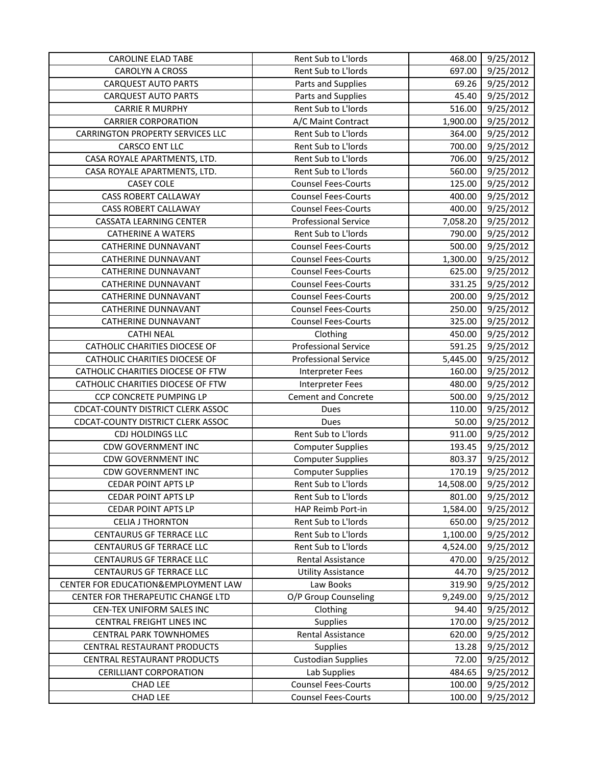| <b>CAROLINE ELAD TABE</b>               | Rent Sub to L'Iords         | 468.00    | 9/25/2012 |
|-----------------------------------------|-----------------------------|-----------|-----------|
| <b>CAROLYN A CROSS</b>                  | Rent Sub to L'Iords         | 697.00    | 9/25/2012 |
| <b>CARQUEST AUTO PARTS</b>              | Parts and Supplies          | 69.26     | 9/25/2012 |
| <b>CARQUEST AUTO PARTS</b>              | Parts and Supplies          | 45.40     | 9/25/2012 |
| <b>CARRIE R MURPHY</b>                  | Rent Sub to L'Iords         | 516.00    | 9/25/2012 |
| <b>CARRIER CORPORATION</b>              | A/C Maint Contract          | 1,900.00  | 9/25/2012 |
| <b>CARRINGTON PROPERTY SERVICES LLC</b> | Rent Sub to L'Iords         | 364.00    | 9/25/2012 |
| <b>CARSCO ENT LLC</b>                   | Rent Sub to L'Iords         | 700.00    | 9/25/2012 |
| CASA ROYALE APARTMENTS, LTD.            | Rent Sub to L'Iords         | 706.00    | 9/25/2012 |
| CASA ROYALE APARTMENTS, LTD.            | Rent Sub to L'Iords         | 560.00    | 9/25/2012 |
| <b>CASEY COLE</b>                       | <b>Counsel Fees-Courts</b>  | 125.00    | 9/25/2012 |
| <b>CASS ROBERT CALLAWAY</b>             | <b>Counsel Fees-Courts</b>  | 400.00    | 9/25/2012 |
| <b>CASS ROBERT CALLAWAY</b>             | <b>Counsel Fees-Courts</b>  | 400.00    | 9/25/2012 |
| <b>CASSATA LEARNING CENTER</b>          | <b>Professional Service</b> | 7,058.20  | 9/25/2012 |
| <b>CATHERINE A WATERS</b>               | Rent Sub to L'Iords         | 790.00    | 9/25/2012 |
| CATHERINE DUNNAVANT                     | <b>Counsel Fees-Courts</b>  | 500.00    | 9/25/2012 |
| <b>CATHERINE DUNNAVANT</b>              | <b>Counsel Fees-Courts</b>  | 1,300.00  | 9/25/2012 |
| <b>CATHERINE DUNNAVANT</b>              | <b>Counsel Fees-Courts</b>  | 625.00    | 9/25/2012 |
| <b>CATHERINE DUNNAVANT</b>              | <b>Counsel Fees-Courts</b>  | 331.25    | 9/25/2012 |
| <b>CATHERINE DUNNAVANT</b>              | <b>Counsel Fees-Courts</b>  | 200.00    | 9/25/2012 |
| <b>CATHERINE DUNNAVANT</b>              | <b>Counsel Fees-Courts</b>  | 250.00    | 9/25/2012 |
| CATHERINE DUNNAVANT                     | <b>Counsel Fees-Courts</b>  | 325.00    | 9/25/2012 |
| <b>CATHI NEAL</b>                       | Clothing                    | 450.00    | 9/25/2012 |
| <b>CATHOLIC CHARITIES DIOCESE OF</b>    | <b>Professional Service</b> | 591.25    | 9/25/2012 |
| CATHOLIC CHARITIES DIOCESE OF           | <b>Professional Service</b> | 5,445.00  | 9/25/2012 |
| CATHOLIC CHARITIES DIOCESE OF FTW       | Interpreter Fees            | 160.00    | 9/25/2012 |
| CATHOLIC CHARITIES DIOCESE OF FTW       | <b>Interpreter Fees</b>     | 480.00    | 9/25/2012 |
| CCP CONCRETE PUMPING LP                 | <b>Cement and Concrete</b>  | 500.00    | 9/25/2012 |
| CDCAT-COUNTY DISTRICT CLERK ASSOC       | Dues                        | 110.00    | 9/25/2012 |
| CDCAT-COUNTY DISTRICT CLERK ASSOC       | Dues                        | 50.00     | 9/25/2012 |
| CDJ HOLDINGS LLC                        | Rent Sub to L'Iords         | 911.00    | 9/25/2012 |
| <b>CDW GOVERNMENT INC</b>               | <b>Computer Supplies</b>    | 193.45    | 9/25/2012 |
| <b>CDW GOVERNMENT INC</b>               | <b>Computer Supplies</b>    | 803.37    | 9/25/2012 |
| <b>CDW GOVERNMENT INC</b>               | <b>Computer Supplies</b>    | 170.19    | 9/25/2012 |
| <b>CEDAR POINT APTS LP</b>              | Rent Sub to L'Iords         | 14,508.00 | 9/25/2012 |
| <b>CEDAR POINT APTS LP</b>              | Rent Sub to L'Iords         | 801.00    | 9/25/2012 |
| <b>CEDAR POINT APTS LP</b>              | HAP Reimb Port-in           | 1,584.00  | 9/25/2012 |
| <b>CELIA J THORNTON</b>                 | Rent Sub to L'Iords         | 650.00    | 9/25/2012 |
| <b>CENTAURUS GF TERRACE LLC</b>         | Rent Sub to L'Iords         | 1,100.00  | 9/25/2012 |
| CENTAURUS GF TERRACE LLC                | Rent Sub to L'Iords         | 4,524.00  | 9/25/2012 |
| CENTAURUS GF TERRACE LLC                | <b>Rental Assistance</b>    | 470.00    | 9/25/2012 |
| <b>CENTAURUS GF TERRACE LLC</b>         | <b>Utility Assistance</b>   | 44.70     | 9/25/2012 |
| CENTER FOR EDUCATION&EMPLOYMENT LAW     | Law Books                   | 319.90    | 9/25/2012 |
| CENTER FOR THERAPEUTIC CHANGE LTD       | O/P Group Counseling        | 9,249.00  | 9/25/2012 |
| CEN-TEX UNIFORM SALES INC               | Clothing                    | 94.40     | 9/25/2012 |
| CENTRAL FREIGHT LINES INC               | Supplies                    | 170.00    | 9/25/2012 |
| <b>CENTRAL PARK TOWNHOMES</b>           | <b>Rental Assistance</b>    | 620.00    | 9/25/2012 |
| CENTRAL RESTAURANT PRODUCTS             | Supplies                    | 13.28     | 9/25/2012 |
| CENTRAL RESTAURANT PRODUCTS             | <b>Custodian Supplies</b>   | 72.00     | 9/25/2012 |
| <b>CERILLIANT CORPORATION</b>           | Lab Supplies                | 484.65    | 9/25/2012 |
| <b>CHAD LEE</b>                         | <b>Counsel Fees-Courts</b>  | 100.00    | 9/25/2012 |
| <b>CHAD LEE</b>                         | <b>Counsel Fees-Courts</b>  | 100.00    | 9/25/2012 |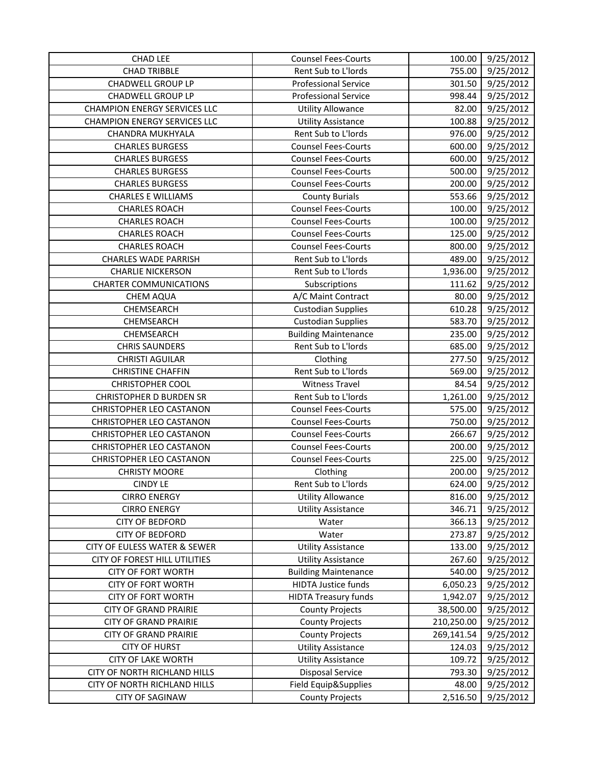| <b>CHAD LEE</b>                     | <b>Counsel Fees-Courts</b>  | 100.00     | 9/25/2012 |
|-------------------------------------|-----------------------------|------------|-----------|
| <b>CHAD TRIBBLE</b>                 | Rent Sub to L'Iords         | 755.00     | 9/25/2012 |
| <b>CHADWELL GROUP LP</b>            | <b>Professional Service</b> | 301.50     | 9/25/2012 |
| <b>CHADWELL GROUP LP</b>            | <b>Professional Service</b> | 998.44     | 9/25/2012 |
| <b>CHAMPION ENERGY SERVICES LLC</b> | <b>Utility Allowance</b>    | 82.00      | 9/25/2012 |
| <b>CHAMPION ENERGY SERVICES LLC</b> | <b>Utility Assistance</b>   | 100.88     | 9/25/2012 |
| CHANDRA MUKHYALA                    | Rent Sub to L'Iords         | 976.00     | 9/25/2012 |
| <b>CHARLES BURGESS</b>              | <b>Counsel Fees-Courts</b>  | 600.00     | 9/25/2012 |
| <b>CHARLES BURGESS</b>              | <b>Counsel Fees-Courts</b>  | 600.00     | 9/25/2012 |
| <b>CHARLES BURGESS</b>              | <b>Counsel Fees-Courts</b>  | 500.00     | 9/25/2012 |
| <b>CHARLES BURGESS</b>              | <b>Counsel Fees-Courts</b>  | 200.00     | 9/25/2012 |
| <b>CHARLES E WILLIAMS</b>           | <b>County Burials</b>       | 553.66     | 9/25/2012 |
| <b>CHARLES ROACH</b>                | <b>Counsel Fees-Courts</b>  | 100.00     | 9/25/2012 |
| <b>CHARLES ROACH</b>                | <b>Counsel Fees-Courts</b>  | 100.00     | 9/25/2012 |
| <b>CHARLES ROACH</b>                | <b>Counsel Fees-Courts</b>  | 125.00     | 9/25/2012 |
| <b>CHARLES ROACH</b>                | <b>Counsel Fees-Courts</b>  | 800.00     | 9/25/2012 |
| <b>CHARLES WADE PARRISH</b>         | Rent Sub to L'Iords         | 489.00     | 9/25/2012 |
| <b>CHARLIE NICKERSON</b>            | Rent Sub to L'Iords         | 1,936.00   | 9/25/2012 |
| <b>CHARTER COMMUNICATIONS</b>       | Subscriptions               | 111.62     | 9/25/2012 |
| CHEM AQUA                           | A/C Maint Contract          | 80.00      | 9/25/2012 |
| CHEMSEARCH                          | <b>Custodian Supplies</b>   | 610.28     | 9/25/2012 |
| CHEMSEARCH                          | <b>Custodian Supplies</b>   | 583.70     | 9/25/2012 |
| CHEMSEARCH                          | <b>Building Maintenance</b> | 235.00     | 9/25/2012 |
| <b>CHRIS SAUNDERS</b>               | Rent Sub to L'Iords         | 685.00     | 9/25/2012 |
| <b>CHRISTI AGUILAR</b>              | Clothing                    | 277.50     | 9/25/2012 |
| <b>CHRISTINE CHAFFIN</b>            | Rent Sub to L'Iords         | 569.00     | 9/25/2012 |
| <b>CHRISTOPHER COOL</b>             | <b>Witness Travel</b>       | 84.54      | 9/25/2012 |
| <b>CHRISTOPHER D BURDEN SR</b>      | Rent Sub to L'Iords         | 1,261.00   | 9/25/2012 |
| CHRISTOPHER LEO CASTANON            | <b>Counsel Fees-Courts</b>  | 575.00     | 9/25/2012 |
| <b>CHRISTOPHER LEO CASTANON</b>     | <b>Counsel Fees-Courts</b>  | 750.00     | 9/25/2012 |
| CHRISTOPHER LEO CASTANON            | <b>Counsel Fees-Courts</b>  | 266.67     | 9/25/2012 |
| <b>CHRISTOPHER LEO CASTANON</b>     | <b>Counsel Fees-Courts</b>  | 200.00     | 9/25/2012 |
| CHRISTOPHER LEO CASTANON            | <b>Counsel Fees-Courts</b>  | 225.00     | 9/25/2012 |
| <b>CHRISTY MOORE</b>                | Clothing                    | 200.00     | 9/25/2012 |
| <b>CINDY LE</b>                     | Rent Sub to L'Iords         | 624.00     | 9/25/2012 |
| <b>CIRRO ENERGY</b>                 | <b>Utility Allowance</b>    | 816.00     | 9/25/2012 |
| <b>CIRRO ENERGY</b>                 | <b>Utility Assistance</b>   | 346.71     | 9/25/2012 |
| <b>CITY OF BEDFORD</b>              | Water                       | 366.13     | 9/25/2012 |
| <b>CITY OF BEDFORD</b>              | Water                       | 273.87     | 9/25/2012 |
| CITY OF EULESS WATER & SEWER        | <b>Utility Assistance</b>   | 133.00     | 9/25/2012 |
| CITY OF FOREST HILL UTILITIES       | <b>Utility Assistance</b>   | 267.60     | 9/25/2012 |
| <b>CITY OF FORT WORTH</b>           | <b>Building Maintenance</b> | 540.00     | 9/25/2012 |
| <b>CITY OF FORT WORTH</b>           | <b>HIDTA Justice funds</b>  | 6,050.23   | 9/25/2012 |
| <b>CITY OF FORT WORTH</b>           | <b>HIDTA Treasury funds</b> | 1,942.07   | 9/25/2012 |
| <b>CITY OF GRAND PRAIRIE</b>        | <b>County Projects</b>      | 38,500.00  | 9/25/2012 |
| <b>CITY OF GRAND PRAIRIE</b>        | <b>County Projects</b>      | 210,250.00 | 9/25/2012 |
| <b>CITY OF GRAND PRAIRIE</b>        | <b>County Projects</b>      | 269,141.54 | 9/25/2012 |
| <b>CITY OF HURST</b>                | <b>Utility Assistance</b>   | 124.03     | 9/25/2012 |
| <b>CITY OF LAKE WORTH</b>           | <b>Utility Assistance</b>   | 109.72     | 9/25/2012 |
| CITY OF NORTH RICHLAND HILLS        | <b>Disposal Service</b>     | 793.30     | 9/25/2012 |
| CITY OF NORTH RICHLAND HILLS        | Field Equip&Supplies        | 48.00      | 9/25/2012 |
| <b>CITY OF SAGINAW</b>              | <b>County Projects</b>      | 2,516.50   | 9/25/2012 |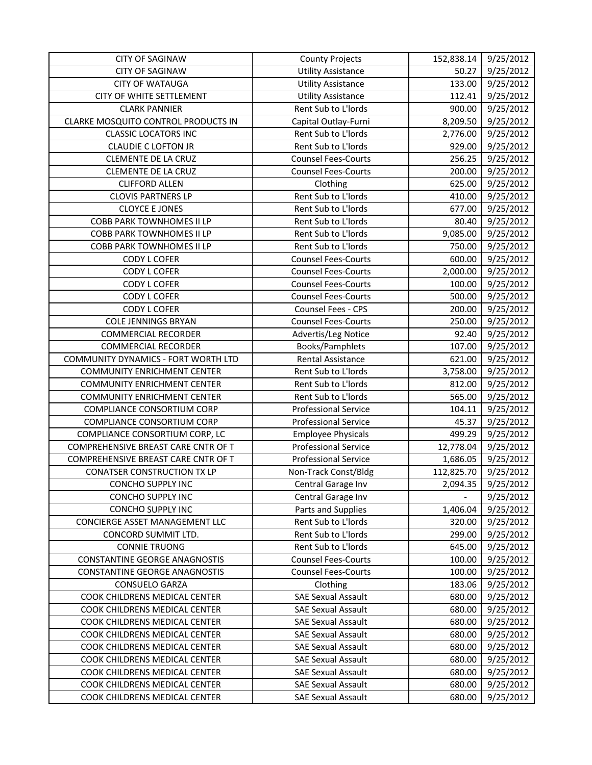| <b>CITY OF SAGINAW</b>               | <b>County Projects</b>      | 152,838.14 | 9/25/2012 |
|--------------------------------------|-----------------------------|------------|-----------|
| <b>CITY OF SAGINAW</b>               | <b>Utility Assistance</b>   | 50.27      | 9/25/2012 |
| <b>CITY OF WATAUGA</b>               | <b>Utility Assistance</b>   | 133.00     | 9/25/2012 |
| <b>CITY OF WHITE SETTLEMENT</b>      | <b>Utility Assistance</b>   | 112.41     | 9/25/2012 |
| <b>CLARK PANNIER</b>                 | Rent Sub to L'Iords         | 900.00     | 9/25/2012 |
| CLARKE MOSQUITO CONTROL PRODUCTS IN  | Capital Outlay-Furni        | 8,209.50   | 9/25/2012 |
| <b>CLASSIC LOCATORS INC</b>          | Rent Sub to L'Iords         | 2,776.00   | 9/25/2012 |
| <b>CLAUDIE C LOFTON JR</b>           | Rent Sub to L'Iords         | 929.00     | 9/25/2012 |
| <b>CLEMENTE DE LA CRUZ</b>           | <b>Counsel Fees-Courts</b>  | 256.25     | 9/25/2012 |
| <b>CLEMENTE DE LA CRUZ</b>           | <b>Counsel Fees-Courts</b>  | 200.00     | 9/25/2012 |
| <b>CLIFFORD ALLEN</b>                | Clothing                    | 625.00     | 9/25/2012 |
| <b>CLOVIS PARTNERS LP</b>            | Rent Sub to L'Iords         | 410.00     | 9/25/2012 |
| <b>CLOYCE E JONES</b>                | Rent Sub to L'Iords         | 677.00     | 9/25/2012 |
| COBB PARK TOWNHOMES II LP            | Rent Sub to L'Iords         | 80.40      | 9/25/2012 |
| COBB PARK TOWNHOMES II LP            | Rent Sub to L'Iords         | 9,085.00   | 9/25/2012 |
| <b>COBB PARK TOWNHOMES II LP</b>     | Rent Sub to L'Iords         | 750.00     | 9/25/2012 |
| CODY L COFER                         | <b>Counsel Fees-Courts</b>  | 600.00     | 9/25/2012 |
| CODY L COFER                         | <b>Counsel Fees-Courts</b>  | 2,000.00   | 9/25/2012 |
| <b>CODY L COFER</b>                  | <b>Counsel Fees-Courts</b>  | 100.00     | 9/25/2012 |
| <b>CODY L COFER</b>                  | <b>Counsel Fees-Courts</b>  | 500.00     | 9/25/2012 |
| <b>CODY L COFER</b>                  | Counsel Fees - CPS          | 200.00     | 9/25/2012 |
| <b>COLE JENNINGS BRYAN</b>           | <b>Counsel Fees-Courts</b>  | 250.00     | 9/25/2012 |
| <b>COMMERCIAL RECORDER</b>           | Advertis/Leg Notice         | 92.40      | 9/25/2012 |
| <b>COMMERCIAL RECORDER</b>           | Books/Pamphlets             | 107.00     | 9/25/2012 |
| COMMUNITY DYNAMICS - FORT WORTH LTD  | <b>Rental Assistance</b>    | 621.00     | 9/25/2012 |
| <b>COMMUNITY ENRICHMENT CENTER</b>   | Rent Sub to L'Iords         | 3,758.00   | 9/25/2012 |
| <b>COMMUNITY ENRICHMENT CENTER</b>   | Rent Sub to L'Iords         | 812.00     | 9/25/2012 |
| <b>COMMUNITY ENRICHMENT CENTER</b>   | Rent Sub to L'Iords         | 565.00     | 9/25/2012 |
| COMPLIANCE CONSORTIUM CORP           | <b>Professional Service</b> | 104.11     | 9/25/2012 |
| COMPLIANCE CONSORTIUM CORP           | <b>Professional Service</b> | 45.37      | 9/25/2012 |
| COMPLIANCE CONSORTIUM CORP, LC       | <b>Employee Physicals</b>   | 499.29     | 9/25/2012 |
| COMPREHENSIVE BREAST CARE CNTR OF T  | <b>Professional Service</b> | 12,778.04  | 9/25/2012 |
| COMPREHENSIVE BREAST CARE CNTR OF T  | <b>Professional Service</b> | 1,686.05   | 9/25/2012 |
| <b>CONATSER CONSTRUCTION TX LP</b>   | Non-Track Const/Bldg        | 112,825.70 | 9/25/2012 |
| CONCHO SUPPLY INC                    | Central Garage Inv          | 2,094.35   | 9/25/2012 |
| CONCHO SUPPLY INC                    | Central Garage Inv          |            | 9/25/2012 |
| CONCHO SUPPLY INC                    | Parts and Supplies          | 1,406.04   | 9/25/2012 |
| CONCIERGE ASSET MANAGEMENT LLC       | Rent Sub to L'Iords         | 320.00     | 9/25/2012 |
| CONCORD SUMMIT LTD.                  | Rent Sub to L'Iords         | 299.00     | 9/25/2012 |
| <b>CONNIE TRUONG</b>                 | Rent Sub to L'Iords         | 645.00     | 9/25/2012 |
| CONSTANTINE GEORGE ANAGNOSTIS        | <b>Counsel Fees-Courts</b>  | 100.00     | 9/25/2012 |
| <b>CONSTANTINE GEORGE ANAGNOSTIS</b> | <b>Counsel Fees-Courts</b>  | 100.00     | 9/25/2012 |
| <b>CONSUELO GARZA</b>                | Clothing                    | 183.06     | 9/25/2012 |
| COOK CHILDRENS MEDICAL CENTER        | <b>SAE Sexual Assault</b>   | 680.00     | 9/25/2012 |
| COOK CHILDRENS MEDICAL CENTER        | <b>SAE Sexual Assault</b>   | 680.00     | 9/25/2012 |
| COOK CHILDRENS MEDICAL CENTER        | <b>SAE Sexual Assault</b>   | 680.00     | 9/25/2012 |
| COOK CHILDRENS MEDICAL CENTER        | <b>SAE Sexual Assault</b>   | 680.00     | 9/25/2012 |
| COOK CHILDRENS MEDICAL CENTER        | <b>SAE Sexual Assault</b>   | 680.00     | 9/25/2012 |
| COOK CHILDRENS MEDICAL CENTER        | <b>SAE Sexual Assault</b>   | 680.00     | 9/25/2012 |
| COOK CHILDRENS MEDICAL CENTER        | <b>SAE Sexual Assault</b>   | 680.00     | 9/25/2012 |
| COOK CHILDRENS MEDICAL CENTER        | <b>SAE Sexual Assault</b>   | 680.00     | 9/25/2012 |
| COOK CHILDRENS MEDICAL CENTER        | <b>SAE Sexual Assault</b>   | 680.00     | 9/25/2012 |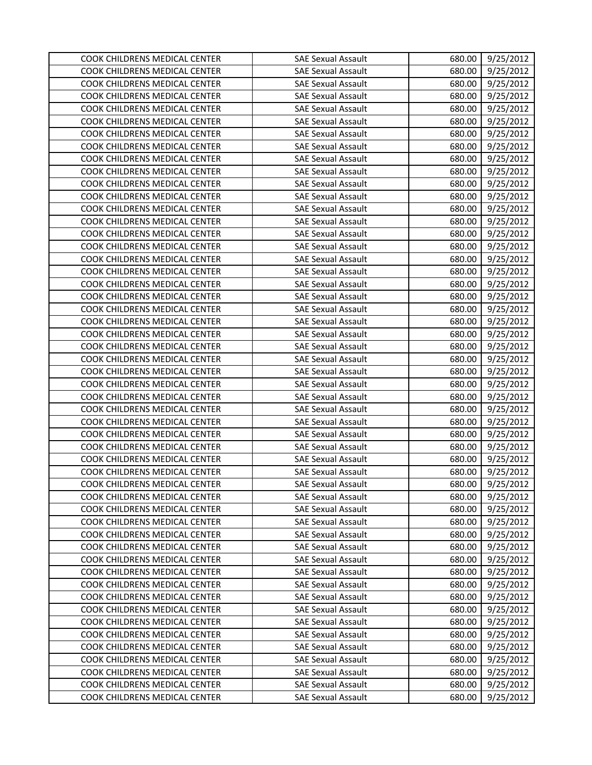| COOK CHILDRENS MEDICAL CENTER                                  | <b>SAE Sexual Assault</b>                              | 680.00           | 9/25/2012              |
|----------------------------------------------------------------|--------------------------------------------------------|------------------|------------------------|
| COOK CHILDRENS MEDICAL CENTER                                  | <b>SAE Sexual Assault</b>                              | 680.00           | 9/25/2012              |
| COOK CHILDRENS MEDICAL CENTER                                  | <b>SAE Sexual Assault</b>                              | 680.00           | 9/25/2012              |
| COOK CHILDRENS MEDICAL CENTER                                  | <b>SAE Sexual Assault</b>                              | 680.00           | 9/25/2012              |
| COOK CHILDRENS MEDICAL CENTER                                  | <b>SAE Sexual Assault</b>                              | 680.00           | 9/25/2012              |
| COOK CHILDRENS MEDICAL CENTER                                  | <b>SAE Sexual Assault</b>                              | 680.00           | 9/25/2012              |
| COOK CHILDRENS MEDICAL CENTER                                  | <b>SAE Sexual Assault</b>                              | 680.00           | 9/25/2012              |
| COOK CHILDRENS MEDICAL CENTER                                  | <b>SAE Sexual Assault</b>                              | 680.00           | 9/25/2012              |
| COOK CHILDRENS MEDICAL CENTER                                  | <b>SAE Sexual Assault</b>                              | 680.00           | 9/25/2012              |
| COOK CHILDRENS MEDICAL CENTER                                  | <b>SAE Sexual Assault</b>                              | 680.00           | 9/25/2012              |
| COOK CHILDRENS MEDICAL CENTER                                  | <b>SAE Sexual Assault</b>                              | 680.00           | 9/25/2012              |
| COOK CHILDRENS MEDICAL CENTER                                  | <b>SAE Sexual Assault</b>                              | 680.00           | 9/25/2012              |
| COOK CHILDRENS MEDICAL CENTER                                  | <b>SAE Sexual Assault</b>                              | 680.00           | 9/25/2012              |
| COOK CHILDRENS MEDICAL CENTER                                  | <b>SAE Sexual Assault</b>                              | 680.00           | 9/25/2012              |
| COOK CHILDRENS MEDICAL CENTER                                  | <b>SAE Sexual Assault</b>                              | 680.00           | 9/25/2012              |
| COOK CHILDRENS MEDICAL CENTER                                  | <b>SAE Sexual Assault</b>                              | 680.00           | 9/25/2012              |
| COOK CHILDRENS MEDICAL CENTER                                  | <b>SAE Sexual Assault</b>                              | 680.00           | 9/25/2012              |
| COOK CHILDRENS MEDICAL CENTER                                  | <b>SAE Sexual Assault</b>                              | 680.00           | 9/25/2012              |
| COOK CHILDRENS MEDICAL CENTER                                  | <b>SAE Sexual Assault</b>                              | 680.00           | 9/25/2012              |
| COOK CHILDRENS MEDICAL CENTER                                  | <b>SAE Sexual Assault</b>                              | 680.00           | 9/25/2012              |
| COOK CHILDRENS MEDICAL CENTER                                  | <b>SAE Sexual Assault</b>                              | 680.00           | 9/25/2012              |
| COOK CHILDRENS MEDICAL CENTER                                  | <b>SAE Sexual Assault</b>                              | 680.00           | 9/25/2012              |
| COOK CHILDRENS MEDICAL CENTER                                  | <b>SAE Sexual Assault</b>                              | 680.00           | 9/25/2012              |
| COOK CHILDRENS MEDICAL CENTER                                  | <b>SAE Sexual Assault</b>                              | 680.00           | 9/25/2012              |
| COOK CHILDRENS MEDICAL CENTER                                  | <b>SAE Sexual Assault</b>                              | 680.00           | 9/25/2012              |
| COOK CHILDRENS MEDICAL CENTER                                  | <b>SAE Sexual Assault</b>                              | 680.00           | 9/25/2012              |
| COOK CHILDRENS MEDICAL CENTER                                  | <b>SAE Sexual Assault</b>                              | 680.00           | 9/25/2012              |
| COOK CHILDRENS MEDICAL CENTER                                  | <b>SAE Sexual Assault</b>                              | 680.00           | 9/25/2012              |
| COOK CHILDRENS MEDICAL CENTER                                  | <b>SAE Sexual Assault</b>                              | 680.00           | 9/25/2012              |
| COOK CHILDRENS MEDICAL CENTER                                  | <b>SAE Sexual Assault</b>                              | 680.00           | 9/25/2012              |
| COOK CHILDRENS MEDICAL CENTER                                  | <b>SAE Sexual Assault</b>                              | 680.00           | 9/25/2012              |
| COOK CHILDRENS MEDICAL CENTER                                  | <b>SAE Sexual Assault</b>                              | 680.00           | 9/25/2012              |
| COOK CHILDRENS MEDICAL CENTER                                  | <b>SAE Sexual Assault</b>                              | 680.00           | 9/25/2012              |
| COOK CHILDRENS MEDICAL CENTER                                  | <b>SAE Sexual Assault</b>                              | 680.00           | 9/25/2012              |
| COOK CHILDRENS MEDICAL CENTER                                  | <b>SAE Sexual Assault</b>                              | 680.00           | 9/25/2012              |
| COOK CHILDRENS MEDICAL CENTER                                  | <b>SAE Sexual Assault</b>                              | 680.00           | 9/25/2012              |
| COOK CHILDRENS MEDICAL CENTER                                  | <b>SAE Sexual Assault</b>                              | 680.00           | 9/25/2012              |
| COOK CHILDRENS MEDICAL CENTER                                  | <b>SAE Sexual Assault</b>                              | 680.00           | 9/25/2012              |
| COOK CHILDRENS MEDICAL CENTER                                  | <b>SAE Sexual Assault</b>                              | 680.00           | 9/25/2012              |
| COOK CHILDRENS MEDICAL CENTER                                  | <b>SAE Sexual Assault</b>                              | 680.00           | 9/25/2012              |
| COOK CHILDRENS MEDICAL CENTER                                  | <b>SAE Sexual Assault</b>                              | 680.00           | 9/25/2012              |
| COOK CHILDRENS MEDICAL CENTER                                  | <b>SAE Sexual Assault</b>                              | 680.00           | 9/25/2012              |
| COOK CHILDRENS MEDICAL CENTER                                  | <b>SAE Sexual Assault</b>                              | 680.00           | 9/25/2012              |
| COOK CHILDRENS MEDICAL CENTER<br>COOK CHILDRENS MEDICAL CENTER | <b>SAE Sexual Assault</b><br><b>SAE Sexual Assault</b> | 680.00           | 9/25/2012              |
| COOK CHILDRENS MEDICAL CENTER                                  | <b>SAE Sexual Assault</b>                              | 680.00<br>680.00 | 9/25/2012<br>9/25/2012 |
| COOK CHILDRENS MEDICAL CENTER                                  | <b>SAE Sexual Assault</b>                              | 680.00           | 9/25/2012              |
| COOK CHILDRENS MEDICAL CENTER                                  | <b>SAE Sexual Assault</b>                              | 680.00           | 9/25/2012              |
| COOK CHILDRENS MEDICAL CENTER                                  | <b>SAE Sexual Assault</b>                              | 680.00           | 9/25/2012              |
| COOK CHILDRENS MEDICAL CENTER                                  | <b>SAE Sexual Assault</b>                              | 680.00           | 9/25/2012              |
| COOK CHILDRENS MEDICAL CENTER                                  | <b>SAE Sexual Assault</b>                              | 680.00           | 9/25/2012              |
| COOK CHILDRENS MEDICAL CENTER                                  | <b>SAE Sexual Assault</b>                              | 680.00           | 9/25/2012              |
|                                                                |                                                        |                  |                        |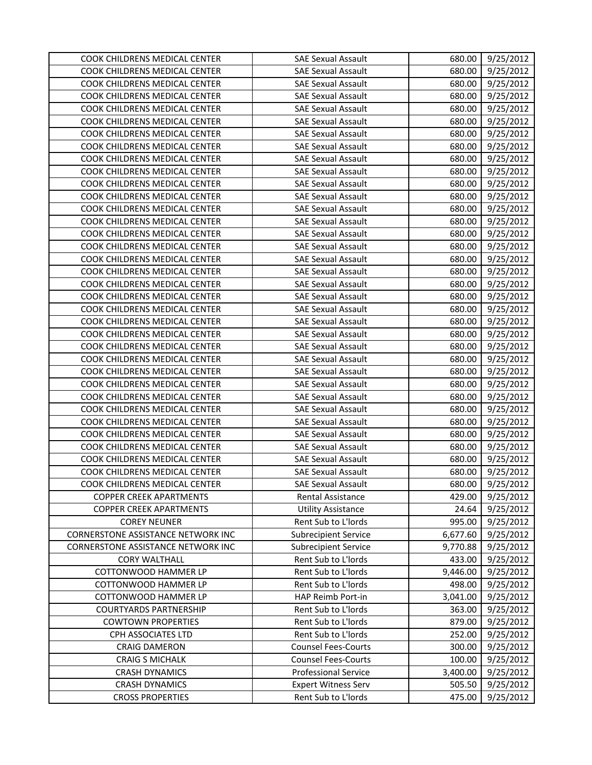| COOK CHILDRENS MEDICAL CENTER      | <b>SAE Sexual Assault</b>   | 680.00   | 9/25/2012 |
|------------------------------------|-----------------------------|----------|-----------|
| COOK CHILDRENS MEDICAL CENTER      | <b>SAE Sexual Assault</b>   | 680.00   | 9/25/2012 |
| COOK CHILDRENS MEDICAL CENTER      | <b>SAE Sexual Assault</b>   | 680.00   | 9/25/2012 |
| COOK CHILDRENS MEDICAL CENTER      | <b>SAE Sexual Assault</b>   | 680.00   | 9/25/2012 |
| COOK CHILDRENS MEDICAL CENTER      | <b>SAE Sexual Assault</b>   | 680.00   | 9/25/2012 |
| COOK CHILDRENS MEDICAL CENTER      | <b>SAE Sexual Assault</b>   | 680.00   | 9/25/2012 |
| COOK CHILDRENS MEDICAL CENTER      | <b>SAE Sexual Assault</b>   | 680.00   | 9/25/2012 |
| COOK CHILDRENS MEDICAL CENTER      | <b>SAE Sexual Assault</b>   | 680.00   | 9/25/2012 |
| COOK CHILDRENS MEDICAL CENTER      | <b>SAE Sexual Assault</b>   | 680.00   | 9/25/2012 |
| COOK CHILDRENS MEDICAL CENTER      | <b>SAE Sexual Assault</b>   | 680.00   | 9/25/2012 |
| COOK CHILDRENS MEDICAL CENTER      | <b>SAE Sexual Assault</b>   | 680.00   | 9/25/2012 |
| COOK CHILDRENS MEDICAL CENTER      | <b>SAE Sexual Assault</b>   | 680.00   | 9/25/2012 |
| COOK CHILDRENS MEDICAL CENTER      | <b>SAE Sexual Assault</b>   | 680.00   | 9/25/2012 |
| COOK CHILDRENS MEDICAL CENTER      | <b>SAE Sexual Assault</b>   | 680.00   | 9/25/2012 |
| COOK CHILDRENS MEDICAL CENTER      | <b>SAE Sexual Assault</b>   | 680.00   | 9/25/2012 |
| COOK CHILDRENS MEDICAL CENTER      | <b>SAE Sexual Assault</b>   | 680.00   | 9/25/2012 |
| COOK CHILDRENS MEDICAL CENTER      | <b>SAE Sexual Assault</b>   | 680.00   | 9/25/2012 |
| COOK CHILDRENS MEDICAL CENTER      | <b>SAE Sexual Assault</b>   | 680.00   | 9/25/2012 |
| COOK CHILDRENS MEDICAL CENTER      | <b>SAE Sexual Assault</b>   | 680.00   | 9/25/2012 |
| COOK CHILDRENS MEDICAL CENTER      | <b>SAE Sexual Assault</b>   | 680.00   | 9/25/2012 |
| COOK CHILDRENS MEDICAL CENTER      | <b>SAE Sexual Assault</b>   | 680.00   | 9/25/2012 |
| COOK CHILDRENS MEDICAL CENTER      | <b>SAE Sexual Assault</b>   | 680.00   | 9/25/2012 |
| COOK CHILDRENS MEDICAL CENTER      | <b>SAE Sexual Assault</b>   | 680.00   | 9/25/2012 |
| COOK CHILDRENS MEDICAL CENTER      | <b>SAE Sexual Assault</b>   | 680.00   | 9/25/2012 |
| COOK CHILDRENS MEDICAL CENTER      | <b>SAE Sexual Assault</b>   | 680.00   | 9/25/2012 |
| COOK CHILDRENS MEDICAL CENTER      | <b>SAE Sexual Assault</b>   | 680.00   | 9/25/2012 |
| COOK CHILDRENS MEDICAL CENTER      | <b>SAE Sexual Assault</b>   | 680.00   | 9/25/2012 |
| COOK CHILDRENS MEDICAL CENTER      | <b>SAE Sexual Assault</b>   | 680.00   | 9/25/2012 |
| COOK CHILDRENS MEDICAL CENTER      | <b>SAE Sexual Assault</b>   | 680.00   | 9/25/2012 |
| COOK CHILDRENS MEDICAL CENTER      | <b>SAE Sexual Assault</b>   | 680.00   | 9/25/2012 |
| COOK CHILDRENS MEDICAL CENTER      | <b>SAE Sexual Assault</b>   | 680.00   | 9/25/2012 |
| COOK CHILDRENS MEDICAL CENTER      | <b>SAE Sexual Assault</b>   | 680.00   | 9/25/2012 |
| COOK CHILDRENS MEDICAL CENTER      | <b>SAE Sexual Assault</b>   | 680.00   | 9/25/2012 |
| COOK CHILDRENS MEDICAL CENTER      | <b>SAE Sexual Assault</b>   | 680.00   | 9/25/2012 |
| COOK CHILDRENS MEDICAL CENTER      | <b>SAE Sexual Assault</b>   | 680.00   | 9/25/2012 |
| <b>COPPER CREEK APARTMENTS</b>     | <b>Rental Assistance</b>    | 429.00   | 9/25/2012 |
| <b>COPPER CREEK APARTMENTS</b>     | <b>Utility Assistance</b>   | 24.64    | 9/25/2012 |
| <b>COREY NEUNER</b>                | Rent Sub to L'Iords         | 995.00   | 9/25/2012 |
| CORNERSTONE ASSISTANCE NETWORK INC | <b>Subrecipient Service</b> | 6,677.60 | 9/25/2012 |
| CORNERSTONE ASSISTANCE NETWORK INC | <b>Subrecipient Service</b> | 9,770.88 | 9/25/2012 |
| <b>CORY WALTHALL</b>               | Rent Sub to L'Iords         | 433.00   | 9/25/2012 |
| COTTONWOOD HAMMER LP               | Rent Sub to L'Iords         | 9,446.00 | 9/25/2012 |
| COTTONWOOD HAMMER LP               | Rent Sub to L'Iords         | 498.00   | 9/25/2012 |
| COTTONWOOD HAMMER LP               | HAP Reimb Port-in           | 3,041.00 | 9/25/2012 |
| <b>COURTYARDS PARTNERSHIP</b>      | Rent Sub to L'Iords         | 363.00   | 9/25/2012 |
| <b>COWTOWN PROPERTIES</b>          | Rent Sub to L'Iords         | 879.00   | 9/25/2012 |
| CPH ASSOCIATES LTD                 | Rent Sub to L'Iords         | 252.00   | 9/25/2012 |
| <b>CRAIG DAMERON</b>               | <b>Counsel Fees-Courts</b>  | 300.00   | 9/25/2012 |
| <b>CRAIG S MICHALK</b>             | <b>Counsel Fees-Courts</b>  | 100.00   | 9/25/2012 |
| <b>CRASH DYNAMICS</b>              | <b>Professional Service</b> | 3,400.00 | 9/25/2012 |
| <b>CRASH DYNAMICS</b>              | <b>Expert Witness Serv</b>  | 505.50   | 9/25/2012 |
| <b>CROSS PROPERTIES</b>            | Rent Sub to L'Iords         | 475.00   | 9/25/2012 |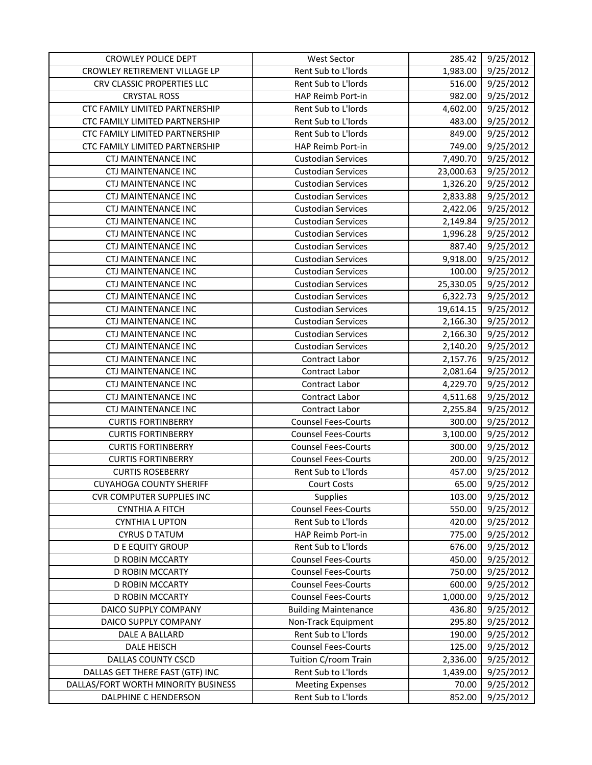| <b>CROWLEY POLICE DEPT</b>          | <b>West Sector</b>          | 285.42    | 9/25/2012 |
|-------------------------------------|-----------------------------|-----------|-----------|
| CROWLEY RETIREMENT VILLAGE LP       | Rent Sub to L'Iords         | 1,983.00  | 9/25/2012 |
| CRV CLASSIC PROPERTIES LLC          | Rent Sub to L'Iords         | 516.00    | 9/25/2012 |
| <b>CRYSTAL ROSS</b>                 | HAP Reimb Port-in           | 982.00    | 9/25/2012 |
| CTC FAMILY LIMITED PARTNERSHIP      | Rent Sub to L'Iords         | 4,602.00  | 9/25/2012 |
| CTC FAMILY LIMITED PARTNERSHIP      | Rent Sub to L'Iords         | 483.00    | 9/25/2012 |
| CTC FAMILY LIMITED PARTNERSHIP      | Rent Sub to L'Iords         | 849.00    | 9/25/2012 |
| CTC FAMILY LIMITED PARTNERSHIP      | HAP Reimb Port-in           | 749.00    | 9/25/2012 |
| <b>CTJ MAINTENANCE INC</b>          | <b>Custodian Services</b>   | 7,490.70  | 9/25/2012 |
| CTJ MAINTENANCE INC                 | <b>Custodian Services</b>   | 23,000.63 | 9/25/2012 |
| <b>CTJ MAINTENANCE INC</b>          | <b>Custodian Services</b>   | 1,326.20  | 9/25/2012 |
| <b>CTJ MAINTENANCE INC</b>          | <b>Custodian Services</b>   | 2,833.88  | 9/25/2012 |
| <b>CTJ MAINTENANCE INC</b>          | <b>Custodian Services</b>   | 2,422.06  | 9/25/2012 |
| <b>CTJ MAINTENANCE INC</b>          | <b>Custodian Services</b>   | 2,149.84  | 9/25/2012 |
| <b>CTJ MAINTENANCE INC</b>          | <b>Custodian Services</b>   | 1,996.28  | 9/25/2012 |
| <b>CTJ MAINTENANCE INC</b>          | <b>Custodian Services</b>   | 887.40    | 9/25/2012 |
| <b>CTJ MAINTENANCE INC</b>          | <b>Custodian Services</b>   | 9,918.00  | 9/25/2012 |
| <b>CTJ MAINTENANCE INC</b>          | <b>Custodian Services</b>   | 100.00    | 9/25/2012 |
| <b>CTJ MAINTENANCE INC</b>          | <b>Custodian Services</b>   | 25,330.05 | 9/25/2012 |
| <b>CTJ MAINTENANCE INC</b>          | <b>Custodian Services</b>   | 6,322.73  | 9/25/2012 |
| CTJ MAINTENANCE INC                 | <b>Custodian Services</b>   | 19,614.15 | 9/25/2012 |
| <b>CTJ MAINTENANCE INC</b>          | <b>Custodian Services</b>   | 2,166.30  | 9/25/2012 |
| <b>CTJ MAINTENANCE INC</b>          | <b>Custodian Services</b>   | 2,166.30  | 9/25/2012 |
| <b>CTJ MAINTENANCE INC</b>          | <b>Custodian Services</b>   | 2,140.20  | 9/25/2012 |
| <b>CTJ MAINTENANCE INC</b>          | Contract Labor              | 2,157.76  | 9/25/2012 |
| <b>CTJ MAINTENANCE INC</b>          | Contract Labor              | 2,081.64  | 9/25/2012 |
| <b>CTJ MAINTENANCE INC</b>          | Contract Labor              | 4,229.70  | 9/25/2012 |
| <b>CTJ MAINTENANCE INC</b>          | <b>Contract Labor</b>       | 4,511.68  | 9/25/2012 |
| <b>CTJ MAINTENANCE INC</b>          | Contract Labor              | 2,255.84  | 9/25/2012 |
| <b>CURTIS FORTINBERRY</b>           | <b>Counsel Fees-Courts</b>  | 300.00    | 9/25/2012 |
| <b>CURTIS FORTINBERRY</b>           | <b>Counsel Fees-Courts</b>  | 3,100.00  | 9/25/2012 |
| <b>CURTIS FORTINBERRY</b>           | <b>Counsel Fees-Courts</b>  | 300.00    | 9/25/2012 |
| <b>CURTIS FORTINBERRY</b>           | <b>Counsel Fees-Courts</b>  | 200.00    | 9/25/2012 |
| <b>CURTIS ROSEBERRY</b>             | Rent Sub to L'Iords         | 457.00    | 9/25/2012 |
| <b>CUYAHOGA COUNTY SHERIFF</b>      | Court Costs                 | 65.00     | 9/25/2012 |
| <b>CVR COMPUTER SUPPLIES INC</b>    | <b>Supplies</b>             | 103.00    | 9/25/2012 |
| <b>CYNTHIA A FITCH</b>              | <b>Counsel Fees-Courts</b>  | 550.00    | 9/25/2012 |
| <b>CYNTHIA L UPTON</b>              | Rent Sub to L'Iords         | 420.00    | 9/25/2012 |
| <b>CYRUS D TATUM</b>                | HAP Reimb Port-in           | 775.00    | 9/25/2012 |
| <b>D E EQUITY GROUP</b>             | Rent Sub to L'Iords         | 676.00    | 9/25/2012 |
| <b>D ROBIN MCCARTY</b>              | <b>Counsel Fees-Courts</b>  | 450.00    | 9/25/2012 |
| <b>D ROBIN MCCARTY</b>              | <b>Counsel Fees-Courts</b>  | 750.00    | 9/25/2012 |
| D ROBIN MCCARTY                     | <b>Counsel Fees-Courts</b>  | 600.00    | 9/25/2012 |
| <b>D ROBIN MCCARTY</b>              | <b>Counsel Fees-Courts</b>  | 1,000.00  | 9/25/2012 |
| DAICO SUPPLY COMPANY                | <b>Building Maintenance</b> | 436.80    | 9/25/2012 |
| DAICO SUPPLY COMPANY                | Non-Track Equipment         | 295.80    | 9/25/2012 |
| DALE A BALLARD                      | Rent Sub to L'Iords         | 190.00    | 9/25/2012 |
| DALE HEISCH                         | <b>Counsel Fees-Courts</b>  | 125.00    | 9/25/2012 |
| <b>DALLAS COUNTY CSCD</b>           | Tuition C/room Train        | 2,336.00  | 9/25/2012 |
| DALLAS GET THERE FAST (GTF) INC     | Rent Sub to L'Iords         | 1,439.00  | 9/25/2012 |
| DALLAS/FORT WORTH MINORITY BUSINESS | <b>Meeting Expenses</b>     | 70.00     | 9/25/2012 |
| DALPHINE C HENDERSON                | Rent Sub to L'Iords         | 852.00    | 9/25/2012 |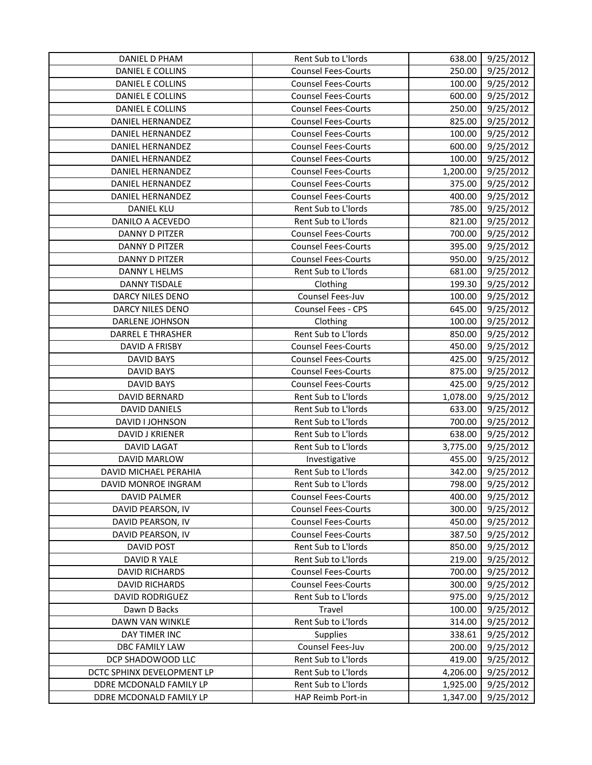| DANIEL D PHAM              | Rent Sub to L'Iords        | 638.00   | 9/25/2012 |
|----------------------------|----------------------------|----------|-----------|
| DANIEL E COLLINS           | <b>Counsel Fees-Courts</b> | 250.00   | 9/25/2012 |
| DANIEL E COLLINS           | <b>Counsel Fees-Courts</b> | 100.00   | 9/25/2012 |
| <b>DANIEL E COLLINS</b>    | <b>Counsel Fees-Courts</b> | 600.00   | 9/25/2012 |
| <b>DANIEL E COLLINS</b>    | <b>Counsel Fees-Courts</b> | 250.00   | 9/25/2012 |
| <b>DANIEL HERNANDEZ</b>    | <b>Counsel Fees-Courts</b> | 825.00   | 9/25/2012 |
| DANIEL HERNANDEZ           | <b>Counsel Fees-Courts</b> | 100.00   | 9/25/2012 |
| DANIEL HERNANDEZ           | <b>Counsel Fees-Courts</b> | 600.00   | 9/25/2012 |
| <b>DANIEL HERNANDEZ</b>    | <b>Counsel Fees-Courts</b> | 100.00   | 9/25/2012 |
| <b>DANIEL HERNANDEZ</b>    | <b>Counsel Fees-Courts</b> | 1,200.00 | 9/25/2012 |
| DANIEL HERNANDEZ           | <b>Counsel Fees-Courts</b> | 375.00   | 9/25/2012 |
| DANIEL HERNANDEZ           | <b>Counsel Fees-Courts</b> | 400.00   | 9/25/2012 |
| <b>DANIEL KLU</b>          | Rent Sub to L'Iords        | 785.00   | 9/25/2012 |
| DANILO A ACEVEDO           | Rent Sub to L'Iords        | 821.00   | 9/25/2012 |
| <b>DANNY D PITZER</b>      | <b>Counsel Fees-Courts</b> | 700.00   | 9/25/2012 |
| <b>DANNY D PITZER</b>      | <b>Counsel Fees-Courts</b> | 395.00   | 9/25/2012 |
| <b>DANNY D PITZER</b>      | <b>Counsel Fees-Courts</b> | 950.00   | 9/25/2012 |
| DANNY L HELMS              | Rent Sub to L'Iords        | 681.00   | 9/25/2012 |
| <b>DANNY TISDALE</b>       | Clothing                   | 199.30   | 9/25/2012 |
| DARCY NILES DENO           | Counsel Fees-Juv           | 100.00   | 9/25/2012 |
| DARCY NILES DENO           | Counsel Fees - CPS         | 645.00   | 9/25/2012 |
| DARLENE JOHNSON            | Clothing                   | 100.00   | 9/25/2012 |
| <b>DARREL E THRASHER</b>   | Rent Sub to L'Iords        | 850.00   | 9/25/2012 |
| DAVID A FRISBY             | <b>Counsel Fees-Courts</b> | 450.00   | 9/25/2012 |
| <b>DAVID BAYS</b>          | <b>Counsel Fees-Courts</b> | 425.00   | 9/25/2012 |
| <b>DAVID BAYS</b>          | <b>Counsel Fees-Courts</b> | 875.00   | 9/25/2012 |
| <b>DAVID BAYS</b>          | <b>Counsel Fees-Courts</b> | 425.00   | 9/25/2012 |
| <b>DAVID BERNARD</b>       | Rent Sub to L'Iords        | 1,078.00 | 9/25/2012 |
| <b>DAVID DANIELS</b>       | Rent Sub to L'Iords        | 633.00   | 9/25/2012 |
| DAVID I JOHNSON            | Rent Sub to L'Iords        | 700.00   | 9/25/2012 |
| DAVID J KRIENER            | Rent Sub to L'Iords        | 638.00   | 9/25/2012 |
| <b>DAVID LAGAT</b>         | Rent Sub to L'Iords        | 3,775.00 | 9/25/2012 |
| DAVID MARLOW               | Investigative              | 455.00   | 9/25/2012 |
| DAVID MICHAEL PERAHIA      | Rent Sub to L'Iords        | 342.00   | 9/25/2012 |
| DAVID MONROE INGRAM        | Rent Sub to L'Iords        | 798.00   | 9/25/2012 |
| DAVID PALMER               | <b>Counsel Fees-Courts</b> | 400.00   | 9/25/2012 |
| DAVID PEARSON, IV          | <b>Counsel Fees-Courts</b> | 300.00   | 9/25/2012 |
| DAVID PEARSON, IV          | <b>Counsel Fees-Courts</b> | 450.00   | 9/25/2012 |
| DAVID PEARSON, IV          | <b>Counsel Fees-Courts</b> | 387.50   | 9/25/2012 |
| <b>DAVID POST</b>          | Rent Sub to L'Iords        | 850.00   | 9/25/2012 |
| DAVID R YALE               | Rent Sub to L'Iords        | 219.00   | 9/25/2012 |
| <b>DAVID RICHARDS</b>      | <b>Counsel Fees-Courts</b> | 700.00   | 9/25/2012 |
| <b>DAVID RICHARDS</b>      | <b>Counsel Fees-Courts</b> | 300.00   | 9/25/2012 |
| <b>DAVID RODRIGUEZ</b>     | Rent Sub to L'Iords        | 975.00   | 9/25/2012 |
| Dawn D Backs               | Travel                     | 100.00   | 9/25/2012 |
| DAWN VAN WINKLE            | Rent Sub to L'Iords        | 314.00   | 9/25/2012 |
| DAY TIMER INC              | <b>Supplies</b>            | 338.61   | 9/25/2012 |
| DBC FAMILY LAW             | Counsel Fees-Juv           | 200.00   | 9/25/2012 |
| DCP SHADOWOOD LLC          | Rent Sub to L'Iords        | 419.00   | 9/25/2012 |
| DCTC SPHINX DEVELOPMENT LP | Rent Sub to L'Iords        | 4,206.00 | 9/25/2012 |
| DDRE MCDONALD FAMILY LP    | Rent Sub to L'Iords        | 1,925.00 | 9/25/2012 |
| DDRE MCDONALD FAMILY LP    | HAP Reimb Port-in          | 1,347.00 | 9/25/2012 |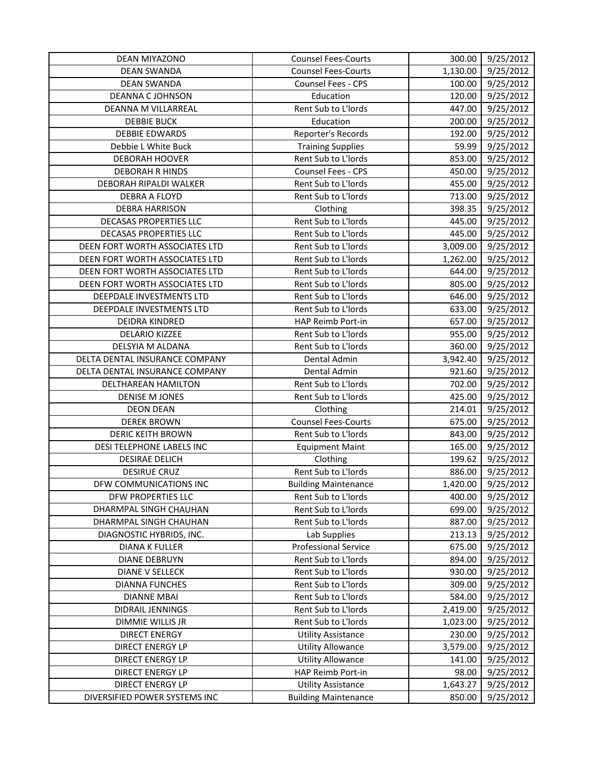| DEAN MIYAZONO                  | <b>Counsel Fees-Courts</b>  | 300.00   | 9/25/2012              |
|--------------------------------|-----------------------------|----------|------------------------|
| <b>DEAN SWANDA</b>             | <b>Counsel Fees-Courts</b>  | 1,130.00 | 9/25/2012              |
| <b>DEAN SWANDA</b>             | Counsel Fees - CPS          | 100.00   | 9/25/2012              |
| <b>DEANNA C JOHNSON</b>        | Education                   | 120.00   | 9/25/2012              |
| DEANNA M VILLARREAL            | Rent Sub to L'Iords         | 447.00   | 9/25/2012              |
| <b>DEBBIE BUCK</b>             | Education                   | 200.00   | 9/25/2012              |
| <b>DEBBIE EDWARDS</b>          | Reporter's Records          | 192.00   | 9/25/2012              |
| Debbie L White Buck            | <b>Training Supplies</b>    | 59.99    | 9/25/2012              |
| <b>DEBORAH HOOVER</b>          | Rent Sub to L'Iords         | 853.00   | 9/25/2012              |
| <b>DEBORAH R HINDS</b>         | Counsel Fees - CPS          | 450.00   | 9/25/2012              |
| DEBORAH RIPALDI WALKER         | Rent Sub to L'Iords         | 455.00   | 9/25/2012              |
| DEBRA A FLOYD                  | Rent Sub to L'Iords         | 713.00   | 9/25/2012              |
| <b>DEBRA HARRISON</b>          | Clothing                    | 398.35   | 9/25/2012              |
| DECASAS PROPERTIES LLC         | Rent Sub to L'Iords         | 445.00   | 9/25/2012              |
| DECASAS PROPERTIES LLC         | Rent Sub to L'Iords         | 445.00   | 9/25/2012              |
| DEEN FORT WORTH ASSOCIATES LTD | Rent Sub to L'Iords         | 3,009.00 | 9/25/2012              |
| DEEN FORT WORTH ASSOCIATES LTD | Rent Sub to L'Iords         | 1,262.00 | 9/25/2012              |
| DEEN FORT WORTH ASSOCIATES LTD | Rent Sub to L'Iords         | 644.00   | 9/25/2012              |
| DEEN FORT WORTH ASSOCIATES LTD | Rent Sub to L'Iords         | 805.00   | 9/25/2012              |
| DEEPDALE INVESTMENTS LTD       | Rent Sub to L'Iords         | 646.00   | 9/25/2012              |
| DEEPDALE INVESTMENTS LTD       | Rent Sub to L'Iords         | 633.00   | 9/25/2012              |
| DEIDRA KINDRED                 | HAP Reimb Port-in           | 657.00   | 9/25/2012              |
| <b>DELARIO KIZZEE</b>          | Rent Sub to L'Iords         | 955.00   | $\frac{1}{9}$ /25/2012 |
| DELSYIA M ALDANA               | Rent Sub to L'Iords         | 360.00   | 9/25/2012              |
| DELTA DENTAL INSURANCE COMPANY | Dental Admin                | 3,942.40 | 9/25/2012              |
| DELTA DENTAL INSURANCE COMPANY | Dental Admin                | 921.60   | 9/25/2012              |
| DELTHAREAN HAMILTON            | Rent Sub to L'Iords         | 702.00   | 9/25/2012              |
| <b>DENISE M JONES</b>          | Rent Sub to L'Iords         | 425.00   | 9/25/2012              |
| <b>DEON DEAN</b>               | Clothing                    | 214.01   | 9/25/2012              |
| <b>DEREK BROWN</b>             | Counsel Fees-Courts         | 675.00   | 9/25/2012              |
| <b>DERIC KEITH BROWN</b>       | Rent Sub to L'Iords         | 843.00   | 9/25/2012              |
| DESI TELEPHONE LABELS INC      | <b>Equipment Maint</b>      | 165.00   | 9/25/2012              |
| <b>DESIRAE DELICH</b>          | Clothing                    | 199.62   | 9/25/2012              |
| <b>DESIRUE CRUZ</b>            | Rent Sub to L'Iords         | 886.00   | 9/25/2012              |
| DFW COMMUNICATIONS INC         | <b>Building Maintenance</b> | 1,420.00 | 9/25/2012              |
| DFW PROPERTIES LLC             | Rent Sub to L'Iords         | 400.00   | 9/25/2012              |
| DHARMPAL SINGH CHAUHAN         | Rent Sub to L'Iords         | 699.00   | 9/25/2012              |
| DHARMPAL SINGH CHAUHAN         | Rent Sub to L'Iords         | 887.00   | 9/25/2012              |
| DIAGNOSTIC HYBRIDS, INC.       | Lab Supplies                | 213.13   | 9/25/2012              |
| <b>DIANA K FULLER</b>          | <b>Professional Service</b> | 675.00   | 9/25/2012              |
| <b>DIANE DEBRUYN</b>           | Rent Sub to L'Iords         | 894.00   | 9/25/2012              |
| <b>DIANE V SELLECK</b>         | Rent Sub to L'Iords         | 930.00   | 9/25/2012              |
| <b>DIANNA FUNCHES</b>          | Rent Sub to L'Iords         | 309.00   | 9/25/2012              |
| <b>DIANNE MBAI</b>             | Rent Sub to L'Iords         | 584.00   | 9/25/2012              |
| DIDRAIL JENNINGS               | Rent Sub to L'Iords         | 2,419.00 | 9/25/2012              |
| DIMMIE WILLIS JR               | Rent Sub to L'Iords         | 1,023.00 | 9/25/2012              |
| <b>DIRECT ENERGY</b>           | <b>Utility Assistance</b>   | 230.00   | 9/25/2012              |
| <b>DIRECT ENERGY LP</b>        | <b>Utility Allowance</b>    | 3,579.00 | 9/25/2012              |
| <b>DIRECT ENERGY LP</b>        | <b>Utility Allowance</b>    | 141.00   | 9/25/2012              |
| <b>DIRECT ENERGY LP</b>        | HAP Reimb Port-in           | 98.00    | 9/25/2012              |
| <b>DIRECT ENERGY LP</b>        | <b>Utility Assistance</b>   | 1,643.27 | 9/25/2012              |
| DIVERSIFIED POWER SYSTEMS INC  | <b>Building Maintenance</b> | 850.00   | 9/25/2012              |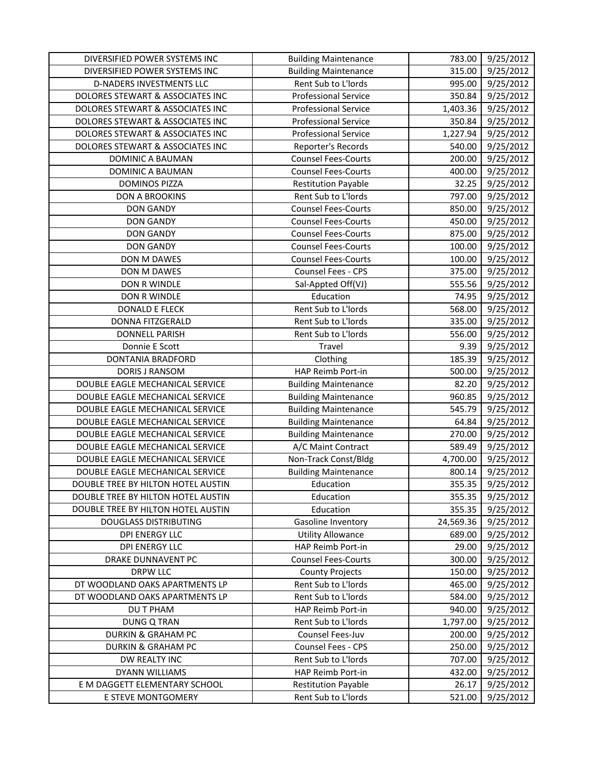| DIVERSIFIED POWER SYSTEMS INC      | <b>Building Maintenance</b> | 783.00    | 9/25/2012 |
|------------------------------------|-----------------------------|-----------|-----------|
| DIVERSIFIED POWER SYSTEMS INC      | <b>Building Maintenance</b> | 315.00    | 9/25/2012 |
| D-NADERS INVESTMENTS LLC           | Rent Sub to L'Iords         | 995.00    | 9/25/2012 |
| DOLORES STEWART & ASSOCIATES INC   | <b>Professional Service</b> | 350.84    | 9/25/2012 |
| DOLORES STEWART & ASSOCIATES INC   | <b>Professional Service</b> | 1,403.36  | 9/25/2012 |
| DOLORES STEWART & ASSOCIATES INC   | <b>Professional Service</b> | 350.84    | 9/25/2012 |
| DOLORES STEWART & ASSOCIATES INC   | <b>Professional Service</b> | 1,227.94  | 9/25/2012 |
| DOLORES STEWART & ASSOCIATES INC   | Reporter's Records          | 540.00    | 9/25/2012 |
| DOMINIC A BAUMAN                   | <b>Counsel Fees-Courts</b>  | 200.00    | 9/25/2012 |
| DOMINIC A BAUMAN                   | <b>Counsel Fees-Courts</b>  | 400.00    | 9/25/2012 |
| <b>DOMINOS PIZZA</b>               | <b>Restitution Payable</b>  | 32.25     | 9/25/2012 |
| <b>DON A BROOKINS</b>              | Rent Sub to L'Iords         | 797.00    | 9/25/2012 |
| <b>DON GANDY</b>                   | <b>Counsel Fees-Courts</b>  | 850.00    | 9/25/2012 |
| <b>DON GANDY</b>                   | <b>Counsel Fees-Courts</b>  | 450.00    | 9/25/2012 |
| <b>DON GANDY</b>                   | <b>Counsel Fees-Courts</b>  | 875.00    | 9/25/2012 |
| <b>DON GANDY</b>                   | <b>Counsel Fees-Courts</b>  | 100.00    | 9/25/2012 |
| DON M DAWES                        | <b>Counsel Fees-Courts</b>  | 100.00    | 9/25/2012 |
| DON M DAWES                        | Counsel Fees - CPS          | 375.00    | 9/25/2012 |
| DON R WINDLE                       | Sal-Appted Off(VJ)          | 555.56    | 9/25/2012 |
| DON R WINDLE                       | Education                   | 74.95     | 9/25/2012 |
| <b>DONALD E FLECK</b>              | Rent Sub to L'Iords         | 568.00    | 9/25/2012 |
| DONNA FITZGERALD                   | Rent Sub to L'Iords         | 335.00    | 9/25/2012 |
| <b>DONNELL PARISH</b>              | Rent Sub to L'Iords         | 556.00    | 9/25/2012 |
| Donnie E Scott                     | Travel                      | 9.39      | 9/25/2012 |
| DONTANIA BRADFORD                  | Clothing                    | 185.39    | 9/25/2012 |
| <b>DORIS J RANSOM</b>              | HAP Reimb Port-in           | 500.00    | 9/25/2012 |
| DOUBLE EAGLE MECHANICAL SERVICE    | <b>Building Maintenance</b> | 82.20     | 9/25/2012 |
| DOUBLE EAGLE MECHANICAL SERVICE    | <b>Building Maintenance</b> | 960.85    | 9/25/2012 |
| DOUBLE EAGLE MECHANICAL SERVICE    | <b>Building Maintenance</b> | 545.79    | 9/25/2012 |
| DOUBLE EAGLE MECHANICAL SERVICE    | <b>Building Maintenance</b> | 64.84     | 9/25/2012 |
| DOUBLE EAGLE MECHANICAL SERVICE    | <b>Building Maintenance</b> | 270.00    | 9/25/2012 |
| DOUBLE EAGLE MECHANICAL SERVICE    | A/C Maint Contract          | 589.49    | 9/25/2012 |
| DOUBLE EAGLE MECHANICAL SERVICE    | Non-Track Const/Bldg        | 4,700.00  | 9/25/2012 |
| DOUBLE EAGLE MECHANICAL SERVICE    | <b>Building Maintenance</b> | 800.14    | 9/25/2012 |
| DOUBLE TREE BY HILTON HOTEL AUSTIN | Education                   | 355.35    | 9/25/2012 |
| DOUBLE TREE BY HILTON HOTEL AUSTIN | Education                   | 355.35    | 9/25/2012 |
| DOUBLE TREE BY HILTON HOTEL AUSTIN | Education                   | 355.35    | 9/25/2012 |
| <b>DOUGLASS DISTRIBUTING</b>       | Gasoline Inventory          | 24,569.36 | 9/25/2012 |
| DPI ENERGY LLC                     | <b>Utility Allowance</b>    | 689.00    | 9/25/2012 |
| <b>DPI ENERGY LLC</b>              | HAP Reimb Port-in           | 29.00     | 9/25/2012 |
| DRAKE DUNNAVENT PC                 | <b>Counsel Fees-Courts</b>  | 300.00    | 9/25/2012 |
| <b>DRPW LLC</b>                    | <b>County Projects</b>      | 150.00    | 9/25/2012 |
| DT WOODLAND OAKS APARTMENTS LP     | Rent Sub to L'Iords         | 465.00    | 9/25/2012 |
| DT WOODLAND OAKS APARTMENTS LP     | Rent Sub to L'Iords         | 584.00    | 9/25/2012 |
| DU T PHAM                          | HAP Reimb Port-in           | 940.00    | 9/25/2012 |
| <b>DUNG Q TRAN</b>                 | Rent Sub to L'Iords         | 1,797.00  | 9/25/2012 |
| <b>DURKIN &amp; GRAHAM PC</b>      | Counsel Fees-Juv            | 200.00    | 9/25/2012 |
| <b>DURKIN &amp; GRAHAM PC</b>      | <b>Counsel Fees - CPS</b>   | 250.00    | 9/25/2012 |
| DW REALTY INC                      | Rent Sub to L'Iords         | 707.00    | 9/25/2012 |
| DYANN WILLIAMS                     | HAP Reimb Port-in           | 432.00    | 9/25/2012 |
| E M DAGGETT ELEMENTARY SCHOOL      | <b>Restitution Payable</b>  | 26.17     | 9/25/2012 |
| E STEVE MONTGOMERY                 | Rent Sub to L'Iords         | 521.00    | 9/25/2012 |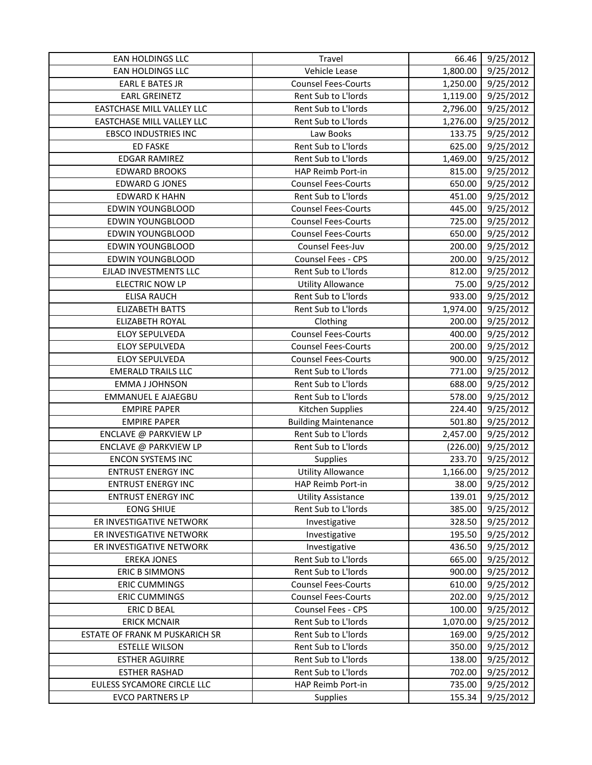| EAN HOLDINGS LLC                 | Travel                      | 66.46    | 9/25/2012 |
|----------------------------------|-----------------------------|----------|-----------|
| EAN HOLDINGS LLC                 | Vehicle Lease               | 1,800.00 | 9/25/2012 |
| <b>EARL E BATES JR</b>           | <b>Counsel Fees-Courts</b>  | 1,250.00 | 9/25/2012 |
| <b>EARL GREINETZ</b>             | Rent Sub to L'Iords         | 1,119.00 | 9/25/2012 |
| <b>EASTCHASE MILL VALLEY LLC</b> | Rent Sub to L'Iords         | 2,796.00 | 9/25/2012 |
| EASTCHASE MILL VALLEY LLC        | Rent Sub to L'Iords         | 1,276.00 | 9/25/2012 |
| <b>EBSCO INDUSTRIES INC</b>      | Law Books                   | 133.75   | 9/25/2012 |
| <b>ED FASKE</b>                  | Rent Sub to L'Iords         | 625.00   | 9/25/2012 |
| <b>EDGAR RAMIREZ</b>             | Rent Sub to L'Iords         | 1,469.00 | 9/25/2012 |
| <b>EDWARD BROOKS</b>             | HAP Reimb Port-in           | 815.00   | 9/25/2012 |
| <b>EDWARD G JONES</b>            | <b>Counsel Fees-Courts</b>  | 650.00   | 9/25/2012 |
| <b>EDWARD K HAHN</b>             | Rent Sub to L'Iords         | 451.00   | 9/25/2012 |
| <b>EDWIN YOUNGBLOOD</b>          | <b>Counsel Fees-Courts</b>  | 445.00   | 9/25/2012 |
| <b>EDWIN YOUNGBLOOD</b>          | <b>Counsel Fees-Courts</b>  | 725.00   | 9/25/2012 |
| <b>EDWIN YOUNGBLOOD</b>          | <b>Counsel Fees-Courts</b>  | 650.00   | 9/25/2012 |
| EDWIN YOUNGBLOOD                 | Counsel Fees-Juv            | 200.00   | 9/25/2012 |
| <b>EDWIN YOUNGBLOOD</b>          | Counsel Fees - CPS          | 200.00   | 9/25/2012 |
| EJLAD INVESTMENTS LLC            | Rent Sub to L'Iords         | 812.00   | 9/25/2012 |
| <b>ELECTRIC NOW LP</b>           | <b>Utility Allowance</b>    | 75.00    | 9/25/2012 |
| <b>ELISA RAUCH</b>               | Rent Sub to L'Iords         | 933.00   | 9/25/2012 |
| <b>ELIZABETH BATTS</b>           | Rent Sub to L'Iords         | 1,974.00 | 9/25/2012 |
| ELIZABETH ROYAL                  | Clothing                    | 200.00   | 9/25/2012 |
| <b>ELOY SEPULVEDA</b>            | <b>Counsel Fees-Courts</b>  | 400.00   | 9/25/2012 |
| <b>ELOY SEPULVEDA</b>            | <b>Counsel Fees-Courts</b>  | 200.00   | 9/25/2012 |
| <b>ELOY SEPULVEDA</b>            | <b>Counsel Fees-Courts</b>  | 900.00   | 9/25/2012 |
| <b>EMERALD TRAILS LLC</b>        | Rent Sub to L'Iords         | 771.00   | 9/25/2012 |
| <b>EMMA J JOHNSON</b>            | Rent Sub to L'Iords         | 688.00   | 9/25/2012 |
| <b>EMMANUEL E AJAEGBU</b>        | Rent Sub to L'Iords         | 578.00   | 9/25/2012 |
| <b>EMPIRE PAPER</b>              | Kitchen Supplies            | 224.40   | 9/25/2012 |
| <b>EMPIRE PAPER</b>              | <b>Building Maintenance</b> | 501.80   | 9/25/2012 |
| ENCLAVE @ PARKVIEW LP            | Rent Sub to L'Iords         | 2,457.00 | 9/25/2012 |
| ENCLAVE @ PARKVIEW LP            | Rent Sub to L'Iords         | (226.00) | 9/25/2012 |
| <b>ENCON SYSTEMS INC</b>         | Supplies                    | 233.70   | 9/25/2012 |
| <b>ENTRUST ENERGY INC</b>        | <b>Utility Allowance</b>    | 1,166.00 | 9/25/2012 |
| <b>ENTRUST ENERGY INC</b>        | HAP Reimb Port-in           | 38.00    | 9/25/2012 |
| <b>ENTRUST ENERGY INC</b>        | <b>Utility Assistance</b>   | 139.01   | 9/25/2012 |
| <b>EONG SHIUE</b>                | Rent Sub to L'Iords         | 385.00   | 9/25/2012 |
| ER INVESTIGATIVE NETWORK         | Investigative               | 328.50   | 9/25/2012 |
| ER INVESTIGATIVE NETWORK         | Investigative               | 195.50   | 9/25/2012 |
| ER INVESTIGATIVE NETWORK         | Investigative               | 436.50   | 9/25/2012 |
| <b>EREKA JONES</b>               | Rent Sub to L'Iords         | 665.00   | 9/25/2012 |
| <b>ERIC B SIMMONS</b>            | Rent Sub to L'Iords         | 900.00   | 9/25/2012 |
| <b>ERIC CUMMINGS</b>             | <b>Counsel Fees-Courts</b>  | 610.00   | 9/25/2012 |
| <b>ERIC CUMMINGS</b>             | <b>Counsel Fees-Courts</b>  | 202.00   | 9/25/2012 |
| <b>ERIC D BEAL</b>               | Counsel Fees - CPS          | 100.00   | 9/25/2012 |
| <b>ERICK MCNAIR</b>              | Rent Sub to L'Iords         | 1,070.00 | 9/25/2012 |
| ESTATE OF FRANK M PUSKARICH SR   | Rent Sub to L'Iords         | 169.00   | 9/25/2012 |
| <b>ESTELLE WILSON</b>            | Rent Sub to L'Iords         | 350.00   | 9/25/2012 |
| <b>ESTHER AGUIRRE</b>            | Rent Sub to L'Iords         | 138.00   | 9/25/2012 |
| <b>ESTHER RASHAD</b>             | Rent Sub to L'Iords         | 702.00   | 9/25/2012 |
| EULESS SYCAMORE CIRCLE LLC       | HAP Reimb Port-in           | 735.00   | 9/25/2012 |
| <b>EVCO PARTNERS LP</b>          | Supplies                    | 155.34   | 9/25/2012 |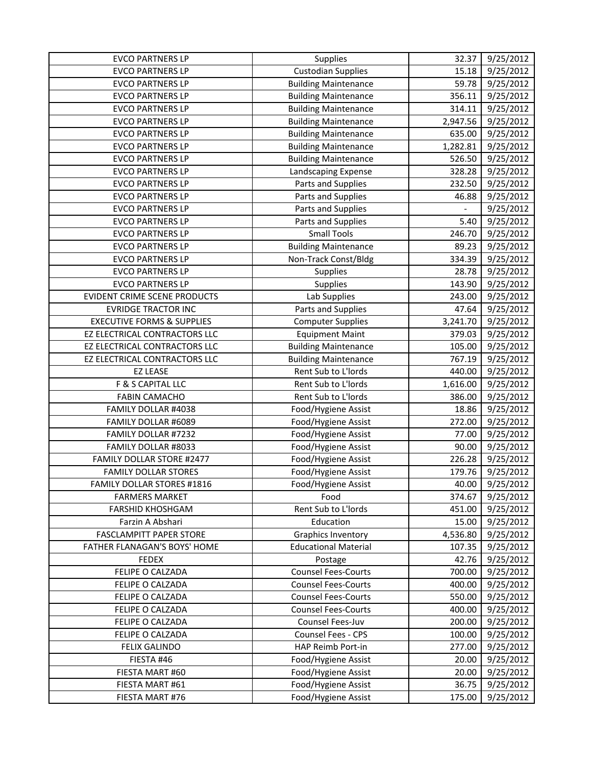| <b>EVCO PARTNERS LP</b>               | Supplies                    | 32.37    | 9/25/2012 |
|---------------------------------------|-----------------------------|----------|-----------|
| <b>EVCO PARTNERS LP</b>               | <b>Custodian Supplies</b>   | 15.18    | 9/25/2012 |
| <b>EVCO PARTNERS LP</b>               | <b>Building Maintenance</b> | 59.78    | 9/25/2012 |
| <b>EVCO PARTNERS LP</b>               | <b>Building Maintenance</b> | 356.11   | 9/25/2012 |
| <b>EVCO PARTNERS LP</b>               | <b>Building Maintenance</b> | 314.11   | 9/25/2012 |
| <b>EVCO PARTNERS LP</b>               | <b>Building Maintenance</b> | 2,947.56 | 9/25/2012 |
| <b>EVCO PARTNERS LP</b>               | <b>Building Maintenance</b> | 635.00   | 9/25/2012 |
| <b>EVCO PARTNERS LP</b>               | <b>Building Maintenance</b> | 1,282.81 | 9/25/2012 |
| <b>EVCO PARTNERS LP</b>               | <b>Building Maintenance</b> | 526.50   | 9/25/2012 |
| <b>EVCO PARTNERS LP</b>               | Landscaping Expense         | 328.28   | 9/25/2012 |
| <b>EVCO PARTNERS LP</b>               | Parts and Supplies          | 232.50   | 9/25/2012 |
| <b>EVCO PARTNERS LP</b>               | Parts and Supplies          | 46.88    | 9/25/2012 |
| <b>EVCO PARTNERS LP</b>               | Parts and Supplies          |          | 9/25/2012 |
| <b>EVCO PARTNERS LP</b>               | Parts and Supplies          | 5.40     | 9/25/2012 |
| <b>EVCO PARTNERS LP</b>               | <b>Small Tools</b>          | 246.70   | 9/25/2012 |
| <b>EVCO PARTNERS LP</b>               | <b>Building Maintenance</b> | 89.23    | 9/25/2012 |
| <b>EVCO PARTNERS LP</b>               | Non-Track Const/Bldg        | 334.39   | 9/25/2012 |
| <b>EVCO PARTNERS LP</b>               | Supplies                    | 28.78    | 9/25/2012 |
| <b>EVCO PARTNERS LP</b>               | Supplies                    | 143.90   | 9/25/2012 |
| EVIDENT CRIME SCENE PRODUCTS          | Lab Supplies                | 243.00   | 9/25/2012 |
| <b>EVRIDGE TRACTOR INC</b>            | Parts and Supplies          | 47.64    | 9/25/2012 |
| <b>EXECUTIVE FORMS &amp; SUPPLIES</b> | <b>Computer Supplies</b>    | 3,241.70 | 9/25/2012 |
| EZ ELECTRICAL CONTRACTORS LLC         | <b>Equipment Maint</b>      | 379.03   | 9/25/2012 |
| EZ ELECTRICAL CONTRACTORS LLC         | <b>Building Maintenance</b> | 105.00   | 9/25/2012 |
| EZ ELECTRICAL CONTRACTORS LLC         | <b>Building Maintenance</b> | 767.19   | 9/25/2012 |
| <b>EZ LEASE</b>                       | Rent Sub to L'Iords         | 440.00   | 9/25/2012 |
| F & S CAPITAL LLC                     | Rent Sub to L'Iords         | 1,616.00 | 9/25/2012 |
| <b>FABIN CAMACHO</b>                  | Rent Sub to L'Iords         | 386.00   | 9/25/2012 |
| FAMILY DOLLAR #4038                   | Food/Hygiene Assist         | 18.86    | 9/25/2012 |
| FAMILY DOLLAR #6089                   | Food/Hygiene Assist         | 272.00   | 9/25/2012 |
| FAMILY DOLLAR #7232                   | Food/Hygiene Assist         | 77.00    | 9/25/2012 |
| FAMILY DOLLAR #8033                   | Food/Hygiene Assist         | 90.00    | 9/25/2012 |
| FAMILY DOLLAR STORE #2477             | Food/Hygiene Assist         | 226.28   | 9/25/2012 |
| <b>FAMILY DOLLAR STORES</b>           | Food/Hygiene Assist         | 179.76   | 9/25/2012 |
| FAMILY DOLLAR STORES #1816            | Food/Hygiene Assist         | 40.00    | 9/25/2012 |
| <b>FARMERS MARKET</b>                 | Food                        | 374.67   | 9/25/2012 |
| <b>FARSHID KHOSHGAM</b>               | Rent Sub to L'Iords         | 451.00   | 9/25/2012 |
| Farzin A Abshari                      | Education                   | 15.00    | 9/25/2012 |
| <b>FASCLAMPITT PAPER STORE</b>        | <b>Graphics Inventory</b>   | 4,536.80 | 9/25/2012 |
| FATHER FLANAGAN'S BOYS' HOME          | <b>Educational Material</b> | 107.35   | 9/25/2012 |
| <b>FEDEX</b>                          | Postage                     | 42.76    | 9/25/2012 |
| FELIPE O CALZADA                      | <b>Counsel Fees-Courts</b>  | 700.00   | 9/25/2012 |
| FELIPE O CALZADA                      | <b>Counsel Fees-Courts</b>  | 400.00   | 9/25/2012 |
| FELIPE O CALZADA                      | <b>Counsel Fees-Courts</b>  | 550.00   | 9/25/2012 |
| FELIPE O CALZADA                      | <b>Counsel Fees-Courts</b>  | 400.00   | 9/25/2012 |
| FELIPE O CALZADA                      | Counsel Fees-Juv            | 200.00   | 9/25/2012 |
| FELIPE O CALZADA                      | Counsel Fees - CPS          | 100.00   | 9/25/2012 |
| <b>FELIX GALINDO</b>                  | HAP Reimb Port-in           | 277.00   | 9/25/2012 |
| FIESTA #46                            | Food/Hygiene Assist         | 20.00    | 9/25/2012 |
| FIESTA MART #60                       | Food/Hygiene Assist         | 20.00    | 9/25/2012 |
| FIESTA MART #61                       | Food/Hygiene Assist         | 36.75    | 9/25/2012 |
| FIESTA MART #76                       | Food/Hygiene Assist         | 175.00   | 9/25/2012 |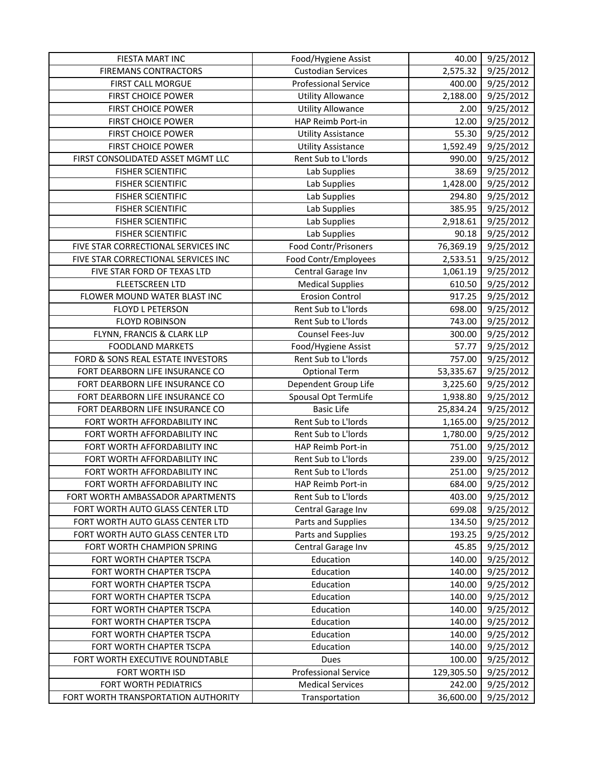| FIESTA MART INC                     | Food/Hygiene Assist         | 40.00      | 9/25/2012 |
|-------------------------------------|-----------------------------|------------|-----------|
| <b>FIREMANS CONTRACTORS</b>         | <b>Custodian Services</b>   | 2,575.32   | 9/25/2012 |
| FIRST CALL MORGUE                   | <b>Professional Service</b> | 400.00     | 9/25/2012 |
| <b>FIRST CHOICE POWER</b>           | <b>Utility Allowance</b>    | 2,188.00   | 9/25/2012 |
| FIRST CHOICE POWER                  | <b>Utility Allowance</b>    | 2.00       | 9/25/2012 |
| <b>FIRST CHOICE POWER</b>           | HAP Reimb Port-in           | 12.00      | 9/25/2012 |
| FIRST CHOICE POWER                  | <b>Utility Assistance</b>   | 55.30      | 9/25/2012 |
| <b>FIRST CHOICE POWER</b>           | <b>Utility Assistance</b>   | 1,592.49   | 9/25/2012 |
| FIRST CONSOLIDATED ASSET MGMT LLC   | Rent Sub to L'Iords         | 990.00     | 9/25/2012 |
| <b>FISHER SCIENTIFIC</b>            | Lab Supplies                | 38.69      | 9/25/2012 |
| <b>FISHER SCIENTIFIC</b>            | Lab Supplies                | 1,428.00   | 9/25/2012 |
| <b>FISHER SCIENTIFIC</b>            | Lab Supplies                | 294.80     | 9/25/2012 |
| <b>FISHER SCIENTIFIC</b>            | Lab Supplies                | 385.95     | 9/25/2012 |
| <b>FISHER SCIENTIFIC</b>            | Lab Supplies                | 2,918.61   | 9/25/2012 |
| <b>FISHER SCIENTIFIC</b>            | Lab Supplies                | 90.18      | 9/25/2012 |
| FIVE STAR CORRECTIONAL SERVICES INC | Food Contr/Prisoners        | 76,369.19  | 9/25/2012 |
| FIVE STAR CORRECTIONAL SERVICES INC | Food Contr/Employees        | 2,533.51   | 9/25/2012 |
| FIVE STAR FORD OF TEXAS LTD         | Central Garage Inv          | 1,061.19   | 9/25/2012 |
| <b>FLEETSCREEN LTD</b>              | <b>Medical Supplies</b>     | 610.50     | 9/25/2012 |
| FLOWER MOUND WATER BLAST INC        | <b>Erosion Control</b>      | 917.25     | 9/25/2012 |
| FLOYD L PETERSON                    | Rent Sub to L'Iords         | 698.00     | 9/25/2012 |
| <b>FLOYD ROBINSON</b>               | Rent Sub to L'Iords         | 743.00     | 9/25/2012 |
| FLYNN, FRANCIS & CLARK LLP          | Counsel Fees-Juv            | 300.00     | 9/25/2012 |
| <b>FOODLAND MARKETS</b>             | Food/Hygiene Assist         | 57.77      | 9/25/2012 |
| FORD & SONS REAL ESTATE INVESTORS   | Rent Sub to L'Iords         | 757.00     | 9/25/2012 |
| FORT DEARBORN LIFE INSURANCE CO     | <b>Optional Term</b>        | 53,335.67  | 9/25/2012 |
| FORT DEARBORN LIFE INSURANCE CO     | Dependent Group Life        | 3,225.60   | 9/25/2012 |
| FORT DEARBORN LIFE INSURANCE CO     | Spousal Opt TermLife        | 1,938.80   | 9/25/2012 |
| FORT DEARBORN LIFE INSURANCE CO     | <b>Basic Life</b>           | 25,834.24  | 9/25/2012 |
| FORT WORTH AFFORDABILITY INC        | Rent Sub to L'Iords         | 1,165.00   | 9/25/2012 |
| FORT WORTH AFFORDABILITY INC        | Rent Sub to L'Iords         | 1,780.00   | 9/25/2012 |
| FORT WORTH AFFORDABILITY INC        | HAP Reimb Port-in           | 751.00     | 9/25/2012 |
| FORT WORTH AFFORDABILITY INC        | Rent Sub to L'Iords         | 239.00     | 9/25/2012 |
| FORT WORTH AFFORDABILITY INC        | Rent Sub to L'Iords         | 251.00     | 9/25/2012 |
| FORT WORTH AFFORDABILITY INC        | HAP Reimb Port-in           | 684.00     | 9/25/2012 |
| FORT WORTH AMBASSADOR APARTMENTS    | Rent Sub to L'Iords         | 403.00     | 9/25/2012 |
| FORT WORTH AUTO GLASS CENTER LTD    | Central Garage Inv          | 699.08     | 9/25/2012 |
| FORT WORTH AUTO GLASS CENTER LTD    | Parts and Supplies          | 134.50     | 9/25/2012 |
| FORT WORTH AUTO GLASS CENTER LTD    | Parts and Supplies          | 193.25     | 9/25/2012 |
| FORT WORTH CHAMPION SPRING          | Central Garage Inv          | 45.85      | 9/25/2012 |
| FORT WORTH CHAPTER TSCPA            | Education                   | 140.00     | 9/25/2012 |
| FORT WORTH CHAPTER TSCPA            | Education                   | 140.00     | 9/25/2012 |
| FORT WORTH CHAPTER TSCPA            | Education                   | 140.00     | 9/25/2012 |
| FORT WORTH CHAPTER TSCPA            | Education                   | 140.00     | 9/25/2012 |
| FORT WORTH CHAPTER TSCPA            | Education                   | 140.00     | 9/25/2012 |
| FORT WORTH CHAPTER TSCPA            | Education                   | 140.00     | 9/25/2012 |
| FORT WORTH CHAPTER TSCPA            | Education                   | 140.00     | 9/25/2012 |
| FORT WORTH CHAPTER TSCPA            | Education                   | 140.00     | 9/25/2012 |
| FORT WORTH EXECUTIVE ROUNDTABLE     | Dues                        | 100.00     | 9/25/2012 |
| FORT WORTH ISD                      | Professional Service        | 129,305.50 | 9/25/2012 |
| FORT WORTH PEDIATRICS               | <b>Medical Services</b>     | 242.00     | 9/25/2012 |
| FORT WORTH TRANSPORTATION AUTHORITY | Transportation              | 36,600.00  | 9/25/2012 |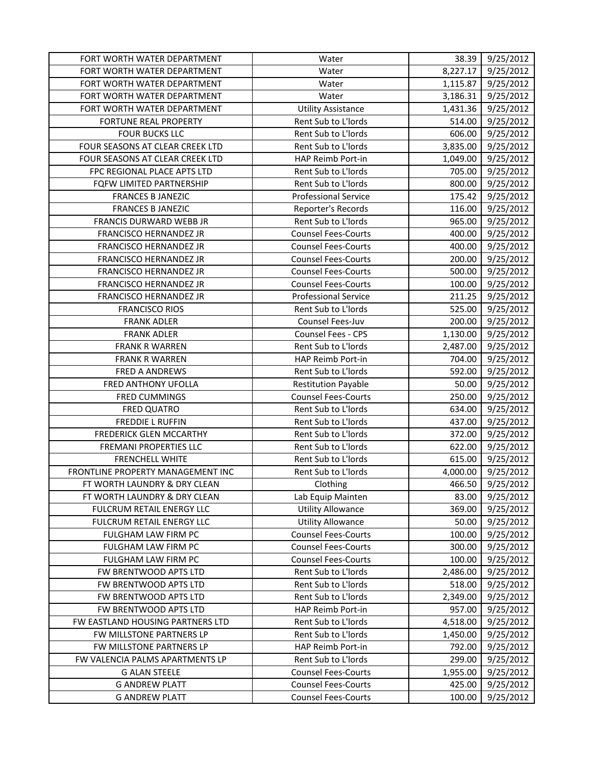| FORT WORTH WATER DEPARTMENT       | Water                       | 38.39    | 9/25/2012 |
|-----------------------------------|-----------------------------|----------|-----------|
| FORT WORTH WATER DEPARTMENT       | Water                       | 8,227.17 | 9/25/2012 |
| FORT WORTH WATER DEPARTMENT       | Water                       | 1,115.87 | 9/25/2012 |
| FORT WORTH WATER DEPARTMENT       | Water                       | 3,186.31 | 9/25/2012 |
| FORT WORTH WATER DEPARTMENT       | <b>Utility Assistance</b>   | 1,431.36 | 9/25/2012 |
| FORTUNE REAL PROPERTY             | Rent Sub to L'Iords         | 514.00   | 9/25/2012 |
| <b>FOUR BUCKS LLC</b>             | Rent Sub to L'Iords         | 606.00   | 9/25/2012 |
| FOUR SEASONS AT CLEAR CREEK LTD   | Rent Sub to L'Iords         | 3,835.00 | 9/25/2012 |
| FOUR SEASONS AT CLEAR CREEK LTD   | HAP Reimb Port-in           | 1,049.00 | 9/25/2012 |
| FPC REGIONAL PLACE APTS LTD       | Rent Sub to L'Iords         | 705.00   | 9/25/2012 |
| FQFW LIMITED PARTNERSHIP          | Rent Sub to L'Iords         | 800.00   | 9/25/2012 |
| <b>FRANCES B JANEZIC</b>          | <b>Professional Service</b> | 175.42   | 9/25/2012 |
| <b>FRANCES B JANEZIC</b>          | Reporter's Records          | 116.00   | 9/25/2012 |
| FRANCIS DURWARD WEBB JR           | Rent Sub to L'Iords         | 965.00   | 9/25/2012 |
| FRANCISCO HERNANDEZ JR            | <b>Counsel Fees-Courts</b>  | 400.00   | 9/25/2012 |
| FRANCISCO HERNANDEZ JR            | <b>Counsel Fees-Courts</b>  | 400.00   | 9/25/2012 |
| FRANCISCO HERNANDEZ JR            | <b>Counsel Fees-Courts</b>  | 200.00   | 9/25/2012 |
| FRANCISCO HERNANDEZ JR            | <b>Counsel Fees-Courts</b>  | 500.00   | 9/25/2012 |
| FRANCISCO HERNANDEZ JR            | <b>Counsel Fees-Courts</b>  | 100.00   | 9/25/2012 |
| FRANCISCO HERNANDEZ JR            | <b>Professional Service</b> | 211.25   | 9/25/2012 |
| <b>FRANCISCO RIOS</b>             | Rent Sub to L'Iords         | 525.00   | 9/25/2012 |
| <b>FRANK ADLER</b>                | Counsel Fees-Juv            | 200.00   | 9/25/2012 |
| <b>FRANK ADLER</b>                | Counsel Fees - CPS          | 1,130.00 | 9/25/2012 |
| <b>FRANK R WARREN</b>             | Rent Sub to L'Iords         | 2,487.00 | 9/25/2012 |
| <b>FRANK R WARREN</b>             | HAP Reimb Port-in           | 704.00   | 9/25/2012 |
| <b>FRED A ANDREWS</b>             | Rent Sub to L'Iords         | 592.00   | 9/25/2012 |
| FRED ANTHONY UFOLLA               | <b>Restitution Payable</b>  | 50.00    | 9/25/2012 |
| <b>FRED CUMMINGS</b>              | <b>Counsel Fees-Courts</b>  | 250.00   | 9/25/2012 |
| <b>FRED QUATRO</b>                | Rent Sub to L'Iords         | 634.00   | 9/25/2012 |
| <b>FREDDIE L RUFFIN</b>           | Rent Sub to L'Iords         | 437.00   | 9/25/2012 |
| FREDERICK GLEN MCCARTHY           | Rent Sub to L'Iords         | 372.00   | 9/25/2012 |
| <b>FREMANI PROPERTIES LLC</b>     | Rent Sub to L'Iords         | 622.00   | 9/25/2012 |
| <b>FRENCHELL WHITE</b>            | Rent Sub to L'Iords         | 615.00   | 9/25/2012 |
| FRONTLINE PROPERTY MANAGEMENT INC | Rent Sub to L'Iords         | 4,000.00 | 9/25/2012 |
| FT WORTH LAUNDRY & DRY CLEAN      | Clothing                    | 466.50   | 9/25/2012 |
| FT WORTH LAUNDRY & DRY CLEAN      | Lab Equip Mainten           | 83.00    | 9/25/2012 |
| FULCRUM RETAIL ENERGY LLC         | <b>Utility Allowance</b>    | 369.00   | 9/25/2012 |
| FULCRUM RETAIL ENERGY LLC         | <b>Utility Allowance</b>    | 50.00    | 9/25/2012 |
| FULGHAM LAW FIRM PC               | <b>Counsel Fees-Courts</b>  | 100.00   | 9/25/2012 |
| FULGHAM LAW FIRM PC               | <b>Counsel Fees-Courts</b>  | 300.00   | 9/25/2012 |
| FULGHAM LAW FIRM PC               | <b>Counsel Fees-Courts</b>  | 100.00   | 9/25/2012 |
| FW BRENTWOOD APTS LTD             | Rent Sub to L'Iords         | 2,486.00 | 9/25/2012 |
| FW BRENTWOOD APTS LTD             | Rent Sub to L'Iords         | 518.00   | 9/25/2012 |
| FW BRENTWOOD APTS LTD             | Rent Sub to L'Iords         | 2,349.00 | 9/25/2012 |
| FW BRENTWOOD APTS LTD             | HAP Reimb Port-in           | 957.00   | 9/25/2012 |
| FW EASTLAND HOUSING PARTNERS LTD  | Rent Sub to L'Iords         | 4,518.00 | 9/25/2012 |
| FW MILLSTONE PARTNERS LP          | Rent Sub to L'Iords         | 1,450.00 | 9/25/2012 |
| FW MILLSTONE PARTNERS LP          | HAP Reimb Port-in           | 792.00   | 9/25/2012 |
| FW VALENCIA PALMS APARTMENTS LP   | Rent Sub to L'Iords         | 299.00   | 9/25/2012 |
| <b>G ALAN STEELE</b>              | <b>Counsel Fees-Courts</b>  | 1,955.00 | 9/25/2012 |
| <b>G ANDREW PLATT</b>             | <b>Counsel Fees-Courts</b>  | 425.00   | 9/25/2012 |
| <b>G ANDREW PLATT</b>             | <b>Counsel Fees-Courts</b>  | 100.00   | 9/25/2012 |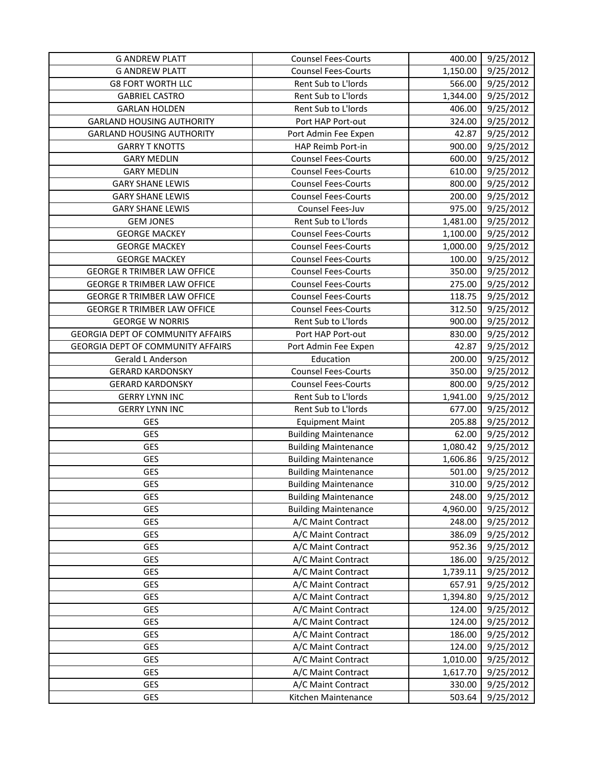| <b>G ANDREW PLATT</b>                    | <b>Counsel Fees-Courts</b>  | 400.00   | 9/25/2012 |
|------------------------------------------|-----------------------------|----------|-----------|
| <b>G ANDREW PLATT</b>                    | <b>Counsel Fees-Courts</b>  | 1,150.00 | 9/25/2012 |
| <b>G8 FORT WORTH LLC</b>                 | Rent Sub to L'Iords         | 566.00   | 9/25/2012 |
| <b>GABRIEL CASTRO</b>                    | Rent Sub to L'Iords         | 1,344.00 | 9/25/2012 |
| <b>GARLAN HOLDEN</b>                     | Rent Sub to L'Iords         | 406.00   | 9/25/2012 |
| <b>GARLAND HOUSING AUTHORITY</b>         | Port HAP Port-out           | 324.00   | 9/25/2012 |
| <b>GARLAND HOUSING AUTHORITY</b>         | Port Admin Fee Expen        | 42.87    | 9/25/2012 |
| <b>GARRY T KNOTTS</b>                    | HAP Reimb Port-in           | 900.00   | 9/25/2012 |
| <b>GARY MEDLIN</b>                       | <b>Counsel Fees-Courts</b>  | 600.00   | 9/25/2012 |
| <b>GARY MEDLIN</b>                       | <b>Counsel Fees-Courts</b>  | 610.00   | 9/25/2012 |
| <b>GARY SHANE LEWIS</b>                  | <b>Counsel Fees-Courts</b>  | 800.00   | 9/25/2012 |
| <b>GARY SHANE LEWIS</b>                  | <b>Counsel Fees-Courts</b>  | 200.00   | 9/25/2012 |
| <b>GARY SHANE LEWIS</b>                  | Counsel Fees-Juv            | 975.00   | 9/25/2012 |
| <b>GEM JONES</b>                         | Rent Sub to L'Iords         | 1,481.00 | 9/25/2012 |
| <b>GEORGE MACKEY</b>                     | <b>Counsel Fees-Courts</b>  | 1,100.00 | 9/25/2012 |
| <b>GEORGE MACKEY</b>                     | <b>Counsel Fees-Courts</b>  | 1,000.00 | 9/25/2012 |
| <b>GEORGE MACKEY</b>                     | <b>Counsel Fees-Courts</b>  | 100.00   | 9/25/2012 |
| <b>GEORGE R TRIMBER LAW OFFICE</b>       | <b>Counsel Fees-Courts</b>  | 350.00   | 9/25/2012 |
| <b>GEORGE R TRIMBER LAW OFFICE</b>       | <b>Counsel Fees-Courts</b>  | 275.00   | 9/25/2012 |
| <b>GEORGE R TRIMBER LAW OFFICE</b>       | <b>Counsel Fees-Courts</b>  | 118.75   | 9/25/2012 |
| <b>GEORGE R TRIMBER LAW OFFICE</b>       | <b>Counsel Fees-Courts</b>  | 312.50   | 9/25/2012 |
| <b>GEORGE W NORRIS</b>                   | Rent Sub to L'Iords         | 900.00   | 9/25/2012 |
| <b>GEORGIA DEPT OF COMMUNITY AFFAIRS</b> | Port HAP Port-out           | 830.00   | 9/25/2012 |
| <b>GEORGIA DEPT OF COMMUNITY AFFAIRS</b> | Port Admin Fee Expen        | 42.87    | 9/25/2012 |
| Gerald L Anderson                        | Education                   | 200.00   | 9/25/2012 |
| <b>GERARD KARDONSKY</b>                  | <b>Counsel Fees-Courts</b>  | 350.00   | 9/25/2012 |
| <b>GERARD KARDONSKY</b>                  | <b>Counsel Fees-Courts</b>  | 800.00   | 9/25/2012 |
| <b>GERRY LYNN INC</b>                    | Rent Sub to L'Iords         | 1,941.00 | 9/25/2012 |
| <b>GERRY LYNN INC</b>                    | Rent Sub to L'Iords         | 677.00   | 9/25/2012 |
| GES                                      | <b>Equipment Maint</b>      | 205.88   | 9/25/2012 |
| GES                                      | <b>Building Maintenance</b> | 62.00    | 9/25/2012 |
| GES                                      | <b>Building Maintenance</b> | 1,080.42 | 9/25/2012 |
| GES                                      | <b>Building Maintenance</b> | 1,606.86 | 9/25/2012 |
| GES                                      | <b>Building Maintenance</b> | 501.00   | 9/25/2012 |
| GES                                      | <b>Building Maintenance</b> | 310.00   | 9/25/2012 |
| GES                                      | <b>Building Maintenance</b> | 248.00   | 9/25/2012 |
| GES                                      | <b>Building Maintenance</b> | 4,960.00 | 9/25/2012 |
| GES                                      | A/C Maint Contract          | 248.00   | 9/25/2012 |
| GES                                      | A/C Maint Contract          | 386.09   | 9/25/2012 |
| GES                                      | A/C Maint Contract          | 952.36   | 9/25/2012 |
| GES                                      | A/C Maint Contract          | 186.00   | 9/25/2012 |
| GES                                      | A/C Maint Contract          | 1,739.11 | 9/25/2012 |
| GES                                      | A/C Maint Contract          | 657.91   | 9/25/2012 |
| GES                                      | A/C Maint Contract          | 1,394.80 | 9/25/2012 |
| GES                                      | A/C Maint Contract          | 124.00   | 9/25/2012 |
| GES                                      | A/C Maint Contract          | 124.00   | 9/25/2012 |
| GES                                      | A/C Maint Contract          | 186.00   | 9/25/2012 |
| GES                                      | A/C Maint Contract          | 124.00   | 9/25/2012 |
| GES                                      | A/C Maint Contract          | 1,010.00 | 9/25/2012 |
| GES                                      | A/C Maint Contract          | 1,617.70 | 9/25/2012 |
| <b>GES</b>                               | A/C Maint Contract          | 330.00   | 9/25/2012 |
| GES                                      | Kitchen Maintenance         | 503.64   | 9/25/2012 |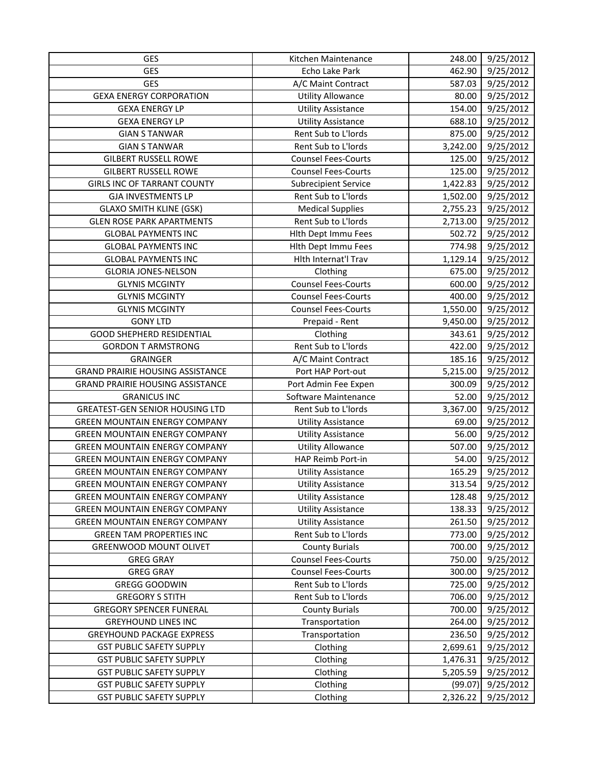| GES                                     | Kitchen Maintenance         | 248.00   | 9/25/2012 |
|-----------------------------------------|-----------------------------|----------|-----------|
| GES                                     | Echo Lake Park              | 462.90   | 9/25/2012 |
| <b>GES</b>                              | A/C Maint Contract          | 587.03   | 9/25/2012 |
| <b>GEXA ENERGY CORPORATION</b>          | <b>Utility Allowance</b>    | 80.00    | 9/25/2012 |
| <b>GEXA ENERGY LP</b>                   | <b>Utility Assistance</b>   | 154.00   | 9/25/2012 |
| <b>GEXA ENERGY LP</b>                   | <b>Utility Assistance</b>   | 688.10   | 9/25/2012 |
| <b>GIAN S TANWAR</b>                    | Rent Sub to L'Iords         | 875.00   | 9/25/2012 |
| <b>GIAN S TANWAR</b>                    | Rent Sub to L'Iords         | 3,242.00 | 9/25/2012 |
| <b>GILBERT RUSSELL ROWE</b>             | <b>Counsel Fees-Courts</b>  | 125.00   | 9/25/2012 |
| <b>GILBERT RUSSELL ROWE</b>             | <b>Counsel Fees-Courts</b>  | 125.00   | 9/25/2012 |
| <b>GIRLS INC OF TARRANT COUNTY</b>      | <b>Subrecipient Service</b> | 1,422.83 | 9/25/2012 |
| <b>GJA INVESTMENTS LP</b>               | Rent Sub to L'Iords         | 1,502.00 | 9/25/2012 |
| <b>GLAXO SMITH KLINE (GSK)</b>          | <b>Medical Supplies</b>     | 2,755.23 | 9/25/2012 |
| <b>GLEN ROSE PARK APARTMENTS</b>        | Rent Sub to L'Iords         | 2,713.00 | 9/25/2012 |
| <b>GLOBAL PAYMENTS INC</b>              | Hith Dept Immu Fees         | 502.72   | 9/25/2012 |
| <b>GLOBAL PAYMENTS INC</b>              | Hith Dept Immu Fees         | 774.98   | 9/25/2012 |
| <b>GLOBAL PAYMENTS INC</b>              | Hlth Internat'l Trav        | 1,129.14 | 9/25/2012 |
| <b>GLORIA JONES-NELSON</b>              | Clothing                    | 675.00   | 9/25/2012 |
| <b>GLYNIS MCGINTY</b>                   | <b>Counsel Fees-Courts</b>  | 600.00   | 9/25/2012 |
| <b>GLYNIS MCGINTY</b>                   | <b>Counsel Fees-Courts</b>  | 400.00   | 9/25/2012 |
| <b>GLYNIS MCGINTY</b>                   | <b>Counsel Fees-Courts</b>  | 1,550.00 | 9/25/2012 |
| <b>GONY LTD</b>                         | Prepaid - Rent              | 9,450.00 | 9/25/2012 |
| <b>GOOD SHEPHERD RESIDENTIAL</b>        | Clothing                    | 343.61   | 9/25/2012 |
| <b>GORDON T ARMSTRONG</b>               | Rent Sub to L'Iords         | 422.00   | 9/25/2012 |
| <b>GRAINGER</b>                         | A/C Maint Contract          | 185.16   | 9/25/2012 |
| <b>GRAND PRAIRIE HOUSING ASSISTANCE</b> | Port HAP Port-out           | 5,215.00 | 9/25/2012 |
| <b>GRAND PRAIRIE HOUSING ASSISTANCE</b> | Port Admin Fee Expen        | 300.09   | 9/25/2012 |
| <b>GRANICUS INC</b>                     | Software Maintenance        | 52.00    | 9/25/2012 |
| <b>GREATEST-GEN SENIOR HOUSING LTD</b>  | Rent Sub to L'Iords         | 3,367.00 | 9/25/2012 |
| <b>GREEN MOUNTAIN ENERGY COMPANY</b>    | <b>Utility Assistance</b>   | 69.00    | 9/25/2012 |
| <b>GREEN MOUNTAIN ENERGY COMPANY</b>    | <b>Utility Assistance</b>   | 56.00    | 9/25/2012 |
| <b>GREEN MOUNTAIN ENERGY COMPANY</b>    | <b>Utility Allowance</b>    | 507.00   | 9/25/2012 |
| <b>GREEN MOUNTAIN ENERGY COMPANY</b>    | HAP Reimb Port-in           | 54.00    | 9/25/2012 |
| <b>GREEN MOUNTAIN ENERGY COMPANY</b>    | <b>Utility Assistance</b>   | 165.29   | 9/25/2012 |
| <b>GREEN MOUNTAIN ENERGY COMPANY</b>    | <b>Utility Assistance</b>   | 313.54   | 9/25/2012 |
| <b>GREEN MOUNTAIN ENERGY COMPANY</b>    | <b>Utility Assistance</b>   | 128.48   | 9/25/2012 |
| <b>GREEN MOUNTAIN ENERGY COMPANY</b>    | <b>Utility Assistance</b>   | 138.33   | 9/25/2012 |
| <b>GREEN MOUNTAIN ENERGY COMPANY</b>    | <b>Utility Assistance</b>   | 261.50   | 9/25/2012 |
| <b>GREEN TAM PROPERTIES INC</b>         | Rent Sub to L'Iords         | 773.00   | 9/25/2012 |
| GREENWOOD MOUNT OLIVET                  | <b>County Burials</b>       | 700.00   | 9/25/2012 |
| <b>GREG GRAY</b>                        | <b>Counsel Fees-Courts</b>  | 750.00   | 9/25/2012 |
| <b>GREG GRAY</b>                        | <b>Counsel Fees-Courts</b>  | 300.00   | 9/25/2012 |
| <b>GREGG GOODWIN</b>                    | Rent Sub to L'Iords         | 725.00   | 9/25/2012 |
| <b>GREGORY S STITH</b>                  | Rent Sub to L'Iords         | 706.00   | 9/25/2012 |
| <b>GREGORY SPENCER FUNERAL</b>          | <b>County Burials</b>       | 700.00   | 9/25/2012 |
| <b>GREYHOUND LINES INC</b>              | Transportation              | 264.00   | 9/25/2012 |
| <b>GREYHOUND PACKAGE EXPRESS</b>        | Transportation              | 236.50   | 9/25/2012 |
| <b>GST PUBLIC SAFETY SUPPLY</b>         | Clothing                    | 2,699.61 | 9/25/2012 |
| <b>GST PUBLIC SAFETY SUPPLY</b>         | Clothing                    | 1,476.31 | 9/25/2012 |
| <b>GST PUBLIC SAFETY SUPPLY</b>         | Clothing                    | 5,205.59 | 9/25/2012 |
| <b>GST PUBLIC SAFETY SUPPLY</b>         | Clothing                    | (99.07)  | 9/25/2012 |
| <b>GST PUBLIC SAFETY SUPPLY</b>         | Clothing                    | 2,326.22 | 9/25/2012 |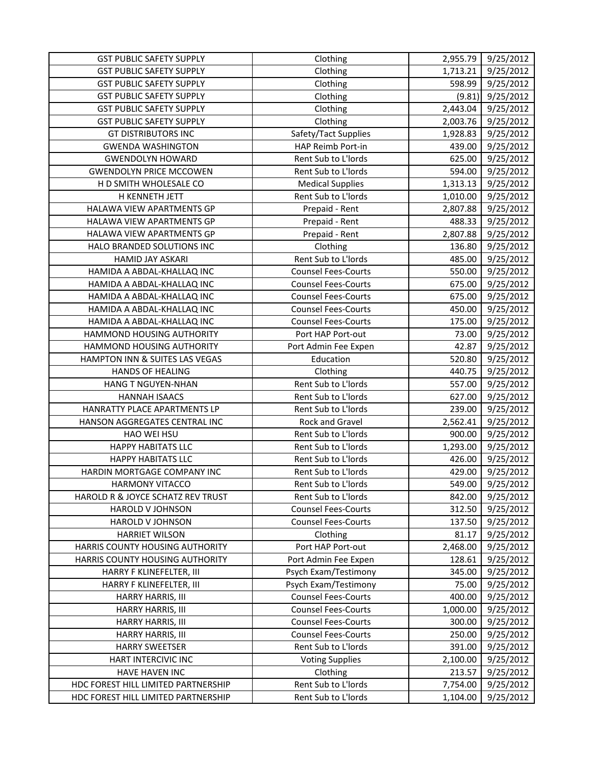| <b>GST PUBLIC SAFETY SUPPLY</b>     | Clothing                   | 2,955.79 | 9/25/2012 |
|-------------------------------------|----------------------------|----------|-----------|
| <b>GST PUBLIC SAFETY SUPPLY</b>     | Clothing                   | 1,713.21 | 9/25/2012 |
| <b>GST PUBLIC SAFETY SUPPLY</b>     | Clothing                   | 598.99   | 9/25/2012 |
| <b>GST PUBLIC SAFETY SUPPLY</b>     | Clothing                   | (9.81)   | 9/25/2012 |
| <b>GST PUBLIC SAFETY SUPPLY</b>     | Clothing                   | 2,443.04 | 9/25/2012 |
| <b>GST PUBLIC SAFETY SUPPLY</b>     | Clothing                   | 2,003.76 | 9/25/2012 |
| <b>GT DISTRIBUTORS INC</b>          | Safety/Tact Supplies       | 1,928.83 | 9/25/2012 |
| <b>GWENDA WASHINGTON</b>            | HAP Reimb Port-in          | 439.00   | 9/25/2012 |
| <b>GWENDOLYN HOWARD</b>             | Rent Sub to L'Iords        | 625.00   | 9/25/2012 |
| <b>GWENDOLYN PRICE MCCOWEN</b>      | Rent Sub to L'Iords        | 594.00   | 9/25/2012 |
| H D SMITH WHOLESALE CO              | <b>Medical Supplies</b>    | 1,313.13 | 9/25/2012 |
| H KENNETH JETT                      | Rent Sub to L'Iords        | 1,010.00 | 9/25/2012 |
| HALAWA VIEW APARTMENTS GP           | Prepaid - Rent             | 2,807.88 | 9/25/2012 |
| HALAWA VIEW APARTMENTS GP           | Prepaid - Rent             | 488.33   | 9/25/2012 |
| HALAWA VIEW APARTMENTS GP           | Prepaid - Rent             | 2,807.88 | 9/25/2012 |
| HALO BRANDED SOLUTIONS INC          | Clothing                   | 136.80   | 9/25/2012 |
| HAMID JAY ASKARI                    | Rent Sub to L'Iords        | 485.00   | 9/25/2012 |
| HAMIDA A ABDAL-KHALLAQ INC          | <b>Counsel Fees-Courts</b> | 550.00   | 9/25/2012 |
| HAMIDA A ABDAL-KHALLAQ INC          | <b>Counsel Fees-Courts</b> | 675.00   | 9/25/2012 |
| HAMIDA A ABDAL-KHALLAQ INC          | <b>Counsel Fees-Courts</b> | 675.00   | 9/25/2012 |
| HAMIDA A ABDAL-KHALLAQ INC          | <b>Counsel Fees-Courts</b> | 450.00   | 9/25/2012 |
| HAMIDA A ABDAL-KHALLAQ INC          | <b>Counsel Fees-Courts</b> | 175.00   | 9/25/2012 |
| HAMMOND HOUSING AUTHORITY           | Port HAP Port-out          | 73.00    | 9/25/2012 |
| HAMMOND HOUSING AUTHORITY           | Port Admin Fee Expen       | 42.87    | 9/25/2012 |
| HAMPTON INN & SUITES LAS VEGAS      | Education                  | 520.80   | 9/25/2012 |
| <b>HANDS OF HEALING</b>             | Clothing                   | 440.75   | 9/25/2012 |
| <b>HANG T NGUYEN-NHAN</b>           | Rent Sub to L'Iords        | 557.00   | 9/25/2012 |
| <b>HANNAH ISAACS</b>                | Rent Sub to L'Iords        | 627.00   | 9/25/2012 |
| HANRATTY PLACE APARTMENTS LP        | Rent Sub to L'Iords        | 239.00   | 9/25/2012 |
| HANSON AGGREGATES CENTRAL INC       | Rock and Gravel            | 2,562.41 | 9/25/2012 |
| HAO WEI HSU                         | Rent Sub to L'Iords        | 900.00   | 9/25/2012 |
| <b>HAPPY HABITATS LLC</b>           | Rent Sub to L'Iords        | 1,293.00 | 9/25/2012 |
| <b>HAPPY HABITATS LLC</b>           | Rent Sub to L'Iords        | 426.00   | 9/25/2012 |
| HARDIN MORTGAGE COMPANY INC         | Rent Sub to L'Iords        | 429.00   | 9/25/2012 |
| <b>HARMONY VITACCO</b>              | Rent Sub to L'Iords        | 549.00   | 9/25/2012 |
| HAROLD R & JOYCE SCHATZ REV TRUST   | Rent Sub to L'Iords        | 842.00   | 9/25/2012 |
| HAROLD V JOHNSON                    | <b>Counsel Fees-Courts</b> | 312.50   | 9/25/2012 |
| HAROLD V JOHNSON                    | <b>Counsel Fees-Courts</b> | 137.50   | 9/25/2012 |
| <b>HARRIET WILSON</b>               | Clothing                   | 81.17    | 9/25/2012 |
| HARRIS COUNTY HOUSING AUTHORITY     | Port HAP Port-out          | 2,468.00 | 9/25/2012 |
| HARRIS COUNTY HOUSING AUTHORITY     | Port Admin Fee Expen       | 128.61   | 9/25/2012 |
| HARRY F KLINEFELTER, III            | Psych Exam/Testimony       | 345.00   | 9/25/2012 |
| HARRY F KLINEFELTER, III            | Psych Exam/Testimony       | 75.00    | 9/25/2012 |
| HARRY HARRIS, III                   | <b>Counsel Fees-Courts</b> | 400.00   | 9/25/2012 |
| HARRY HARRIS, III                   | <b>Counsel Fees-Courts</b> | 1,000.00 | 9/25/2012 |
| HARRY HARRIS, III                   | <b>Counsel Fees-Courts</b> | 300.00   | 9/25/2012 |
| HARRY HARRIS, III                   | <b>Counsel Fees-Courts</b> | 250.00   | 9/25/2012 |
| <b>HARRY SWEETSER</b>               | Rent Sub to L'Iords        | 391.00   | 9/25/2012 |
| HART INTERCIVIC INC                 | <b>Voting Supplies</b>     | 2,100.00 | 9/25/2012 |
| HAVE HAVEN INC                      | Clothing                   | 213.57   | 9/25/2012 |
| HDC FOREST HILL LIMITED PARTNERSHIP | Rent Sub to L'Iords        | 7,754.00 | 9/25/2012 |
| HDC FOREST HILL LIMITED PARTNERSHIP | Rent Sub to L'Iords        | 1,104.00 | 9/25/2012 |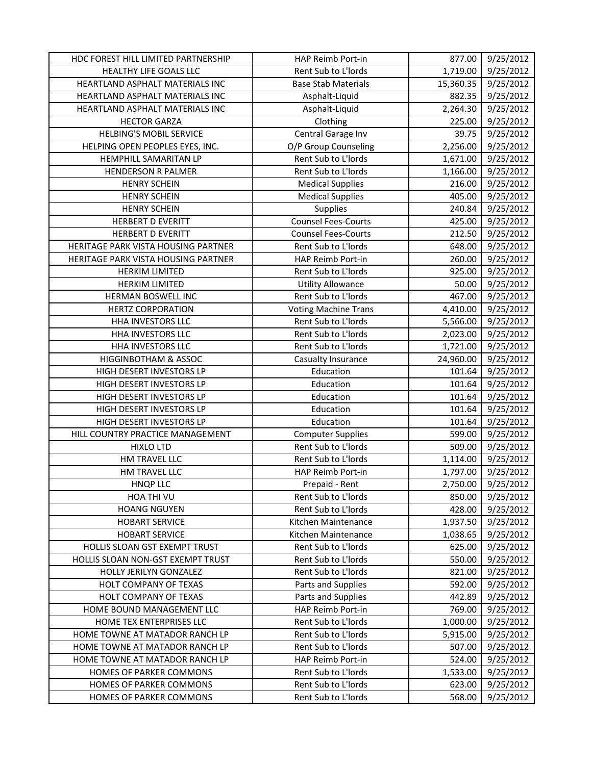| HDC FOREST HILL LIMITED PARTNERSHIP | HAP Reimb Port-in           | 877.00    | 9/25/2012 |
|-------------------------------------|-----------------------------|-----------|-----------|
| HEALTHY LIFE GOALS LLC              | Rent Sub to L'Iords         | 1,719.00  | 9/25/2012 |
| HEARTLAND ASPHALT MATERIALS INC     | <b>Base Stab Materials</b>  | 15,360.35 | 9/25/2012 |
| HEARTLAND ASPHALT MATERIALS INC     | Asphalt-Liquid              | 882.35    | 9/25/2012 |
| HEARTLAND ASPHALT MATERIALS INC     | Asphalt-Liquid              | 2,264.30  | 9/25/2012 |
| <b>HECTOR GARZA</b>                 | Clothing                    | 225.00    | 9/25/2012 |
| <b>HELBING'S MOBIL SERVICE</b>      | Central Garage Inv          | 39.75     | 9/25/2012 |
| HELPING OPEN PEOPLES EYES, INC.     | O/P Group Counseling        | 2,256.00  | 9/25/2012 |
| HEMPHILL SAMARITAN LP               | Rent Sub to L'Iords         | 1,671.00  | 9/25/2012 |
| <b>HENDERSON R PALMER</b>           | Rent Sub to L'Iords         | 1,166.00  | 9/25/2012 |
| <b>HENRY SCHEIN</b>                 | <b>Medical Supplies</b>     | 216.00    | 9/25/2012 |
| <b>HENRY SCHEIN</b>                 | <b>Medical Supplies</b>     | 405.00    | 9/25/2012 |
| <b>HENRY SCHEIN</b>                 | <b>Supplies</b>             | 240.84    | 9/25/2012 |
| <b>HERBERT D EVERITT</b>            | <b>Counsel Fees-Courts</b>  | 425.00    | 9/25/2012 |
| <b>HERBERT D EVERITT</b>            | <b>Counsel Fees-Courts</b>  | 212.50    | 9/25/2012 |
| HERITAGE PARK VISTA HOUSING PARTNER | Rent Sub to L'Iords         | 648.00    | 9/25/2012 |
| HERITAGE PARK VISTA HOUSING PARTNER | HAP Reimb Port-in           | 260.00    | 9/25/2012 |
| <b>HERKIM LIMITED</b>               | Rent Sub to L'Iords         | 925.00    | 9/25/2012 |
| <b>HERKIM LIMITED</b>               | <b>Utility Allowance</b>    | 50.00     | 9/25/2012 |
| HERMAN BOSWELL INC                  | Rent Sub to L'Iords         | 467.00    | 9/25/2012 |
| <b>HERTZ CORPORATION</b>            | <b>Voting Machine Trans</b> | 4,410.00  | 9/25/2012 |
| HHA INVESTORS LLC                   | Rent Sub to L'Iords         | 5,566.00  | 9/25/2012 |
| HHA INVESTORS LLC                   | Rent Sub to L'Iords         | 2,023.00  | 9/25/2012 |
| HHA INVESTORS LLC                   | Rent Sub to L'Iords         | 1,721.00  | 9/25/2012 |
| <b>HIGGINBOTHAM &amp; ASSOC</b>     | Casualty Insurance          | 24,960.00 | 9/25/2012 |
| HIGH DESERT INVESTORS LP            | Education                   | 101.64    | 9/25/2012 |
| HIGH DESERT INVESTORS LP            | Education                   | 101.64    | 9/25/2012 |
| HIGH DESERT INVESTORS LP            | Education                   | 101.64    | 9/25/2012 |
| HIGH DESERT INVESTORS LP            | Education                   | 101.64    | 9/25/2012 |
| HIGH DESERT INVESTORS LP            | Education                   | 101.64    | 9/25/2012 |
| HILL COUNTRY PRACTICE MANAGEMENT    | <b>Computer Supplies</b>    | 599.00    | 9/25/2012 |
| <b>HIXLO LTD</b>                    | Rent Sub to L'Iords         | 509.00    | 9/25/2012 |
| HM TRAVEL LLC                       | Rent Sub to L'Iords         | 1,114.00  | 9/25/2012 |
| HM TRAVEL LLC                       | HAP Reimb Port-in           | 1,797.00  | 9/25/2012 |
| <b>HNQP LLC</b>                     | Prepaid - Rent              | 2,750.00  | 9/25/2012 |
| HOA THI VU                          | Rent Sub to L'Iords         | 850.00    | 9/25/2012 |
| <b>HOANG NGUYEN</b>                 | Rent Sub to L'Iords         | 428.00    | 9/25/2012 |
| <b>HOBART SERVICE</b>               | Kitchen Maintenance         | 1,937.50  | 9/25/2012 |
| <b>HOBART SERVICE</b>               | Kitchen Maintenance         | 1,038.65  | 9/25/2012 |
| HOLLIS SLOAN GST EXEMPT TRUST       | Rent Sub to L'Iords         | 625.00    | 9/25/2012 |
| HOLLIS SLOAN NON-GST EXEMPT TRUST   | Rent Sub to L'Iords         | 550.00    | 9/25/2012 |
| HOLLY JERILYN GONZALEZ              | Rent Sub to L'Iords         | 821.00    | 9/25/2012 |
| HOLT COMPANY OF TEXAS               | Parts and Supplies          | 592.00    | 9/25/2012 |
| HOLT COMPANY OF TEXAS               | Parts and Supplies          | 442.89    | 9/25/2012 |
| HOME BOUND MANAGEMENT LLC           | HAP Reimb Port-in           | 769.00    | 9/25/2012 |
| HOME TEX ENTERPRISES LLC            | Rent Sub to L'Iords         | 1,000.00  | 9/25/2012 |
| HOME TOWNE AT MATADOR RANCH LP      | Rent Sub to L'Iords         | 5,915.00  | 9/25/2012 |
| HOME TOWNE AT MATADOR RANCH LP      | Rent Sub to L'Iords         | 507.00    | 9/25/2012 |
| HOME TOWNE AT MATADOR RANCH LP      | HAP Reimb Port-in           | 524.00    | 9/25/2012 |
| HOMES OF PARKER COMMONS             | Rent Sub to L'Iords         | 1,533.00  | 9/25/2012 |
| HOMES OF PARKER COMMONS             | Rent Sub to L'Iords         | 623.00    | 9/25/2012 |
| HOMES OF PARKER COMMONS             | Rent Sub to L'Iords         | 568.00    | 9/25/2012 |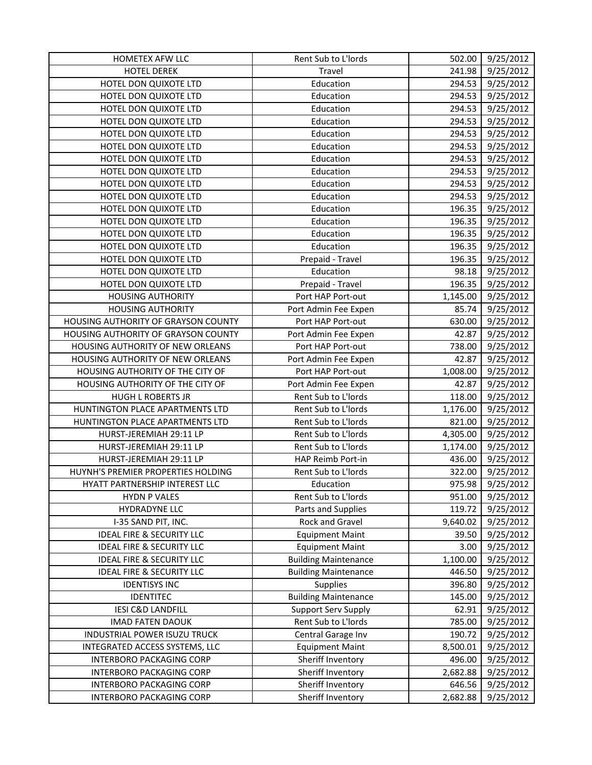| HOMETEX AFW LLC                      | Rent Sub to L'Iords         | 502.00   | 9/25/2012 |
|--------------------------------------|-----------------------------|----------|-----------|
| <b>HOTEL DEREK</b>                   | Travel                      | 241.98   | 9/25/2012 |
| HOTEL DON QUIXOTE LTD                | Education                   | 294.53   | 9/25/2012 |
| HOTEL DON QUIXOTE LTD                | Education                   | 294.53   | 9/25/2012 |
| HOTEL DON QUIXOTE LTD                | Education                   | 294.53   | 9/25/2012 |
| HOTEL DON QUIXOTE LTD                | Education                   | 294.53   | 9/25/2012 |
| HOTEL DON QUIXOTE LTD                | Education                   | 294.53   | 9/25/2012 |
| HOTEL DON QUIXOTE LTD                | Education                   | 294.53   | 9/25/2012 |
| HOTEL DON QUIXOTE LTD                | Education                   | 294.53   | 9/25/2012 |
| HOTEL DON QUIXOTE LTD                | Education                   | 294.53   | 9/25/2012 |
| HOTEL DON QUIXOTE LTD                | Education                   | 294.53   | 9/25/2012 |
| HOTEL DON QUIXOTE LTD                | Education                   | 294.53   | 9/25/2012 |
| HOTEL DON QUIXOTE LTD                | Education                   | 196.35   | 9/25/2012 |
| HOTEL DON QUIXOTE LTD                | Education                   | 196.35   | 9/25/2012 |
| HOTEL DON QUIXOTE LTD                | Education                   | 196.35   | 9/25/2012 |
| HOTEL DON QUIXOTE LTD                | Education                   | 196.35   | 9/25/2012 |
| HOTEL DON QUIXOTE LTD                | Prepaid - Travel            | 196.35   | 9/25/2012 |
| HOTEL DON QUIXOTE LTD                | Education                   | 98.18    | 9/25/2012 |
| HOTEL DON QUIXOTE LTD                | Prepaid - Travel            | 196.35   | 9/25/2012 |
| <b>HOUSING AUTHORITY</b>             | Port HAP Port-out           | 1,145.00 | 9/25/2012 |
| <b>HOUSING AUTHORITY</b>             | Port Admin Fee Expen        | 85.74    | 9/25/2012 |
| HOUSING AUTHORITY OF GRAYSON COUNTY  | Port HAP Port-out           | 630.00   | 9/25/2012 |
| HOUSING AUTHORITY OF GRAYSON COUNTY  | Port Admin Fee Expen        | 42.87    | 9/25/2012 |
| HOUSING AUTHORITY OF NEW ORLEANS     | Port HAP Port-out           | 738.00   | 9/25/2012 |
| HOUSING AUTHORITY OF NEW ORLEANS     | Port Admin Fee Expen        | 42.87    | 9/25/2012 |
| HOUSING AUTHORITY OF THE CITY OF     | Port HAP Port-out           | 1,008.00 | 9/25/2012 |
| HOUSING AUTHORITY OF THE CITY OF     | Port Admin Fee Expen        | 42.87    | 9/25/2012 |
| <b>HUGH L ROBERTS JR</b>             | Rent Sub to L'Iords         | 118.00   | 9/25/2012 |
| HUNTINGTON PLACE APARTMENTS LTD      | Rent Sub to L'Iords         | 1,176.00 | 9/25/2012 |
| HUNTINGTON PLACE APARTMENTS LTD      | Rent Sub to L'Iords         | 821.00   | 9/25/2012 |
| HURST-JEREMIAH 29:11 LP              | Rent Sub to L'Iords         | 4,305.00 | 9/25/2012 |
| HURST-JEREMIAH 29:11 LP              | Rent Sub to L'Iords         | 1,174.00 | 9/25/2012 |
| HURST-JEREMIAH 29:11 LP              | HAP Reimb Port-in           | 436.00   | 9/25/2012 |
| HUYNH'S PREMIER PROPERTIES HOLDING   | Rent Sub to L'Iords         | 322.00   | 9/25/2012 |
| HYATT PARTNERSHIP INTEREST LLC       | Education                   | 975.98   | 9/25/2012 |
| <b>HYDN P VALES</b>                  | Rent Sub to L'Iords         | 951.00   | 9/25/2012 |
| HYDRADYNE LLC                        | Parts and Supplies          | 119.72   | 9/25/2012 |
| I-35 SAND PIT, INC.                  | Rock and Gravel             | 9,640.02 | 9/25/2012 |
| <b>IDEAL FIRE &amp; SECURITY LLC</b> | <b>Equipment Maint</b>      | 39.50    | 9/25/2012 |
| <b>IDEAL FIRE &amp; SECURITY LLC</b> | <b>Equipment Maint</b>      | 3.00     | 9/25/2012 |
| <b>IDEAL FIRE &amp; SECURITY LLC</b> | <b>Building Maintenance</b> | 1,100.00 | 9/25/2012 |
| <b>IDEAL FIRE &amp; SECURITY LLC</b> | <b>Building Maintenance</b> | 446.50   | 9/25/2012 |
| <b>IDENTISYS INC</b>                 | <b>Supplies</b>             | 396.80   | 9/25/2012 |
| <b>IDENTITEC</b>                     | <b>Building Maintenance</b> | 145.00   | 9/25/2012 |
| <b>IESI C&amp;D LANDFILL</b>         | <b>Support Serv Supply</b>  | 62.91    | 9/25/2012 |
| <b>IMAD FATEN DAOUK</b>              | Rent Sub to L'Iords         | 785.00   | 9/25/2012 |
| INDUSTRIAL POWER ISUZU TRUCK         | Central Garage Inv          | 190.72   | 9/25/2012 |
| INTEGRATED ACCESS SYSTEMS, LLC       | <b>Equipment Maint</b>      | 8,500.01 | 9/25/2012 |
| <b>INTERBORO PACKAGING CORP</b>      | Sheriff Inventory           | 496.00   | 9/25/2012 |
| <b>INTERBORO PACKAGING CORP</b>      | Sheriff Inventory           | 2,682.88 | 9/25/2012 |
| <b>INTERBORO PACKAGING CORP</b>      | Sheriff Inventory           | 646.56   | 9/25/2012 |
| <b>INTERBORO PACKAGING CORP</b>      | Sheriff Inventory           | 2,682.88 | 9/25/2012 |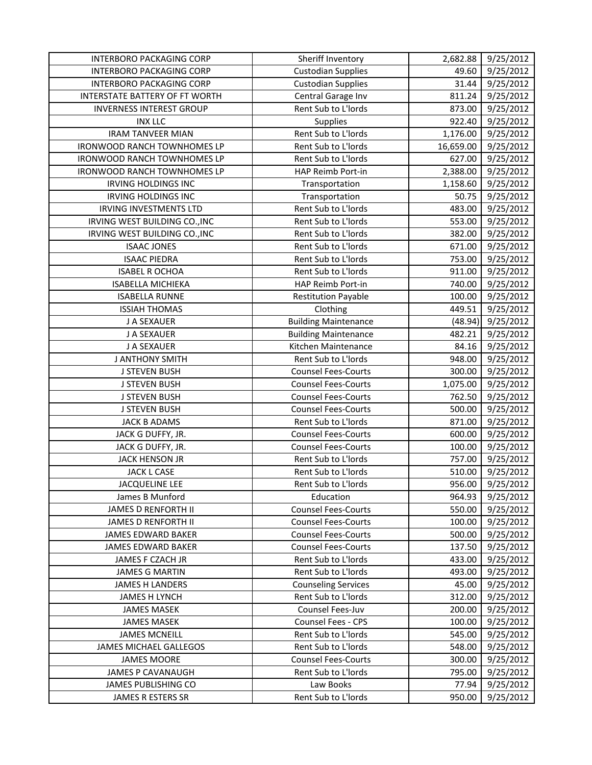| <b>INTERBORO PACKAGING CORP</b>    | Sheriff Inventory           | 2,682.88  | 9/25/2012 |
|------------------------------------|-----------------------------|-----------|-----------|
| <b>INTERBORO PACKAGING CORP</b>    | <b>Custodian Supplies</b>   | 49.60     | 9/25/2012 |
| INTERBORO PACKAGING CORP           | <b>Custodian Supplies</b>   | 31.44     | 9/25/2012 |
| INTERSTATE BATTERY OF FT WORTH     | Central Garage Inv          | 811.24    | 9/25/2012 |
| <b>INVERNESS INTEREST GROUP</b>    | Rent Sub to L'Iords         | 873.00    | 9/25/2012 |
| <b>INX LLC</b>                     | Supplies                    | 922.40    | 9/25/2012 |
| <b>IRAM TANVEER MIAN</b>           | Rent Sub to L'Iords         | 1,176.00  | 9/25/2012 |
| <b>IRONWOOD RANCH TOWNHOMES LP</b> | Rent Sub to L'Iords         | 16,659.00 | 9/25/2012 |
| <b>IRONWOOD RANCH TOWNHOMES LP</b> | Rent Sub to L'Iords         | 627.00    | 9/25/2012 |
| <b>IRONWOOD RANCH TOWNHOMES LP</b> | HAP Reimb Port-in           | 2,388.00  | 9/25/2012 |
| <b>IRVING HOLDINGS INC</b>         | Transportation              | 1,158.60  | 9/25/2012 |
| <b>IRVING HOLDINGS INC</b>         | Transportation              | 50.75     | 9/25/2012 |
| <b>IRVING INVESTMENTS LTD</b>      | Rent Sub to L'Iords         | 483.00    | 9/25/2012 |
| IRVING WEST BUILDING CO., INC      | Rent Sub to L'Iords         | 553.00    | 9/25/2012 |
| IRVING WEST BUILDING CO., INC      | Rent Sub to L'Iords         | 382.00    | 9/25/2012 |
| <b>ISAAC JONES</b>                 | Rent Sub to L'Iords         | 671.00    | 9/25/2012 |
| <b>ISAAC PIEDRA</b>                | Rent Sub to L'Iords         | 753.00    | 9/25/2012 |
| <b>ISABEL R OCHOA</b>              | Rent Sub to L'Iords         | 911.00    | 9/25/2012 |
| <b>ISABELLA MICHIEKA</b>           | HAP Reimb Port-in           | 740.00    | 9/25/2012 |
| <b>ISABELLA RUNNE</b>              | <b>Restitution Payable</b>  | 100.00    | 9/25/2012 |
| <b>ISSIAH THOMAS</b>               | Clothing                    | 449.51    | 9/25/2012 |
| J A SEXAUER                        | <b>Building Maintenance</b> | (48.94)   | 9/25/2012 |
| J A SEXAUER                        | <b>Building Maintenance</b> | 482.21    | 9/25/2012 |
| J A SEXAUER                        | Kitchen Maintenance         | 84.16     | 9/25/2012 |
| <b>J ANTHONY SMITH</b>             | Rent Sub to L'Iords         | 948.00    | 9/25/2012 |
| <b>J STEVEN BUSH</b>               | <b>Counsel Fees-Courts</b>  | 300.00    | 9/25/2012 |
| <b>J STEVEN BUSH</b>               | <b>Counsel Fees-Courts</b>  | 1,075.00  | 9/25/2012 |
| <b>J STEVEN BUSH</b>               | <b>Counsel Fees-Courts</b>  | 762.50    | 9/25/2012 |
| <b>J STEVEN BUSH</b>               | <b>Counsel Fees-Courts</b>  | 500.00    | 9/25/2012 |
| <b>JACK B ADAMS</b>                | Rent Sub to L'Iords         | 871.00    | 9/25/2012 |
| JACK G DUFFY, JR.                  | <b>Counsel Fees-Courts</b>  | 600.00    | 9/25/2012 |
| JACK G DUFFY, JR.                  | <b>Counsel Fees-Courts</b>  | 100.00    | 9/25/2012 |
| <b>JACK HENSON JR</b>              | Rent Sub to L'Iords         | 757.00    | 9/25/2012 |
| <b>JACK L CASE</b>                 | Rent Sub to L'Iords         | 510.00    | 9/25/2012 |
| <b>JACQUELINE LEE</b>              | Rent Sub to L'Iords         | 956.00    | 9/25/2012 |
| James B Munford                    | Education                   | 964.93    | 9/25/2012 |
| <b>JAMES D RENFORTH II</b>         | <b>Counsel Fees-Courts</b>  | 550.00    | 9/25/2012 |
| <b>JAMES D RENFORTH II</b>         | <b>Counsel Fees-Courts</b>  | 100.00    | 9/25/2012 |
| JAMES EDWARD BAKER                 | <b>Counsel Fees-Courts</b>  | 500.00    | 9/25/2012 |
| <b>JAMES EDWARD BAKER</b>          | <b>Counsel Fees-Courts</b>  | 137.50    | 9/25/2012 |
| JAMES F CZACH JR                   | Rent Sub to L'Iords         | 433.00    | 9/25/2012 |
| <b>JAMES G MARTIN</b>              | Rent Sub to L'Iords         | 493.00    | 9/25/2012 |
| <b>JAMES H LANDERS</b>             | <b>Counseling Services</b>  | 45.00     | 9/25/2012 |
| <b>JAMES H LYNCH</b>               | Rent Sub to L'Iords         | 312.00    | 9/25/2012 |
| <b>JAMES MASEK</b>                 | Counsel Fees-Juv            | 200.00    | 9/25/2012 |
| <b>JAMES MASEK</b>                 | Counsel Fees - CPS          | 100.00    | 9/25/2012 |
| <b>JAMES MCNEILL</b>               | Rent Sub to L'Iords         | 545.00    | 9/25/2012 |
| <b>JAMES MICHAEL GALLEGOS</b>      | Rent Sub to L'Iords         | 548.00    | 9/25/2012 |
| <b>JAMES MOORE</b>                 | <b>Counsel Fees-Courts</b>  | 300.00    | 9/25/2012 |
| JAMES P CAVANAUGH                  | Rent Sub to L'Iords         | 795.00    | 9/25/2012 |
| <b>JAMES PUBLISHING CO</b>         | Law Books                   | 77.94     | 9/25/2012 |
| JAMES R ESTERS SR                  | Rent Sub to L'Iords         | 950.00    | 9/25/2012 |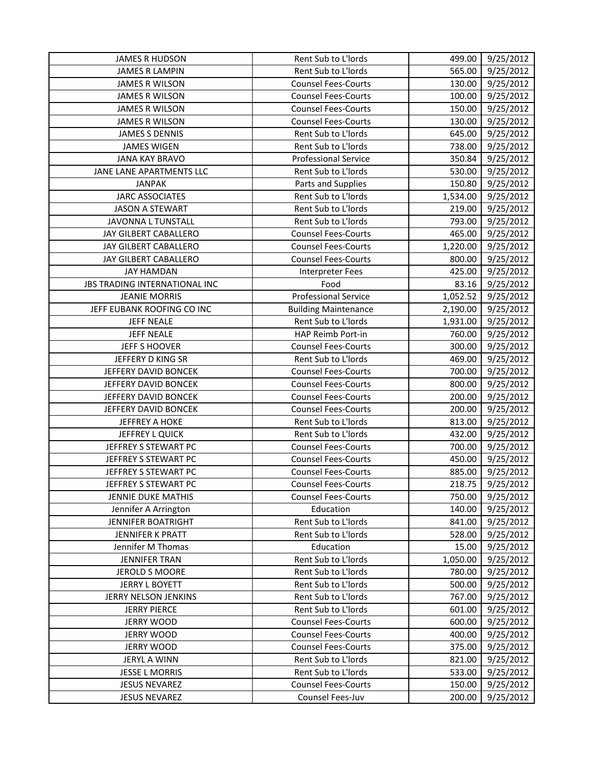| <b>JAMES R HUDSON</b>                | Rent Sub to L'Iords         | 499.00   | 9/25/2012        |
|--------------------------------------|-----------------------------|----------|------------------|
| <b>JAMES R LAMPIN</b>                | Rent Sub to L'Iords         | 565.00   | 9/25/2012        |
| JAMES R WILSON                       | <b>Counsel Fees-Courts</b>  | 130.00   | 9/25/2012        |
| <b>JAMES R WILSON</b>                | <b>Counsel Fees-Courts</b>  | 100.00   | 9/25/2012        |
| JAMES R WILSON                       | <b>Counsel Fees-Courts</b>  | 150.00   | 9/25/2012        |
| JAMES R WILSON                       | <b>Counsel Fees-Courts</b>  | 130.00   | 9/25/2012        |
| <b>JAMES S DENNIS</b>                | Rent Sub to L'Iords         | 645.00   | 9/25/2012        |
| <b>JAMES WIGEN</b>                   | Rent Sub to L'Iords         | 738.00   | 9/25/2012        |
| <b>JANA KAY BRAVO</b>                | <b>Professional Service</b> | 350.84   | 9/25/2012        |
| JANE LANE APARTMENTS LLC             | Rent Sub to L'Iords         | 530.00   | 9/25/2012        |
| <b>JANPAK</b>                        | Parts and Supplies          | 150.80   | 9/25/2012        |
| <b>JARC ASSOCIATES</b>               | Rent Sub to L'Iords         | 1,534.00 | 9/25/2012        |
| <b>JASON A STEWART</b>               | Rent Sub to L'Iords         | 219.00   | 9/25/2012        |
| JAVONNA L TUNSTALL                   | Rent Sub to L'Iords         | 793.00   | 9/25/2012        |
| JAY GILBERT CABALLERO                | <b>Counsel Fees-Courts</b>  | 465.00   | 9/25/2012        |
| JAY GILBERT CABALLERO                | <b>Counsel Fees-Courts</b>  | 1,220.00 | 9/25/2012        |
| JAY GILBERT CABALLERO                | <b>Counsel Fees-Courts</b>  | 800.00   | 9/25/2012        |
| <b>JAY HAMDAN</b>                    | Interpreter Fees            | 425.00   | 9/25/2012        |
| <b>JBS TRADING INTERNATIONAL INC</b> | Food                        | 83.16    | 9/25/2012        |
| <b>JEANIE MORRIS</b>                 | <b>Professional Service</b> | 1,052.52 | 9/25/2012        |
| JEFF EUBANK ROOFING CO INC           | <b>Building Maintenance</b> | 2,190.00 | 9/25/2012        |
| <b>JEFF NEALE</b>                    | Rent Sub to L'Iords         | 1,931.00 | 9/25/2012        |
| <b>JEFF NEALE</b>                    | HAP Reimb Port-in           | 760.00   | 9/25/2012        |
| JEFF S HOOVER                        | <b>Counsel Fees-Courts</b>  | 300.00   | 9/25/2012        |
| JEFFERY D KING SR                    | Rent Sub to L'Iords         | 469.00   | 9/25/2012        |
| JEFFERY DAVID BONCEK                 | <b>Counsel Fees-Courts</b>  | 700.00   | 9/25/2012        |
| JEFFERY DAVID BONCEK                 | <b>Counsel Fees-Courts</b>  | 800.00   | 9/25/2012        |
| JEFFERY DAVID BONCEK                 | <b>Counsel Fees-Courts</b>  | 200.00   | 9/25/2012        |
| JEFFERY DAVID BONCEK                 | <b>Counsel Fees-Courts</b>  | 200.00   | 9/25/2012        |
| <b>JEFFREY A HOKE</b>                | Rent Sub to L'Iords         | 813.00   | 9/25/2012        |
| JEFFREY L QUICK                      | Rent Sub to L'Iords         | 432.00   | 9/25/2012        |
| JEFFREY S STEWART PC                 | <b>Counsel Fees-Courts</b>  | 700.00   | 9/25/2012        |
| JEFFREY S STEWART PC                 | <b>Counsel Fees-Courts</b>  | 450.00   | 9/25/2012        |
| JEFFREY S STEWART PC                 | <b>Counsel Fees-Courts</b>  | 885.00   | 9/25/2012        |
| JEFFREY S STEWART PC                 | <b>Counsel Fees-Courts</b>  |          | 218.75 9/25/2012 |
| JENNIE DUKE MATHIS                   | <b>Counsel Fees-Courts</b>  | 750.00   | 9/25/2012        |
| Jennifer A Arrington                 | Education                   | 140.00   | 9/25/2012        |
| <b>JENNIFER BOATRIGHT</b>            | Rent Sub to L'Iords         | 841.00   | 9/25/2012        |
| JENNIFER K PRATT                     | Rent Sub to L'Iords         | 528.00   | 9/25/2012        |
| Jennifer M Thomas                    | Education                   | 15.00    | 9/25/2012        |
| <b>JENNIFER TRAN</b>                 | Rent Sub to L'Iords         | 1,050.00 | 9/25/2012        |
| <b>JEROLD S MOORE</b>                | Rent Sub to L'Iords         | 780.00   | 9/25/2012        |
| <b>JERRY L BOYETT</b>                | Rent Sub to L'Iords         | 500.00   | 9/25/2012        |
| JERRY NELSON JENKINS                 | Rent Sub to L'Iords         | 767.00   | 9/25/2012        |
| <b>JERRY PIERCE</b>                  | Rent Sub to L'Iords         | 601.00   | 9/25/2012        |
| <b>JERRY WOOD</b>                    | <b>Counsel Fees-Courts</b>  | 600.00   | 9/25/2012        |
| <b>JERRY WOOD</b>                    | <b>Counsel Fees-Courts</b>  | 400.00   | 9/25/2012        |
| <b>JERRY WOOD</b>                    | <b>Counsel Fees-Courts</b>  | 375.00   | 9/25/2012        |
| <b>JERYL A WINN</b>                  | Rent Sub to L'Iords         | 821.00   | 9/25/2012        |
| JESSE L MORRIS                       | Rent Sub to L'Iords         | 533.00   | 9/25/2012        |
| <b>JESUS NEVAREZ</b>                 | <b>Counsel Fees-Courts</b>  | 150.00   | 9/25/2012        |
| <b>JESUS NEVAREZ</b>                 | Counsel Fees-Juv            | 200.00   | 9/25/2012        |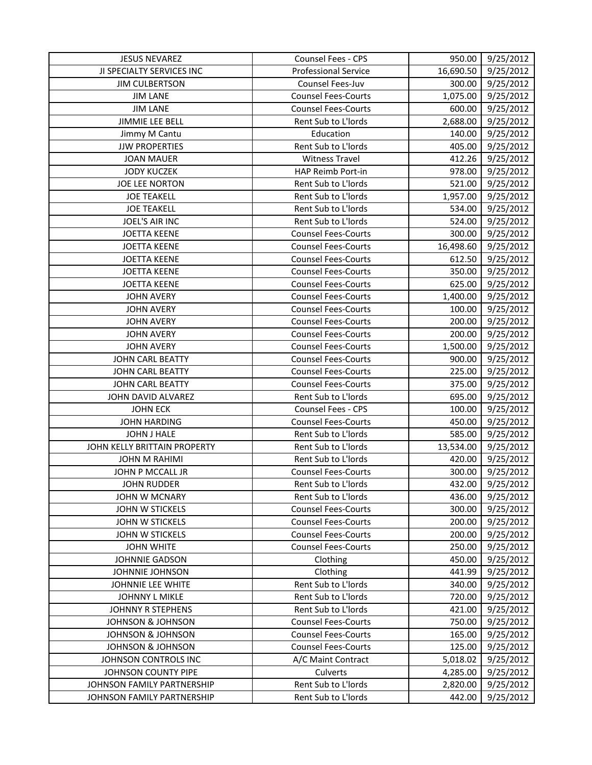| <b>JESUS NEVAREZ</b>         | <b>Counsel Fees - CPS</b>   | 950.00    | 9/25/2012 |
|------------------------------|-----------------------------|-----------|-----------|
| JI SPECIALTY SERVICES INC    | <b>Professional Service</b> | 16,690.50 | 9/25/2012 |
| <b>JIM CULBERTSON</b>        | Counsel Fees-Juv            | 300.00    | 9/25/2012 |
| <b>JIM LANE</b>              | <b>Counsel Fees-Courts</b>  | 1,075.00  | 9/25/2012 |
| <b>JIM LANE</b>              | <b>Counsel Fees-Courts</b>  | 600.00    | 9/25/2012 |
| JIMMIE LEE BELL              | Rent Sub to L'Iords         | 2,688.00  | 9/25/2012 |
| Jimmy M Cantu                | Education                   | 140.00    | 9/25/2012 |
| <b>JJW PROPERTIES</b>        | Rent Sub to L'Iords         | 405.00    | 9/25/2012 |
| <b>JOAN MAUER</b>            | <b>Witness Travel</b>       | 412.26    | 9/25/2012 |
| <b>JODY KUCZEK</b>           | HAP Reimb Port-in           | 978.00    | 9/25/2012 |
| <b>JOE LEE NORTON</b>        | Rent Sub to L'Iords         | 521.00    | 9/25/2012 |
| <b>JOE TEAKELL</b>           | Rent Sub to L'Iords         | 1,957.00  | 9/25/2012 |
| <b>JOE TEAKELL</b>           | Rent Sub to L'Iords         | 534.00    | 9/25/2012 |
| JOEL'S AIR INC               | Rent Sub to L'Iords         | 524.00    | 9/25/2012 |
| <b>JOETTA KEENE</b>          | <b>Counsel Fees-Courts</b>  | 300.00    | 9/25/2012 |
| <b>JOETTA KEENE</b>          | <b>Counsel Fees-Courts</b>  | 16,498.60 | 9/25/2012 |
| <b>JOETTA KEENE</b>          | <b>Counsel Fees-Courts</b>  | 612.50    | 9/25/2012 |
| <b>JOETTA KEENE</b>          | <b>Counsel Fees-Courts</b>  | 350.00    | 9/25/2012 |
| <b>JOETTA KEENE</b>          | <b>Counsel Fees-Courts</b>  | 625.00    | 9/25/2012 |
| <b>JOHN AVERY</b>            | <b>Counsel Fees-Courts</b>  | 1,400.00  | 9/25/2012 |
| <b>JOHN AVERY</b>            | <b>Counsel Fees-Courts</b>  | 100.00    | 9/25/2012 |
| <b>JOHN AVERY</b>            | <b>Counsel Fees-Courts</b>  | 200.00    | 9/25/2012 |
| <b>JOHN AVERY</b>            | <b>Counsel Fees-Courts</b>  | 200.00    | 9/25/2012 |
| <b>JOHN AVERY</b>            | <b>Counsel Fees-Courts</b>  | 1,500.00  | 9/25/2012 |
| JOHN CARL BEATTY             | <b>Counsel Fees-Courts</b>  | 900.00    | 9/25/2012 |
| JOHN CARL BEATTY             | <b>Counsel Fees-Courts</b>  | 225.00    | 9/25/2012 |
| <b>JOHN CARL BEATTY</b>      | <b>Counsel Fees-Courts</b>  | 375.00    | 9/25/2012 |
| JOHN DAVID ALVAREZ           | Rent Sub to L'Iords         | 695.00    | 9/25/2012 |
| <b>JOHN ECK</b>              | Counsel Fees - CPS          | 100.00    | 9/25/2012 |
| <b>JOHN HARDING</b>          | <b>Counsel Fees-Courts</b>  | 450.00    | 9/25/2012 |
| JOHN J HALE                  | Rent Sub to L'Iords         | 585.00    | 9/25/2012 |
| JOHN KELLY BRITTAIN PROPERTY | Rent Sub to L'Iords         | 13,534.00 | 9/25/2012 |
| JOHN M RAHIMI                | Rent Sub to L'Iords         | 420.00    | 9/25/2012 |
| JOHN P MCCALL JR             | <b>Counsel Fees-Courts</b>  | 300.00    | 9/25/2012 |
| <b>JOHN RUDDER</b>           | Rent Sub to L'Iords         | 432.00    | 9/25/2012 |
| JOHN W MCNARY                | Rent Sub to L'Iords         | 436.00    | 9/25/2012 |
| JOHN W STICKELS              | <b>Counsel Fees-Courts</b>  | 300.00    | 9/25/2012 |
| JOHN W STICKELS              | <b>Counsel Fees-Courts</b>  | 200.00    | 9/25/2012 |
| JOHN W STICKELS              | <b>Counsel Fees-Courts</b>  | 200.00    | 9/25/2012 |
| <b>JOHN WHITE</b>            | <b>Counsel Fees-Courts</b>  | 250.00    | 9/25/2012 |
| <b>JOHNNIE GADSON</b>        | Clothing                    | 450.00    | 9/25/2012 |
| JOHNNIE JOHNSON              | Clothing                    | 441.99    | 9/25/2012 |
| <b>JOHNNIE LEE WHITE</b>     | Rent Sub to L'Iords         | 340.00    | 9/25/2012 |
| JOHNNY L MIKLE               | Rent Sub to L'Iords         | 720.00    | 9/25/2012 |
| <b>JOHNNY R STEPHENS</b>     | Rent Sub to L'Iords         | 421.00    | 9/25/2012 |
| <b>JOHNSON &amp; JOHNSON</b> | <b>Counsel Fees-Courts</b>  | 750.00    | 9/25/2012 |
| <b>JOHNSON &amp; JOHNSON</b> | <b>Counsel Fees-Courts</b>  | 165.00    | 9/25/2012 |
| <b>JOHNSON &amp; JOHNSON</b> | <b>Counsel Fees-Courts</b>  | 125.00    | 9/25/2012 |
| JOHNSON CONTROLS INC         | A/C Maint Contract          | 5,018.02  | 9/25/2012 |
| JOHNSON COUNTY PIPE          | Culverts                    | 4,285.00  | 9/25/2012 |
| JOHNSON FAMILY PARTNERSHIP   | Rent Sub to L'Iords         | 2,820.00  | 9/25/2012 |
| JOHNSON FAMILY PARTNERSHIP   | Rent Sub to L'Iords         | 442.00    | 9/25/2012 |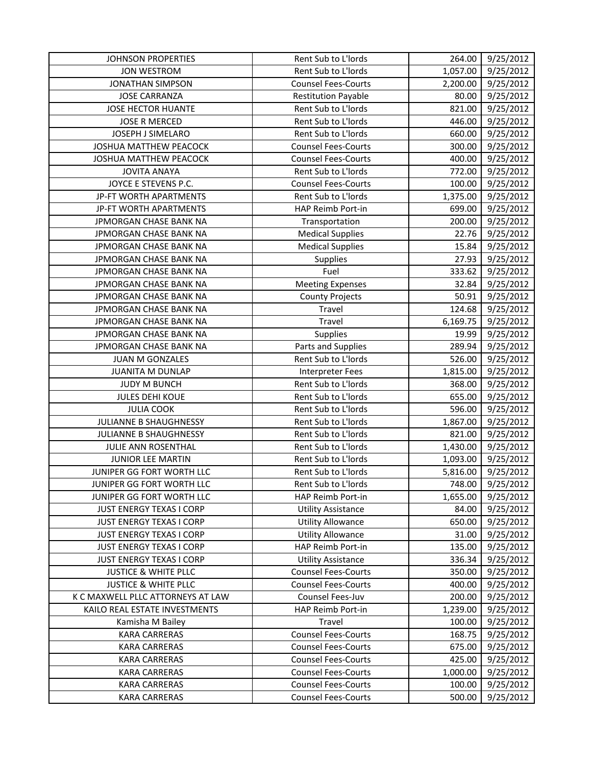| <b>JOHNSON PROPERTIES</b>         | Rent Sub to L'Iords        | 264.00   | 9/25/2012 |
|-----------------------------------|----------------------------|----------|-----------|
| <b>JON WESTROM</b>                | Rent Sub to L'Iords        | 1,057.00 | 9/25/2012 |
| <b>JONATHAN SIMPSON</b>           | <b>Counsel Fees-Courts</b> | 2,200.00 | 9/25/2012 |
| <b>JOSE CARRANZA</b>              | <b>Restitution Payable</b> | 80.00    | 9/25/2012 |
| <b>JOSE HECTOR HUANTE</b>         | Rent Sub to L'Iords        | 821.00   | 9/25/2012 |
| <b>JOSE R MERCED</b>              | Rent Sub to L'Iords        | 446.00   | 9/25/2012 |
| JOSEPH J SIMELARO                 | Rent Sub to L'Iords        | 660.00   | 9/25/2012 |
| <b>JOSHUA MATTHEW PEACOCK</b>     | <b>Counsel Fees-Courts</b> | 300.00   | 9/25/2012 |
| JOSHUA MATTHEW PEACOCK            | <b>Counsel Fees-Courts</b> | 400.00   | 9/25/2012 |
| <b>JOVITA ANAYA</b>               | Rent Sub to L'Iords        | 772.00   | 9/25/2012 |
| JOYCE E STEVENS P.C.              | <b>Counsel Fees-Courts</b> | 100.00   | 9/25/2012 |
| JP-FT WORTH APARTMENTS            | Rent Sub to L'Iords        | 1,375.00 | 9/25/2012 |
| JP-FT WORTH APARTMENTS            | HAP Reimb Port-in          | 699.00   | 9/25/2012 |
| JPMORGAN CHASE BANK NA            | Transportation             | 200.00   | 9/25/2012 |
| JPMORGAN CHASE BANK NA            | <b>Medical Supplies</b>    | 22.76    | 9/25/2012 |
| <b>JPMORGAN CHASE BANK NA</b>     | <b>Medical Supplies</b>    | 15.84    | 9/25/2012 |
| JPMORGAN CHASE BANK NA            | Supplies                   | 27.93    | 9/25/2012 |
| JPMORGAN CHASE BANK NA            | Fuel                       | 333.62   | 9/25/2012 |
| JPMORGAN CHASE BANK NA            | <b>Meeting Expenses</b>    | 32.84    | 9/25/2012 |
| JPMORGAN CHASE BANK NA            | <b>County Projects</b>     | 50.91    | 9/25/2012 |
| JPMORGAN CHASE BANK NA            | Travel                     | 124.68   | 9/25/2012 |
| JPMORGAN CHASE BANK NA            | <b>Travel</b>              | 6,169.75 | 9/25/2012 |
| JPMORGAN CHASE BANK NA            | Supplies                   | 19.99    | 9/25/2012 |
| JPMORGAN CHASE BANK NA            | Parts and Supplies         | 289.94   | 9/25/2012 |
| <b>JUAN M GONZALES</b>            | Rent Sub to L'Iords        | 526.00   | 9/25/2012 |
| <b>JUANITA M DUNLAP</b>           | <b>Interpreter Fees</b>    | 1,815.00 | 9/25/2012 |
| <b>JUDY M BUNCH</b>               | Rent Sub to L'Iords        | 368.00   | 9/25/2012 |
| <b>JULES DEHI KOUE</b>            | Rent Sub to L'Iords        | 655.00   | 9/25/2012 |
| <b>JULIA COOK</b>                 | Rent Sub to L'Iords        | 596.00   | 9/25/2012 |
| JULIANNE B SHAUGHNESSY            | Rent Sub to L'Iords        | 1,867.00 | 9/25/2012 |
| JULIANNE B SHAUGHNESSY            | Rent Sub to L'Iords        | 821.00   | 9/25/2012 |
| JULIE ANN ROSENTHAL               | Rent Sub to L'Iords        | 1,430.00 | 9/25/2012 |
| <b>JUNIOR LEE MARTIN</b>          | Rent Sub to L'Iords        | 1,093.00 | 9/25/2012 |
| JUNIPER GG FORT WORTH LLC         | Rent Sub to L'Iords        | 5,816.00 | 9/25/2012 |
| JUNIPER GG FORT WORTH LLC         | Rent Sub to L'Iords        | 748.00   | 9/25/2012 |
| JUNIPER GG FORT WORTH LLC         | HAP Reimb Port-in          | 1,655.00 | 9/25/2012 |
| JUST ENERGY TEXAS I CORP          | <b>Utility Assistance</b>  | 84.00    | 9/25/2012 |
| <b>JUST ENERGY TEXAS I CORP</b>   | <b>Utility Allowance</b>   | 650.00   | 9/25/2012 |
| <b>JUST ENERGY TEXAS I CORP</b>   | <b>Utility Allowance</b>   | 31.00    | 9/25/2012 |
| <b>JUST ENERGY TEXAS I CORP</b>   | HAP Reimb Port-in          | 135.00   | 9/25/2012 |
| JUST ENERGY TEXAS I CORP          | <b>Utility Assistance</b>  | 336.34   | 9/25/2012 |
| <b>JUSTICE &amp; WHITE PLLC</b>   | <b>Counsel Fees-Courts</b> | 350.00   | 9/25/2012 |
| <b>JUSTICE &amp; WHITE PLLC</b>   | <b>Counsel Fees-Courts</b> | 400.00   | 9/25/2012 |
| K C MAXWELL PLLC ATTORNEYS AT LAW | Counsel Fees-Juv           | 200.00   | 9/25/2012 |
| KAILO REAL ESTATE INVESTMENTS     | HAP Reimb Port-in          | 1,239.00 | 9/25/2012 |
| Kamisha M Bailey                  | Travel                     | 100.00   | 9/25/2012 |
| <b>KARA CARRERAS</b>              | <b>Counsel Fees-Courts</b> | 168.75   | 9/25/2012 |
| <b>KARA CARRERAS</b>              | <b>Counsel Fees-Courts</b> | 675.00   | 9/25/2012 |
| <b>KARA CARRERAS</b>              | <b>Counsel Fees-Courts</b> | 425.00   | 9/25/2012 |
| KARA CARRERAS                     | <b>Counsel Fees-Courts</b> | 1,000.00 | 9/25/2012 |
| <b>KARA CARRERAS</b>              | <b>Counsel Fees-Courts</b> | 100.00   | 9/25/2012 |
| <b>KARA CARRERAS</b>              | <b>Counsel Fees-Courts</b> | 500.00   | 9/25/2012 |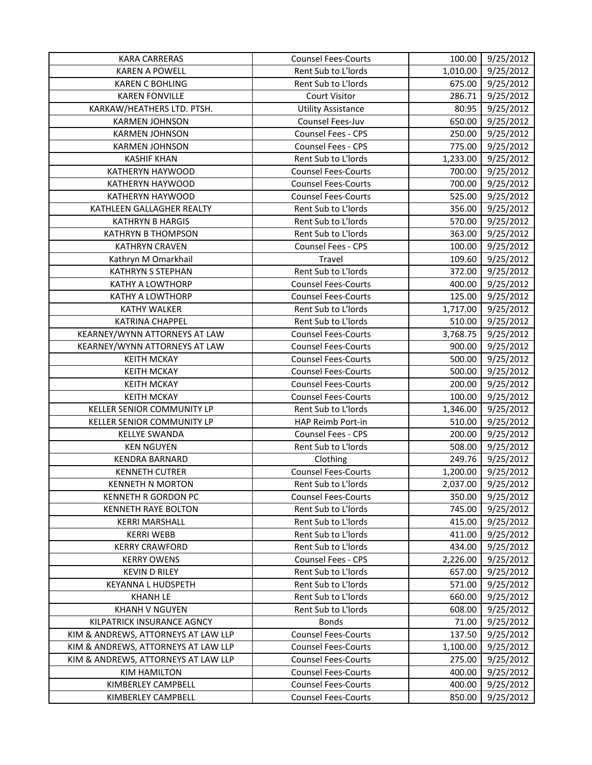| <b>KARA CARRERAS</b>                | <b>Counsel Fees-Courts</b> | 100.00   | 9/25/2012 |
|-------------------------------------|----------------------------|----------|-----------|
| <b>KAREN A POWELL</b>               | Rent Sub to L'Iords        | 1,010.00 | 9/25/2012 |
| <b>KAREN C BOHLING</b>              | Rent Sub to L'Iords        | 675.00   | 9/25/2012 |
| <b>KAREN FONVILLE</b>               | <b>Court Visitor</b>       | 286.71   | 9/25/2012 |
| KARKAW/HEATHERS LTD. PTSH.          | <b>Utility Assistance</b>  | 80.95    | 9/25/2012 |
| <b>KARMEN JOHNSON</b>               | Counsel Fees-Juv           | 650.00   | 9/25/2012 |
| <b>KARMEN JOHNSON</b>               | Counsel Fees - CPS         | 250.00   | 9/25/2012 |
| <b>KARMEN JOHNSON</b>               | <b>Counsel Fees - CPS</b>  | 775.00   | 9/25/2012 |
| <b>KASHIF KHAN</b>                  | Rent Sub to L'Iords        | 1,233.00 | 9/25/2012 |
| KATHERYN HAYWOOD                    | <b>Counsel Fees-Courts</b> | 700.00   | 9/25/2012 |
| KATHERYN HAYWOOD                    | <b>Counsel Fees-Courts</b> | 700.00   | 9/25/2012 |
| KATHERYN HAYWOOD                    | <b>Counsel Fees-Courts</b> | 525.00   | 9/25/2012 |
| KATHLEEN GALLAGHER REALTY           | Rent Sub to L'Iords        | 356.00   | 9/25/2012 |
| <b>KATHRYN B HARGIS</b>             | Rent Sub to L'Iords        | 570.00   | 9/25/2012 |
| <b>KATHRYN B THOMPSON</b>           | Rent Sub to L'Iords        | 363.00   | 9/25/2012 |
| <b>KATHRYN CRAVEN</b>               | Counsel Fees - CPS         | 100.00   | 9/25/2012 |
| Kathryn M Omarkhail                 | Travel                     | 109.60   | 9/25/2012 |
| <b>KATHRYN S STEPHAN</b>            | Rent Sub to L'Iords        | 372.00   | 9/25/2012 |
| <b>KATHY A LOWTHORP</b>             | <b>Counsel Fees-Courts</b> | 400.00   | 9/25/2012 |
| KATHY A LOWTHORP                    | <b>Counsel Fees-Courts</b> | 125.00   | 9/25/2012 |
| <b>KATHY WALKER</b>                 | Rent Sub to L'Iords        | 1,717.00 | 9/25/2012 |
| <b>KATRINA CHAPPEL</b>              | Rent Sub to L'Iords        | 510.00   | 9/25/2012 |
| KEARNEY/WYNN ATTORNEYS AT LAW       | <b>Counsel Fees-Courts</b> | 3,768.75 | 9/25/2012 |
| KEARNEY/WYNN ATTORNEYS AT LAW       | <b>Counsel Fees-Courts</b> | 900.00   | 9/25/2012 |
| <b>KEITH MCKAY</b>                  | <b>Counsel Fees-Courts</b> | 500.00   | 9/25/2012 |
| <b>KEITH MCKAY</b>                  | <b>Counsel Fees-Courts</b> | 500.00   | 9/25/2012 |
| <b>KEITH MCKAY</b>                  | <b>Counsel Fees-Courts</b> | 200.00   | 9/25/2012 |
| <b>KEITH MCKAY</b>                  | <b>Counsel Fees-Courts</b> | 100.00   | 9/25/2012 |
| KELLER SENIOR COMMUNITY LP          | Rent Sub to L'Iords        | 1,346.00 | 9/25/2012 |
| KELLER SENIOR COMMUNITY LP          | HAP Reimb Port-in          | 510.00   | 9/25/2012 |
| <b>KELLYE SWANDA</b>                | Counsel Fees - CPS         | 200.00   | 9/25/2012 |
| <b>KEN NGUYEN</b>                   | Rent Sub to L'Iords        | 508.00   | 9/25/2012 |
| <b>KENDRA BARNARD</b>               | Clothing                   | 249.76   | 9/25/2012 |
| <b>KENNETH CUTRER</b>               | <b>Counsel Fees-Courts</b> | 1,200.00 | 9/25/2012 |
| <b>KENNETH N MORTON</b>             | Rent Sub to L'Iords        | 2,037.00 | 9/25/2012 |
| KENNETH R GORDON PC                 | <b>Counsel Fees-Courts</b> | 350.00   | 9/25/2012 |
| <b>KENNETH RAYE BOLTON</b>          | Rent Sub to L'Iords        | 745.00   | 9/25/2012 |
| <b>KERRI MARSHALL</b>               | Rent Sub to L'Iords        | 415.00   | 9/25/2012 |
| <b>KERRI WEBB</b>                   | Rent Sub to L'Iords        | 411.00   | 9/25/2012 |
| <b>KERRY CRAWFORD</b>               | Rent Sub to L'Iords        | 434.00   | 9/25/2012 |
| <b>KERRY OWENS</b>                  | <b>Counsel Fees - CPS</b>  | 2,226.00 | 9/25/2012 |
| <b>KEVIN D RILEY</b>                | Rent Sub to L'Iords        | 657.00   | 9/25/2012 |
| <b>KEYANNA L HUDSPETH</b>           | Rent Sub to L'Iords        | 571.00   | 9/25/2012 |
| <b>KHANH LE</b>                     | Rent Sub to L'Iords        | 660.00   | 9/25/2012 |
| <b>KHANH V NGUYEN</b>               | Rent Sub to L'Iords        | 608.00   | 9/25/2012 |
| KILPATRICK INSURANCE AGNCY          | <b>Bonds</b>               | 71.00    | 9/25/2012 |
| KIM & ANDREWS, ATTORNEYS AT LAW LLP | <b>Counsel Fees-Courts</b> | 137.50   | 9/25/2012 |
| KIM & ANDREWS, ATTORNEYS AT LAW LLP | <b>Counsel Fees-Courts</b> | 1,100.00 | 9/25/2012 |
| KIM & ANDREWS, ATTORNEYS AT LAW LLP | <b>Counsel Fees-Courts</b> | 275.00   | 9/25/2012 |
| <b>KIM HAMILTON</b>                 | <b>Counsel Fees-Courts</b> | 400.00   | 9/25/2012 |
| KIMBERLEY CAMPBELL                  | <b>Counsel Fees-Courts</b> | 400.00   | 9/25/2012 |
| KIMBERLEY CAMPBELL                  | <b>Counsel Fees-Courts</b> | 850.00   | 9/25/2012 |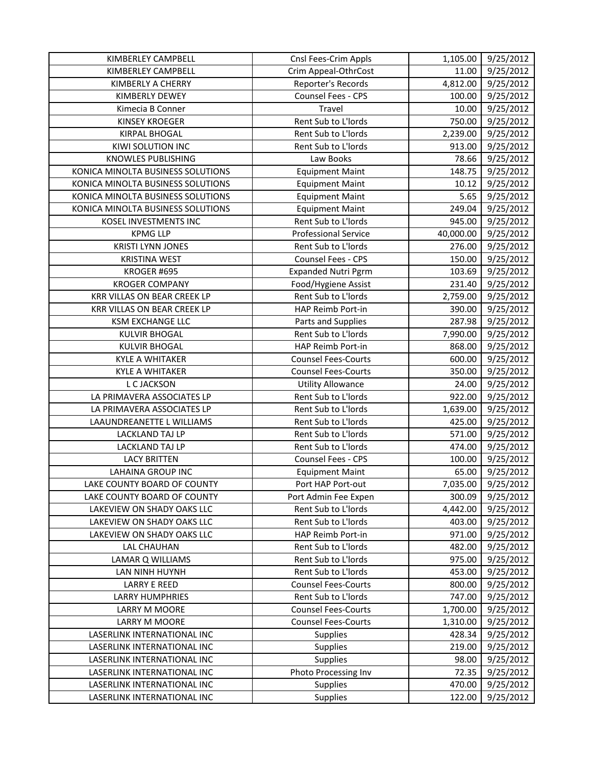| KIMBERLEY CAMPBELL                | Cnsl Fees-Crim Appls        | 1,105.00  | 9/25/2012 |
|-----------------------------------|-----------------------------|-----------|-----------|
| KIMBERLEY CAMPBELL                | Crim Appeal-OthrCost        | 11.00     | 9/25/2012 |
| KIMBERLY A CHERRY                 | Reporter's Records          | 4,812.00  | 9/25/2012 |
| <b>KIMBERLY DEWEY</b>             | Counsel Fees - CPS          | 100.00    | 9/25/2012 |
| Kimecia B Conner                  | Travel                      | 10.00     | 9/25/2012 |
| <b>KINSEY KROEGER</b>             | Rent Sub to L'Iords         | 750.00    | 9/25/2012 |
| <b>KIRPAL BHOGAL</b>              | Rent Sub to L'Iords         | 2,239.00  | 9/25/2012 |
| KIWI SOLUTION INC                 | Rent Sub to L'Iords         | 913.00    | 9/25/2012 |
| <b>KNOWLES PUBLISHING</b>         | Law Books                   | 78.66     | 9/25/2012 |
| KONICA MINOLTA BUSINESS SOLUTIONS | <b>Equipment Maint</b>      | 148.75    | 9/25/2012 |
| KONICA MINOLTA BUSINESS SOLUTIONS | <b>Equipment Maint</b>      | 10.12     | 9/25/2012 |
| KONICA MINOLTA BUSINESS SOLUTIONS | <b>Equipment Maint</b>      | 5.65      | 9/25/2012 |
| KONICA MINOLTA BUSINESS SOLUTIONS | <b>Equipment Maint</b>      | 249.04    | 9/25/2012 |
| KOSEL INVESTMENTS INC             | Rent Sub to L'Iords         | 945.00    | 9/25/2012 |
| <b>KPMG LLP</b>                   | <b>Professional Service</b> | 40,000.00 | 9/25/2012 |
| <b>KRISTI LYNN JONES</b>          | Rent Sub to L'Iords         | 276.00    | 9/25/2012 |
| <b>KRISTINA WEST</b>              | Counsel Fees - CPS          | 150.00    | 9/25/2012 |
| KROGER #695                       | <b>Expanded Nutri Pgrm</b>  | 103.69    | 9/25/2012 |
| <b>KROGER COMPANY</b>             | Food/Hygiene Assist         | 231.40    | 9/25/2012 |
| KRR VILLAS ON BEAR CREEK LP       | Rent Sub to L'Iords         | 2,759.00  | 9/25/2012 |
| KRR VILLAS ON BEAR CREEK LP       | HAP Reimb Port-in           | 390.00    | 9/25/2012 |
| <b>KSM EXCHANGE LLC</b>           | Parts and Supplies          | 287.98    | 9/25/2012 |
| <b>KULVIR BHOGAL</b>              | Rent Sub to L'Iords         | 7,990.00  | 9/25/2012 |
| <b>KULVIR BHOGAL</b>              | HAP Reimb Port-in           | 868.00    | 9/25/2012 |
| <b>KYLE A WHITAKER</b>            | <b>Counsel Fees-Courts</b>  | 600.00    | 9/25/2012 |
| <b>KYLE A WHITAKER</b>            | <b>Counsel Fees-Courts</b>  | 350.00    | 9/25/2012 |
| L C JACKSON                       | <b>Utility Allowance</b>    | 24.00     | 9/25/2012 |
| LA PRIMAVERA ASSOCIATES LP        | Rent Sub to L'Iords         | 922.00    | 9/25/2012 |
| LA PRIMAVERA ASSOCIATES LP        | Rent Sub to L'Iords         | 1,639.00  | 9/25/2012 |
| LAAUNDREANETTE L WILLIAMS         | Rent Sub to L'Iords         | 425.00    | 9/25/2012 |
| LACKLAND TAJ LP                   | Rent Sub to L'Iords         | 571.00    | 9/25/2012 |
| <b>LACKLAND TAJ LP</b>            | Rent Sub to L'Iords         | 474.00    | 9/25/2012 |
| <b>LACY BRITTEN</b>               | Counsel Fees - CPS          | 100.00    | 9/25/2012 |
| <b>LAHAINA GROUP INC</b>          | <b>Equipment Maint</b>      | 65.00     | 9/25/2012 |
| LAKE COUNTY BOARD OF COUNTY       | Port HAP Port-out           | 7,035.00  | 9/25/2012 |
| LAKE COUNTY BOARD OF COUNTY       | Port Admin Fee Expen        | 300.09    | 9/25/2012 |
| LAKEVIEW ON SHADY OAKS LLC        | Rent Sub to L'Iords         | 4,442.00  | 9/25/2012 |
| LAKEVIEW ON SHADY OAKS LLC        | Rent Sub to L'Iords         | 403.00    | 9/25/2012 |
| LAKEVIEW ON SHADY OAKS LLC        | HAP Reimb Port-in           | 971.00    | 9/25/2012 |
| LAL CHAUHAN                       | Rent Sub to L'Iords         | 482.00    | 9/25/2012 |
| LAMAR Q WILLIAMS                  | Rent Sub to L'Iords         | 975.00    | 9/25/2012 |
| LAN NINH HUYNH                    | Rent Sub to L'Iords         | 453.00    | 9/25/2012 |
| <b>LARRY E REED</b>               | <b>Counsel Fees-Courts</b>  | 800.00    | 9/25/2012 |
| <b>LARRY HUMPHRIES</b>            | Rent Sub to L'Iords         | 747.00    | 9/25/2012 |
| <b>LARRY M MOORE</b>              | <b>Counsel Fees-Courts</b>  | 1,700.00  | 9/25/2012 |
| LARRY M MOORE                     | <b>Counsel Fees-Courts</b>  | 1,310.00  | 9/25/2012 |
| LASERLINK INTERNATIONAL INC       | <b>Supplies</b>             | 428.34    | 9/25/2012 |
| LASERLINK INTERNATIONAL INC       | <b>Supplies</b>             | 219.00    | 9/25/2012 |
| LASERLINK INTERNATIONAL INC       | <b>Supplies</b>             | 98.00     | 9/25/2012 |
| LASERLINK INTERNATIONAL INC       | Photo Processing Inv        | 72.35     | 9/25/2012 |
| LASERLINK INTERNATIONAL INC       | Supplies                    | 470.00    | 9/25/2012 |
| LASERLINK INTERNATIONAL INC       | <b>Supplies</b>             | 122.00    | 9/25/2012 |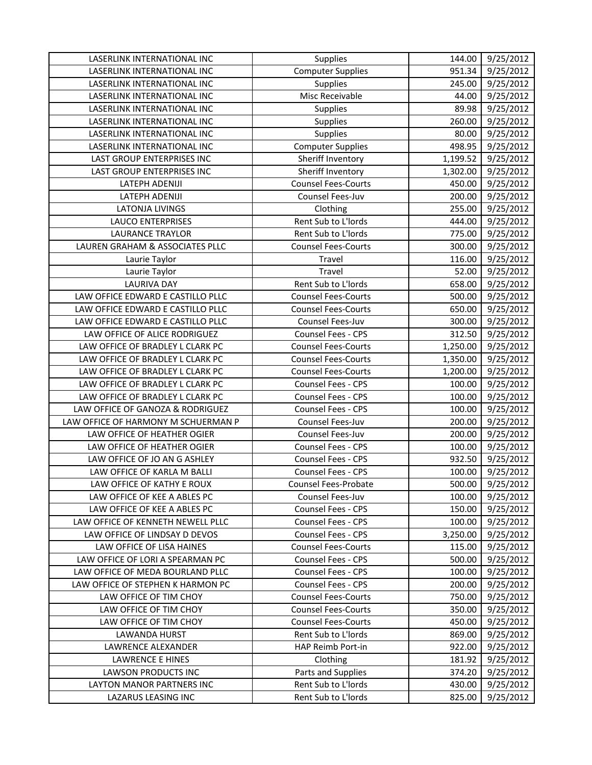| LASERLINK INTERNATIONAL INC         | <b>Supplies</b>            | 144.00   | 9/25/2012 |
|-------------------------------------|----------------------------|----------|-----------|
| LASERLINK INTERNATIONAL INC         | <b>Computer Supplies</b>   | 951.34   | 9/25/2012 |
| LASERLINK INTERNATIONAL INC         | Supplies                   | 245.00   | 9/25/2012 |
| LASERLINK INTERNATIONAL INC         | Misc Receivable            | 44.00    | 9/25/2012 |
| LASERLINK INTERNATIONAL INC         | Supplies                   | 89.98    | 9/25/2012 |
| LASERLINK INTERNATIONAL INC         | Supplies                   | 260.00   | 9/25/2012 |
| LASERLINK INTERNATIONAL INC         | Supplies                   | 80.00    | 9/25/2012 |
| LASERLINK INTERNATIONAL INC         | <b>Computer Supplies</b>   | 498.95   | 9/25/2012 |
| LAST GROUP ENTERPRISES INC          | Sheriff Inventory          | 1,199.52 | 9/25/2012 |
| LAST GROUP ENTERPRISES INC          | Sheriff Inventory          | 1,302.00 | 9/25/2012 |
| LATEPH ADENIJI                      | <b>Counsel Fees-Courts</b> | 450.00   | 9/25/2012 |
| LATEPH ADENIJI                      | Counsel Fees-Juv           | 200.00   | 9/25/2012 |
| <b>LATONJA LIVINGS</b>              | Clothing                   | 255.00   | 9/25/2012 |
| <b>LAUCO ENTERPRISES</b>            | Rent Sub to L'Iords        | 444.00   | 9/25/2012 |
| <b>LAURANCE TRAYLOR</b>             | Rent Sub to L'Iords        | 775.00   | 9/25/2012 |
| LAUREN GRAHAM & ASSOCIATES PLLC     | <b>Counsel Fees-Courts</b> | 300.00   | 9/25/2012 |
| Laurie Taylor                       | Travel                     | 116.00   | 9/25/2012 |
| Laurie Taylor                       | Travel                     | 52.00    | 9/25/2012 |
| <b>LAURIVA DAY</b>                  | Rent Sub to L'Iords        | 658.00   | 9/25/2012 |
| LAW OFFICE EDWARD E CASTILLO PLLC   | <b>Counsel Fees-Courts</b> | 500.00   | 9/25/2012 |
| LAW OFFICE EDWARD E CASTILLO PLLC   | <b>Counsel Fees-Courts</b> | 650.00   | 9/25/2012 |
| LAW OFFICE EDWARD E CASTILLO PLLC   | Counsel Fees-Juv           | 300.00   | 9/25/2012 |
| LAW OFFICE OF ALICE RODRIGUEZ       | Counsel Fees - CPS         | 312.50   | 9/25/2012 |
| LAW OFFICE OF BRADLEY L CLARK PC    | <b>Counsel Fees-Courts</b> | 1,250.00 | 9/25/2012 |
| LAW OFFICE OF BRADLEY L CLARK PC    | <b>Counsel Fees-Courts</b> | 1,350.00 | 9/25/2012 |
| LAW OFFICE OF BRADLEY L CLARK PC    | <b>Counsel Fees-Courts</b> | 1,200.00 | 9/25/2012 |
| LAW OFFICE OF BRADLEY L CLARK PC    | <b>Counsel Fees - CPS</b>  | 100.00   | 9/25/2012 |
| LAW OFFICE OF BRADLEY L CLARK PC    | Counsel Fees - CPS         | 100.00   | 9/25/2012 |
| LAW OFFICE OF GANOZA & RODRIGUEZ    | Counsel Fees - CPS         | 100.00   | 9/25/2012 |
| LAW OFFICE OF HARMONY M SCHUERMAN P | Counsel Fees-Juv           | 200.00   | 9/25/2012 |
| LAW OFFICE OF HEATHER OGIER         | Counsel Fees-Juv           | 200.00   | 9/25/2012 |
| LAW OFFICE OF HEATHER OGIER         | Counsel Fees - CPS         | 100.00   | 9/25/2012 |
| LAW OFFICE OF JO AN G ASHLEY        | <b>Counsel Fees - CPS</b>  | 932.50   | 9/25/2012 |
| LAW OFFICE OF KARLA M BALLI         | Counsel Fees - CPS         | 100.00   | 9/25/2012 |
| LAW OFFICE OF KATHY E ROUX          | Counsel Fees-Probate       | 500.00   | 9/25/2012 |
| LAW OFFICE OF KEE A ABLES PC        | <b>Counsel Fees-Juv</b>    | 100.00   | 9/25/2012 |
| LAW OFFICE OF KEE A ABLES PC        | <b>Counsel Fees - CPS</b>  | 150.00   | 9/25/2012 |
| LAW OFFICE OF KENNETH NEWELL PLLC   | <b>Counsel Fees - CPS</b>  | 100.00   | 9/25/2012 |
| LAW OFFICE OF LINDSAY D DEVOS       | <b>Counsel Fees - CPS</b>  | 3,250.00 | 9/25/2012 |
| LAW OFFICE OF LISA HAINES           | <b>Counsel Fees-Courts</b> | 115.00   | 9/25/2012 |
| LAW OFFICE OF LORI A SPEARMAN PC    | <b>Counsel Fees - CPS</b>  | 500.00   | 9/25/2012 |
| LAW OFFICE OF MEDA BOURLAND PLLC    | <b>Counsel Fees - CPS</b>  | 100.00   | 9/25/2012 |
| LAW OFFICE OF STEPHEN K HARMON PC   | <b>Counsel Fees - CPS</b>  | 200.00   | 9/25/2012 |
| LAW OFFICE OF TIM CHOY              | <b>Counsel Fees-Courts</b> | 750.00   | 9/25/2012 |
| LAW OFFICE OF TIM CHOY              | <b>Counsel Fees-Courts</b> | 350.00   | 9/25/2012 |
| LAW OFFICE OF TIM CHOY              | <b>Counsel Fees-Courts</b> | 450.00   | 9/25/2012 |
| LAWANDA HURST                       | Rent Sub to L'Iords        | 869.00   | 9/25/2012 |
| LAWRENCE ALEXANDER                  | HAP Reimb Port-in          | 922.00   | 9/25/2012 |
| <b>LAWRENCE E HINES</b>             | Clothing                   | 181.92   | 9/25/2012 |
| LAWSON PRODUCTS INC                 | Parts and Supplies         | 374.20   | 9/25/2012 |
| LAYTON MANOR PARTNERS INC           | Rent Sub to L'Iords        | 430.00   | 9/25/2012 |
| LAZARUS LEASING INC                 | Rent Sub to L'Iords        | 825.00   | 9/25/2012 |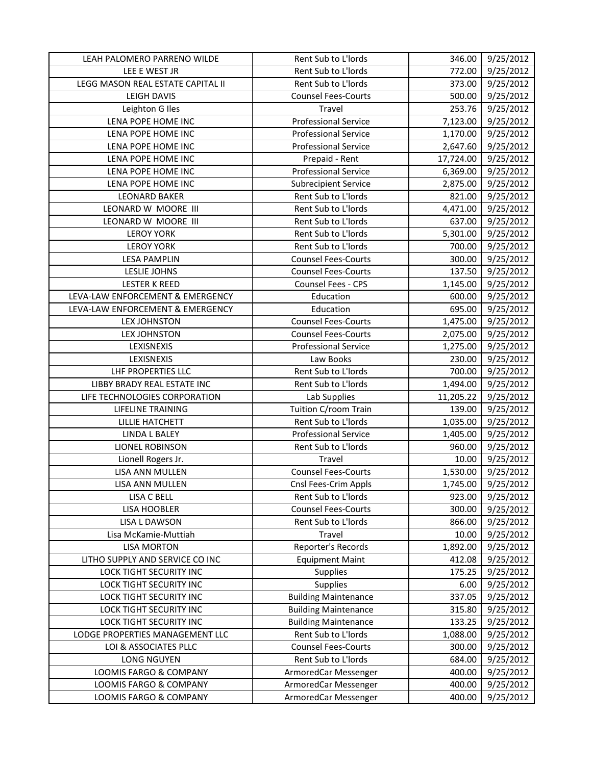| LEAH PALOMERO PARRENO WILDE       | Rent Sub to L'Iords         | 346.00    | 9/25/2012              |
|-----------------------------------|-----------------------------|-----------|------------------------|
| LEE E WEST JR                     | Rent Sub to L'Iords         | 772.00    | 9/25/2012              |
| LEGG MASON REAL ESTATE CAPITAL II | Rent Sub to L'Iords         | 373.00    | 9/25/2012              |
| <b>LEIGH DAVIS</b>                | <b>Counsel Fees-Courts</b>  | 500.00    | 9/25/2012              |
| Leighton G Iles                   | Travel                      | 253.76    | 9/25/2012              |
| LENA POPE HOME INC                | <b>Professional Service</b> | 7,123.00  | 9/25/2012              |
| LENA POPE HOME INC                | <b>Professional Service</b> | 1,170.00  | 9/25/2012              |
| LENA POPE HOME INC                | <b>Professional Service</b> | 2,647.60  | 9/25/2012              |
| LENA POPE HOME INC                | Prepaid - Rent              | 17,724.00 | 9/25/2012              |
| LENA POPE HOME INC                | <b>Professional Service</b> | 6,369.00  | 9/25/2012              |
| LENA POPE HOME INC                | <b>Subrecipient Service</b> | 2,875.00  | 9/25/2012              |
| <b>LEONARD BAKER</b>              | Rent Sub to L'Iords         | 821.00    | 9/25/2012              |
| LEONARD W MOORE III               | Rent Sub to L'Iords         | 4,471.00  | 9/25/2012              |
| LEONARD W MOORE III               | Rent Sub to L'Iords         | 637.00    | 9/25/2012              |
| <b>LEROY YORK</b>                 | Rent Sub to L'Iords         | 5,301.00  | 9/25/2012              |
| <b>LEROY YORK</b>                 | Rent Sub to L'Iords         | 700.00    | 9/25/2012              |
| <b>LESA PAMPLIN</b>               | <b>Counsel Fees-Courts</b>  | 300.00    | 9/25/2012              |
| <b>LESLIE JOHNS</b>               | <b>Counsel Fees-Courts</b>  | 137.50    | 9/25/2012              |
| <b>LESTER K REED</b>              | Counsel Fees - CPS          | 1,145.00  | 9/25/2012              |
| LEVA-LAW ENFORCEMENT & EMERGENCY  | Education                   | 600.00    | 9/25/2012              |
| LEVA-LAW ENFORCEMENT & EMERGENCY  | Education                   | 695.00    | 9/25/2012              |
| <b>LEX JOHNSTON</b>               | <b>Counsel Fees-Courts</b>  | 1,475.00  | 9/25/2012              |
| <b>LEX JOHNSTON</b>               | <b>Counsel Fees-Courts</b>  | 2,075.00  | $\frac{1}{9}$ /25/2012 |
| LEXISNEXIS                        | <b>Professional Service</b> | 1,275.00  | 9/25/2012              |
| LEXISNEXIS                        | Law Books                   | 230.00    | 9/25/2012              |
| LHF PROPERTIES LLC                | Rent Sub to L'Iords         | 700.00    | 9/25/2012              |
| LIBBY BRADY REAL ESTATE INC       | Rent Sub to L'Iords         | 1,494.00  | 9/25/2012              |
| LIFE TECHNOLOGIES CORPORATION     | Lab Supplies                | 11,205.22 | 9/25/2012              |
| LIFELINE TRAINING                 | Tuition C/room Train        | 139.00    | 9/25/2012              |
| LILLIE HATCHETT                   | Rent Sub to L'Iords         | 1,035.00  | 9/25/2012              |
| <b>LINDA L BALEY</b>              | <b>Professional Service</b> | 1,405.00  | 9/25/2012              |
| <b>LIONEL ROBINSON</b>            | Rent Sub to L'Iords         | 960.00    | 9/25/2012              |
| Lionell Rogers Jr.                | Travel                      | 10.00     | 9/25/2012              |
| LISA ANN MULLEN                   | <b>Counsel Fees-Courts</b>  | 1,530.00  | 9/25/2012              |
| LISA ANN MULLEN                   | Cnsl Fees-Crim Appls        | 1,745.00  | 9/25/2012              |
| LISA C BELL                       | Rent Sub to L'Iords         | 923.00    | 9/25/2012              |
| <b>LISA HOOBLER</b>               | <b>Counsel Fees-Courts</b>  | 300.00    | 9/25/2012              |
| LISA L DAWSON                     | Rent Sub to L'Iords         | 866.00    | 9/25/2012              |
| Lisa McKamie-Muttiah              | Travel                      | 10.00     | 9/25/2012              |
| <b>LISA MORTON</b>                | Reporter's Records          | 1,892.00  | 9/25/2012              |
| LITHO SUPPLY AND SERVICE CO INC   | <b>Equipment Maint</b>      | 412.08    | 9/25/2012              |
| LOCK TIGHT SECURITY INC           | Supplies                    | 175.25    | 9/25/2012              |
| LOCK TIGHT SECURITY INC           | Supplies                    | 6.00      | 9/25/2012              |
| LOCK TIGHT SECURITY INC           | <b>Building Maintenance</b> | 337.05    | 9/25/2012              |
| LOCK TIGHT SECURITY INC           | <b>Building Maintenance</b> | 315.80    | 9/25/2012              |
| LOCK TIGHT SECURITY INC           | <b>Building Maintenance</b> | 133.25    | 9/25/2012              |
| LODGE PROPERTIES MANAGEMENT LLC   | Rent Sub to L'Iords         | 1,088.00  | 9/25/2012              |
| LOI & ASSOCIATES PLLC             | <b>Counsel Fees-Courts</b>  | 300.00    | 9/25/2012              |
| <b>LONG NGUYEN</b>                | Rent Sub to L'Iords         | 684.00    | 9/25/2012              |
| LOOMIS FARGO & COMPANY            | ArmoredCar Messenger        | 400.00    | 9/25/2012              |
| LOOMIS FARGO & COMPANY            | ArmoredCar Messenger        | 400.00    | 9/25/2012              |
| LOOMIS FARGO & COMPANY            | ArmoredCar Messenger        | 400.00    | 9/25/2012              |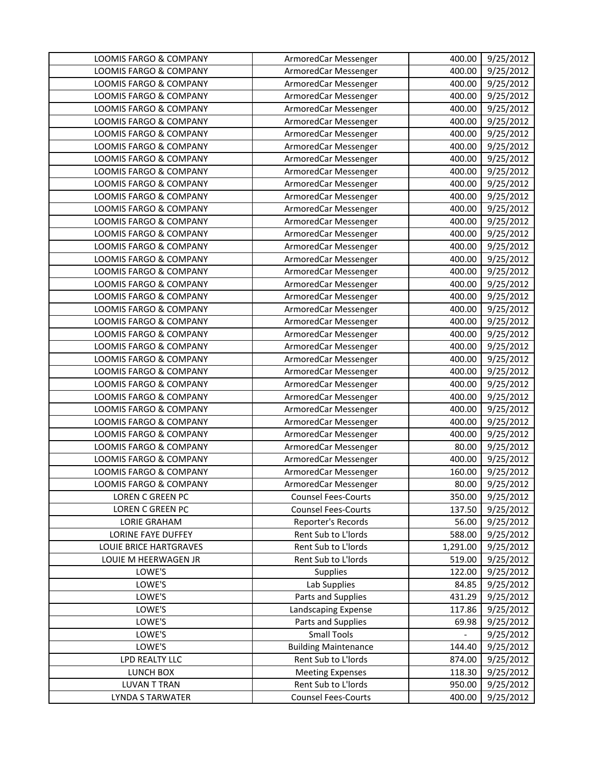| LOOMIS FARGO & COMPANY            | ArmoredCar Messenger                               | 400.00           | 9/25/2012              |
|-----------------------------------|----------------------------------------------------|------------------|------------------------|
| LOOMIS FARGO & COMPANY            | ArmoredCar Messenger                               | 400.00           | 9/25/2012              |
| <b>LOOMIS FARGO &amp; COMPANY</b> | ArmoredCar Messenger                               | 400.00           | 9/25/2012              |
| LOOMIS FARGO & COMPANY            | ArmoredCar Messenger                               | 400.00           | 9/25/2012              |
| LOOMIS FARGO & COMPANY            | ArmoredCar Messenger                               | 400.00           | 9/25/2012              |
| LOOMIS FARGO & COMPANY            | ArmoredCar Messenger                               | 400.00           | 9/25/2012              |
| LOOMIS FARGO & COMPANY            | ArmoredCar Messenger                               | 400.00           | 9/25/2012              |
| LOOMIS FARGO & COMPANY            | ArmoredCar Messenger                               | 400.00           | 9/25/2012              |
| LOOMIS FARGO & COMPANY            | ArmoredCar Messenger                               | 400.00           | 9/25/2012              |
| LOOMIS FARGO & COMPANY            | ArmoredCar Messenger                               | 400.00           | 9/25/2012              |
| LOOMIS FARGO & COMPANY            | ArmoredCar Messenger                               | 400.00           | 9/25/2012              |
| LOOMIS FARGO & COMPANY            | ArmoredCar Messenger                               | 400.00           | 9/25/2012              |
| LOOMIS FARGO & COMPANY            | ArmoredCar Messenger                               | 400.00           | 9/25/2012              |
| LOOMIS FARGO & COMPANY            | ArmoredCar Messenger                               | 400.00           | 9/25/2012              |
| LOOMIS FARGO & COMPANY            | ArmoredCar Messenger                               | 400.00           | 9/25/2012              |
| LOOMIS FARGO & COMPANY            | ArmoredCar Messenger                               | 400.00           | 9/25/2012              |
| LOOMIS FARGO & COMPANY            | ArmoredCar Messenger                               | 400.00           | 9/25/2012              |
| <b>LOOMIS FARGO &amp; COMPANY</b> | ArmoredCar Messenger                               | 400.00           | 9/25/2012              |
| LOOMIS FARGO & COMPANY            | ArmoredCar Messenger                               | 400.00           | 9/25/2012              |
| LOOMIS FARGO & COMPANY            | ArmoredCar Messenger                               | 400.00           | 9/25/2012              |
| LOOMIS FARGO & COMPANY            | ArmoredCar Messenger                               | 400.00           | 9/25/2012              |
| LOOMIS FARGO & COMPANY            | ArmoredCar Messenger                               | 400.00           | 9/25/2012              |
| LOOMIS FARGO & COMPANY            | ArmoredCar Messenger                               | 400.00           | 9/25/2012              |
| LOOMIS FARGO & COMPANY            | ArmoredCar Messenger                               | 400.00           | 9/25/2012              |
| LOOMIS FARGO & COMPANY            | ArmoredCar Messenger                               | 400.00           | 9/25/2012              |
| LOOMIS FARGO & COMPANY            | ArmoredCar Messenger                               | 400.00           | 9/25/2012              |
| LOOMIS FARGO & COMPANY            | ArmoredCar Messenger                               | 400.00           | 9/25/2012              |
| LOOMIS FARGO & COMPANY            | ArmoredCar Messenger                               | 400.00           | 9/25/2012              |
| LOOMIS FARGO & COMPANY            | ArmoredCar Messenger                               | 400.00           | 9/25/2012              |
| LOOMIS FARGO & COMPANY            | ArmoredCar Messenger                               | 400.00           | 9/25/2012              |
| LOOMIS FARGO & COMPANY            | ArmoredCar Messenger                               | 400.00           | 9/25/2012              |
| LOOMIS FARGO & COMPANY            | ArmoredCar Messenger                               | 80.00            | 9/25/2012              |
| LOOMIS FARGO & COMPANY            | ArmoredCar Messenger                               | 400.00           | 9/25/2012              |
| <b>LOOMIS FARGO &amp; COMPANY</b> | ArmoredCar Messenger                               | 160.00           | 9/25/2012              |
| LOOMIS FARGO & COMPANY            | ArmoredCar Messenger                               | 80.00            | 9/25/2012              |
| LOREN C GREEN PC                  | <b>Counsel Fees-Courts</b>                         | 350.00           | 9/25/2012              |
| LOREN C GREEN PC                  | <b>Counsel Fees-Courts</b>                         | 137.50           | 9/25/2012              |
| <b>LORIE GRAHAM</b>               | Reporter's Records                                 | 56.00            | 9/25/2012              |
| LORINE FAYE DUFFEY                | Rent Sub to L'Iords                                | 588.00           | 9/25/2012              |
| LOUIE BRICE HARTGRAVES            | Rent Sub to L'Iords                                | 1,291.00         | 9/25/2012              |
| LOUIE M HEERWAGEN JR              | Rent Sub to L'Iords                                | 519.00           | 9/25/2012              |
| LOWE'S                            | <b>Supplies</b>                                    | 122.00           | 9/25/2012              |
| LOWE'S                            | Lab Supplies                                       | 84.85            | 9/25/2012              |
| LOWE'S                            | Parts and Supplies                                 | 431.29           | 9/25/2012              |
| LOWE'S                            | Landscaping Expense                                | 117.86           | 9/25/2012              |
| LOWE'S<br>LOWE'S                  | Parts and Supplies<br><b>Small Tools</b>           | 69.98            | 9/25/2012              |
| LOWE'S                            |                                                    | 144.40           | 9/25/2012              |
| LPD REALTY LLC                    | <b>Building Maintenance</b><br>Rent Sub to L'Iords |                  | 9/25/2012              |
| LUNCH BOX                         | <b>Meeting Expenses</b>                            | 874.00<br>118.30 | 9/25/2012<br>9/25/2012 |
| <b>LUVAN T TRAN</b>               | Rent Sub to L'Iords                                | 950.00           | 9/25/2012              |
| <b>LYNDA S TARWATER</b>           | <b>Counsel Fees-Courts</b>                         | 400.00           | 9/25/2012              |
|                                   |                                                    |                  |                        |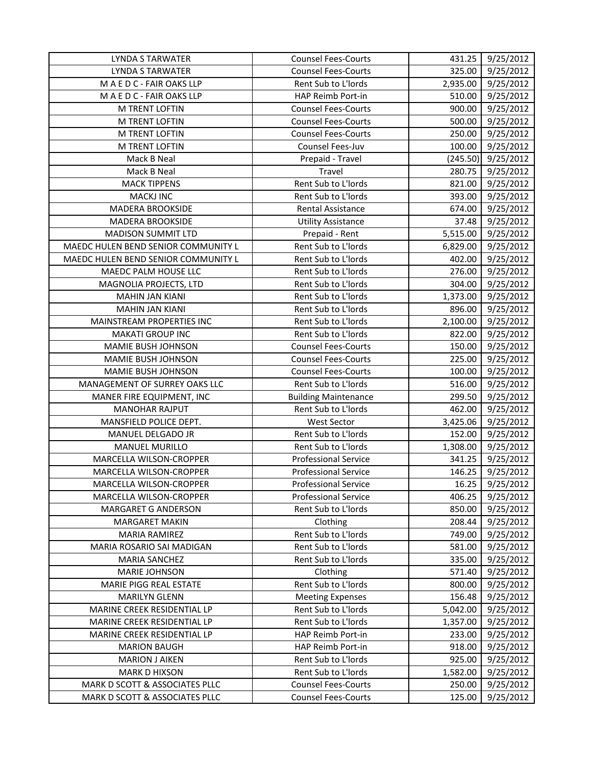| <b>LYNDA S TARWATER</b>             | <b>Counsel Fees-Courts</b>  | 431.25   | 9/25/2012            |
|-------------------------------------|-----------------------------|----------|----------------------|
| <b>LYNDA S TARWATER</b>             | <b>Counsel Fees-Courts</b>  | 325.00   | 9/25/2012            |
| MAEDC - FAIR OAKS LLP               | Rent Sub to L'Iords         | 2,935.00 | 9/25/2012            |
| MAEDC-FAIR OAKS LLP                 | HAP Reimb Port-in           | 510.00   | 9/25/2012            |
| M TRENT LOFTIN                      | <b>Counsel Fees-Courts</b>  | 900.00   | 9/25/2012            |
| M TRENT LOFTIN                      | <b>Counsel Fees-Courts</b>  | 500.00   | 9/25/2012            |
| M TRENT LOFTIN                      | <b>Counsel Fees-Courts</b>  | 250.00   | 9/25/2012            |
| <b>M TRENT LOFTIN</b>               | Counsel Fees-Juv            | 100.00   | 9/25/2012            |
| Mack B Neal                         | Prepaid - Travel            |          | $(245.50)$ 9/25/2012 |
| Mack B Neal                         | Travel                      | 280.75   | 9/25/2012            |
| <b>MACK TIPPENS</b>                 | Rent Sub to L'Iords         | 821.00   | 9/25/2012            |
| <b>MACKJ INC</b>                    | Rent Sub to L'Iords         | 393.00   | 9/25/2012            |
| <b>MADERA BROOKSIDE</b>             | Rental Assistance           | 674.00   | 9/25/2012            |
| <b>MADERA BROOKSIDE</b>             | <b>Utility Assistance</b>   | 37.48    | 9/25/2012            |
| <b>MADISON SUMMIT LTD</b>           | Prepaid - Rent              | 5,515.00 | 9/25/2012            |
| MAEDC HULEN BEND SENIOR COMMUNITY L | Rent Sub to L'Iords         | 6,829.00 | 9/25/2012            |
| MAEDC HULEN BEND SENIOR COMMUNITY L | Rent Sub to L'Iords         | 402.00   | 9/25/2012            |
| MAEDC PALM HOUSE LLC                | Rent Sub to L'Iords         | 276.00   | 9/25/2012            |
| MAGNOLIA PROJECTS, LTD              | Rent Sub to L'Iords         | 304.00   | 9/25/2012            |
| <b>MAHIN JAN KIANI</b>              | Rent Sub to L'Iords         | 1,373.00 | 9/25/2012            |
| <b>MAHIN JAN KIANI</b>              | Rent Sub to L'Iords         | 896.00   | 9/25/2012            |
| MAINSTREAM PROPERTIES INC           | Rent Sub to L'Iords         | 2,100.00 | 9/25/2012            |
| <b>MAKATI GROUP INC</b>             | Rent Sub to L'Iords         | 822.00   | 9/25/2012            |
| MAMIE BUSH JOHNSON                  | <b>Counsel Fees-Courts</b>  | 150.00   | 9/25/2012            |
| MAMIE BUSH JOHNSON                  | <b>Counsel Fees-Courts</b>  | 225.00   | 9/25/2012            |
| MAMIE BUSH JOHNSON                  | <b>Counsel Fees-Courts</b>  | 100.00   | 9/25/2012            |
| MANAGEMENT OF SURREY OAKS LLC       | Rent Sub to L'Iords         | 516.00   | 9/25/2012            |
| MANER FIRE EQUIPMENT, INC           | <b>Building Maintenance</b> | 299.50   | 9/25/2012            |
| <b>MANOHAR RAJPUT</b>               | Rent Sub to L'Iords         | 462.00   | 9/25/2012            |
| MANSFIELD POLICE DEPT.              | <b>West Sector</b>          | 3,425.06 | 9/25/2012            |
| MANUEL DELGADO JR                   | Rent Sub to L'Iords         | 152.00   | 9/25/2012            |
| <b>MANUEL MURILLO</b>               | Rent Sub to L'Iords         | 1,308.00 | 9/25/2012            |
| MARCELLA WILSON-CROPPER             | <b>Professional Service</b> | 341.25   | 9/25/2012            |
| MARCELLA WILSON-CROPPER             | <b>Professional Service</b> | 146.25   | 9/25/2012            |
| MARCELLA WILSON-CROPPER             | <b>Professional Service</b> | 16.25    | 9/25/2012            |
| <b>MARCELLA WILSON-CROPPER</b>      | <b>Professional Service</b> | 406.25   | 9/25/2012            |
| MARGARET G ANDERSON                 | Rent Sub to L'Iords         | 850.00   | 9/25/2012            |
| <b>MARGARET MAKIN</b>               | Clothing                    | 208.44   | 9/25/2012            |
| <b>MARIA RAMIREZ</b>                | Rent Sub to L'Iords         | 749.00   | 9/25/2012            |
| MARIA ROSARIO SAI MADIGAN           | Rent Sub to L'Iords         | 581.00   | 9/25/2012            |
| <b>MARIA SANCHEZ</b>                | Rent Sub to L'Iords         | 335.00   | 9/25/2012            |
| <b>MARIE JOHNSON</b>                | Clothing                    | 571.40   | 9/25/2012            |
| MARIE PIGG REAL ESTATE              | Rent Sub to L'Iords         | 800.00   | 9/25/2012            |
| <b>MARILYN GLENN</b>                | <b>Meeting Expenses</b>     | 156.48   | 9/25/2012            |
| MARINE CREEK RESIDENTIAL LP         | Rent Sub to L'Iords         | 5,042.00 | 9/25/2012            |
| MARINE CREEK RESIDENTIAL LP         | Rent Sub to L'Iords         | 1,357.00 | 9/25/2012            |
| MARINE CREEK RESIDENTIAL LP         | HAP Reimb Port-in           | 233.00   | 9/25/2012            |
| <b>MARION BAUGH</b>                 | HAP Reimb Port-in           | 918.00   | 9/25/2012            |
| <b>MARION J AIKEN</b>               | Rent Sub to L'Iords         | 925.00   | 9/25/2012            |
| <b>MARK D HIXSON</b>                | Rent Sub to L'Iords         | 1,582.00 | 9/25/2012            |
| MARK D SCOTT & ASSOCIATES PLLC      | <b>Counsel Fees-Courts</b>  | 250.00   | 9/25/2012            |
| MARK D SCOTT & ASSOCIATES PLLC      | <b>Counsel Fees-Courts</b>  | 125.00   | 9/25/2012            |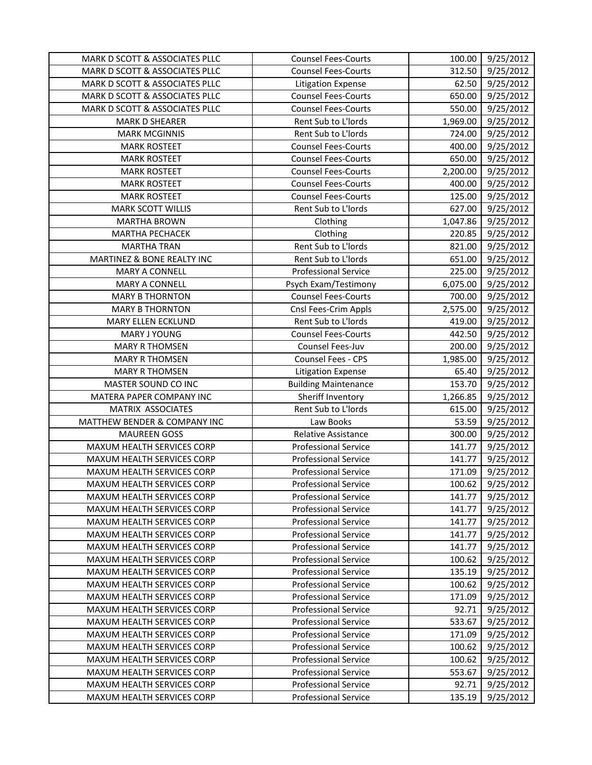| MARK D SCOTT & ASSOCIATES PLLC | <b>Counsel Fees-Courts</b>  | 100.00   | 9/25/2012              |
|--------------------------------|-----------------------------|----------|------------------------|
| MARK D SCOTT & ASSOCIATES PLLC | <b>Counsel Fees-Courts</b>  | 312.50   | 9/25/2012              |
| MARK D SCOTT & ASSOCIATES PLLC | <b>Litigation Expense</b>   | 62.50    | 9/25/2012              |
| MARK D SCOTT & ASSOCIATES PLLC | <b>Counsel Fees-Courts</b>  | 650.00   | 9/25/2012              |
| MARK D SCOTT & ASSOCIATES PLLC | <b>Counsel Fees-Courts</b>  | 550.00   | 9/25/2012              |
| <b>MARK D SHEARER</b>          | Rent Sub to L'Iords         | 1,969.00 | 9/25/2012              |
| <b>MARK MCGINNIS</b>           | Rent Sub to L'Iords         | 724.00   | 9/25/2012              |
| <b>MARK ROSTEET</b>            | <b>Counsel Fees-Courts</b>  | 400.00   | 9/25/2012              |
| <b>MARK ROSTEET</b>            | <b>Counsel Fees-Courts</b>  | 650.00   | 9/25/2012              |
| <b>MARK ROSTEET</b>            | <b>Counsel Fees-Courts</b>  | 2,200.00 | 9/25/2012              |
| <b>MARK ROSTEET</b>            | <b>Counsel Fees-Courts</b>  | 400.00   | 9/25/2012              |
| <b>MARK ROSTEET</b>            | <b>Counsel Fees-Courts</b>  | 125.00   | 9/25/2012              |
| <b>MARK SCOTT WILLIS</b>       | Rent Sub to L'Iords         | 627.00   | 9/25/2012              |
| <b>MARTHA BROWN</b>            | Clothing                    | 1,047.86 | 9/25/2012              |
| MARTHA PECHACEK                | Clothing                    | 220.85   | 9/25/2012              |
| <b>MARTHA TRAN</b>             | Rent Sub to L'Iords         | 821.00   | 9/25/2012              |
| MARTINEZ & BONE REALTY INC     | Rent Sub to L'Iords         | 651.00   | 9/25/2012              |
| MARY A CONNELL                 | <b>Professional Service</b> | 225.00   | 9/25/2012              |
| <b>MARY A CONNELL</b>          | Psych Exam/Testimony        | 6,075.00 | 9/25/2012              |
| <b>MARY B THORNTON</b>         | <b>Counsel Fees-Courts</b>  | 700.00   | 9/25/2012              |
| <b>MARY B THORNTON</b>         | Cnsl Fees-Crim Appls        | 2,575.00 | 9/25/2012              |
| <b>MARY ELLEN ECKLUND</b>      | Rent Sub to L'Iords         | 419.00   | 9/25/2012              |
| MARY J YOUNG                   | <b>Counsel Fees-Courts</b>  | 442.50   | $\frac{1}{9}$ /25/2012 |
| <b>MARY R THOMSEN</b>          | Counsel Fees-Juv            | 200.00   | 9/25/2012              |
| <b>MARY R THOMSEN</b>          | Counsel Fees - CPS          | 1,985.00 | 9/25/2012              |
| <b>MARY R THOMSEN</b>          | <b>Litigation Expense</b>   | 65.40    | 9/25/2012              |
| MASTER SOUND CO INC            | <b>Building Maintenance</b> | 153.70   | 9/25/2012              |
| MATERA PAPER COMPANY INC       | Sheriff Inventory           | 1,266.85 | 9/25/2012              |
| MATRIX ASSOCIATES              | Rent Sub to L'Iords         | 615.00   | 9/25/2012              |
| MATTHEW BENDER & COMPANY INC   | Law Books                   | 53.59    | 9/25/2012              |
| <b>MAUREEN GOSS</b>            | <b>Relative Assistance</b>  | 300.00   | 9/25/2012              |
| MAXUM HEALTH SERVICES CORP     | <b>Professional Service</b> | 141.77   | 9/25/2012              |
| MAXUM HEALTH SERVICES CORP     | <b>Professional Service</b> | 141.77   | 9/25/2012              |
| MAXUM HEALTH SERVICES CORP     | <b>Professional Service</b> | 171.09   | 9/25/2012              |
| MAXUM HEALTH SERVICES CORP     | <b>Professional Service</b> | 100.62   | 9/25/2012              |
| MAXUM HEALTH SERVICES CORP     | <b>Professional Service</b> | 141.77   | 9/25/2012              |
| MAXUM HEALTH SERVICES CORP     | <b>Professional Service</b> | 141.77   | 9/25/2012              |
| MAXUM HEALTH SERVICES CORP     | <b>Professional Service</b> | 141.77   | 9/25/2012              |
| MAXUM HEALTH SERVICES CORP     | <b>Professional Service</b> | 141.77   | 9/25/2012              |
| MAXUM HEALTH SERVICES CORP     | <b>Professional Service</b> | 141.77   | 9/25/2012              |
| MAXUM HEALTH SERVICES CORP     | <b>Professional Service</b> | 100.62   | 9/25/2012              |
| MAXUM HEALTH SERVICES CORP     | <b>Professional Service</b> | 135.19   | 9/25/2012              |
| MAXUM HEALTH SERVICES CORP     | <b>Professional Service</b> | 100.62   | 9/25/2012              |
| MAXUM HEALTH SERVICES CORP     | <b>Professional Service</b> | 171.09   | 9/25/2012              |
| MAXUM HEALTH SERVICES CORP     | <b>Professional Service</b> | 92.71    | 9/25/2012              |
| MAXUM HEALTH SERVICES CORP     | <b>Professional Service</b> | 533.67   | 9/25/2012              |
| MAXUM HEALTH SERVICES CORP     | <b>Professional Service</b> | 171.09   | 9/25/2012              |
| MAXUM HEALTH SERVICES CORP     | <b>Professional Service</b> | 100.62   | 9/25/2012              |
| MAXUM HEALTH SERVICES CORP     | <b>Professional Service</b> | 100.62   | 9/25/2012              |
| MAXUM HEALTH SERVICES CORP     | <b>Professional Service</b> | 553.67   | 9/25/2012              |
| MAXUM HEALTH SERVICES CORP     | <b>Professional Service</b> | 92.71    | 9/25/2012              |
| MAXUM HEALTH SERVICES CORP     | <b>Professional Service</b> | 135.19   | 9/25/2012              |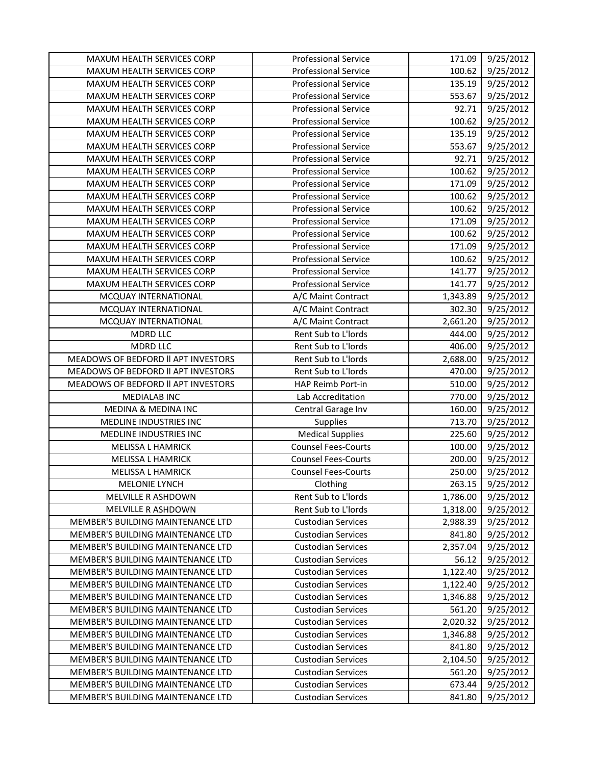| MAXUM HEALTH SERVICES CORP               | <b>Professional Service</b> | 171.09   | 9/25/2012 |
|------------------------------------------|-----------------------------|----------|-----------|
| MAXUM HEALTH SERVICES CORP               | <b>Professional Service</b> | 100.62   | 9/25/2012 |
| MAXUM HEALTH SERVICES CORP               | <b>Professional Service</b> | 135.19   | 9/25/2012 |
| MAXUM HEALTH SERVICES CORP               | <b>Professional Service</b> | 553.67   | 9/25/2012 |
| MAXUM HEALTH SERVICES CORP               | <b>Professional Service</b> | 92.71    | 9/25/2012 |
| MAXUM HEALTH SERVICES CORP               | <b>Professional Service</b> | 100.62   | 9/25/2012 |
| MAXUM HEALTH SERVICES CORP               | <b>Professional Service</b> | 135.19   | 9/25/2012 |
| MAXUM HEALTH SERVICES CORP               | <b>Professional Service</b> | 553.67   | 9/25/2012 |
| MAXUM HEALTH SERVICES CORP               | <b>Professional Service</b> | 92.71    | 9/25/2012 |
| MAXUM HEALTH SERVICES CORP               | <b>Professional Service</b> | 100.62   | 9/25/2012 |
| MAXUM HEALTH SERVICES CORP               | <b>Professional Service</b> | 171.09   | 9/25/2012 |
| MAXUM HEALTH SERVICES CORP               | <b>Professional Service</b> | 100.62   | 9/25/2012 |
| MAXUM HEALTH SERVICES CORP               | <b>Professional Service</b> | 100.62   | 9/25/2012 |
| MAXUM HEALTH SERVICES CORP               | <b>Professional Service</b> | 171.09   | 9/25/2012 |
| MAXUM HEALTH SERVICES CORP               | <b>Professional Service</b> | 100.62   | 9/25/2012 |
| MAXUM HEALTH SERVICES CORP               | <b>Professional Service</b> | 171.09   | 9/25/2012 |
| MAXUM HEALTH SERVICES CORP               | <b>Professional Service</b> | 100.62   | 9/25/2012 |
| MAXUM HEALTH SERVICES CORP               | <b>Professional Service</b> | 141.77   | 9/25/2012 |
| MAXUM HEALTH SERVICES CORP               | <b>Professional Service</b> | 141.77   | 9/25/2012 |
| MCQUAY INTERNATIONAL                     | A/C Maint Contract          | 1,343.89 | 9/25/2012 |
| MCQUAY INTERNATIONAL                     | A/C Maint Contract          | 302.30   | 9/25/2012 |
| MCQUAY INTERNATIONAL                     | A/C Maint Contract          | 2,661.20 | 9/25/2012 |
| <b>MDRD LLC</b>                          | Rent Sub to L'Iords         | 444.00   | 9/25/2012 |
| <b>MDRD LLC</b>                          | Rent Sub to L'Iords         | 406.00   | 9/25/2012 |
| MEADOWS OF BEDFORD II APT INVESTORS      | Rent Sub to L'Iords         | 2,688.00 | 9/25/2012 |
| MEADOWS OF BEDFORD II APT INVESTORS      | Rent Sub to L'Iords         | 470.00   | 9/25/2012 |
| MEADOWS OF BEDFORD II APT INVESTORS      | HAP Reimb Port-in           | 510.00   | 9/25/2012 |
| <b>MEDIALAB INC</b>                      | Lab Accreditation           | 770.00   | 9/25/2012 |
| MEDINA & MEDINA INC                      | Central Garage Inv          | 160.00   | 9/25/2012 |
| MEDLINE INDUSTRIES INC                   | Supplies                    | 713.70   | 9/25/2012 |
| MEDLINE INDUSTRIES INC                   | <b>Medical Supplies</b>     | 225.60   | 9/25/2012 |
| MELISSA L HAMRICK                        | <b>Counsel Fees-Courts</b>  | 100.00   | 9/25/2012 |
| <b>MELISSA L HAMRICK</b>                 | <b>Counsel Fees-Courts</b>  | 200.00   | 9/25/2012 |
| <b>MELISSA L HAMRICK</b>                 | <b>Counsel Fees-Courts</b>  | 250.00   | 9/25/2012 |
| MELONIE LYNCH                            | Clothing                    | 263.15   | 9/25/2012 |
| MELVILLE R ASHDOWN                       | Rent Sub to L'Iords         | 1,786.00 | 9/25/2012 |
| <b>MELVILLE R ASHDOWN</b>                | Rent Sub to L'Iords         | 1,318.00 | 9/25/2012 |
| <b>MEMBER'S BUILDING MAINTENANCE LTD</b> | <b>Custodian Services</b>   | 2,988.39 | 9/25/2012 |
| MEMBER'S BUILDING MAINTENANCE LTD        | <b>Custodian Services</b>   | 841.80   | 9/25/2012 |
| MEMBER'S BUILDING MAINTENANCE LTD        | <b>Custodian Services</b>   | 2,357.04 | 9/25/2012 |
| MEMBER'S BUILDING MAINTENANCE LTD        | <b>Custodian Services</b>   | 56.12    | 9/25/2012 |
| MEMBER'S BUILDING MAINTENANCE LTD        | <b>Custodian Services</b>   | 1,122.40 | 9/25/2012 |
| MEMBER'S BUILDING MAINTENANCE LTD        | <b>Custodian Services</b>   | 1,122.40 | 9/25/2012 |
| MEMBER'S BUILDING MAINTENANCE LTD        | <b>Custodian Services</b>   | 1,346.88 | 9/25/2012 |
| MEMBER'S BUILDING MAINTENANCE LTD        | <b>Custodian Services</b>   | 561.20   | 9/25/2012 |
| MEMBER'S BUILDING MAINTENANCE LTD        | <b>Custodian Services</b>   | 2,020.32 | 9/25/2012 |
| MEMBER'S BUILDING MAINTENANCE LTD        | <b>Custodian Services</b>   | 1,346.88 | 9/25/2012 |
| MEMBER'S BUILDING MAINTENANCE LTD        | <b>Custodian Services</b>   | 841.80   | 9/25/2012 |
| MEMBER'S BUILDING MAINTENANCE LTD        | <b>Custodian Services</b>   | 2,104.50 | 9/25/2012 |
| MEMBER'S BUILDING MAINTENANCE LTD        | <b>Custodian Services</b>   | 561.20   | 9/25/2012 |
| MEMBER'S BUILDING MAINTENANCE LTD        | <b>Custodian Services</b>   | 673.44   | 9/25/2012 |
| MEMBER'S BUILDING MAINTENANCE LTD        | <b>Custodian Services</b>   | 841.80   | 9/25/2012 |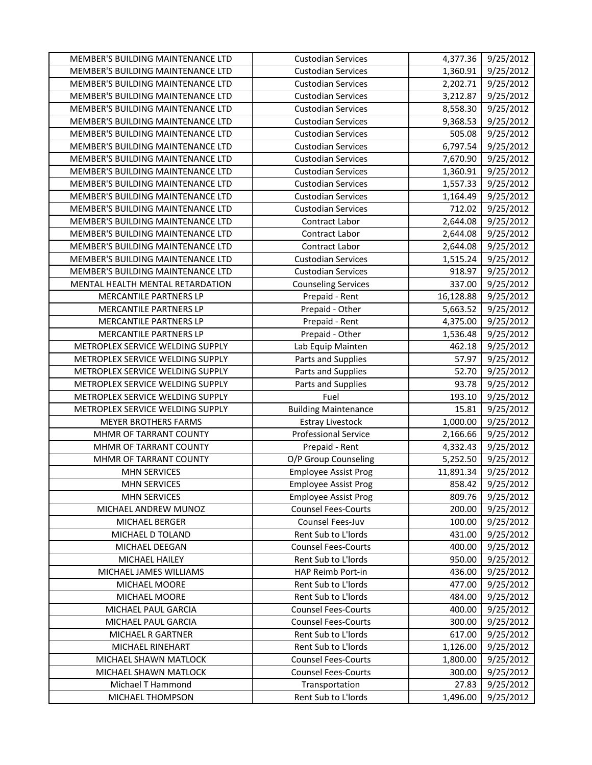| MEMBER'S BUILDING MAINTENANCE LTD<br>MEMBER'S BUILDING MAINTENANCE LTD | <b>Custodian Services</b><br><b>Custodian Services</b>   | 4,377.36<br>1,360.91 | 9/25/2012<br>9/25/2012 |
|------------------------------------------------------------------------|----------------------------------------------------------|----------------------|------------------------|
| MEMBER'S BUILDING MAINTENANCE LTD                                      | <b>Custodian Services</b>                                | 2,202.71             | 9/25/2012              |
| MEMBER'S BUILDING MAINTENANCE LTD                                      | <b>Custodian Services</b>                                | 3,212.87             | 9/25/2012              |
| MEMBER'S BUILDING MAINTENANCE LTD                                      | <b>Custodian Services</b>                                | 8,558.30             | 9/25/2012              |
| MEMBER'S BUILDING MAINTENANCE LTD                                      | <b>Custodian Services</b>                                | 9,368.53             | 9/25/2012              |
| MEMBER'S BUILDING MAINTENANCE LTD                                      | <b>Custodian Services</b>                                | 505.08               | 9/25/2012              |
| MEMBER'S BUILDING MAINTENANCE LTD                                      | <b>Custodian Services</b>                                | 6,797.54             | 9/25/2012              |
| MEMBER'S BUILDING MAINTENANCE LTD                                      | <b>Custodian Services</b>                                | 7,670.90             | 9/25/2012              |
| MEMBER'S BUILDING MAINTENANCE LTD                                      | <b>Custodian Services</b>                                | 1,360.91             | 9/25/2012              |
| MEMBER'S BUILDING MAINTENANCE LTD                                      | <b>Custodian Services</b>                                | 1,557.33             | 9/25/2012              |
| MEMBER'S BUILDING MAINTENANCE LTD                                      | <b>Custodian Services</b>                                | 1,164.49             | 9/25/2012              |
| MEMBER'S BUILDING MAINTENANCE LTD                                      | <b>Custodian Services</b>                                | 712.02               | 9/25/2012              |
| MEMBER'S BUILDING MAINTENANCE LTD                                      | Contract Labor                                           | 2,644.08             | 9/25/2012              |
| MEMBER'S BUILDING MAINTENANCE LTD                                      | Contract Labor                                           | 2,644.08             | 9/25/2012              |
| MEMBER'S BUILDING MAINTENANCE LTD                                      | Contract Labor                                           | 2,644.08             | 9/25/2012              |
| MEMBER'S BUILDING MAINTENANCE LTD                                      | <b>Custodian Services</b>                                | 1,515.24             | 9/25/2012              |
| MEMBER'S BUILDING MAINTENANCE LTD                                      | <b>Custodian Services</b>                                | 918.97               | 9/25/2012              |
| MENTAL HEALTH MENTAL RETARDATION                                       | <b>Counseling Services</b>                               | 337.00               | 9/25/2012              |
| MERCANTILE PARTNERS LP                                                 | Prepaid - Rent                                           | 16,128.88            | 9/25/2012              |
| MERCANTILE PARTNERS LP                                                 | Prepaid - Other                                          | 5,663.52             | 9/25/2012              |
| MERCANTILE PARTNERS LP                                                 | Prepaid - Rent                                           | 4,375.00             | 9/25/2012              |
| MERCANTILE PARTNERS LP                                                 | Prepaid - Other                                          | 1,536.48             | 9/25/2012              |
| METROPLEX SERVICE WELDING SUPPLY                                       | Lab Equip Mainten                                        | 462.18               | 9/25/2012              |
| METROPLEX SERVICE WELDING SUPPLY                                       | Parts and Supplies                                       | 57.97                | 9/25/2012              |
| METROPLEX SERVICE WELDING SUPPLY                                       | Parts and Supplies                                       | 52.70                | 9/25/2012              |
| METROPLEX SERVICE WELDING SUPPLY                                       | Parts and Supplies                                       | 93.78                | 9/25/2012              |
| METROPLEX SERVICE WELDING SUPPLY                                       | Fuel                                                     | 193.10               | 9/25/2012              |
| METROPLEX SERVICE WELDING SUPPLY                                       | <b>Building Maintenance</b>                              | 15.81                | 9/25/2012              |
| MEYER BROTHERS FARMS                                                   | <b>Estray Livestock</b>                                  | 1,000.00             | 9/25/2012              |
| MHMR OF TARRANT COUNTY                                                 | <b>Professional Service</b>                              | 2,166.66             | 9/25/2012              |
| MHMR OF TARRANT COUNTY                                                 | Prepaid - Rent                                           | 4,332.43             | 9/25/2012              |
| MHMR OF TARRANT COUNTY                                                 | O/P Group Counseling                                     | 5,252.50             | 9/25/2012              |
| <b>MHN SERVICES</b>                                                    | <b>Employee Assist Prog</b>                              | 11,891.34            | 9/25/2012              |
| <b>MHN SERVICES</b>                                                    | <b>Employee Assist Prog</b>                              | 858.42               | 9/25/2012              |
| <b>MHN SERVICES</b>                                                    | <b>Employee Assist Prog</b>                              | 809.76               | 9/25/2012              |
| MICHAEL ANDREW MUNOZ                                                   | <b>Counsel Fees-Courts</b>                               | 200.00               | 9/25/2012              |
| MICHAEL BERGER                                                         | Counsel Fees-Juv                                         | 100.00               | 9/25/2012              |
| MICHAEL D TOLAND                                                       | Rent Sub to L'Iords                                      | 431.00               | 9/25/2012              |
| MICHAEL DEEGAN                                                         | <b>Counsel Fees-Courts</b>                               | 400.00               | 9/25/2012              |
| MICHAEL HAILEY                                                         | Rent Sub to L'Iords                                      | 950.00               | 9/25/2012              |
| MICHAEL JAMES WILLIAMS                                                 | HAP Reimb Port-in                                        | 436.00               | 9/25/2012              |
| MICHAEL MOORE                                                          | Rent Sub to L'Iords                                      | 477.00               | 9/25/2012              |
| MICHAEL MOORE                                                          | Rent Sub to L'Iords                                      | 484.00               | 9/25/2012<br>9/25/2012 |
| MICHAEL PAUL GARCIA<br>MICHAEL PAUL GARCIA                             | <b>Counsel Fees-Courts</b><br><b>Counsel Fees-Courts</b> | 400.00               |                        |
| MICHAEL R GARTNER                                                      | Rent Sub to L'Iords                                      | 300.00<br>617.00     | 9/25/2012<br>9/25/2012 |
| MICHAEL RINEHART                                                       | Rent Sub to L'Iords                                      |                      |                        |
| MICHAEL SHAWN MATLOCK                                                  | <b>Counsel Fees-Courts</b>                               | 1,126.00<br>1,800.00 | 9/25/2012<br>9/25/2012 |
| MICHAEL SHAWN MATLOCK                                                  | <b>Counsel Fees-Courts</b>                               | 300.00               | 9/25/2012              |
| Michael T Hammond                                                      | Transportation                                           | 27.83                | 9/25/2012              |
| MICHAEL THOMPSON                                                       | Rent Sub to L'Iords                                      | 1,496.00             | 9/25/2012              |
|                                                                        |                                                          |                      |                        |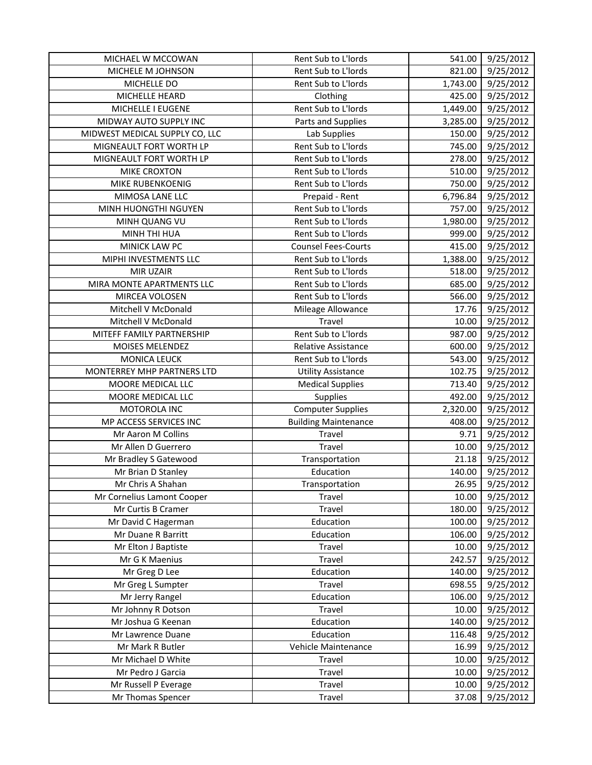| MICHAEL W MCCOWAN              | Rent Sub to L'Iords         | 541.00   | 9/25/2012 |
|--------------------------------|-----------------------------|----------|-----------|
| MICHELE M JOHNSON              | Rent Sub to L'Iords         | 821.00   | 9/25/2012 |
| MICHELLE DO                    | Rent Sub to L'Iords         | 1,743.00 | 9/25/2012 |
| MICHELLE HEARD                 | Clothing                    | 425.00   | 9/25/2012 |
| MICHELLE I EUGENE              | Rent Sub to L'Iords         | 1,449.00 | 9/25/2012 |
| MIDWAY AUTO SUPPLY INC         | Parts and Supplies          | 3,285.00 | 9/25/2012 |
| MIDWEST MEDICAL SUPPLY CO, LLC | Lab Supplies                | 150.00   | 9/25/2012 |
| MIGNEAULT FORT WORTH LP        | Rent Sub to L'Iords         | 745.00   | 9/25/2012 |
| MIGNEAULT FORT WORTH LP        | Rent Sub to L'Iords         | 278.00   | 9/25/2012 |
| MIKE CROXTON                   | Rent Sub to L'Iords         | 510.00   | 9/25/2012 |
| MIKE RUBENKOENIG               | Rent Sub to L'Iords         | 750.00   | 9/25/2012 |
| MIMOSA LANE LLC                | Prepaid - Rent              | 6,796.84 | 9/25/2012 |
| MINH HUONGTHI NGUYEN           | Rent Sub to L'Iords         | 757.00   | 9/25/2012 |
| MINH QUANG VU                  | Rent Sub to L'Iords         | 1,980.00 | 9/25/2012 |
| MINH THI HUA                   | Rent Sub to L'Iords         | 999.00   | 9/25/2012 |
| MINICK LAW PC                  | <b>Counsel Fees-Courts</b>  | 415.00   | 9/25/2012 |
| MIPHI INVESTMENTS LLC          | Rent Sub to L'Iords         | 1,388.00 | 9/25/2012 |
| MIR UZAIR                      | Rent Sub to L'Iords         | 518.00   | 9/25/2012 |
| MIRA MONTE APARTMENTS LLC      | Rent Sub to L'Iords         | 685.00   | 9/25/2012 |
| MIRCEA VOLOSEN                 | Rent Sub to L'Iords         | 566.00   | 9/25/2012 |
| Mitchell V McDonald            | Mileage Allowance           | 17.76    | 9/25/2012 |
| Mitchell V McDonald            | Travel                      | 10.00    | 9/25/2012 |
| MITEFF FAMILY PARTNERSHIP      | Rent Sub to L'Iords         | 987.00   | 9/25/2012 |
| MOISES MELENDEZ                | <b>Relative Assistance</b>  | 600.00   | 9/25/2012 |
| <b>MONICA LEUCK</b>            | Rent Sub to L'Iords         | 543.00   | 9/25/2012 |
| MONTERREY MHP PARTNERS LTD     | <b>Utility Assistance</b>   | 102.75   | 9/25/2012 |
| MOORE MEDICAL LLC              | <b>Medical Supplies</b>     | 713.40   | 9/25/2012 |
| MOORE MEDICAL LLC              | Supplies                    | 492.00   | 9/25/2012 |
| MOTOROLA INC                   | <b>Computer Supplies</b>    | 2,320.00 | 9/25/2012 |
| MP ACCESS SERVICES INC         | <b>Building Maintenance</b> | 408.00   | 9/25/2012 |
| Mr Aaron M Collins             | <b>Travel</b>               | 9.71     | 9/25/2012 |
| Mr Allen D Guerrero            | <b>Travel</b>               | 10.00    | 9/25/2012 |
| Mr Bradley S Gatewood          | Transportation              | 21.18    | 9/25/2012 |
| Mr Brian D Stanley             | Education                   | 140.00   | 9/25/2012 |
| Mr Chris A Shahan              | Transportation              | 26.95    | 9/25/2012 |
| Mr Cornelius Lamont Cooper     | Travel                      | 10.00    | 9/25/2012 |
| Mr Curtis B Cramer             | Travel                      | 180.00   | 9/25/2012 |
| Mr David C Hagerman            | Education                   | 100.00   | 9/25/2012 |
| Mr Duane R Barritt             | Education                   | 106.00   | 9/25/2012 |
| Mr Elton J Baptiste            | Travel                      | 10.00    | 9/25/2012 |
| Mr G K Maenius                 | Travel                      | 242.57   | 9/25/2012 |
| Mr Greg D Lee                  | Education                   | 140.00   | 9/25/2012 |
| Mr Greg L Sumpter              | Travel                      | 698.55   | 9/25/2012 |
| Mr Jerry Rangel                | Education                   | 106.00   | 9/25/2012 |
| Mr Johnny R Dotson             | Travel                      | 10.00    | 9/25/2012 |
| Mr Joshua G Keenan             | Education                   | 140.00   | 9/25/2012 |
| Mr Lawrence Duane              | Education                   | 116.48   | 9/25/2012 |
| Mr Mark R Butler               | Vehicle Maintenance         | 16.99    | 9/25/2012 |
| Mr Michael D White             | Travel                      | 10.00    | 9/25/2012 |
| Mr Pedro J Garcia              | Travel                      | 10.00    | 9/25/2012 |
| Mr Russell P Everage           | Travel                      | 10.00    | 9/25/2012 |
| Mr Thomas Spencer              | Travel                      | 37.08    | 9/25/2012 |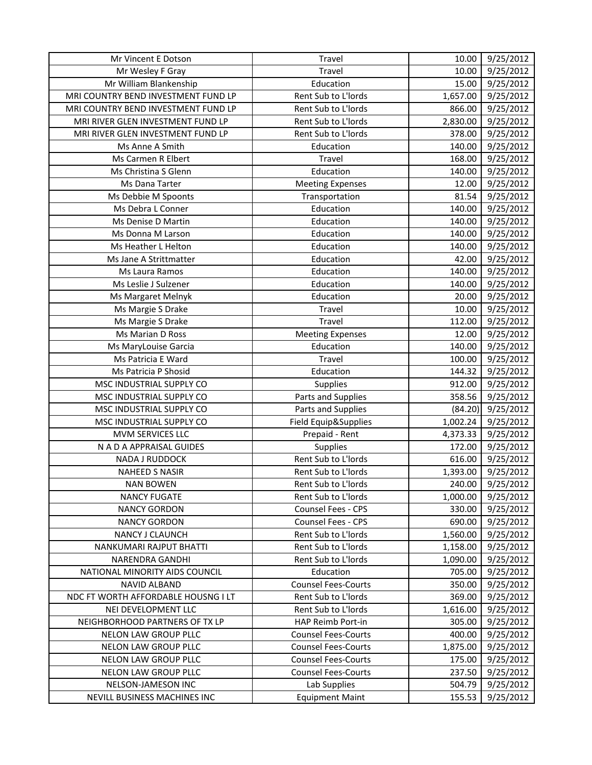| Mr Vincent E Dotson                 | Travel                     | 10.00    | 9/25/2012 |
|-------------------------------------|----------------------------|----------|-----------|
| Mr Wesley F Gray                    | Travel                     | 10.00    | 9/25/2012 |
| Mr William Blankenship              | Education                  | 15.00    | 9/25/2012 |
| MRI COUNTRY BEND INVESTMENT FUND LP | Rent Sub to L'Iords        | 1,657.00 | 9/25/2012 |
| MRI COUNTRY BEND INVESTMENT FUND LP | Rent Sub to L'Iords        | 866.00   | 9/25/2012 |
| MRI RIVER GLEN INVESTMENT FUND LP   | Rent Sub to L'Iords        | 2,830.00 | 9/25/2012 |
| MRI RIVER GLEN INVESTMENT FUND LP   | Rent Sub to L'Iords        | 378.00   | 9/25/2012 |
| Ms Anne A Smith                     | Education                  | 140.00   | 9/25/2012 |
| Ms Carmen R Elbert                  | Travel                     | 168.00   | 9/25/2012 |
| Ms Christina S Glenn                | Education                  | 140.00   | 9/25/2012 |
| Ms Dana Tarter                      | <b>Meeting Expenses</b>    | 12.00    | 9/25/2012 |
| Ms Debbie M Spoonts                 | Transportation             | 81.54    | 9/25/2012 |
| Ms Debra L Conner                   | Education                  | 140.00   | 9/25/2012 |
| Ms Denise D Martin                  | Education                  | 140.00   | 9/25/2012 |
| Ms Donna M Larson                   | Education                  | 140.00   | 9/25/2012 |
| Ms Heather L Helton                 | Education                  | 140.00   | 9/25/2012 |
| Ms Jane A Strittmatter              | Education                  | 42.00    | 9/25/2012 |
| Ms Laura Ramos                      | Education                  | 140.00   | 9/25/2012 |
| Ms Leslie J Sulzener                | Education                  | 140.00   | 9/25/2012 |
| Ms Margaret Melnyk                  | Education                  | 20.00    | 9/25/2012 |
| Ms Margie S Drake                   | Travel                     | 10.00    | 9/25/2012 |
| Ms Margie S Drake                   | Travel                     | 112.00   | 9/25/2012 |
| Ms Marian D Ross                    | <b>Meeting Expenses</b>    | 12.00    | 9/25/2012 |
| Ms MaryLouise Garcia                | Education                  | 140.00   | 9/25/2012 |
| Ms Patricia E Ward                  | Travel                     | 100.00   | 9/25/2012 |
| Ms Patricia P Shosid                | Education                  | 144.32   | 9/25/2012 |
| MSC INDUSTRIAL SUPPLY CO            | Supplies                   | 912.00   | 9/25/2012 |
| MSC INDUSTRIAL SUPPLY CO            | Parts and Supplies         | 358.56   | 9/25/2012 |
| MSC INDUSTRIAL SUPPLY CO            | Parts and Supplies         | (84.20)  | 9/25/2012 |
| MSC INDUSTRIAL SUPPLY CO            | Field Equip&Supplies       | 1,002.24 | 9/25/2012 |
| MVM SERVICES LLC                    | Prepaid - Rent             | 4,373.33 | 9/25/2012 |
| N A D A APPRAISAL GUIDES            | Supplies                   | 172.00   | 9/25/2012 |
| NADA J RUDDOCK                      | Rent Sub to L'Iords        | 616.00   | 9/25/2012 |
| <b>NAHEED S NASIR</b>               | Rent Sub to L'Iords        | 1,393.00 | 9/25/2012 |
| <b>NAN BOWEN</b>                    | Rent Sub to L'Iords        | 240.00   | 9/25/2012 |
| <b>NANCY FUGATE</b>                 | Rent Sub to L'Iords        | 1,000.00 | 9/25/2012 |
| <b>NANCY GORDON</b>                 | <b>Counsel Fees - CPS</b>  | 330.00   | 9/25/2012 |
| <b>NANCY GORDON</b>                 | Counsel Fees - CPS         | 690.00   | 9/25/2012 |
| NANCY J CLAUNCH                     | Rent Sub to L'Iords        | 1,560.00 | 9/25/2012 |
| NANKUMARI RAJPUT BHATTI             | Rent Sub to L'Iords        | 1,158.00 | 9/25/2012 |
| NARENDRA GANDHI                     | Rent Sub to L'Iords        | 1,090.00 | 9/25/2012 |
| NATIONAL MINORITY AIDS COUNCIL      | Education                  | 705.00   | 9/25/2012 |
| <b>NAVID ALBAND</b>                 | <b>Counsel Fees-Courts</b> | 350.00   | 9/25/2012 |
| NDC FT WORTH AFFORDABLE HOUSNG I LT | Rent Sub to L'Iords        | 369.00   | 9/25/2012 |
| NEI DEVELOPMENT LLC                 | Rent Sub to L'Iords        | 1,616.00 | 9/25/2012 |
| NEIGHBORHOOD PARTNERS OF TX LP      | HAP Reimb Port-in          | 305.00   | 9/25/2012 |
| NELON LAW GROUP PLLC                | <b>Counsel Fees-Courts</b> | 400.00   | 9/25/2012 |
| NELON LAW GROUP PLLC                | <b>Counsel Fees-Courts</b> | 1,875.00 | 9/25/2012 |
| NELON LAW GROUP PLLC                | <b>Counsel Fees-Courts</b> | 175.00   | 9/25/2012 |
| NELON LAW GROUP PLLC                | <b>Counsel Fees-Courts</b> | 237.50   | 9/25/2012 |
| NELSON-JAMESON INC                  | Lab Supplies               | 504.79   | 9/25/2012 |
| NEVILL BUSINESS MACHINES INC        | <b>Equipment Maint</b>     | 155.53   | 9/25/2012 |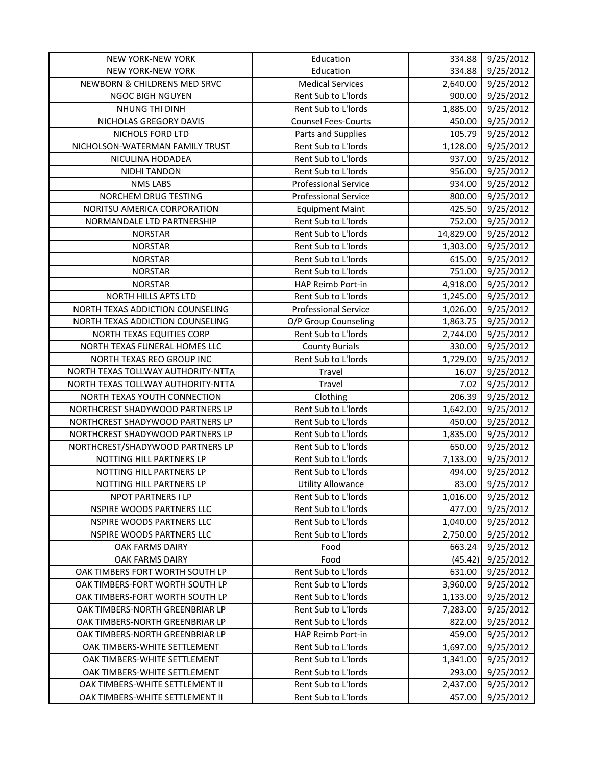| NEW YORK-NEW YORK                  | Education                   | 334.88    | 9/25/2012 |
|------------------------------------|-----------------------------|-----------|-----------|
| <b>NEW YORK-NEW YORK</b>           | Education                   | 334.88    | 9/25/2012 |
| NEWBORN & CHILDRENS MED SRVC       | <b>Medical Services</b>     | 2,640.00  | 9/25/2012 |
| <b>NGOC BIGH NGUYEN</b>            | Rent Sub to L'Iords         | 900.00    | 9/25/2012 |
| NHUNG THI DINH                     | Rent Sub to L'Iords         | 1,885.00  | 9/25/2012 |
| NICHOLAS GREGORY DAVIS             | <b>Counsel Fees-Courts</b>  | 450.00    | 9/25/2012 |
| NICHOLS FORD LTD                   | Parts and Supplies          | 105.79    | 9/25/2012 |
| NICHOLSON-WATERMAN FAMILY TRUST    | Rent Sub to L'Iords         | 1,128.00  | 9/25/2012 |
| NICULINA HODADEA                   | Rent Sub to L'Iords         | 937.00    | 9/25/2012 |
| NIDHI TANDON                       | Rent Sub to L'Iords         | 956.00    | 9/25/2012 |
| <b>NMS LABS</b>                    | <b>Professional Service</b> | 934.00    | 9/25/2012 |
| NORCHEM DRUG TESTING               | <b>Professional Service</b> | 800.00    | 9/25/2012 |
| NORITSU AMERICA CORPORATION        | <b>Equipment Maint</b>      | 425.50    | 9/25/2012 |
| NORMANDALE LTD PARTNERSHIP         | Rent Sub to L'Iords         | 752.00    | 9/25/2012 |
| <b>NORSTAR</b>                     | Rent Sub to L'Iords         | 14,829.00 | 9/25/2012 |
| <b>NORSTAR</b>                     | Rent Sub to L'Iords         | 1,303.00  | 9/25/2012 |
| <b>NORSTAR</b>                     | Rent Sub to L'Iords         | 615.00    | 9/25/2012 |
| <b>NORSTAR</b>                     | Rent Sub to L'Iords         | 751.00    | 9/25/2012 |
| <b>NORSTAR</b>                     | HAP Reimb Port-in           | 4,918.00  | 9/25/2012 |
| NORTH HILLS APTS LTD               | Rent Sub to L'Iords         | 1,245.00  | 9/25/2012 |
| NORTH TEXAS ADDICTION COUNSELING   | <b>Professional Service</b> | 1,026.00  | 9/25/2012 |
| NORTH TEXAS ADDICTION COUNSELING   | O/P Group Counseling        | 1,863.75  | 9/25/2012 |
| NORTH TEXAS EQUITIES CORP          | Rent Sub to L'Iords         | 2,744.00  | 9/25/2012 |
| NORTH TEXAS FUNERAL HOMES LLC      | <b>County Burials</b>       | 330.00    | 9/25/2012 |
| NORTH TEXAS REO GROUP INC          | Rent Sub to L'Iords         | 1,729.00  | 9/25/2012 |
| NORTH TEXAS TOLLWAY AUTHORITY-NTTA | Travel                      | 16.07     | 9/25/2012 |
| NORTH TEXAS TOLLWAY AUTHORITY-NTTA | Travel                      | 7.02      | 9/25/2012 |
| NORTH TEXAS YOUTH CONNECTION       | Clothing                    | 206.39    | 9/25/2012 |
| NORTHCREST SHADYWOOD PARTNERS LP   | Rent Sub to L'Iords         | 1,642.00  | 9/25/2012 |
| NORTHCREST SHADYWOOD PARTNERS LP   | Rent Sub to L'Iords         | 450.00    | 9/25/2012 |
| NORTHCREST SHADYWOOD PARTNERS LP   | Rent Sub to L'Iords         | 1,835.00  | 9/25/2012 |
| NORTHCREST/SHADYWOOD PARTNERS LP   | Rent Sub to L'Iords         | 650.00    | 9/25/2012 |
| NOTTING HILL PARTNERS LP           | Rent Sub to L'Iords         | 7,133.00  | 9/25/2012 |
| NOTTING HILL PARTNERS LP           | Rent Sub to L'Iords         | 494.00    | 9/25/2012 |
| NOTTING HILL PARTNERS LP           | <b>Utility Allowance</b>    | 83.00     | 9/25/2012 |
| NPOT PARTNERS I LP                 | Rent Sub to L'Iords         | 1,016.00  | 9/25/2012 |
| NSPIRE WOODS PARTNERS LLC          | Rent Sub to L'Iords         | 477.00    | 9/25/2012 |
| NSPIRE WOODS PARTNERS LLC          | Rent Sub to L'Iords         | 1,040.00  | 9/25/2012 |
| NSPIRE WOODS PARTNERS LLC          | Rent Sub to L'Iords         | 2,750.00  | 9/25/2012 |
| OAK FARMS DAIRY                    | Food                        | 663.24    | 9/25/2012 |
| OAK FARMS DAIRY                    | Food                        | (45.42)   | 9/25/2012 |
| OAK TIMBERS FORT WORTH SOUTH LP    | Rent Sub to L'Iords         | 631.00    | 9/25/2012 |
| OAK TIMBERS-FORT WORTH SOUTH LP    | Rent Sub to L'Iords         | 3,960.00  | 9/25/2012 |
| OAK TIMBERS-FORT WORTH SOUTH LP    | Rent Sub to L'Iords         | 1,133.00  | 9/25/2012 |
| OAK TIMBERS-NORTH GREENBRIAR LP    | Rent Sub to L'Iords         | 7,283.00  | 9/25/2012 |
| OAK TIMBERS-NORTH GREENBRIAR LP    | Rent Sub to L'Iords         | 822.00    | 9/25/2012 |
| OAK TIMBERS-NORTH GREENBRIAR LP    | HAP Reimb Port-in           | 459.00    | 9/25/2012 |
| OAK TIMBERS-WHITE SETTLEMENT       | Rent Sub to L'Iords         | 1,697.00  | 9/25/2012 |
| OAK TIMBERS-WHITE SETTLEMENT       | Rent Sub to L'Iords         | 1,341.00  | 9/25/2012 |
| OAK TIMBERS-WHITE SETTLEMENT       | Rent Sub to L'Iords         | 293.00    | 9/25/2012 |
| OAK TIMBERS-WHITE SETTLEMENT II    | Rent Sub to L'Iords         | 2,437.00  | 9/25/2012 |
| OAK TIMBERS-WHITE SETTLEMENT II    | Rent Sub to L'Iords         | 457.00    | 9/25/2012 |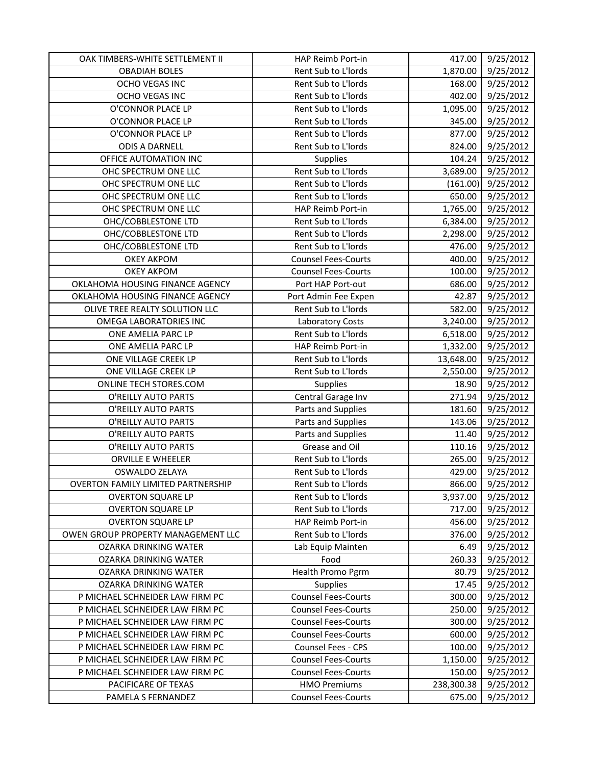| OAK TIMBERS-WHITE SETTLEMENT II           | HAP Reimb Port-in                                 | 417.00               | 9/25/2012              |
|-------------------------------------------|---------------------------------------------------|----------------------|------------------------|
| <b>OBADIAH BOLES</b>                      | Rent Sub to L'Iords                               | 1,870.00             | 9/25/2012              |
| OCHO VEGAS INC                            | Rent Sub to L'Iords                               | 168.00               | 9/25/2012              |
| OCHO VEGAS INC                            | Rent Sub to L'Iords                               | 402.00               | 9/25/2012              |
| O'CONNOR PLACE LP                         | Rent Sub to L'Iords                               | 1,095.00             | 9/25/2012              |
| O'CONNOR PLACE LP                         | Rent Sub to L'Iords                               | 345.00               | 9/25/2012              |
| O'CONNOR PLACE LP                         | Rent Sub to L'Iords                               | 877.00               | 9/25/2012              |
| <b>ODIS A DARNELL</b>                     | Rent Sub to L'Iords                               | 824.00               | 9/25/2012              |
| OFFICE AUTOMATION INC                     | Supplies                                          | 104.24               | 9/25/2012              |
| OHC SPECTRUM ONE LLC                      | Rent Sub to L'Iords                               | 3,689.00             | 9/25/2012              |
| OHC SPECTRUM ONE LLC                      | Rent Sub to L'Iords                               | (161.00)             | 9/25/2012              |
| OHC SPECTRUM ONE LLC                      | Rent Sub to L'Iords                               | 650.00               | 9/25/2012              |
| OHC SPECTRUM ONE LLC                      | HAP Reimb Port-in                                 | 1,765.00             | 9/25/2012              |
| OHC/COBBLESTONE LTD                       | Rent Sub to L'Iords                               | 6,384.00             | 9/25/2012              |
| OHC/COBBLESTONE LTD                       | Rent Sub to L'Iords                               | 2,298.00             | 9/25/2012              |
| OHC/COBBLESTONE LTD                       | Rent Sub to L'Iords                               | 476.00               | 9/25/2012              |
| <b>OKEY AKPOM</b>                         | <b>Counsel Fees-Courts</b>                        | 400.00               | 9/25/2012              |
| <b>OKEY AKPOM</b>                         | <b>Counsel Fees-Courts</b>                        | 100.00               | 9/25/2012              |
| OKLAHOMA HOUSING FINANCE AGENCY           | Port HAP Port-out                                 | 686.00               | 9/25/2012              |
| OKLAHOMA HOUSING FINANCE AGENCY           | Port Admin Fee Expen                              | 42.87                | 9/25/2012              |
| OLIVE TREE REALTY SOLUTION LLC            | Rent Sub to L'Iords                               | 582.00               | 9/25/2012              |
| <b>OMEGA LABORATORIES INC</b>             | <b>Laboratory Costs</b>                           | 3,240.00             | 9/25/2012              |
| ONE AMELIA PARC LP                        | Rent Sub to L'Iords                               | 6,518.00             | 9/25/2012              |
| ONE AMELIA PARC LP                        | HAP Reimb Port-in                                 | 1,332.00             | 9/25/2012              |
| ONE VILLAGE CREEK LP                      | Rent Sub to L'Iords                               | 13,648.00            | 9/25/2012              |
| ONE VILLAGE CREEK LP                      | Rent Sub to L'Iords                               | 2,550.00             | 9/25/2012              |
| ONLINE TECH STORES.COM                    | Supplies                                          | 18.90                | 9/25/2012              |
| O'REILLY AUTO PARTS                       | Central Garage Inv                                | 271.94               | 9/25/2012              |
| O'REILLY AUTO PARTS                       | Parts and Supplies                                | 181.60               | 9/25/2012              |
| O'REILLY AUTO PARTS                       | Parts and Supplies                                | 143.06               | 9/25/2012              |
| O'REILLY AUTO PARTS                       | Parts and Supplies                                | 11.40                | 9/25/2012              |
| O'REILLY AUTO PARTS                       | Grease and Oil                                    | 110.16               | 9/25/2012              |
| ORVILLE E WHEELER                         | Rent Sub to L'Iords                               | 265.00               | 9/25/2012              |
| <b>OSWALDO ZELAYA</b>                     | Rent Sub to L'Iords                               | 429.00               | 9/25/2012              |
| <b>OVERTON FAMILY LIMITED PARTNERSHIP</b> | Rent Sub to L'Iords                               | 866.00               | 9/25/2012              |
| <b>OVERTON SQUARE LP</b>                  | Rent Sub to L'Iords                               | 3,937.00             | 9/25/2012              |
| <b>OVERTON SQUARE LP</b>                  | Rent Sub to L'Iords                               | 717.00               | 9/25/2012              |
| <b>OVERTON SQUARE LP</b>                  | HAP Reimb Port-in                                 | 456.00               | 9/25/2012              |
| OWEN GROUP PROPERTY MANAGEMENT LLC        | Rent Sub to L'Iords                               | 376.00               | 9/25/2012              |
| OZARKA DRINKING WATER                     | Lab Equip Mainten                                 | 6.49                 | 9/25/2012              |
| OZARKA DRINKING WATER                     | Food                                              | 260.33               | 9/25/2012              |
| OZARKA DRINKING WATER                     | Health Promo Pgrm                                 | 80.79                | 9/25/2012              |
| <b>OZARKA DRINKING WATER</b>              | <b>Supplies</b>                                   | 17.45                | 9/25/2012              |
| P MICHAEL SCHNEIDER LAW FIRM PC           | <b>Counsel Fees-Courts</b>                        | 300.00               | 9/25/2012              |
| P MICHAEL SCHNEIDER LAW FIRM PC           | <b>Counsel Fees-Courts</b>                        | 250.00               | 9/25/2012              |
| P MICHAEL SCHNEIDER LAW FIRM PC           | <b>Counsel Fees-Courts</b>                        | 300.00               | 9/25/2012              |
| P MICHAEL SCHNEIDER LAW FIRM PC           | <b>Counsel Fees-Courts</b>                        | 600.00               | 9/25/2012              |
| P MICHAEL SCHNEIDER LAW FIRM PC           | Counsel Fees - CPS                                | 100.00               | 9/25/2012              |
| P MICHAEL SCHNEIDER LAW FIRM PC           | <b>Counsel Fees-Courts</b>                        | 1,150.00             | 9/25/2012              |
| P MICHAEL SCHNEIDER LAW FIRM PC           | <b>Counsel Fees-Courts</b>                        | 150.00               | 9/25/2012              |
|                                           |                                                   |                      |                        |
| PACIFICARE OF TEXAS<br>PAMELA S FERNANDEZ | <b>HMO Premiums</b><br><b>Counsel Fees-Courts</b> | 238,300.38<br>675.00 | 9/25/2012<br>9/25/2012 |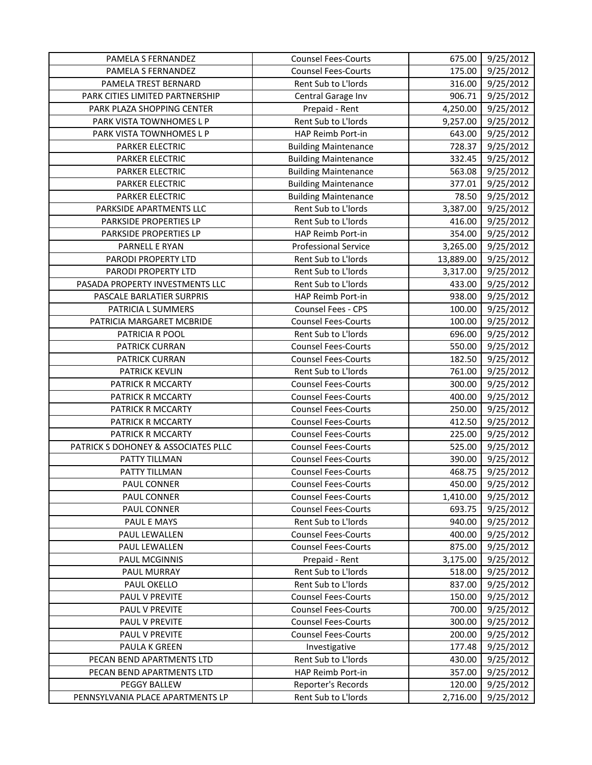| PAMELA S FERNANDEZ                  | <b>Counsel Fees-Courts</b>  | 675.00    | 9/25/2012              |
|-------------------------------------|-----------------------------|-----------|------------------------|
| PAMELA S FERNANDEZ                  | <b>Counsel Fees-Courts</b>  | 175.00    | 9/25/2012              |
| PAMELA TREST BERNARD                | Rent Sub to L'Iords         | 316.00    | 9/25/2012              |
| PARK CITIES LIMITED PARTNERSHIP     | Central Garage Inv          | 906.71    | 9/25/2012              |
| PARK PLAZA SHOPPING CENTER          | Prepaid - Rent              | 4,250.00  | 9/25/2012              |
| PARK VISTA TOWNHOMES L P            | Rent Sub to L'Iords         | 9,257.00  | 9/25/2012              |
| PARK VISTA TOWNHOMES L P            | HAP Reimb Port-in           | 643.00    | 9/25/2012              |
| PARKER ELECTRIC                     | <b>Building Maintenance</b> | 728.37    | 9/25/2012              |
| PARKER ELECTRIC                     | <b>Building Maintenance</b> | 332.45    | $\frac{1}{9}$ /25/2012 |
| PARKER ELECTRIC                     | <b>Building Maintenance</b> | 563.08    | 9/25/2012              |
| <b>PARKER ELECTRIC</b>              | <b>Building Maintenance</b> | 377.01    | 9/25/2012              |
| <b>PARKER ELECTRIC</b>              | <b>Building Maintenance</b> | 78.50     | 9/25/2012              |
| PARKSIDE APARTMENTS LLC             | Rent Sub to L'Iords         | 3,387.00  | 9/25/2012              |
| PARKSIDE PROPERTIES LP              | Rent Sub to L'Iords         | 416.00    | 9/25/2012              |
| PARKSIDE PROPERTIES LP              | HAP Reimb Port-in           | 354.00    | 9/25/2012              |
| PARNELL E RYAN                      | <b>Professional Service</b> | 3,265.00  | 9/25/2012              |
| PARODI PROPERTY LTD                 | Rent Sub to L'Iords         | 13,889.00 | 9/25/2012              |
| PARODI PROPERTY LTD                 | Rent Sub to L'Iords         | 3,317.00  | 9/25/2012              |
| PASADA PROPERTY INVESTMENTS LLC     | Rent Sub to L'Iords         | 433.00    | 9/25/2012              |
| PASCALE BARLATIER SURPRIS           | HAP Reimb Port-in           | 938.00    | 9/25/2012              |
| PATRICIA L SUMMERS                  | Counsel Fees - CPS          | 100.00    | 9/25/2012              |
| PATRICIA MARGARET MCBRIDE           | <b>Counsel Fees-Courts</b>  | 100.00    | 9/25/2012              |
| PATRICIA R POOL                     | Rent Sub to L'Iords         | 696.00    | 9/25/2012              |
| PATRICK CURRAN                      | <b>Counsel Fees-Courts</b>  | 550.00    | 9/25/2012              |
| PATRICK CURRAN                      | <b>Counsel Fees-Courts</b>  | 182.50    | 9/25/2012              |
| <b>PATRICK KEVLIN</b>               | Rent Sub to L'Iords         | 761.00    | 9/25/2012              |
| PATRICK R MCCARTY                   | <b>Counsel Fees-Courts</b>  | 300.00    | 9/25/2012              |
| PATRICK R MCCARTY                   | <b>Counsel Fees-Courts</b>  | 400.00    | 9/25/2012              |
| PATRICK R MCCARTY                   | <b>Counsel Fees-Courts</b>  | 250.00    | 9/25/2012              |
| PATRICK R MCCARTY                   | <b>Counsel Fees-Courts</b>  | 412.50    | 9/25/2012              |
| PATRICK R MCCARTY                   | <b>Counsel Fees-Courts</b>  | 225.00    | 9/25/2012              |
| PATRICK S DOHONEY & ASSOCIATES PLLC | <b>Counsel Fees-Courts</b>  | 525.00    | 9/25/2012              |
| PATTY TILLMAN                       | <b>Counsel Fees-Courts</b>  | 390.00    | 9/25/2012              |
| PATTY TILLMAN                       | <b>Counsel Fees-Courts</b>  | 468.75    | 9/25/2012              |
| PAUL CONNER                         | <b>Counsel Fees-Courts</b>  | 450.00    | 9/25/2012              |
| PAUL CONNER                         | <b>Counsel Fees-Courts</b>  | 1,410.00  | 9/25/2012              |
| PAUL CONNER                         | <b>Counsel Fees-Courts</b>  | 693.75    | 9/25/2012              |
| PAUL E MAYS                         | Rent Sub to L'Iords         | 940.00    | 9/25/2012              |
| PAUL LEWALLEN                       | <b>Counsel Fees-Courts</b>  | 400.00    | 9/25/2012              |
| PAUL LEWALLEN                       | <b>Counsel Fees-Courts</b>  | 875.00    | 9/25/2012              |
| <b>PAUL MCGINNIS</b>                | Prepaid - Rent              | 3,175.00  | 9/25/2012              |
| PAUL MURRAY                         | Rent Sub to L'Iords         | 518.00    | 9/25/2012              |
| PAUL OKELLO                         | Rent Sub to L'Iords         | 837.00    | 9/25/2012              |
| PAUL V PREVITE                      | <b>Counsel Fees-Courts</b>  | 150.00    | 9/25/2012              |
| PAUL V PREVITE                      | <b>Counsel Fees-Courts</b>  | 700.00    | 9/25/2012              |
| PAUL V PREVITE                      | <b>Counsel Fees-Courts</b>  | 300.00    | 9/25/2012              |
| PAUL V PREVITE                      | <b>Counsel Fees-Courts</b>  | 200.00    | 9/25/2012              |
| PAULA K GREEN                       | Investigative               | 177.48    | 9/25/2012              |
| PECAN BEND APARTMENTS LTD           | Rent Sub to L'Iords         | 430.00    | 9/25/2012              |
| PECAN BEND APARTMENTS LTD           | HAP Reimb Port-in           | 357.00    | 9/25/2012              |
| PEGGY BALLEW                        | Reporter's Records          | 120.00    | 9/25/2012              |
| PENNSYLVANIA PLACE APARTMENTS LP    | Rent Sub to L'Iords         | 2,716.00  | 9/25/2012              |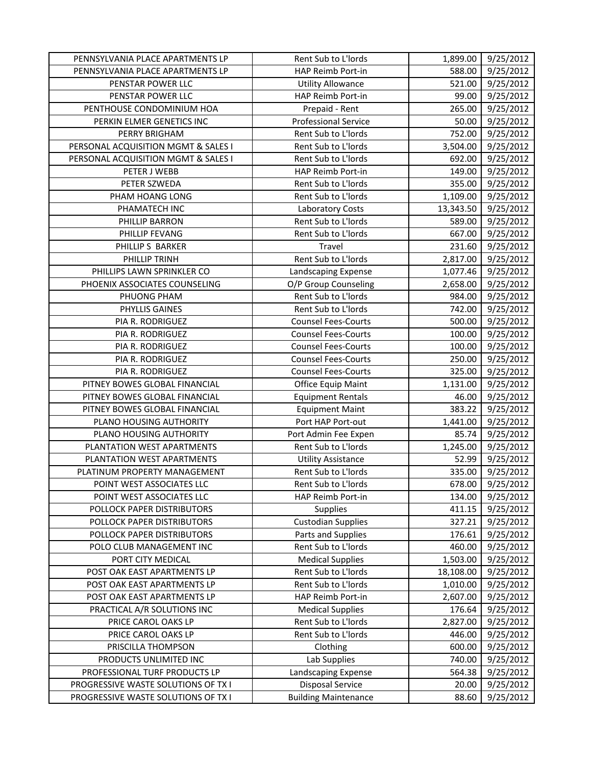| PENNSYLVANIA PLACE APARTMENTS LP    | Rent Sub to L'Iords         | 1,899.00  | 9/25/2012 |
|-------------------------------------|-----------------------------|-----------|-----------|
| PENNSYLVANIA PLACE APARTMENTS LP    | HAP Reimb Port-in           | 588.00    | 9/25/2012 |
| PENSTAR POWER LLC                   | <b>Utility Allowance</b>    | 521.00    | 9/25/2012 |
| PENSTAR POWER LLC                   | HAP Reimb Port-in           | 99.00     | 9/25/2012 |
| PENTHOUSE CONDOMINIUM HOA           | Prepaid - Rent              | 265.00    | 9/25/2012 |
| PERKIN ELMER GENETICS INC           | <b>Professional Service</b> | 50.00     | 9/25/2012 |
| PERRY BRIGHAM                       | Rent Sub to L'Iords         | 752.00    | 9/25/2012 |
| PERSONAL ACQUISITION MGMT & SALES I | Rent Sub to L'Iords         | 3,504.00  | 9/25/2012 |
| PERSONAL ACQUISITION MGMT & SALES I | Rent Sub to L'Iords         | 692.00    | 9/25/2012 |
| PETER J WEBB                        | HAP Reimb Port-in           | 149.00    | 9/25/2012 |
| PETER SZWEDA                        | Rent Sub to L'Iords         | 355.00    | 9/25/2012 |
| PHAM HOANG LONG                     | Rent Sub to L'Iords         | 1,109.00  | 9/25/2012 |
| PHAMATECH INC                       | Laboratory Costs            | 13,343.50 | 9/25/2012 |
| PHILLIP BARRON                      | Rent Sub to L'Iords         | 589.00    | 9/25/2012 |
| PHILLIP FEVANG                      | Rent Sub to L'Iords         | 667.00    | 9/25/2012 |
| PHILLIP S BARKER                    | Travel                      | 231.60    | 9/25/2012 |
| PHILLIP TRINH                       | Rent Sub to L'Iords         | 2,817.00  | 9/25/2012 |
| PHILLIPS LAWN SPRINKLER CO          | Landscaping Expense         | 1,077.46  | 9/25/2012 |
| PHOENIX ASSOCIATES COUNSELING       | O/P Group Counseling        | 2,658.00  | 9/25/2012 |
| PHUONG PHAM                         | Rent Sub to L'Iords         | 984.00    | 9/25/2012 |
| PHYLLIS GAINES                      | Rent Sub to L'Iords         | 742.00    | 9/25/2012 |
| PIA R. RODRIGUEZ                    | <b>Counsel Fees-Courts</b>  | 500.00    | 9/25/2012 |
| PIA R. RODRIGUEZ                    | <b>Counsel Fees-Courts</b>  | 100.00    | 9/25/2012 |
| PIA R. RODRIGUEZ                    | <b>Counsel Fees-Courts</b>  | 100.00    | 9/25/2012 |
| PIA R. RODRIGUEZ                    | <b>Counsel Fees-Courts</b>  | 250.00    | 9/25/2012 |
| PIA R. RODRIGUEZ                    | <b>Counsel Fees-Courts</b>  | 325.00    | 9/25/2012 |
| PITNEY BOWES GLOBAL FINANCIAL       | Office Equip Maint          | 1,131.00  | 9/25/2012 |
| PITNEY BOWES GLOBAL FINANCIAL       | <b>Equipment Rentals</b>    | 46.00     | 9/25/2012 |
| PITNEY BOWES GLOBAL FINANCIAL       | <b>Equipment Maint</b>      | 383.22    | 9/25/2012 |
| PLANO HOUSING AUTHORITY             | Port HAP Port-out           | 1,441.00  | 9/25/2012 |
| PLANO HOUSING AUTHORITY             | Port Admin Fee Expen        | 85.74     | 9/25/2012 |
| PLANTATION WEST APARTMENTS          | Rent Sub to L'Iords         | 1,245.00  | 9/25/2012 |
| PLANTATION WEST APARTMENTS          | <b>Utility Assistance</b>   | 52.99     | 9/25/2012 |
| PLATINUM PROPERTY MANAGEMENT        | Rent Sub to L'Iords         | 335.00    | 9/25/2012 |
| POINT WEST ASSOCIATES LLC           | Rent Sub to L'Iords         | 678.00    | 9/25/2012 |
| POINT WEST ASSOCIATES LLC           | HAP Reimb Port-in           | 134.00    | 9/25/2012 |
| POLLOCK PAPER DISTRIBUTORS          | Supplies                    | 411.15    | 9/25/2012 |
| POLLOCK PAPER DISTRIBUTORS          | <b>Custodian Supplies</b>   | 327.21    | 9/25/2012 |
| POLLOCK PAPER DISTRIBUTORS          | Parts and Supplies          | 176.61    | 9/25/2012 |
| POLO CLUB MANAGEMENT INC            | Rent Sub to L'Iords         | 460.00    | 9/25/2012 |
| PORT CITY MEDICAL                   | <b>Medical Supplies</b>     | 1,503.00  | 9/25/2012 |
| POST OAK EAST APARTMENTS LP         | Rent Sub to L'Iords         | 18,108.00 | 9/25/2012 |
| POST OAK EAST APARTMENTS LP         | Rent Sub to L'Iords         | 1,010.00  | 9/25/2012 |
| POST OAK EAST APARTMENTS LP         | HAP Reimb Port-in           | 2,607.00  | 9/25/2012 |
| PRACTICAL A/R SOLUTIONS INC         | <b>Medical Supplies</b>     | 176.64    | 9/25/2012 |
| PRICE CAROL OAKS LP                 | Rent Sub to L'Iords         | 2,827.00  | 9/25/2012 |
| PRICE CAROL OAKS LP                 | Rent Sub to L'Iords         | 446.00    | 9/25/2012 |
| PRISCILLA THOMPSON                  | Clothing                    | 600.00    | 9/25/2012 |
| PRODUCTS UNLIMITED INC              | Lab Supplies                | 740.00    | 9/25/2012 |
| PROFESSIONAL TURF PRODUCTS LP       | Landscaping Expense         | 564.38    | 9/25/2012 |
| PROGRESSIVE WASTE SOLUTIONS OF TX I | <b>Disposal Service</b>     | 20.00     | 9/25/2012 |
| PROGRESSIVE WASTE SOLUTIONS OF TX I | <b>Building Maintenance</b> | 88.60     | 9/25/2012 |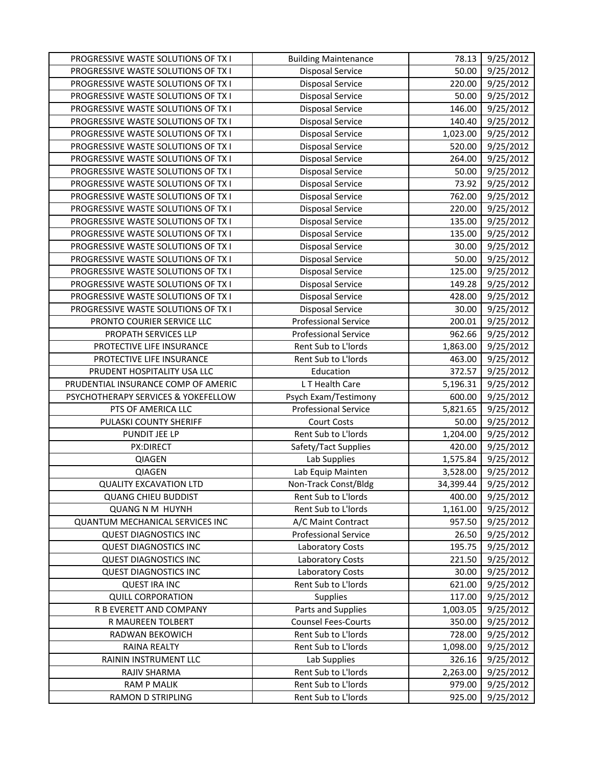| <b>PROGRESSIVE WASTE SOLUTIONS OF TX I</b> | <b>Building Maintenance</b> | 78.13     | 9/25/2012 |
|--------------------------------------------|-----------------------------|-----------|-----------|
| PROGRESSIVE WASTE SOLUTIONS OF TX I        | <b>Disposal Service</b>     | 50.00     | 9/25/2012 |
| PROGRESSIVE WASTE SOLUTIONS OF TX I        | <b>Disposal Service</b>     | 220.00    | 9/25/2012 |
| PROGRESSIVE WASTE SOLUTIONS OF TX I        | <b>Disposal Service</b>     | 50.00     | 9/25/2012 |
| PROGRESSIVE WASTE SOLUTIONS OF TX I        | <b>Disposal Service</b>     | 146.00    | 9/25/2012 |
| PROGRESSIVE WASTE SOLUTIONS OF TX I        | <b>Disposal Service</b>     | 140.40    | 9/25/2012 |
| PROGRESSIVE WASTE SOLUTIONS OF TX I        | <b>Disposal Service</b>     | 1,023.00  | 9/25/2012 |
| PROGRESSIVE WASTE SOLUTIONS OF TX I        | <b>Disposal Service</b>     | 520.00    | 9/25/2012 |
| PROGRESSIVE WASTE SOLUTIONS OF TX I        | <b>Disposal Service</b>     | 264.00    | 9/25/2012 |
| PROGRESSIVE WASTE SOLUTIONS OF TX I        | <b>Disposal Service</b>     | 50.00     | 9/25/2012 |
| PROGRESSIVE WASTE SOLUTIONS OF TX I        | Disposal Service            | 73.92     | 9/25/2012 |
| PROGRESSIVE WASTE SOLUTIONS OF TX I        | <b>Disposal Service</b>     | 762.00    | 9/25/2012 |
| PROGRESSIVE WASTE SOLUTIONS OF TX I        | <b>Disposal Service</b>     | 220.00    | 9/25/2012 |
| PROGRESSIVE WASTE SOLUTIONS OF TX I        | <b>Disposal Service</b>     | 135.00    | 9/25/2012 |
| PROGRESSIVE WASTE SOLUTIONS OF TX I        | <b>Disposal Service</b>     | 135.00    | 9/25/2012 |
| PROGRESSIVE WASTE SOLUTIONS OF TX I        | <b>Disposal Service</b>     | 30.00     | 9/25/2012 |
| PROGRESSIVE WASTE SOLUTIONS OF TX I        | <b>Disposal Service</b>     | 50.00     | 9/25/2012 |
| PROGRESSIVE WASTE SOLUTIONS OF TX I        | <b>Disposal Service</b>     | 125.00    | 9/25/2012 |
| PROGRESSIVE WASTE SOLUTIONS OF TX I        | <b>Disposal Service</b>     | 149.28    | 9/25/2012 |
| PROGRESSIVE WASTE SOLUTIONS OF TX I        | <b>Disposal Service</b>     | 428.00    | 9/25/2012 |
| PROGRESSIVE WASTE SOLUTIONS OF TX I        | Disposal Service            | 30.00     | 9/25/2012 |
| PRONTO COURIER SERVICE LLC                 | <b>Professional Service</b> | 200.01    | 9/25/2012 |
| PROPATH SERVICES LLP                       | <b>Professional Service</b> | 962.66    | 9/25/2012 |
| PROTECTIVE LIFE INSURANCE                  | Rent Sub to L'Iords         | 1,863.00  | 9/25/2012 |
| PROTECTIVE LIFE INSURANCE                  | Rent Sub to L'Iords         | 463.00    | 9/25/2012 |
| PRUDENT HOSPITALITY USA LLC                | Education                   | 372.57    | 9/25/2012 |
| PRUDENTIAL INSURANCE COMP OF AMERIC        | L T Health Care             | 5,196.31  | 9/25/2012 |
| PSYCHOTHERAPY SERVICES & YOKEFELLOW        | Psych Exam/Testimony        | 600.00    | 9/25/2012 |
| PTS OF AMERICA LLC                         | <b>Professional Service</b> | 5,821.65  | 9/25/2012 |
| PULASKI COUNTY SHERIFF                     | <b>Court Costs</b>          | 50.00     | 9/25/2012 |
| PUNDIT JEE LP                              | Rent Sub to L'Iords         | 1,204.00  | 9/25/2012 |
| PX:DIRECT                                  | Safety/Tact Supplies        | 420.00    | 9/25/2012 |
| QIAGEN                                     | Lab Supplies                | 1,575.84  | 9/25/2012 |
| QIAGEN                                     | Lab Equip Mainten           | 3,528.00  | 9/25/2012 |
| <b>QUALITY EXCAVATION LTD</b>              | Non-Track Const/Bldg        | 34,399.44 | 9/25/2012 |
| <b>QUANG CHIEU BUDDIST</b>                 | Rent Sub to L'Iords         | 400.00    | 9/25/2012 |
| <b>QUANG N M HUYNH</b>                     | Rent Sub to L'Iords         | 1,161.00  | 9/25/2012 |
| <b>QUANTUM MECHANICAL SERVICES INC</b>     | A/C Maint Contract          | 957.50    | 9/25/2012 |
| <b>QUEST DIAGNOSTICS INC</b>               | <b>Professional Service</b> | 26.50     | 9/25/2012 |
| <b>QUEST DIAGNOSTICS INC</b>               | <b>Laboratory Costs</b>     | 195.75    | 9/25/2012 |
| <b>QUEST DIAGNOSTICS INC</b>               | Laboratory Costs            | 221.50    | 9/25/2012 |
| <b>QUEST DIAGNOSTICS INC</b>               | Laboratory Costs            | 30.00     | 9/25/2012 |
| <b>QUEST IRA INC</b>                       | Rent Sub to L'Iords         | 621.00    | 9/25/2012 |
| <b>QUILL CORPORATION</b>                   | <b>Supplies</b>             | 117.00    | 9/25/2012 |
| R B EVERETT AND COMPANY                    | Parts and Supplies          | 1,003.05  | 9/25/2012 |
| R MAUREEN TOLBERT                          | <b>Counsel Fees-Courts</b>  | 350.00    | 9/25/2012 |
| RADWAN BEKOWICH                            | Rent Sub to L'Iords         | 728.00    | 9/25/2012 |
| RAINA REALTY                               | Rent Sub to L'Iords         | 1,098.00  | 9/25/2012 |
| RAININ INSTRUMENT LLC                      | Lab Supplies                | 326.16    | 9/25/2012 |
| RAJIV SHARMA                               | Rent Sub to L'Iords         | 2,263.00  | 9/25/2012 |
| <b>RAM P MALIK</b>                         | Rent Sub to L'Iords         | 979.00    | 9/25/2012 |
| RAMON D STRIPLING                          | Rent Sub to L'Iords         | 925.00    | 9/25/2012 |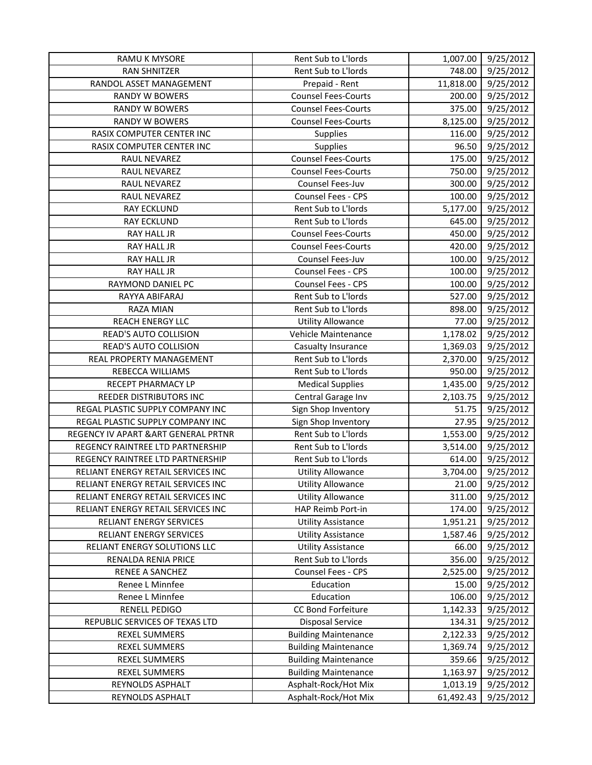| RAMU K MYSORE                        | Rent Sub to L'Iords         | 1,007.00  | 9/25/2012 |
|--------------------------------------|-----------------------------|-----------|-----------|
| <b>RAN SHNITZER</b>                  | Rent Sub to L'Iords         | 748.00    | 9/25/2012 |
| RANDOL ASSET MANAGEMENT              | Prepaid - Rent              | 11,818.00 | 9/25/2012 |
| <b>RANDY W BOWERS</b>                | <b>Counsel Fees-Courts</b>  | 200.00    | 9/25/2012 |
| <b>RANDY W BOWERS</b>                | <b>Counsel Fees-Courts</b>  | 375.00    | 9/25/2012 |
| <b>RANDY W BOWERS</b>                | <b>Counsel Fees-Courts</b>  | 8,125.00  | 9/25/2012 |
| RASIX COMPUTER CENTER INC            | <b>Supplies</b>             | 116.00    | 9/25/2012 |
| RASIX COMPUTER CENTER INC            | Supplies                    | 96.50     | 9/25/2012 |
| RAUL NEVAREZ                         | <b>Counsel Fees-Courts</b>  | 175.00    | 9/25/2012 |
| RAUL NEVAREZ                         | <b>Counsel Fees-Courts</b>  | 750.00    | 9/25/2012 |
| RAUL NEVAREZ                         | Counsel Fees-Juv            | 300.00    | 9/25/2012 |
| RAUL NEVAREZ                         | Counsel Fees - CPS          | 100.00    | 9/25/2012 |
| <b>RAY ECKLUND</b>                   | Rent Sub to L'Iords         | 5,177.00  | 9/25/2012 |
| <b>RAY ECKLUND</b>                   | Rent Sub to L'Iords         | 645.00    | 9/25/2012 |
| RAY HALL JR                          | <b>Counsel Fees-Courts</b>  | 450.00    | 9/25/2012 |
| RAY HALL JR                          | <b>Counsel Fees-Courts</b>  | 420.00    | 9/25/2012 |
| RAY HALL JR                          | Counsel Fees-Juv            | 100.00    | 9/25/2012 |
| RAY HALL JR                          | Counsel Fees - CPS          | 100.00    | 9/25/2012 |
| RAYMOND DANIEL PC                    | Counsel Fees - CPS          | 100.00    | 9/25/2012 |
| RAYYA ABIFARAJ                       | Rent Sub to L'Iords         | 527.00    | 9/25/2012 |
| RAZA MIAN                            | Rent Sub to L'Iords         | 898.00    | 9/25/2012 |
| <b>REACH ENERGY LLC</b>              | <b>Utility Allowance</b>    | 77.00     | 9/25/2012 |
| <b>READ'S AUTO COLLISION</b>         | Vehicle Maintenance         | 1,178.02  | 9/25/2012 |
| READ'S AUTO COLLISION                | Casualty Insurance          | 1,369.03  | 9/25/2012 |
| REAL PROPERTY MANAGEMENT             | Rent Sub to L'Iords         | 2,370.00  | 9/25/2012 |
| REBECCA WILLIAMS                     | Rent Sub to L'Iords         | 950.00    | 9/25/2012 |
| RECEPT PHARMACY LP                   | <b>Medical Supplies</b>     | 1,435.00  | 9/25/2012 |
| REEDER DISTRIBUTORS INC              | Central Garage Inv          | 2,103.75  | 9/25/2012 |
| REGAL PLASTIC SUPPLY COMPANY INC     | Sign Shop Inventory         | 51.75     | 9/25/2012 |
| REGAL PLASTIC SUPPLY COMPANY INC     | Sign Shop Inventory         | 27.95     | 9/25/2012 |
| REGENCY IV APART & ART GENERAL PRTNR | Rent Sub to L'Iords         | 1,553.00  | 9/25/2012 |
| REGENCY RAINTREE LTD PARTNERSHIP     | Rent Sub to L'Iords         | 3,514.00  | 9/25/2012 |
| REGENCY RAINTREE LTD PARTNERSHIP     | Rent Sub to L'Iords         | 614.00    | 9/25/2012 |
| RELIANT ENERGY RETAIL SERVICES INC   | <b>Utility Allowance</b>    | 3,704.00  | 9/25/2012 |
| RELIANT ENERGY RETAIL SERVICES INC   | <b>Utility Allowance</b>    | 21.00     | 9/25/2012 |
| RELIANT ENERGY RETAIL SERVICES INC   | <b>Utility Allowance</b>    | 311.00    | 9/25/2012 |
| RELIANT ENERGY RETAIL SERVICES INC   | HAP Reimb Port-in           | 174.00    | 9/25/2012 |
| RELIANT ENERGY SERVICES              | <b>Utility Assistance</b>   | 1,951.21  | 9/25/2012 |
| RELIANT ENERGY SERVICES              | <b>Utility Assistance</b>   | 1,587.46  | 9/25/2012 |
| RELIANT ENERGY SOLUTIONS LLC         | <b>Utility Assistance</b>   | 66.00     | 9/25/2012 |
| RENALDA RENIA PRICE                  | Rent Sub to L'Iords         | 356.00    | 9/25/2012 |
| <b>RENEE A SANCHEZ</b>               | Counsel Fees - CPS          | 2,525.00  | 9/25/2012 |
| Renee L Minnfee                      | Education                   | 15.00     | 9/25/2012 |
| Renee L Minnfee                      | Education                   | 106.00    | 9/25/2012 |
| <b>RENELL PEDIGO</b>                 | <b>CC Bond Forfeiture</b>   | 1,142.33  | 9/25/2012 |
| REPUBLIC SERVICES OF TEXAS LTD       | <b>Disposal Service</b>     | 134.31    | 9/25/2012 |
| <b>REXEL SUMMERS</b>                 | <b>Building Maintenance</b> | 2,122.33  | 9/25/2012 |
| <b>REXEL SUMMERS</b>                 | <b>Building Maintenance</b> | 1,369.74  | 9/25/2012 |
| <b>REXEL SUMMERS</b>                 | <b>Building Maintenance</b> | 359.66    | 9/25/2012 |
| <b>REXEL SUMMERS</b>                 | <b>Building Maintenance</b> | 1,163.97  | 9/25/2012 |
| REYNOLDS ASPHALT                     | Asphalt-Rock/Hot Mix        | 1,013.19  | 9/25/2012 |
| REYNOLDS ASPHALT                     | Asphalt-Rock/Hot Mix        | 61,492.43 | 9/25/2012 |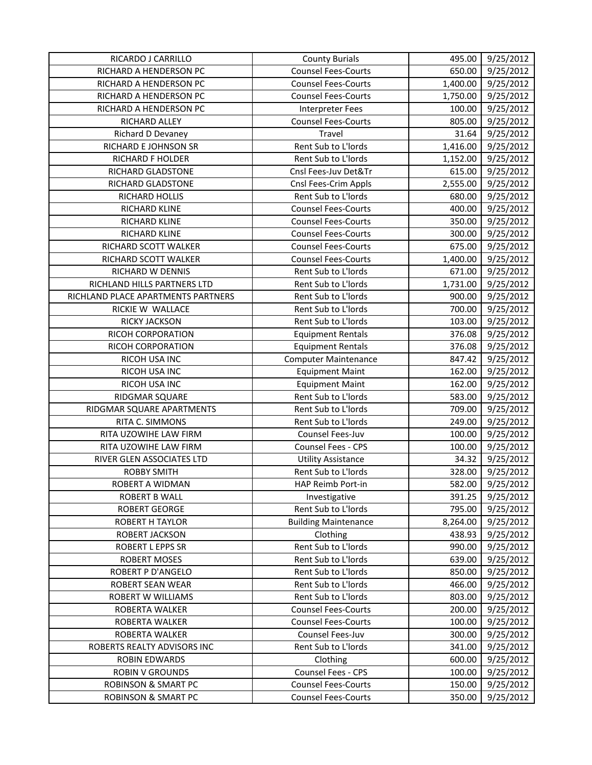| RICARDO J CARRILLO                 | <b>County Burials</b>       | 495.00   | 9/25/2012 |
|------------------------------------|-----------------------------|----------|-----------|
| RICHARD A HENDERSON PC             | <b>Counsel Fees-Courts</b>  | 650.00   | 9/25/2012 |
| RICHARD A HENDERSON PC             | <b>Counsel Fees-Courts</b>  | 1,400.00 | 9/25/2012 |
| RICHARD A HENDERSON PC             | <b>Counsel Fees-Courts</b>  | 1,750.00 | 9/25/2012 |
| RICHARD A HENDERSON PC             | <b>Interpreter Fees</b>     | 100.00   | 9/25/2012 |
| RICHARD ALLEY                      | <b>Counsel Fees-Courts</b>  | 805.00   | 9/25/2012 |
| Richard D Devaney                  | Travel                      | 31.64    | 9/25/2012 |
| RICHARD E JOHNSON SR               | Rent Sub to L'Iords         | 1,416.00 | 9/25/2012 |
| RICHARD F HOLDER                   | Rent Sub to L'Iords         | 1,152.00 | 9/25/2012 |
| RICHARD GLADSTONE                  | Cnsl Fees-Juv Det&Tr        | 615.00   | 9/25/2012 |
| RICHARD GLADSTONE                  | Cnsl Fees-Crim Appls        | 2,555.00 | 9/25/2012 |
| RICHARD HOLLIS                     | Rent Sub to L'Iords         | 680.00   | 9/25/2012 |
| RICHARD KLINE                      | <b>Counsel Fees-Courts</b>  | 400.00   | 9/25/2012 |
| RICHARD KLINE                      | <b>Counsel Fees-Courts</b>  | 350.00   | 9/25/2012 |
| RICHARD KLINE                      | <b>Counsel Fees-Courts</b>  | 300.00   | 9/25/2012 |
| RICHARD SCOTT WALKER               | <b>Counsel Fees-Courts</b>  | 675.00   | 9/25/2012 |
| RICHARD SCOTT WALKER               | <b>Counsel Fees-Courts</b>  | 1,400.00 | 9/25/2012 |
| RICHARD W DENNIS                   | Rent Sub to L'Iords         | 671.00   | 9/25/2012 |
| RICHLAND HILLS PARTNERS LTD        | Rent Sub to L'Iords         | 1,731.00 | 9/25/2012 |
| RICHLAND PLACE APARTMENTS PARTNERS | Rent Sub to L'Iords         | 900.00   | 9/25/2012 |
| RICKIE W WALLACE                   | Rent Sub to L'Iords         | 700.00   | 9/25/2012 |
| RICKY JACKSON                      | Rent Sub to L'Iords         | 103.00   | 9/25/2012 |
| RICOH CORPORATION                  | <b>Equipment Rentals</b>    | 376.08   | 9/25/2012 |
| RICOH CORPORATION                  | <b>Equipment Rentals</b>    | 376.08   | 9/25/2012 |
| RICOH USA INC                      | <b>Computer Maintenance</b> | 847.42   | 9/25/2012 |
| RICOH USA INC                      | <b>Equipment Maint</b>      | 162.00   | 9/25/2012 |
| RICOH USA INC                      | <b>Equipment Maint</b>      | 162.00   | 9/25/2012 |
| RIDGMAR SQUARE                     | Rent Sub to L'Iords         | 583.00   | 9/25/2012 |
| RIDGMAR SQUARE APARTMENTS          | Rent Sub to L'Iords         | 709.00   | 9/25/2012 |
| RITA C. SIMMONS                    | Rent Sub to L'Iords         | 249.00   | 9/25/2012 |
| RITA UZOWIHE LAW FIRM              | Counsel Fees-Juv            | 100.00   | 9/25/2012 |
| RITA UZOWIHE LAW FIRM              | Counsel Fees - CPS          | 100.00   | 9/25/2012 |
| RIVER GLEN ASSOCIATES LTD          | <b>Utility Assistance</b>   | 34.32    | 9/25/2012 |
| <b>ROBBY SMITH</b>                 | Rent Sub to L'Iords         | 328.00   | 9/25/2012 |
| ROBERT A WIDMAN                    | HAP Reimb Port-in           | 582.00   | 9/25/2012 |
| ROBERT B WALL                      | Investigative               | 391.25   | 9/25/2012 |
| <b>ROBERT GEORGE</b>               | Rent Sub to L'Iords         | 795.00   | 9/25/2012 |
| ROBERT H TAYLOR                    | <b>Building Maintenance</b> | 8,264.00 | 9/25/2012 |
| ROBERT JACKSON                     | Clothing                    | 438.93   | 9/25/2012 |
| <b>ROBERT L EPPS SR</b>            | Rent Sub to L'Iords         | 990.00   | 9/25/2012 |
| <b>ROBERT MOSES</b>                | Rent Sub to L'Iords         | 639.00   | 9/25/2012 |
| <b>ROBERT P D'ANGELO</b>           | Rent Sub to L'Iords         | 850.00   | 9/25/2012 |
| ROBERT SEAN WEAR                   | Rent Sub to L'Iords         | 466.00   | 9/25/2012 |
| ROBERT W WILLIAMS                  | Rent Sub to L'Iords         | 803.00   | 9/25/2012 |
| ROBERTA WALKER                     | <b>Counsel Fees-Courts</b>  | 200.00   | 9/25/2012 |
| ROBERTA WALKER                     | <b>Counsel Fees-Courts</b>  | 100.00   | 9/25/2012 |
| ROBERTA WALKER                     | Counsel Fees-Juv            | 300.00   | 9/25/2012 |
| ROBERTS REALTY ADVISORS INC        | Rent Sub to L'Iords         | 341.00   | 9/25/2012 |
| <b>ROBIN EDWARDS</b>               | Clothing                    | 600.00   | 9/25/2012 |
| <b>ROBIN V GROUNDS</b>             | Counsel Fees - CPS          | 100.00   | 9/25/2012 |
| <b>ROBINSON &amp; SMART PC</b>     | <b>Counsel Fees-Courts</b>  | 150.00   | 9/25/2012 |
| <b>ROBINSON &amp; SMART PC</b>     | <b>Counsel Fees-Courts</b>  | 350.00   | 9/25/2012 |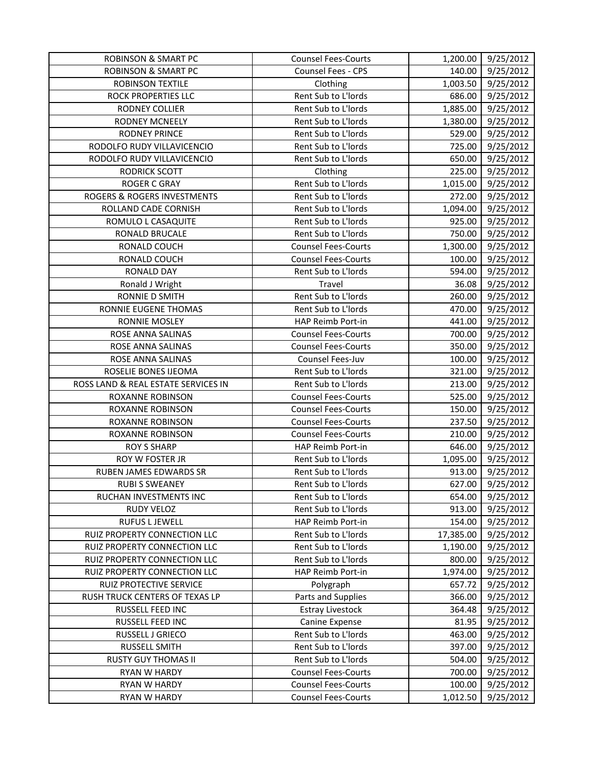| <b>ROBINSON &amp; SMART PC</b>      | <b>Counsel Fees-Courts</b> | 1,200.00  | 9/25/2012 |
|-------------------------------------|----------------------------|-----------|-----------|
| <b>ROBINSON &amp; SMART PC</b>      | Counsel Fees - CPS         | 140.00    | 9/25/2012 |
| ROBINSON TEXTILE                    | Clothing                   | 1,003.50  | 9/25/2012 |
| ROCK PROPERTIES LLC                 | Rent Sub to L'Iords        | 686.00    | 9/25/2012 |
| RODNEY COLLIER                      | Rent Sub to L'Iords        | 1,885.00  | 9/25/2012 |
| <b>RODNEY MCNEELY</b>               | Rent Sub to L'Iords        | 1,380.00  | 9/25/2012 |
| <b>RODNEY PRINCE</b>                | Rent Sub to L'Iords        | 529.00    | 9/25/2012 |
| RODOLFO RUDY VILLAVICENCIO          | Rent Sub to L'Iords        | 725.00    | 9/25/2012 |
| RODOLFO RUDY VILLAVICENCIO          | Rent Sub to L'Iords        | 650.00    | 9/25/2012 |
| <b>RODRICK SCOTT</b>                | Clothing                   | 225.00    | 9/25/2012 |
| <b>ROGER C GRAY</b>                 | Rent Sub to L'Iords        | 1,015.00  | 9/25/2012 |
| ROGERS & ROGERS INVESTMENTS         | Rent Sub to L'Iords        | 272.00    | 9/25/2012 |
| ROLLAND CADE CORNISH                | Rent Sub to L'Iords        | 1,094.00  | 9/25/2012 |
| ROMULO L CASAQUITE                  | Rent Sub to L'Iords        | 925.00    | 9/25/2012 |
| RONALD BRUCALE                      | Rent Sub to L'Iords        | 750.00    | 9/25/2012 |
| RONALD COUCH                        | <b>Counsel Fees-Courts</b> | 1,300.00  | 9/25/2012 |
| RONALD COUCH                        | <b>Counsel Fees-Courts</b> | 100.00    | 9/25/2012 |
| <b>RONALD DAY</b>                   | Rent Sub to L'Iords        | 594.00    | 9/25/2012 |
| Ronald J Wright                     | Travel                     | 36.08     | 9/25/2012 |
| RONNIE D SMITH                      | Rent Sub to L'Iords        | 260.00    | 9/25/2012 |
| RONNIE EUGENE THOMAS                | Rent Sub to L'Iords        | 470.00    | 9/25/2012 |
| RONNIE MOSLEY                       | HAP Reimb Port-in          | 441.00    | 9/25/2012 |
| ROSE ANNA SALINAS                   | <b>Counsel Fees-Courts</b> | 700.00    | 9/25/2012 |
| ROSE ANNA SALINAS                   | <b>Counsel Fees-Courts</b> | 350.00    | 9/25/2012 |
| ROSE ANNA SALINAS                   | Counsel Fees-Juv           | 100.00    | 9/25/2012 |
| ROSELIE BONES IJEOMA                | Rent Sub to L'Iords        | 321.00    | 9/25/2012 |
| ROSS LAND & REAL ESTATE SERVICES IN | Rent Sub to L'Iords        | 213.00    | 9/25/2012 |
| ROXANNE ROBINSON                    | <b>Counsel Fees-Courts</b> | 525.00    | 9/25/2012 |
| ROXANNE ROBINSON                    | <b>Counsel Fees-Courts</b> | 150.00    | 9/25/2012 |
| ROXANNE ROBINSON                    | <b>Counsel Fees-Courts</b> | 237.50    | 9/25/2012 |
| ROXANNE ROBINSON                    | <b>Counsel Fees-Courts</b> | 210.00    | 9/25/2012 |
| <b>ROY S SHARP</b>                  | HAP Reimb Port-in          | 646.00    | 9/25/2012 |
| ROY W FOSTER JR                     | Rent Sub to L'Iords        | 1,095.00  | 9/25/2012 |
| RUBEN JAMES EDWARDS SR              | Rent Sub to L'Iords        | 913.00    | 9/25/2012 |
| <b>RUBI S SWEANEY</b>               | Rent Sub to L'Iords        | 627.00    | 9/25/2012 |
| RUCHAN INVESTMENTS INC              | Rent Sub to L'Iords        | 654.00    | 9/25/2012 |
| RUDY VELOZ                          | Rent Sub to L'Iords        | 913.00    | 9/25/2012 |
| <b>RUFUS L JEWELL</b>               | HAP Reimb Port-in          | 154.00    | 9/25/2012 |
| RUIZ PROPERTY CONNECTION LLC        | Rent Sub to L'Iords        | 17,385.00 | 9/25/2012 |
| RUIZ PROPERTY CONNECTION LLC        | Rent Sub to L'Iords        | 1,190.00  | 9/25/2012 |
| RUIZ PROPERTY CONNECTION LLC        | Rent Sub to L'Iords        | 800.00    | 9/25/2012 |
| RUIZ PROPERTY CONNECTION LLC        | HAP Reimb Port-in          | 1,974.00  | 9/25/2012 |
| RUIZ PROTECTIVE SERVICE             | Polygraph                  | 657.72    | 9/25/2012 |
| RUSH TRUCK CENTERS OF TEXAS LP      | Parts and Supplies         | 366.00    | 9/25/2012 |
| RUSSELL FEED INC                    | <b>Estray Livestock</b>    | 364.48    | 9/25/2012 |
| RUSSELL FEED INC                    | Canine Expense             | 81.95     | 9/25/2012 |
| RUSSELL J GRIECO                    | Rent Sub to L'Iords        | 463.00    | 9/25/2012 |
| RUSSELL SMITH                       | Rent Sub to L'Iords        | 397.00    | 9/25/2012 |
| <b>RUSTY GUY THOMAS II</b>          | Rent Sub to L'Iords        | 504.00    | 9/25/2012 |
| RYAN W HARDY                        | <b>Counsel Fees-Courts</b> | 700.00    | 9/25/2012 |
| RYAN W HARDY                        | <b>Counsel Fees-Courts</b> | 100.00    | 9/25/2012 |
| RYAN W HARDY                        | <b>Counsel Fees-Courts</b> | 1,012.50  | 9/25/2012 |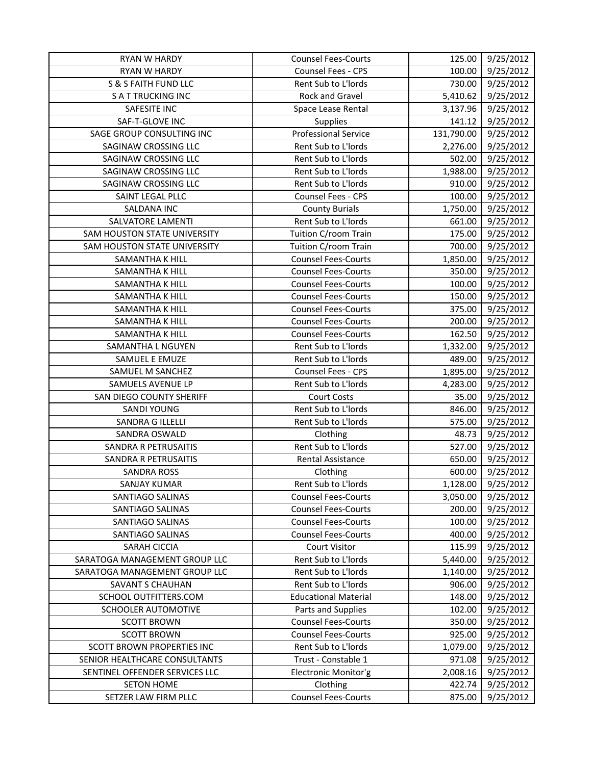| <b>RYAN W HARDY</b>            | <b>Counsel Fees-Courts</b>  | 125.00     | 9/25/2012 |
|--------------------------------|-----------------------------|------------|-----------|
| <b>RYAN W HARDY</b>            | Counsel Fees - CPS          | 100.00     | 9/25/2012 |
| S & S FAITH FUND LLC           | Rent Sub to L'Iords         | 730.00     | 9/25/2012 |
| <b>SATTRUCKING INC</b>         | Rock and Gravel             | 5,410.62   | 9/25/2012 |
| SAFESITE INC                   | Space Lease Rental          | 3,137.96   | 9/25/2012 |
| SAF-T-GLOVE INC                | <b>Supplies</b>             | 141.12     | 9/25/2012 |
| SAGE GROUP CONSULTING INC      | <b>Professional Service</b> | 131,790.00 | 9/25/2012 |
| SAGINAW CROSSING LLC           | Rent Sub to L'Iords         | 2,276.00   | 9/25/2012 |
| SAGINAW CROSSING LLC           | Rent Sub to L'Iords         | 502.00     | 9/25/2012 |
| SAGINAW CROSSING LLC           | Rent Sub to L'Iords         | 1,988.00   | 9/25/2012 |
| SAGINAW CROSSING LLC           | Rent Sub to L'Iords         | 910.00     | 9/25/2012 |
| SAINT LEGAL PLLC               | Counsel Fees - CPS          | 100.00     | 9/25/2012 |
| SALDANA INC                    | <b>County Burials</b>       | 1,750.00   | 9/25/2012 |
| SALVATORE LAMENTI              | Rent Sub to L'Iords         | 661.00     | 9/25/2012 |
| SAM HOUSTON STATE UNIVERSITY   | Tuition C/room Train        | 175.00     | 9/25/2012 |
| SAM HOUSTON STATE UNIVERSITY   | Tuition C/room Train        | 700.00     | 9/25/2012 |
| SAMANTHA K HILL                | <b>Counsel Fees-Courts</b>  | 1,850.00   | 9/25/2012 |
| SAMANTHA K HILL                | <b>Counsel Fees-Courts</b>  | 350.00     | 9/25/2012 |
| SAMANTHA K HILL                | <b>Counsel Fees-Courts</b>  | 100.00     | 9/25/2012 |
| SAMANTHA K HILL                | <b>Counsel Fees-Courts</b>  | 150.00     | 9/25/2012 |
| SAMANTHA K HILL                | <b>Counsel Fees-Courts</b>  | 375.00     | 9/25/2012 |
| SAMANTHA K HILL                | <b>Counsel Fees-Courts</b>  | 200.00     | 9/25/2012 |
| <b>SAMANTHA K HILL</b>         | <b>Counsel Fees-Courts</b>  | 162.50     | 9/25/2012 |
| SAMANTHA L NGUYEN              | Rent Sub to L'Iords         | 1,332.00   | 9/25/2012 |
| SAMUEL E EMUZE                 | Rent Sub to L'Iords         | 489.00     | 9/25/2012 |
| SAMUEL M SANCHEZ               | <b>Counsel Fees - CPS</b>   | 1,895.00   | 9/25/2012 |
| SAMUELS AVENUE LP              | Rent Sub to L'Iords         | 4,283.00   | 9/25/2012 |
| SAN DIEGO COUNTY SHERIFF       | <b>Court Costs</b>          | 35.00      | 9/25/2012 |
| SANDI YOUNG                    | Rent Sub to L'Iords         | 846.00     | 9/25/2012 |
| SANDRA G ILLELLI               | Rent Sub to L'Iords         | 575.00     | 9/25/2012 |
| SANDRA OSWALD                  | Clothing                    | 48.73      | 9/25/2012 |
| SANDRA R PETRUSAITIS           | Rent Sub to L'Iords         | 527.00     | 9/25/2012 |
| SANDRA R PETRUSAITIS           | Rental Assistance           | 650.00     | 9/25/2012 |
| <b>SANDRA ROSS</b>             | Clothing                    | 600.00     | 9/25/2012 |
| <b>SANJAY KUMAR</b>            | Rent Sub to L'Iords         | 1,128.00   | 9/25/2012 |
| SANTIAGO SALINAS               | <b>Counsel Fees-Courts</b>  | 3,050.00   | 9/25/2012 |
| SANTIAGO SALINAS               | <b>Counsel Fees-Courts</b>  | 200.00     | 9/25/2012 |
| SANTIAGO SALINAS               | <b>Counsel Fees-Courts</b>  | 100.00     | 9/25/2012 |
| SANTIAGO SALINAS               | <b>Counsel Fees-Courts</b>  | 400.00     | 9/25/2012 |
| <b>SARAH CICCIA</b>            | <b>Court Visitor</b>        | 115.99     | 9/25/2012 |
| SARATOGA MANAGEMENT GROUP LLC  | Rent Sub to L'Iords         | 5,440.00   | 9/25/2012 |
| SARATOGA MANAGEMENT GROUP LLC  | Rent Sub to L'Iords         | 1,140.00   | 9/25/2012 |
| SAVANT S CHAUHAN               | Rent Sub to L'Iords         | 906.00     | 9/25/2012 |
| SCHOOL OUTFITTERS.COM          | <b>Educational Material</b> | 148.00     | 9/25/2012 |
| SCHOOLER AUTOMOTIVE            | Parts and Supplies          | 102.00     | 9/25/2012 |
| <b>SCOTT BROWN</b>             | <b>Counsel Fees-Courts</b>  | 350.00     | 9/25/2012 |
| <b>SCOTT BROWN</b>             | <b>Counsel Fees-Courts</b>  | 925.00     | 9/25/2012 |
| SCOTT BROWN PROPERTIES INC     | Rent Sub to L'Iords         | 1,079.00   | 9/25/2012 |
| SENIOR HEALTHCARE CONSULTANTS  | Trust - Constable 1         | 971.08     | 9/25/2012 |
| SENTINEL OFFENDER SERVICES LLC | Electronic Monitor'g        | 2,008.16   | 9/25/2012 |
| <b>SETON HOME</b>              | Clothing                    | 422.74     | 9/25/2012 |
| SETZER LAW FIRM PLLC           | <b>Counsel Fees-Courts</b>  | 875.00     | 9/25/2012 |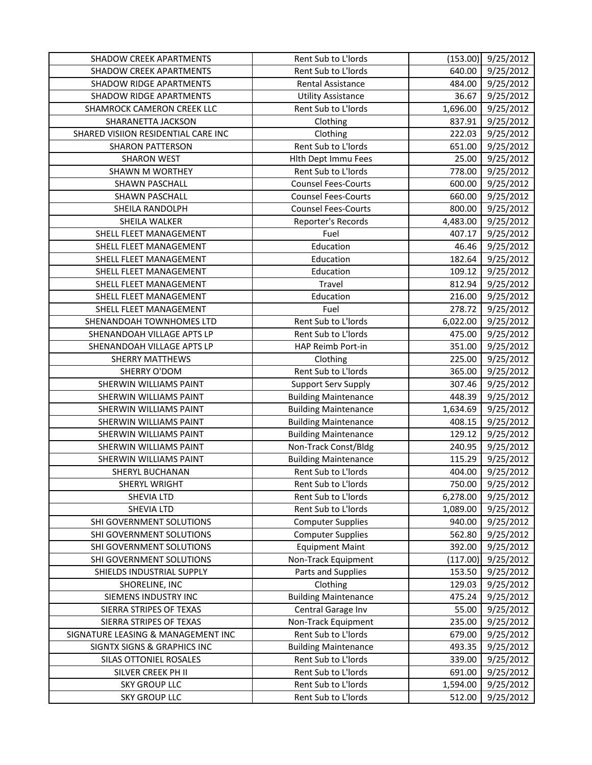| <b>SHADOW CREEK APARTMENTS</b>         | Rent Sub to L'Iords         | (153.00) | 9/25/2012 |
|----------------------------------------|-----------------------------|----------|-----------|
| <b>SHADOW CREEK APARTMENTS</b>         | Rent Sub to L'Iords         | 640.00   | 9/25/2012 |
| <b>SHADOW RIDGE APARTMENTS</b>         | <b>Rental Assistance</b>    | 484.00   | 9/25/2012 |
| <b>SHADOW RIDGE APARTMENTS</b>         | <b>Utility Assistance</b>   | 36.67    | 9/25/2012 |
| SHAMROCK CAMERON CREEK LLC             | Rent Sub to L'Iords         | 1,696.00 | 9/25/2012 |
| SHARANETTA JACKSON                     | Clothing                    | 837.91   | 9/25/2012 |
| SHARED VISIION RESIDENTIAL CARE INC    | Clothing                    | 222.03   | 9/25/2012 |
| <b>SHARON PATTERSON</b>                | Rent Sub to L'Iords         | 651.00   | 9/25/2012 |
| <b>SHARON WEST</b>                     | Hith Dept Immu Fees         | 25.00    | 9/25/2012 |
| SHAWN M WORTHEY                        | Rent Sub to L'Iords         | 778.00   | 9/25/2012 |
| <b>SHAWN PASCHALL</b>                  | <b>Counsel Fees-Courts</b>  | 600.00   | 9/25/2012 |
| SHAWN PASCHALL                         | <b>Counsel Fees-Courts</b>  | 660.00   | 9/25/2012 |
| SHEILA RANDOLPH                        | <b>Counsel Fees-Courts</b>  | 800.00   | 9/25/2012 |
| SHEILA WALKER                          | Reporter's Records          | 4,483.00 | 9/25/2012 |
| SHELL FLEET MANAGEMENT                 | Fuel                        | 407.17   | 9/25/2012 |
| SHELL FLEET MANAGEMENT                 | Education                   | 46.46    | 9/25/2012 |
| SHELL FLEET MANAGEMENT                 | Education                   | 182.64   | 9/25/2012 |
| SHELL FLEET MANAGEMENT                 | Education                   | 109.12   | 9/25/2012 |
| SHELL FLEET MANAGEMENT                 | Travel                      | 812.94   | 9/25/2012 |
| SHELL FLEET MANAGEMENT                 | Education                   | 216.00   | 9/25/2012 |
| SHELL FLEET MANAGEMENT                 | Fuel                        | 278.72   | 9/25/2012 |
| SHENANDOAH TOWNHOMES LTD               | Rent Sub to L'Iords         | 6,022.00 | 9/25/2012 |
| SHENANDOAH VILLAGE APTS LP             | Rent Sub to L'Iords         | 475.00   | 9/25/2012 |
| SHENANDOAH VILLAGE APTS LP             | HAP Reimb Port-in           | 351.00   | 9/25/2012 |
| <b>SHERRY MATTHEWS</b>                 | Clothing                    | 225.00   | 9/25/2012 |
| SHERRY O'DOM                           | Rent Sub to L'Iords         | 365.00   | 9/25/2012 |
| SHERWIN WILLIAMS PAINT                 | Support Serv Supply         | 307.46   | 9/25/2012 |
| SHERWIN WILLIAMS PAINT                 | <b>Building Maintenance</b> | 448.39   | 9/25/2012 |
| SHERWIN WILLIAMS PAINT                 | <b>Building Maintenance</b> | 1,634.69 | 9/25/2012 |
| SHERWIN WILLIAMS PAINT                 | <b>Building Maintenance</b> | 408.15   | 9/25/2012 |
| SHERWIN WILLIAMS PAINT                 | <b>Building Maintenance</b> | 129.12   | 9/25/2012 |
| SHERWIN WILLIAMS PAINT                 | Non-Track Const/Bldg        | 240.95   | 9/25/2012 |
| SHERWIN WILLIAMS PAINT                 | <b>Building Maintenance</b> | 115.29   | 9/25/2012 |
| SHERYL BUCHANAN                        | Rent Sub to L'Iords         | 404.00   | 9/25/2012 |
| SHERYL WRIGHT                          | Rent Sub to L'Iords         | 750.00   | 9/25/2012 |
| <b>SHEVIA LTD</b>                      | Rent Sub to L'Iords         | 6,278.00 | 9/25/2012 |
| <b>SHEVIA LTD</b>                      | Rent Sub to L'Iords         | 1,089.00 | 9/25/2012 |
| SHI GOVERNMENT SOLUTIONS               | <b>Computer Supplies</b>    | 940.00   | 9/25/2012 |
| SHI GOVERNMENT SOLUTIONS               | <b>Computer Supplies</b>    | 562.80   | 9/25/2012 |
| SHI GOVERNMENT SOLUTIONS               | <b>Equipment Maint</b>      | 392.00   | 9/25/2012 |
| SHI GOVERNMENT SOLUTIONS               | Non-Track Equipment         | (117.00) | 9/25/2012 |
| SHIELDS INDUSTRIAL SUPPLY              | Parts and Supplies          | 153.50   | 9/25/2012 |
| SHORELINE, INC                         | Clothing                    | 129.03   | 9/25/2012 |
| SIEMENS INDUSTRY INC                   | <b>Building Maintenance</b> | 475.24   | 9/25/2012 |
| SIERRA STRIPES OF TEXAS                | Central Garage Inv          | 55.00    | 9/25/2012 |
| SIERRA STRIPES OF TEXAS                | Non-Track Equipment         | 235.00   | 9/25/2012 |
| SIGNATURE LEASING & MANAGEMENT INC     | Rent Sub to L'Iords         | 679.00   | 9/25/2012 |
| <b>SIGNTX SIGNS &amp; GRAPHICS INC</b> | <b>Building Maintenance</b> | 493.35   | 9/25/2012 |
| SILAS OTTONIEL ROSALES                 | Rent Sub to L'Iords         | 339.00   | 9/25/2012 |
| SILVER CREEK PH II                     | Rent Sub to L'Iords         | 691.00   | 9/25/2012 |
| <b>SKY GROUP LLC</b>                   | Rent Sub to L'Iords         | 1,594.00 | 9/25/2012 |
| <b>SKY GROUP LLC</b>                   | Rent Sub to L'Iords         | 512.00   | 9/25/2012 |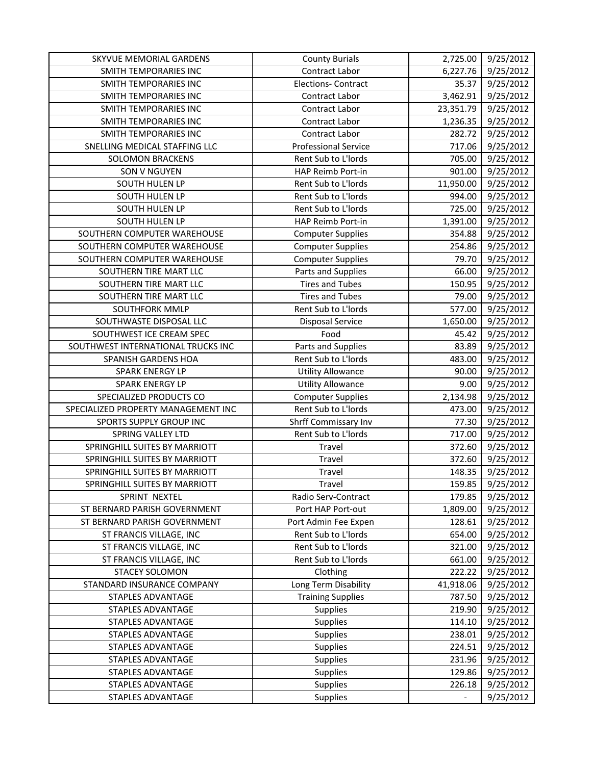| SKYVUE MEMORIAL GARDENS             | <b>County Burials</b>       | 2,725.00                     | 9/25/2012              |
|-------------------------------------|-----------------------------|------------------------------|------------------------|
| SMITH TEMPORARIES INC               | Contract Labor              | 6,227.76                     | 9/25/2012              |
| SMITH TEMPORARIES INC               | <b>Elections- Contract</b>  | 35.37                        | 9/25/2012              |
| SMITH TEMPORARIES INC               | Contract Labor              | 3,462.91                     | 9/25/2012              |
| SMITH TEMPORARIES INC               | Contract Labor              | 23,351.79                    | 9/25/2012              |
| SMITH TEMPORARIES INC               | <b>Contract Labor</b>       | 1,236.35                     | 9/25/2012              |
| SMITH TEMPORARIES INC               | Contract Labor              | 282.72                       | 9/25/2012              |
| SNELLING MEDICAL STAFFING LLC       | <b>Professional Service</b> | 717.06                       | 9/25/2012              |
| <b>SOLOMON BRACKENS</b>             | Rent Sub to L'Iords         | 705.00                       | 9/25/2012              |
| SON V NGUYEN                        | HAP Reimb Port-in           | 901.00                       | 9/25/2012              |
| SOUTH HULEN LP                      | Rent Sub to L'Iords         | 11,950.00                    | 9/25/2012              |
| SOUTH HULEN LP                      | Rent Sub to L'Iords         | 994.00                       | 9/25/2012              |
| SOUTH HULEN LP                      | Rent Sub to L'Iords         | 725.00                       | 9/25/2012              |
| SOUTH HULEN LP                      | HAP Reimb Port-in           | 1,391.00                     | 9/25/2012              |
| SOUTHERN COMPUTER WAREHOUSE         | <b>Computer Supplies</b>    | 354.88                       | 9/25/2012              |
| SOUTHERN COMPUTER WAREHOUSE         | <b>Computer Supplies</b>    | 254.86                       | 9/25/2012              |
| SOUTHERN COMPUTER WAREHOUSE         | <b>Computer Supplies</b>    | 79.70                        | 9/25/2012              |
| SOUTHERN TIRE MART LLC              | Parts and Supplies          | 66.00                        | 9/25/2012              |
| SOUTHERN TIRE MART LLC              | <b>Tires and Tubes</b>      | 150.95                       | 9/25/2012              |
| SOUTHERN TIRE MART LLC              | <b>Tires and Tubes</b>      | 79.00                        | 9/25/2012              |
| SOUTHFORK MMLP                      | Rent Sub to L'Iords         | 577.00                       | 9/25/2012              |
| SOUTHWASTE DISPOSAL LLC             | <b>Disposal Service</b>     | 1,650.00                     | 9/25/2012              |
| SOUTHWEST ICE CREAM SPEC            | Food                        | 45.42                        | $\frac{1}{9}$ /25/2012 |
| SOUTHWEST INTERNATIONAL TRUCKS INC  | Parts and Supplies          | 83.89                        | 9/25/2012              |
| SPANISH GARDENS HOA                 | Rent Sub to L'Iords         | 483.00                       | 9/25/2012              |
| SPARK ENERGY LP                     | <b>Utility Allowance</b>    | 90.00                        | 9/25/2012              |
| SPARK ENERGY LP                     | <b>Utility Allowance</b>    | 9.00                         | 9/25/2012              |
| SPECIALIZED PRODUCTS CO             | <b>Computer Supplies</b>    | 2,134.98                     | 9/25/2012              |
| SPECIALIZED PROPERTY MANAGEMENT INC | Rent Sub to L'Iords         | 473.00                       | 9/25/2012              |
| SPORTS SUPPLY GROUP INC             | Shrff Commissary Inv        | 77.30                        | 9/25/2012              |
| SPRING VALLEY LTD                   | Rent Sub to L'Iords         | 717.00                       | 9/25/2012              |
| SPRINGHILL SUITES BY MARRIOTT       | Travel                      | 372.60                       | 9/25/2012              |
| SPRINGHILL SUITES BY MARRIOTT       | Travel                      | 372.60                       | 9/25/2012              |
| SPRINGHILL SUITES BY MARRIOTT       | Travel                      | 148.35                       | 9/25/2012              |
| SPRINGHILL SUITES BY MARRIOTT       | Travel                      | 159.85                       | 9/25/2012              |
| SPRINT NEXTEL                       | Radio Serv-Contract         | 179.85                       | 9/25/2012              |
| ST BERNARD PARISH GOVERNMENT        | Port HAP Port-out           | 1,809.00                     | 9/25/2012              |
| ST BERNARD PARISH GOVERNMENT        | Port Admin Fee Expen        | 128.61                       | 9/25/2012              |
| ST FRANCIS VILLAGE, INC             | Rent Sub to L'Iords         | 654.00                       | 9/25/2012              |
| ST FRANCIS VILLAGE, INC             | Rent Sub to L'Iords         | 321.00                       | 9/25/2012              |
| ST FRANCIS VILLAGE, INC             | Rent Sub to L'Iords         | 661.00                       | 9/25/2012              |
| <b>STACEY SOLOMON</b>               | Clothing                    | 222.22                       | 9/25/2012              |
| STANDARD INSURANCE COMPANY          | Long Term Disability        | 41,918.06                    | 9/25/2012              |
| STAPLES ADVANTAGE                   | <b>Training Supplies</b>    | 787.50                       | 9/25/2012              |
| <b>STAPLES ADVANTAGE</b>            | Supplies                    | 219.90                       | 9/25/2012              |
| STAPLES ADVANTAGE                   | Supplies                    | 114.10                       | 9/25/2012              |
| STAPLES ADVANTAGE                   | Supplies                    | 238.01                       | 9/25/2012              |
| STAPLES ADVANTAGE                   | Supplies                    | 224.51                       | 9/25/2012              |
| <b>STAPLES ADVANTAGE</b>            | Supplies                    | 231.96                       | 9/25/2012              |
| STAPLES ADVANTAGE                   | Supplies                    | 129.86                       | 9/25/2012              |
| STAPLES ADVANTAGE                   | <b>Supplies</b>             | 226.18                       | 9/25/2012              |
| STAPLES ADVANTAGE                   | <b>Supplies</b>             | $\qquad \qquad \blacksquare$ | 9/25/2012              |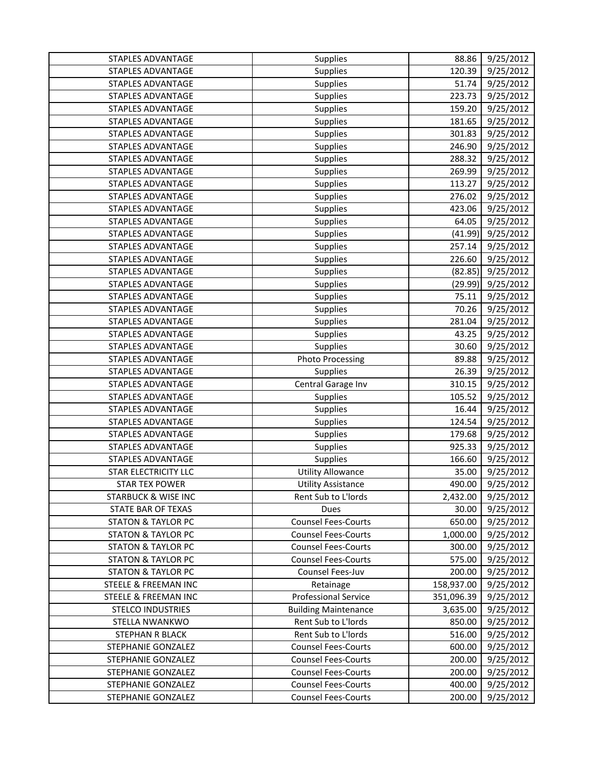| STAPLES ADVANTAGE               | Supplies                    | 88.86      | 9/25/2012              |
|---------------------------------|-----------------------------|------------|------------------------|
| STAPLES ADVANTAGE               | Supplies                    | 120.39     | 9/25/2012              |
| STAPLES ADVANTAGE               | Supplies                    | 51.74      | 9/25/2012              |
| <b>STAPLES ADVANTAGE</b>        | Supplies                    | 223.73     | 9/25/2012              |
| STAPLES ADVANTAGE               | Supplies                    | 159.20     | 9/25/2012              |
| <b>STAPLES ADVANTAGE</b>        | Supplies                    | 181.65     | 9/25/2012              |
| STAPLES ADVANTAGE               | Supplies                    | 301.83     | 9/25/2012              |
| STAPLES ADVANTAGE               | Supplies                    | 246.90     | 9/25/2012              |
| STAPLES ADVANTAGE               | Supplies                    | 288.32     | $\frac{1}{9}$ /25/2012 |
| STAPLES ADVANTAGE               | Supplies                    | 269.99     | 9/25/2012              |
| <b>STAPLES ADVANTAGE</b>        | Supplies                    | 113.27     | 9/25/2012              |
| STAPLES ADVANTAGE               | Supplies                    | 276.02     | 9/25/2012              |
| STAPLES ADVANTAGE               | Supplies                    | 423.06     | 9/25/2012              |
| STAPLES ADVANTAGE               | Supplies                    | 64.05      | 9/25/2012              |
| <b>STAPLES ADVANTAGE</b>        | Supplies                    | (41.99)    | 9/25/2012              |
| STAPLES ADVANTAGE               | Supplies                    | 257.14     | 9/25/2012              |
| STAPLES ADVANTAGE               | Supplies                    | 226.60     | 9/25/2012              |
| STAPLES ADVANTAGE               | Supplies                    | (82.85)    | 9/25/2012              |
| STAPLES ADVANTAGE               | Supplies                    | (29.99)    | 9/25/2012              |
| <b>STAPLES ADVANTAGE</b>        | Supplies                    | 75.11      | 9/25/2012              |
| <b>STAPLES ADVANTAGE</b>        | Supplies                    | 70.26      | 9/25/2012              |
| STAPLES ADVANTAGE               | Supplies                    | 281.04     | 9/25/2012              |
| <b>STAPLES ADVANTAGE</b>        | Supplies                    | 43.25      | 9/25/2012              |
| STAPLES ADVANTAGE               | Supplies                    | 30.60      | 9/25/2012              |
| <b>STAPLES ADVANTAGE</b>        | <b>Photo Processing</b>     | 89.88      | 9/25/2012              |
| STAPLES ADVANTAGE               | Supplies                    | 26.39      | 9/25/2012              |
| STAPLES ADVANTAGE               | Central Garage Inv          | 310.15     | 9/25/2012              |
| STAPLES ADVANTAGE               | Supplies                    | 105.52     | 9/25/2012              |
| STAPLES ADVANTAGE               | Supplies                    | 16.44      | 9/25/2012              |
| STAPLES ADVANTAGE               | Supplies                    | 124.54     | 9/25/2012              |
| <b>STAPLES ADVANTAGE</b>        | Supplies                    | 179.68     | 9/25/2012              |
| STAPLES ADVANTAGE               | Supplies                    | 925.33     | 9/25/2012              |
| <b>STAPLES ADVANTAGE</b>        | Supplies                    | 166.60     | 9/25/2012              |
| <b>STAR ELECTRICITY LLC</b>     | <b>Utility Allowance</b>    | 35.00      | 9/25/2012              |
| <b>STAR TEX POWER</b>           | <b>Utility Assistance</b>   | 490.00     | 9/25/2012              |
| STARBUCK & WISE INC             | Rent Sub to L'Iords         | 2,432.00   | 9/25/2012              |
| STATE BAR OF TEXAS              | Dues                        | 30.00      | 9/25/2012              |
| <b>STATON &amp; TAYLOR PC</b>   | <b>Counsel Fees-Courts</b>  | 650.00     | 9/25/2012              |
| <b>STATON &amp; TAYLOR PC</b>   | <b>Counsel Fees-Courts</b>  | 1,000.00   | 9/25/2012              |
| <b>STATON &amp; TAYLOR PC</b>   | <b>Counsel Fees-Courts</b>  | 300.00     | 9/25/2012              |
| <b>STATON &amp; TAYLOR PC</b>   | <b>Counsel Fees-Courts</b>  | 575.00     | 9/25/2012              |
| <b>STATON &amp; TAYLOR PC</b>   | Counsel Fees-Juv            | 200.00     | 9/25/2012              |
| <b>STEELE &amp; FREEMAN INC</b> | Retainage                   | 158,937.00 | 9/25/2012              |
| <b>STEELE &amp; FREEMAN INC</b> | <b>Professional Service</b> | 351,096.39 | 9/25/2012              |
| <b>STELCO INDUSTRIES</b>        | <b>Building Maintenance</b> | 3,635.00   | 9/25/2012              |
| STELLA NWANKWO                  | Rent Sub to L'Iords         | 850.00     | 9/25/2012              |
| STEPHAN R BLACK                 | Rent Sub to L'Iords         | 516.00     | 9/25/2012              |
| STEPHANIE GONZALEZ              | <b>Counsel Fees-Courts</b>  | 600.00     | 9/25/2012              |
| STEPHANIE GONZALEZ              | <b>Counsel Fees-Courts</b>  | 200.00     | 9/25/2012              |
| STEPHANIE GONZALEZ              | <b>Counsel Fees-Courts</b>  | 200.00     | 9/25/2012              |
| STEPHANIE GONZALEZ              | <b>Counsel Fees-Courts</b>  | 400.00     | 9/25/2012              |
| STEPHANIE GONZALEZ              | <b>Counsel Fees-Courts</b>  | 200.00     | 9/25/2012              |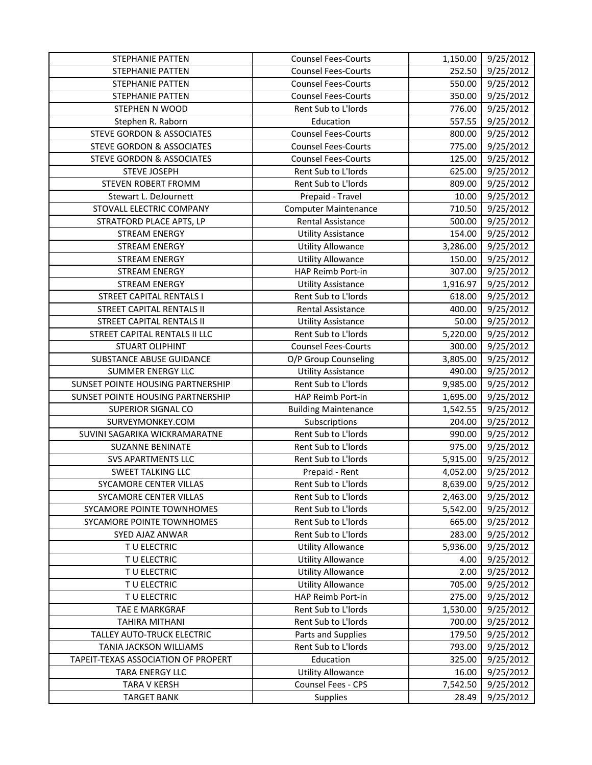| STEPHANIE PATTEN                     | <b>Counsel Fees-Courts</b>  | 1,150.00 | 9/25/2012 |
|--------------------------------------|-----------------------------|----------|-----------|
| STEPHANIE PATTEN                     | <b>Counsel Fees-Courts</b>  | 252.50   | 9/25/2012 |
| STEPHANIE PATTEN                     | <b>Counsel Fees-Courts</b>  | 550.00   | 9/25/2012 |
| <b>STEPHANIE PATTEN</b>              | <b>Counsel Fees-Courts</b>  | 350.00   | 9/25/2012 |
| STEPHEN N WOOD                       | Rent Sub to L'Iords         | 776.00   | 9/25/2012 |
| Stephen R. Raborn                    | Education                   | 557.55   | 9/25/2012 |
| <b>STEVE GORDON &amp; ASSOCIATES</b> | <b>Counsel Fees-Courts</b>  | 800.00   | 9/25/2012 |
| <b>STEVE GORDON &amp; ASSOCIATES</b> | <b>Counsel Fees-Courts</b>  | 775.00   | 9/25/2012 |
| <b>STEVE GORDON &amp; ASSOCIATES</b> | <b>Counsel Fees-Courts</b>  | 125.00   | 9/25/2012 |
| <b>STEVE JOSEPH</b>                  | Rent Sub to L'Iords         | 625.00   | 9/25/2012 |
| STEVEN ROBERT FROMM                  | Rent Sub to L'Iords         | 809.00   | 9/25/2012 |
| Stewart L. DeJournett                | Prepaid - Travel            | 10.00    | 9/25/2012 |
| STOVALL ELECTRIC COMPANY             | <b>Computer Maintenance</b> | 710.50   | 9/25/2012 |
| STRATFORD PLACE APTS, LP             | Rental Assistance           | 500.00   | 9/25/2012 |
| <b>STREAM ENERGY</b>                 | <b>Utility Assistance</b>   | 154.00   | 9/25/2012 |
| <b>STREAM ENERGY</b>                 | <b>Utility Allowance</b>    | 3,286.00 | 9/25/2012 |
| <b>STREAM ENERGY</b>                 | <b>Utility Allowance</b>    | 150.00   | 9/25/2012 |
| <b>STREAM ENERGY</b>                 | HAP Reimb Port-in           | 307.00   | 9/25/2012 |
| <b>STREAM ENERGY</b>                 | <b>Utility Assistance</b>   | 1,916.97 | 9/25/2012 |
| <b>STREET CAPITAL RENTALS I</b>      | Rent Sub to L'Iords         | 618.00   | 9/25/2012 |
| <b>STREET CAPITAL RENTALS II</b>     | Rental Assistance           | 400.00   | 9/25/2012 |
| STREET CAPITAL RENTALS II            | <b>Utility Assistance</b>   | 50.00    | 9/25/2012 |
| STREET CAPITAL RENTALS II LLC        | Rent Sub to L'Iords         | 5,220.00 | 9/25/2012 |
| <b>STUART OLIPHINT</b>               | <b>Counsel Fees-Courts</b>  | 300.00   | 9/25/2012 |
| SUBSTANCE ABUSE GUIDANCE             | O/P Group Counseling        | 3,805.00 | 9/25/2012 |
| SUMMER ENERGY LLC                    | <b>Utility Assistance</b>   | 490.00   | 9/25/2012 |
| SUNSET POINTE HOUSING PARTNERSHIP    | Rent Sub to L'Iords         | 9,985.00 | 9/25/2012 |
| SUNSET POINTE HOUSING PARTNERSHIP    | HAP Reimb Port-in           | 1,695.00 | 9/25/2012 |
| SUPERIOR SIGNAL CO                   | <b>Building Maintenance</b> | 1,542.55 | 9/25/2012 |
| SURVEYMONKEY.COM                     | Subscriptions               | 204.00   | 9/25/2012 |
| SUVINI SAGARIKA WICKRAMARATNE        | Rent Sub to L'Iords         | 990.00   | 9/25/2012 |
| <b>SUZANNE BENINATE</b>              | Rent Sub to L'Iords         | 975.00   | 9/25/2012 |
| <b>SVS APARTMENTS LLC</b>            | Rent Sub to L'Iords         | 5,915.00 | 9/25/2012 |
| <b>SWEET TALKING LLC</b>             | Prepaid - Rent              | 4,052.00 | 9/25/2012 |
| SYCAMORE CENTER VILLAS               | Rent Sub to L'Iords         | 8,639.00 | 9/25/2012 |
| SYCAMORE CENTER VILLAS               | Rent Sub to L'Iords         | 2,463.00 | 9/25/2012 |
| SYCAMORE POINTE TOWNHOMES            | Rent Sub to L'Iords         | 5,542.00 | 9/25/2012 |
| SYCAMORE POINTE TOWNHOMES            | Rent Sub to L'Iords         | 665.00   | 9/25/2012 |
| SYED AJAZ ANWAR                      | Rent Sub to L'Iords         | 283.00   | 9/25/2012 |
| TU ELECTRIC                          | <b>Utility Allowance</b>    | 5,936.00 | 9/25/2012 |
| TU ELECTRIC                          | <b>Utility Allowance</b>    | 4.00     | 9/25/2012 |
| TU ELECTRIC                          | <b>Utility Allowance</b>    | 2.00     | 9/25/2012 |
| TU ELECTRIC                          | <b>Utility Allowance</b>    | 705.00   | 9/25/2012 |
| TU ELECTRIC                          | HAP Reimb Port-in           | 275.00   | 9/25/2012 |
| TAE E MARKGRAF                       | Rent Sub to L'Iords         | 1,530.00 | 9/25/2012 |
| TAHIRA MITHANI                       | Rent Sub to L'Iords         | 700.00   | 9/25/2012 |
| TALLEY AUTO-TRUCK ELECTRIC           | Parts and Supplies          | 179.50   | 9/25/2012 |
| TANIA JACKSON WILLIAMS               | Rent Sub to L'Iords         | 793.00   | 9/25/2012 |
| TAPEIT-TEXAS ASSOCIATION OF PROPERT  | Education                   | 325.00   | 9/25/2012 |
| TARA ENERGY LLC                      | <b>Utility Allowance</b>    | 16.00    | 9/25/2012 |
| TARA V KERSH                         | Counsel Fees - CPS          | 7,542.50 | 9/25/2012 |
| <b>TARGET BANK</b>                   | Supplies                    | 28.49    | 9/25/2012 |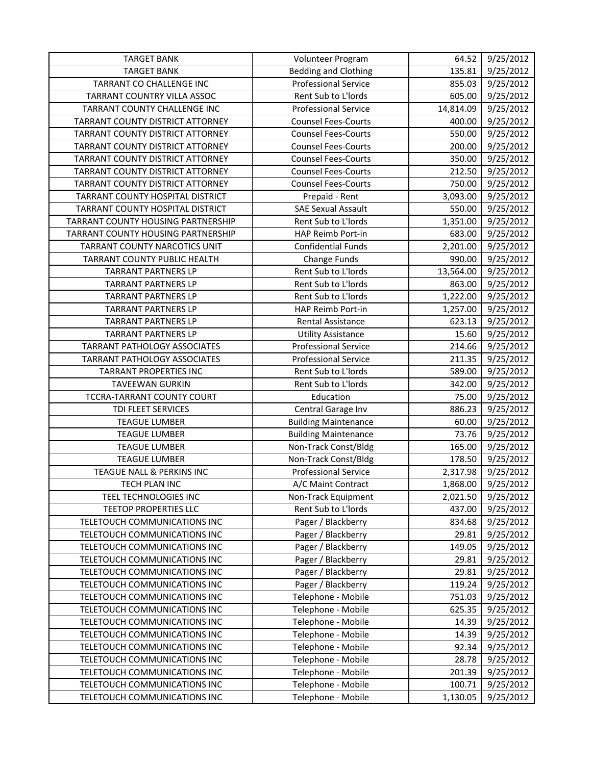| <b>TARGET BANK</b>                 | Volunteer Program           | 64.52     | 9/25/2012 |
|------------------------------------|-----------------------------|-----------|-----------|
| <b>TARGET BANK</b>                 | <b>Bedding and Clothing</b> | 135.81    | 9/25/2012 |
| TARRANT CO CHALLENGE INC           | <b>Professional Service</b> | 855.03    | 9/25/2012 |
| TARRANT COUNTRY VILLA ASSOC        | Rent Sub to L'Iords         | 605.00    | 9/25/2012 |
| TARRANT COUNTY CHALLENGE INC       | <b>Professional Service</b> | 14,814.09 | 9/25/2012 |
| TARRANT COUNTY DISTRICT ATTORNEY   | <b>Counsel Fees-Courts</b>  | 400.00    | 9/25/2012 |
| TARRANT COUNTY DISTRICT ATTORNEY   | <b>Counsel Fees-Courts</b>  | 550.00    | 9/25/2012 |
| TARRANT COUNTY DISTRICT ATTORNEY   | <b>Counsel Fees-Courts</b>  | 200.00    | 9/25/2012 |
| TARRANT COUNTY DISTRICT ATTORNEY   | Counsel Fees-Courts         | 350.00    | 9/25/2012 |
| TARRANT COUNTY DISTRICT ATTORNEY   | <b>Counsel Fees-Courts</b>  | 212.50    | 9/25/2012 |
| TARRANT COUNTY DISTRICT ATTORNEY   | <b>Counsel Fees-Courts</b>  | 750.00    | 9/25/2012 |
| TARRANT COUNTY HOSPITAL DISTRICT   | Prepaid - Rent              | 3,093.00  | 9/25/2012 |
| TARRANT COUNTY HOSPITAL DISTRICT   | <b>SAE Sexual Assault</b>   | 550.00    | 9/25/2012 |
| TARRANT COUNTY HOUSING PARTNERSHIP | Rent Sub to L'Iords         | 1,351.00  | 9/25/2012 |
| TARRANT COUNTY HOUSING PARTNERSHIP | HAP Reimb Port-in           | 683.00    | 9/25/2012 |
| TARRANT COUNTY NARCOTICS UNIT      | <b>Confidential Funds</b>   | 2,201.00  | 9/25/2012 |
| TARRANT COUNTY PUBLIC HEALTH       | <b>Change Funds</b>         | 990.00    | 9/25/2012 |
| <b>TARRANT PARTNERS LP</b>         | Rent Sub to L'Iords         | 13,564.00 | 9/25/2012 |
| <b>TARRANT PARTNERS LP</b>         | Rent Sub to L'Iords         | 863.00    | 9/25/2012 |
| <b>TARRANT PARTNERS LP</b>         | Rent Sub to L'Iords         | 1,222.00  | 9/25/2012 |
| <b>TARRANT PARTNERS LP</b>         | HAP Reimb Port-in           | 1,257.00  | 9/25/2012 |
| <b>TARRANT PARTNERS LP</b>         | Rental Assistance           | 623.13    | 9/25/2012 |
| <b>TARRANT PARTNERS LP</b>         | <b>Utility Assistance</b>   | 15.60     | 9/25/2012 |
| TARRANT PATHOLOGY ASSOCIATES       | <b>Professional Service</b> | 214.66    | 9/25/2012 |
| TARRANT PATHOLOGY ASSOCIATES       | <b>Professional Service</b> | 211.35    | 9/25/2012 |
| <b>TARRANT PROPERTIES INC</b>      | Rent Sub to L'Iords         | 589.00    | 9/25/2012 |
| <b>TAVEEWAN GURKIN</b>             | Rent Sub to L'Iords         | 342.00    | 9/25/2012 |
| TCCRA-TARRANT COUNTY COURT         | Education                   | 75.00     | 9/25/2012 |
| TDI FLEET SERVICES                 | Central Garage Inv          | 886.23    | 9/25/2012 |
| <b>TEAGUE LUMBER</b>               | <b>Building Maintenance</b> | 60.00     | 9/25/2012 |
| <b>TEAGUE LUMBER</b>               | <b>Building Maintenance</b> | 73.76     | 9/25/2012 |
| <b>TEAGUE LUMBER</b>               | Non-Track Const/Bldg        | 165.00    | 9/25/2012 |
| <b>TEAGUE LUMBER</b>               | Non-Track Const/Bldg        | 178.50    | 9/25/2012 |
| TEAGUE NALL & PERKINS INC          | <b>Professional Service</b> | 2,317.98  | 9/25/2012 |
| TECH PLAN INC                      | A/C Maint Contract          | 1,868.00  | 9/25/2012 |
| TEEL TECHNOLOGIES INC              | Non-Track Equipment         | 2,021.50  | 9/25/2012 |
| TEETOP PROPERTIES LLC              | Rent Sub to L'Iords         | 437.00    | 9/25/2012 |
| TELETOUCH COMMUNICATIONS INC       | Pager / Blackberry          | 834.68    | 9/25/2012 |
| TELETOUCH COMMUNICATIONS INC       | Pager / Blackberry          | 29.81     | 9/25/2012 |
| TELETOUCH COMMUNICATIONS INC       | Pager / Blackberry          | 149.05    | 9/25/2012 |
| TELETOUCH COMMUNICATIONS INC       | Pager / Blackberry          | 29.81     | 9/25/2012 |
| TELETOUCH COMMUNICATIONS INC       | Pager / Blackberry          | 29.81     | 9/25/2012 |
| TELETOUCH COMMUNICATIONS INC       | Pager / Blackberry          | 119.24    | 9/25/2012 |
| TELETOUCH COMMUNICATIONS INC       | Telephone - Mobile          | 751.03    | 9/25/2012 |
| TELETOUCH COMMUNICATIONS INC       | Telephone - Mobile          | 625.35    | 9/25/2012 |
| TELETOUCH COMMUNICATIONS INC       | Telephone - Mobile          | 14.39     | 9/25/2012 |
| TELETOUCH COMMUNICATIONS INC       | Telephone - Mobile          | 14.39     | 9/25/2012 |
| TELETOUCH COMMUNICATIONS INC       | Telephone - Mobile          | 92.34     | 9/25/2012 |
| TELETOUCH COMMUNICATIONS INC       | Telephone - Mobile          | 28.78     | 9/25/2012 |
| TELETOUCH COMMUNICATIONS INC       | Telephone - Mobile          | 201.39    | 9/25/2012 |
| TELETOUCH COMMUNICATIONS INC       | Telephone - Mobile          | 100.71    | 9/25/2012 |
| TELETOUCH COMMUNICATIONS INC       | Telephone - Mobile          | 1,130.05  | 9/25/2012 |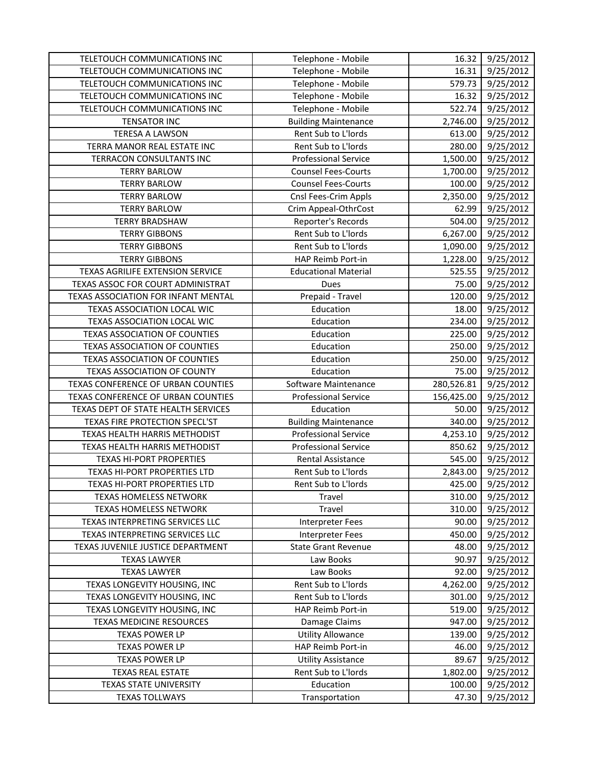| TELETOUCH COMMUNICATIONS INC                                 | Telephone - Mobile                       | 16.32            | 9/25/2012              |
|--------------------------------------------------------------|------------------------------------------|------------------|------------------------|
| TELETOUCH COMMUNICATIONS INC                                 | Telephone - Mobile                       | 16.31            | 9/25/2012              |
| TELETOUCH COMMUNICATIONS INC                                 | Telephone - Mobile                       | 579.73           | 9/25/2012              |
| TELETOUCH COMMUNICATIONS INC                                 | Telephone - Mobile                       | 16.32            | 9/25/2012              |
| TELETOUCH COMMUNICATIONS INC                                 | Telephone - Mobile                       | 522.74           | 9/25/2012              |
| <b>TENSATOR INC</b>                                          | <b>Building Maintenance</b>              | 2,746.00         | 9/25/2012              |
| TERESA A LAWSON                                              | Rent Sub to L'Iords                      | 613.00           | 9/25/2012              |
| TERRA MANOR REAL ESTATE INC                                  | Rent Sub to L'Iords                      | 280.00           | 9/25/2012              |
| TERRACON CONSULTANTS INC                                     | <b>Professional Service</b>              | 1,500.00         | 9/25/2012              |
| <b>TERRY BARLOW</b>                                          | <b>Counsel Fees-Courts</b>               | 1,700.00         | 9/25/2012              |
| <b>TERRY BARLOW</b>                                          | <b>Counsel Fees-Courts</b>               | 100.00           | 9/25/2012              |
| <b>TERRY BARLOW</b>                                          | Cnsl Fees-Crim Appls                     | 2,350.00         | 9/25/2012              |
| <b>TERRY BARLOW</b>                                          | Crim Appeal-OthrCost                     | 62.99            | 9/25/2012              |
| <b>TERRY BRADSHAW</b>                                        | Reporter's Records                       | 504.00           | 9/25/2012              |
| <b>TERRY GIBBONS</b>                                         | Rent Sub to L'Iords                      | 6,267.00         | 9/25/2012              |
| <b>TERRY GIBBONS</b>                                         | Rent Sub to L'Iords                      | 1,090.00         | 9/25/2012              |
| <b>TERRY GIBBONS</b>                                         | HAP Reimb Port-in                        | 1,228.00         | 9/25/2012              |
| TEXAS AGRILIFE EXTENSION SERVICE                             | <b>Educational Material</b>              | 525.55           | 9/25/2012              |
| TEXAS ASSOC FOR COURT ADMINISTRAT                            | Dues                                     | 75.00            | 9/25/2012              |
| TEXAS ASSOCIATION FOR INFANT MENTAL                          | Prepaid - Travel                         | 120.00           | 9/25/2012              |
| TEXAS ASSOCIATION LOCAL WIC                                  | Education                                | 18.00            | 9/25/2012              |
| TEXAS ASSOCIATION LOCAL WIC                                  | Education                                | 234.00           | 9/25/2012              |
| <b>TEXAS ASSOCIATION OF COUNTIES</b>                         | Education                                | 225.00           | 9/25/2012              |
| TEXAS ASSOCIATION OF COUNTIES                                | Education                                | 250.00           | 9/25/2012              |
| <b>TEXAS ASSOCIATION OF COUNTIES</b>                         | Education                                | 250.00           | 9/25/2012              |
| TEXAS ASSOCIATION OF COUNTY                                  | Education                                | 75.00            | 9/25/2012              |
| TEXAS CONFERENCE OF URBAN COUNTIES                           | Software Maintenance                     | 280,526.81       | 9/25/2012              |
| TEXAS CONFERENCE OF URBAN COUNTIES                           | <b>Professional Service</b>              | 156,425.00       | 9/25/2012              |
| TEXAS DEPT OF STATE HEALTH SERVICES                          | Education                                | 50.00            | 9/25/2012              |
| TEXAS FIRE PROTECTION SPECL'ST                               | <b>Building Maintenance</b>              | 340.00           | 9/25/2012              |
| TEXAS HEALTH HARRIS METHODIST                                | <b>Professional Service</b>              | 4,253.10         | 9/25/2012              |
| TEXAS HEALTH HARRIS METHODIST                                | <b>Professional Service</b>              | 850.62           | 9/25/2012              |
| <b>TEXAS HI-PORT PROPERTIES</b>                              | <b>Rental Assistance</b>                 | 545.00           | 9/25/2012              |
| TEXAS HI-PORT PROPERTIES LTD                                 | Rent Sub to L'Iords                      | 2,843.00         | 9/25/2012              |
| TEXAS HI-PORT PROPERTIES LTD                                 | Rent Sub to L'Iords                      | 425.00           | 9/25/2012              |
| <b>TEXAS HOMELESS NETWORK</b>                                | Travel                                   | 310.00           | 9/25/2012              |
| <b>TEXAS HOMELESS NETWORK</b>                                | Travel                                   | 310.00           | 9/25/2012              |
| TEXAS INTERPRETING SERVICES LLC                              | Interpreter Fees                         | 90.00            | 9/25/2012              |
| TEXAS INTERPRETING SERVICES LLC                              | <b>Interpreter Fees</b>                  | 450.00           | 9/25/2012              |
| TEXAS JUVENILE JUSTICE DEPARTMENT                            | <b>State Grant Revenue</b>               | 48.00            | 9/25/2012              |
| <b>TEXAS LAWYER</b>                                          | Law Books                                | 90.97            | 9/25/2012              |
| <b>TEXAS LAWYER</b>                                          | Law Books                                | 92.00            | 9/25/2012              |
| TEXAS LONGEVITY HOUSING, INC<br>TEXAS LONGEVITY HOUSING, INC | Rent Sub to L'Iords                      | 4,262.00         | 9/25/2012<br>9/25/2012 |
| TEXAS LONGEVITY HOUSING, INC                                 | Rent Sub to L'Iords<br>HAP Reimb Port-in | 301.00<br>519.00 | 9/25/2012              |
| <b>TEXAS MEDICINE RESOURCES</b>                              | Damage Claims                            | 947.00           | 9/25/2012              |
|                                                              | <b>Utility Allowance</b>                 |                  |                        |
| <b>TEXAS POWER LP</b><br><b>TEXAS POWER LP</b>               | HAP Reimb Port-in                        | 139.00<br>46.00  | 9/25/2012<br>9/25/2012 |
| <b>TEXAS POWER LP</b>                                        | <b>Utility Assistance</b>                | 89.67            | 9/25/2012              |
| <b>TEXAS REAL ESTATE</b>                                     | Rent Sub to L'Iords                      | 1,802.00         | 9/25/2012              |
| <b>TEXAS STATE UNIVERSITY</b>                                | Education                                | 100.00           | 9/25/2012              |
|                                                              |                                          |                  |                        |
| <b>TEXAS TOLLWAYS</b>                                        | Transportation                           | 47.30            | 9/25/2012              |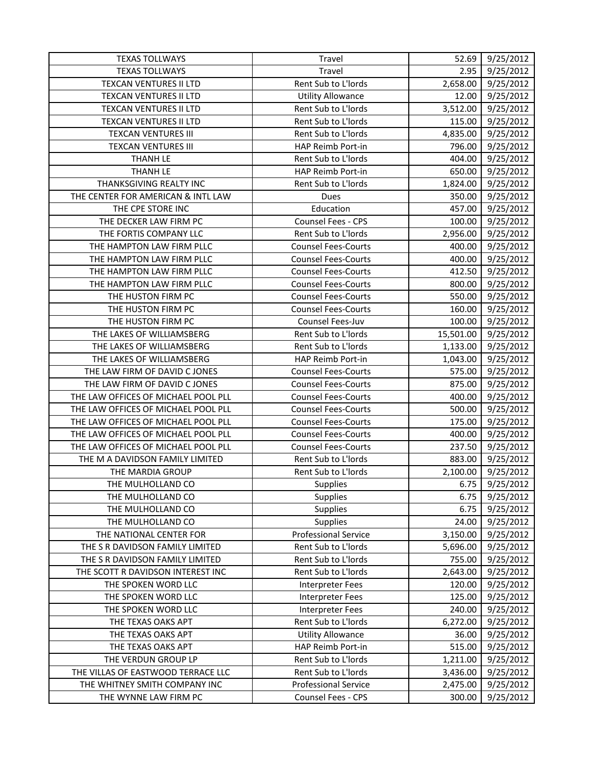| <b>TEXAS TOLLWAYS</b>               | Travel                      | 52.69     | 9/25/2012 |
|-------------------------------------|-----------------------------|-----------|-----------|
| <b>TEXAS TOLLWAYS</b>               | Travel                      | 2.95      | 9/25/2012 |
| <b>TEXCAN VENTURES II LTD</b>       | Rent Sub to L'Iords         | 2,658.00  | 9/25/2012 |
| <b>TEXCAN VENTURES II LTD</b>       | <b>Utility Allowance</b>    | 12.00     | 9/25/2012 |
| TEXCAN VENTURES II LTD              | Rent Sub to L'Iords         | 3,512.00  | 9/25/2012 |
| TEXCAN VENTURES II LTD              | Rent Sub to L'Iords         | 115.00    | 9/25/2012 |
| <b>TEXCAN VENTURES III</b>          | Rent Sub to L'Iords         | 4,835.00  | 9/25/2012 |
| <b>TEXCAN VENTURES III</b>          | HAP Reimb Port-in           | 796.00    | 9/25/2012 |
| <b>THANH LE</b>                     | Rent Sub to L'Iords         | 404.00    | 9/25/2012 |
| <b>THANH LE</b>                     | HAP Reimb Port-in           | 650.00    | 9/25/2012 |
| THANKSGIVING REALTY INC             | Rent Sub to L'Iords         | 1,824.00  | 9/25/2012 |
| THE CENTER FOR AMERICAN & INTL LAW  | Dues                        | 350.00    | 9/25/2012 |
| THE CPE STORE INC                   | Education                   | 457.00    | 9/25/2012 |
| THE DECKER LAW FIRM PC              | Counsel Fees - CPS          | 100.00    | 9/25/2012 |
| THE FORTIS COMPANY LLC              | Rent Sub to L'Iords         | 2,956.00  | 9/25/2012 |
| THE HAMPTON LAW FIRM PLLC           | <b>Counsel Fees-Courts</b>  | 400.00    | 9/25/2012 |
| THE HAMPTON LAW FIRM PLLC           | <b>Counsel Fees-Courts</b>  | 400.00    | 9/25/2012 |
| THE HAMPTON LAW FIRM PLLC           | <b>Counsel Fees-Courts</b>  | 412.50    | 9/25/2012 |
| THE HAMPTON LAW FIRM PLLC           | <b>Counsel Fees-Courts</b>  | 800.00    | 9/25/2012 |
| THE HUSTON FIRM PC                  | <b>Counsel Fees-Courts</b>  | 550.00    | 9/25/2012 |
| THE HUSTON FIRM PC                  | <b>Counsel Fees-Courts</b>  | 160.00    | 9/25/2012 |
| THE HUSTON FIRM PC                  | Counsel Fees-Juv            | 100.00    | 9/25/2012 |
| THE LAKES OF WILLIAMSBERG           | Rent Sub to L'Iords         | 15,501.00 | 9/25/2012 |
| THE LAKES OF WILLIAMSBERG           | Rent Sub to L'Iords         | 1,133.00  | 9/25/2012 |
| THE LAKES OF WILLIAMSBERG           | HAP Reimb Port-in           | 1,043.00  | 9/25/2012 |
| THE LAW FIRM OF DAVID C JONES       | <b>Counsel Fees-Courts</b>  | 575.00    | 9/25/2012 |
| THE LAW FIRM OF DAVID C JONES       | <b>Counsel Fees-Courts</b>  | 875.00    | 9/25/2012 |
| THE LAW OFFICES OF MICHAEL POOL PLL | <b>Counsel Fees-Courts</b>  | 400.00    | 9/25/2012 |
| THE LAW OFFICES OF MICHAEL POOL PLL | <b>Counsel Fees-Courts</b>  | 500.00    | 9/25/2012 |
| THE LAW OFFICES OF MICHAEL POOL PLL | <b>Counsel Fees-Courts</b>  | 175.00    | 9/25/2012 |
| THE LAW OFFICES OF MICHAEL POOL PLL | <b>Counsel Fees-Courts</b>  | 400.00    | 9/25/2012 |
| THE LAW OFFICES OF MICHAEL POOL PLL | <b>Counsel Fees-Courts</b>  | 237.50    | 9/25/2012 |
| THE M A DAVIDSON FAMILY LIMITED     | Rent Sub to L'Iords         | 883.00    | 9/25/2012 |
| THE MARDIA GROUP                    | Rent Sub to L'Iords         | 2,100.00  | 9/25/2012 |
| THE MULHOLLAND CO                   | <b>Supplies</b>             | 6.75      | 9/25/2012 |
| THE MULHOLLAND CO                   | <b>Supplies</b>             | 6.75      | 9/25/2012 |
| THE MULHOLLAND CO                   | <b>Supplies</b>             | 6.75      | 9/25/2012 |
| THE MULHOLLAND CO                   | <b>Supplies</b>             | 24.00     | 9/25/2012 |
| THE NATIONAL CENTER FOR             | <b>Professional Service</b> | 3,150.00  | 9/25/2012 |
| THE S R DAVIDSON FAMILY LIMITED     | Rent Sub to L'Iords         | 5,696.00  | 9/25/2012 |
| THE S R DAVIDSON FAMILY LIMITED     | Rent Sub to L'Iords         | 755.00    | 9/25/2012 |
| THE SCOTT R DAVIDSON INTEREST INC   | Rent Sub to L'Iords         | 2,643.00  | 9/25/2012 |
| THE SPOKEN WORD LLC                 | <b>Interpreter Fees</b>     | 120.00    | 9/25/2012 |
| THE SPOKEN WORD LLC                 | <b>Interpreter Fees</b>     | 125.00    | 9/25/2012 |
| THE SPOKEN WORD LLC                 | <b>Interpreter Fees</b>     | 240.00    | 9/25/2012 |
| THE TEXAS OAKS APT                  | Rent Sub to L'Iords         | 6,272.00  | 9/25/2012 |
| THE TEXAS OAKS APT                  | <b>Utility Allowance</b>    | 36.00     | 9/25/2012 |
| THE TEXAS OAKS APT                  | HAP Reimb Port-in           | 515.00    | 9/25/2012 |
| THE VERDUN GROUP LP                 | Rent Sub to L'Iords         | 1,211.00  | 9/25/2012 |
| THE VILLAS OF EASTWOOD TERRACE LLC  | Rent Sub to L'Iords         | 3,436.00  | 9/25/2012 |
| THE WHITNEY SMITH COMPANY INC       | <b>Professional Service</b> | 2,475.00  | 9/25/2012 |
| THE WYNNE LAW FIRM PC               | Counsel Fees - CPS          | 300.00    | 9/25/2012 |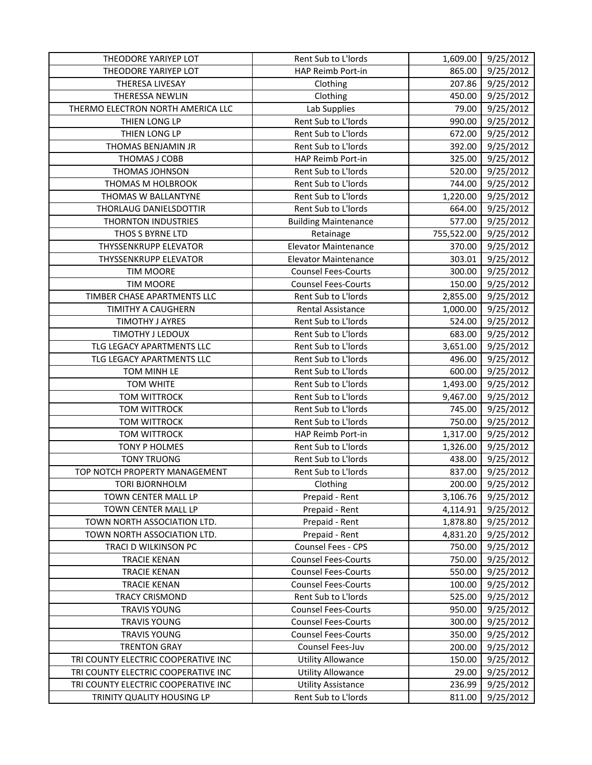| THEODORE YARIYEP LOT                | Rent Sub to L'Iords         | 1,609.00   | 9/25/2012 |
|-------------------------------------|-----------------------------|------------|-----------|
| THEODORE YARIYEP LOT                | HAP Reimb Port-in           | 865.00     | 9/25/2012 |
| THERESA LIVESAY                     | Clothing                    | 207.86     | 9/25/2012 |
| THERESSA NEWLIN                     | Clothing                    | 450.00     | 9/25/2012 |
| THERMO ELECTRON NORTH AMERICA LLC   | Lab Supplies                | 79.00      | 9/25/2012 |
| THIEN LONG LP                       | Rent Sub to L'Iords         | 990.00     | 9/25/2012 |
| THIEN LONG LP                       | Rent Sub to L'Iords         | 672.00     | 9/25/2012 |
| THOMAS BENJAMIN JR                  | Rent Sub to L'Iords         | 392.00     | 9/25/2012 |
| THOMAS J COBB                       | HAP Reimb Port-in           | 325.00     | 9/25/2012 |
| THOMAS JOHNSON                      | Rent Sub to L'Iords         | 520.00     | 9/25/2012 |
| THOMAS M HOLBROOK                   | Rent Sub to L'Iords         | 744.00     | 9/25/2012 |
| THOMAS W BALLANTYNE                 | Rent Sub to L'Iords         | 1,220.00   | 9/25/2012 |
| THORLAUG DANIELSDOTTIR              | Rent Sub to L'Iords         | 664.00     | 9/25/2012 |
| <b>THORNTON INDUSTRIES</b>          | <b>Building Maintenance</b> | 577.00     | 9/25/2012 |
| THOS S BYRNE LTD                    | Retainage                   | 755,522.00 | 9/25/2012 |
| THYSSENKRUPP ELEVATOR               | <b>Elevator Maintenance</b> | 370.00     | 9/25/2012 |
| <b>THYSSENKRUPP ELEVATOR</b>        | <b>Elevator Maintenance</b> | 303.01     | 9/25/2012 |
| <b>TIM MOORE</b>                    | <b>Counsel Fees-Courts</b>  | 300.00     | 9/25/2012 |
| <b>TIM MOORE</b>                    | <b>Counsel Fees-Courts</b>  | 150.00     | 9/25/2012 |
| TIMBER CHASE APARTMENTS LLC         | Rent Sub to L'Iords         | 2,855.00   | 9/25/2012 |
| TIMITHY A CAUGHERN                  | Rental Assistance           | 1,000.00   | 9/25/2012 |
| <b>TIMOTHY J AYRES</b>              | Rent Sub to L'Iords         | 524.00     | 9/25/2012 |
| TIMOTHY J LEDOUX                    | Rent Sub to L'Iords         | 683.00     | 9/25/2012 |
| TLG LEGACY APARTMENTS LLC           | Rent Sub to L'Iords         | 3,651.00   | 9/25/2012 |
| TLG LEGACY APARTMENTS LLC           | Rent Sub to L'Iords         | 496.00     | 9/25/2012 |
| TOM MINH LE                         | Rent Sub to L'Iords         | 600.00     | 9/25/2012 |
| TOM WHITE                           | Rent Sub to L'Iords         | 1,493.00   | 9/25/2012 |
| <b>TOM WITTROCK</b>                 | Rent Sub to L'Iords         | 9,467.00   | 9/25/2012 |
| <b>TOM WITTROCK</b>                 | Rent Sub to L'Iords         | 745.00     | 9/25/2012 |
| <b>TOM WITTROCK</b>                 | Rent Sub to L'Iords         | 750.00     | 9/25/2012 |
| <b>TOM WITTROCK</b>                 | HAP Reimb Port-in           | 1,317.00   | 9/25/2012 |
| <b>TONY P HOLMES</b>                | Rent Sub to L'Iords         | 1,326.00   | 9/25/2012 |
| <b>TONY TRUONG</b>                  | Rent Sub to L'Iords         | 438.00     | 9/25/2012 |
| TOP NOTCH PROPERTY MANAGEMENT       | Rent Sub to L'Iords         | 837.00     | 9/25/2012 |
| <b>TORI BJORNHOLM</b>               | Clothing                    | 200.00     | 9/25/2012 |
| TOWN CENTER MALL LP                 | Prepaid - Rent              | 3,106.76   | 9/25/2012 |
| TOWN CENTER MALL LP                 | Prepaid - Rent              | 4,114.91   | 9/25/2012 |
| TOWN NORTH ASSOCIATION LTD.         | Prepaid - Rent              | 1,878.80   | 9/25/2012 |
| TOWN NORTH ASSOCIATION LTD.         | Prepaid - Rent              | 4,831.20   | 9/25/2012 |
| TRACI D WILKINSON PC                | Counsel Fees - CPS          | 750.00     | 9/25/2012 |
| <b>TRACIE KENAN</b>                 | <b>Counsel Fees-Courts</b>  | 750.00     | 9/25/2012 |
| <b>TRACIE KENAN</b>                 | <b>Counsel Fees-Courts</b>  | 550.00     | 9/25/2012 |
| <b>TRACIE KENAN</b>                 | <b>Counsel Fees-Courts</b>  | 100.00     | 9/25/2012 |
| <b>TRACY CRISMOND</b>               | Rent Sub to L'Iords         | 525.00     | 9/25/2012 |
| <b>TRAVIS YOUNG</b>                 | <b>Counsel Fees-Courts</b>  | 950.00     | 9/25/2012 |
| <b>TRAVIS YOUNG</b>                 | <b>Counsel Fees-Courts</b>  | 300.00     | 9/25/2012 |
| <b>TRAVIS YOUNG</b>                 | <b>Counsel Fees-Courts</b>  | 350.00     | 9/25/2012 |
| <b>TRENTON GRAY</b>                 | Counsel Fees-Juv            | 200.00     | 9/25/2012 |
| TRI COUNTY ELECTRIC COOPERATIVE INC | <b>Utility Allowance</b>    | 150.00     | 9/25/2012 |
| TRI COUNTY ELECTRIC COOPERATIVE INC | <b>Utility Allowance</b>    | 29.00      | 9/25/2012 |
| TRI COUNTY ELECTRIC COOPERATIVE INC | <b>Utility Assistance</b>   | 236.99     | 9/25/2012 |
| TRINITY QUALITY HOUSING LP          | Rent Sub to L'Iords         | 811.00     | 9/25/2012 |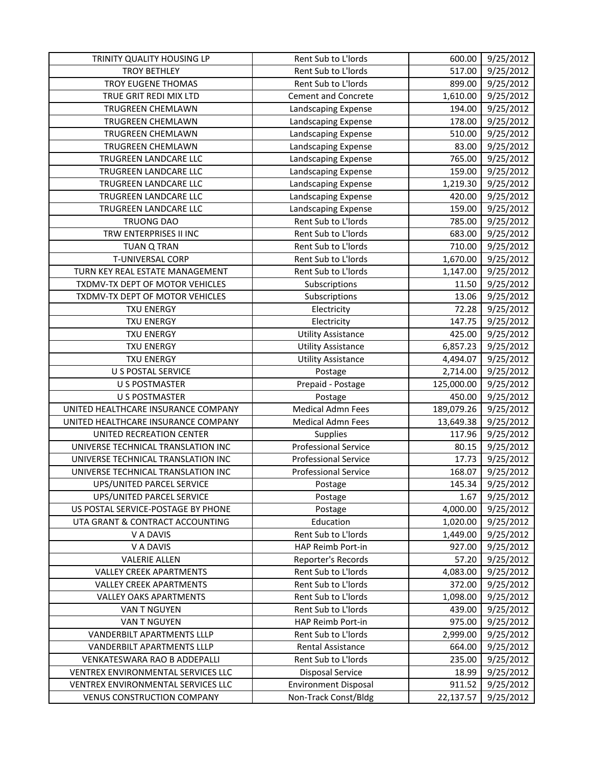| TRINITY QUALITY HOUSING LP          | Rent Sub to L'Iords         | 600.00     | 9/25/2012              |
|-------------------------------------|-----------------------------|------------|------------------------|
| <b>TROY BETHLEY</b>                 | Rent Sub to L'Iords         | 517.00     | 9/25/2012              |
| TROY EUGENE THOMAS                  | Rent Sub to L'Iords         | 899.00     | 9/25/2012              |
| TRUE GRIT REDI MIX LTD              | <b>Cement and Concrete</b>  | 1,610.00   | 9/25/2012              |
| <b>TRUGREEN CHEMLAWN</b>            | Landscaping Expense         | 194.00     | 9/25/2012              |
| <b>TRUGREEN CHEMLAWN</b>            | Landscaping Expense         | 178.00     | 9/25/2012              |
| TRUGREEN CHEMLAWN                   | Landscaping Expense         | 510.00     | 9/25/2012              |
| TRUGREEN CHEMLAWN                   | Landscaping Expense         | 83.00      | 9/25/2012              |
| TRUGREEN LANDCARE LLC               | Landscaping Expense         | 765.00     | 9/25/2012              |
| TRUGREEN LANDCARE LLC               | Landscaping Expense         | 159.00     | 9/25/2012              |
| TRUGREEN LANDCARE LLC               | Landscaping Expense         | 1,219.30   | 9/25/2012              |
| TRUGREEN LANDCARE LLC               | Landscaping Expense         | 420.00     | 9/25/2012              |
| TRUGREEN LANDCARE LLC               | Landscaping Expense         | 159.00     | 9/25/2012              |
| <b>TRUONG DAO</b>                   | Rent Sub to L'Iords         | 785.00     | 9/25/2012              |
| TRW ENTERPRISES II INC              | Rent Sub to L'Iords         | 683.00     | 9/25/2012              |
| <b>TUAN Q TRAN</b>                  | Rent Sub to L'Iords         | 710.00     | 9/25/2012              |
| T-UNIVERSAL CORP                    | Rent Sub to L'Iords         | 1,670.00   | 9/25/2012              |
| TURN KEY REAL ESTATE MANAGEMENT     | Rent Sub to L'Iords         | 1,147.00   | 9/25/2012              |
| TXDMV-TX DEPT OF MOTOR VEHICLES     | Subscriptions               | 11.50      | 9/25/2012              |
| TXDMV-TX DEPT OF MOTOR VEHICLES     | Subscriptions               | 13.06      | 9/25/2012              |
| <b>TXU ENERGY</b>                   | Electricity                 | 72.28      | 9/25/2012              |
| <b>TXU ENERGY</b>                   | Electricity                 | 147.75     | 9/25/2012              |
| <b>TXU ENERGY</b>                   | <b>Utility Assistance</b>   | 425.00     | $\frac{1}{9}$ /25/2012 |
| <b>TXU ENERGY</b>                   | <b>Utility Assistance</b>   | 6,857.23   | 9/25/2012              |
| <b>TXU ENERGY</b>                   | <b>Utility Assistance</b>   | 4,494.07   | 9/25/2012              |
| <b>U S POSTAL SERVICE</b>           | Postage                     | 2,714.00   | 9/25/2012              |
| <b>U S POSTMASTER</b>               | Prepaid - Postage           | 125,000.00 | 9/25/2012              |
| <b>U S POSTMASTER</b>               | Postage                     | 450.00     | 9/25/2012              |
| UNITED HEALTHCARE INSURANCE COMPANY | <b>Medical Admn Fees</b>    | 189,079.26 | 9/25/2012              |
| UNITED HEALTHCARE INSURANCE COMPANY | <b>Medical Admn Fees</b>    | 13,649.38  | 9/25/2012              |
| UNITED RECREATION CENTER            | Supplies                    | 117.96     | 9/25/2012              |
| UNIVERSE TECHNICAL TRANSLATION INC  | <b>Professional Service</b> | 80.15      | 9/25/2012              |
| UNIVERSE TECHNICAL TRANSLATION INC  | <b>Professional Service</b> | 17.73      | 9/25/2012              |
| UNIVERSE TECHNICAL TRANSLATION INC  | <b>Professional Service</b> | 168.07     | 9/25/2012              |
| UPS/UNITED PARCEL SERVICE           | Postage                     | 145.34     | 9/25/2012              |
| UPS/UNITED PARCEL SERVICE           | Postage                     | 1.67       | 9/25/2012              |
| US POSTAL SERVICE-POSTAGE BY PHONE  | Postage                     | 4,000.00   | 9/25/2012              |
| UTA GRANT & CONTRACT ACCOUNTING     | Education                   | 1,020.00   | 9/25/2012              |
| V A DAVIS                           | Rent Sub to L'Iords         | 1,449.00   | 9/25/2012              |
| V A DAVIS                           | HAP Reimb Port-in           | 927.00     | 9/25/2012              |
| <b>VALERIE ALLEN</b>                | Reporter's Records          | 57.20      | 9/25/2012              |
| <b>VALLEY CREEK APARTMENTS</b>      | Rent Sub to L'Iords         | 4,083.00   | 9/25/2012              |
| <b>VALLEY CREEK APARTMENTS</b>      | Rent Sub to L'Iords         | 372.00     | 9/25/2012              |
| <b>VALLEY OAKS APARTMENTS</b>       | Rent Sub to L'Iords         | 1,098.00   | 9/25/2012              |
| VAN T NGUYEN                        | Rent Sub to L'Iords         | 439.00     | 9/25/2012              |
| VAN T NGUYEN                        | HAP Reimb Port-in           | 975.00     | 9/25/2012              |
| VANDERBILT APARTMENTS LLLP          | Rent Sub to L'Iords         | 2,999.00   | 9/25/2012              |
| VANDERBILT APARTMENTS LLLP          | Rental Assistance           | 664.00     | 9/25/2012              |
| VENKATESWARA RAO B ADDEPALLI        | Rent Sub to L'Iords         | 235.00     | 9/25/2012              |
| VENTREX ENVIRONMENTAL SERVICES LLC  | <b>Disposal Service</b>     | 18.99      | 9/25/2012              |
| VENTREX ENVIRONMENTAL SERVICES LLC  | <b>Environment Disposal</b> | 911.52     | 9/25/2012              |
| <b>VENUS CONSTRUCTION COMPANY</b>   | Non-Track Const/Bldg        | 22,137.57  | 9/25/2012              |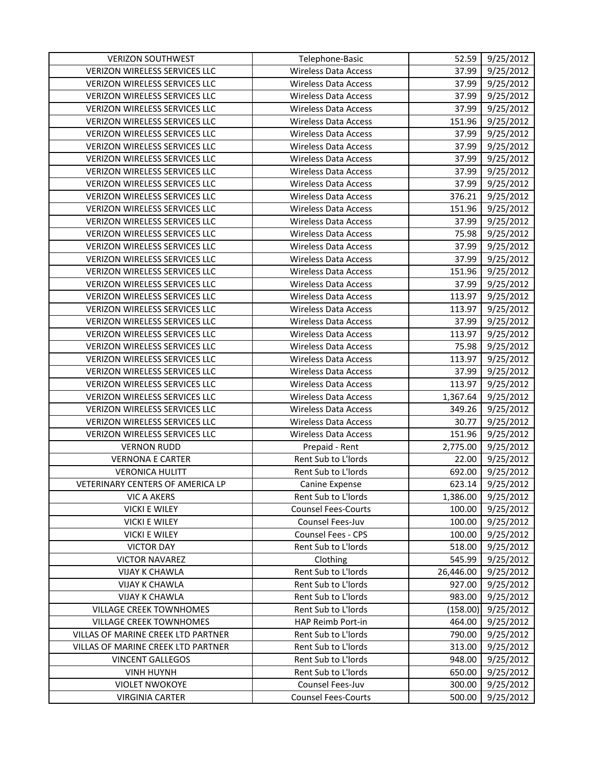| <b>VERIZON SOUTHWEST</b>             | Telephone-Basic             | 52.59     | 9/25/2012 |
|--------------------------------------|-----------------------------|-----------|-----------|
| <b>VERIZON WIRELESS SERVICES LLC</b> | <b>Wireless Data Access</b> | 37.99     | 9/25/2012 |
| VERIZON WIRELESS SERVICES LLC        | <b>Wireless Data Access</b> | 37.99     | 9/25/2012 |
| VERIZON WIRELESS SERVICES LLC        | <b>Wireless Data Access</b> | 37.99     | 9/25/2012 |
| VERIZON WIRELESS SERVICES LLC        | <b>Wireless Data Access</b> | 37.99     | 9/25/2012 |
| <b>VERIZON WIRELESS SERVICES LLC</b> | <b>Wireless Data Access</b> | 151.96    | 9/25/2012 |
| VERIZON WIRELESS SERVICES LLC        | <b>Wireless Data Access</b> | 37.99     | 9/25/2012 |
| VERIZON WIRELESS SERVICES LLC        | <b>Wireless Data Access</b> | 37.99     | 9/25/2012 |
| VERIZON WIRELESS SERVICES LLC        | <b>Wireless Data Access</b> | 37.99     | 9/25/2012 |
| VERIZON WIRELESS SERVICES LLC        | <b>Wireless Data Access</b> | 37.99     | 9/25/2012 |
| VERIZON WIRELESS SERVICES LLC        | <b>Wireless Data Access</b> | 37.99     | 9/25/2012 |
| VERIZON WIRELESS SERVICES LLC        | <b>Wireless Data Access</b> | 376.21    | 9/25/2012 |
| VERIZON WIRELESS SERVICES LLC        | <b>Wireless Data Access</b> | 151.96    | 9/25/2012 |
| <b>VERIZON WIRELESS SERVICES LLC</b> | <b>Wireless Data Access</b> | 37.99     | 9/25/2012 |
| VERIZON WIRELESS SERVICES LLC        | <b>Wireless Data Access</b> | 75.98     | 9/25/2012 |
| <b>VERIZON WIRELESS SERVICES LLC</b> | <b>Wireless Data Access</b> | 37.99     | 9/25/2012 |
| VERIZON WIRELESS SERVICES LLC        | <b>Wireless Data Access</b> | 37.99     | 9/25/2012 |
| <b>VERIZON WIRELESS SERVICES LLC</b> | <b>Wireless Data Access</b> | 151.96    | 9/25/2012 |
| VERIZON WIRELESS SERVICES LLC        | <b>Wireless Data Access</b> | 37.99     | 9/25/2012 |
| VERIZON WIRELESS SERVICES LLC        | <b>Wireless Data Access</b> | 113.97    | 9/25/2012 |
| VERIZON WIRELESS SERVICES LLC        | <b>Wireless Data Access</b> | 113.97    | 9/25/2012 |
| VERIZON WIRELESS SERVICES LLC        | <b>Wireless Data Access</b> | 37.99     | 9/25/2012 |
| VERIZON WIRELESS SERVICES LLC        | <b>Wireless Data Access</b> | 113.97    | 9/25/2012 |
| <b>VERIZON WIRELESS SERVICES LLC</b> | <b>Wireless Data Access</b> | 75.98     | 9/25/2012 |
| VERIZON WIRELESS SERVICES LLC        | <b>Wireless Data Access</b> | 113.97    | 9/25/2012 |
| <b>VERIZON WIRELESS SERVICES LLC</b> | <b>Wireless Data Access</b> | 37.99     | 9/25/2012 |
| VERIZON WIRELESS SERVICES LLC        | <b>Wireless Data Access</b> | 113.97    | 9/25/2012 |
| VERIZON WIRELESS SERVICES LLC        | <b>Wireless Data Access</b> | 1,367.64  | 9/25/2012 |
| VERIZON WIRELESS SERVICES LLC        | <b>Wireless Data Access</b> | 349.26    | 9/25/2012 |
| VERIZON WIRELESS SERVICES LLC        | <b>Wireless Data Access</b> | 30.77     | 9/25/2012 |
| VERIZON WIRELESS SERVICES LLC        | <b>Wireless Data Access</b> | 151.96    | 9/25/2012 |
| <b>VERNON RUDD</b>                   | Prepaid - Rent              | 2,775.00  | 9/25/2012 |
| <b>VERNONA E CARTER</b>              | Rent Sub to L'Iords         | 22.00     | 9/25/2012 |
| <b>VERONICA HULITT</b>               | Rent Sub to L'Iords         | 692.00    | 9/25/2012 |
| VETERINARY CENTERS OF AMERICA LP     | Canine Expense              | 623.14    | 9/25/2012 |
| VIC A AKERS                          | Rent Sub to L'Iords         | 1,386.00  | 9/25/2012 |
| <b>VICKI E WILEY</b>                 | <b>Counsel Fees-Courts</b>  | 100.00    | 9/25/2012 |
| <b>VICKI E WILEY</b>                 | Counsel Fees-Juv            | 100.00    | 9/25/2012 |
| <b>VICKI E WILEY</b>                 | Counsel Fees - CPS          | 100.00    | 9/25/2012 |
| <b>VICTOR DAY</b>                    | Rent Sub to L'Iords         | 518.00    | 9/25/2012 |
| <b>VICTOR NAVAREZ</b>                | Clothing                    | 545.99    | 9/25/2012 |
| <b>VIJAY K CHAWLA</b>                | Rent Sub to L'Iords         | 26,446.00 | 9/25/2012 |
| <b>VIJAY K CHAWLA</b>                | Rent Sub to L'Iords         | 927.00    | 9/25/2012 |
| <b>VIJAY K CHAWLA</b>                | Rent Sub to L'Iords         | 983.00    | 9/25/2012 |
| VILLAGE CREEK TOWNHOMES              | Rent Sub to L'Iords         | (158.00)  | 9/25/2012 |
| <b>VILLAGE CREEK TOWNHOMES</b>       | HAP Reimb Port-in           | 464.00    | 9/25/2012 |
| VILLAS OF MARINE CREEK LTD PARTNER   | Rent Sub to L'Iords         | 790.00    | 9/25/2012 |
| VILLAS OF MARINE CREEK LTD PARTNER   | Rent Sub to L'Iords         | 313.00    | 9/25/2012 |
| <b>VINCENT GALLEGOS</b>              | Rent Sub to L'Iords         | 948.00    | 9/25/2012 |
| <b>VINH HUYNH</b>                    | Rent Sub to L'Iords         | 650.00    | 9/25/2012 |
| <b>VIOLET NWOKOYE</b>                | Counsel Fees-Juv            | 300.00    | 9/25/2012 |
| <b>VIRGINIA CARTER</b>               | <b>Counsel Fees-Courts</b>  | 500.00    | 9/25/2012 |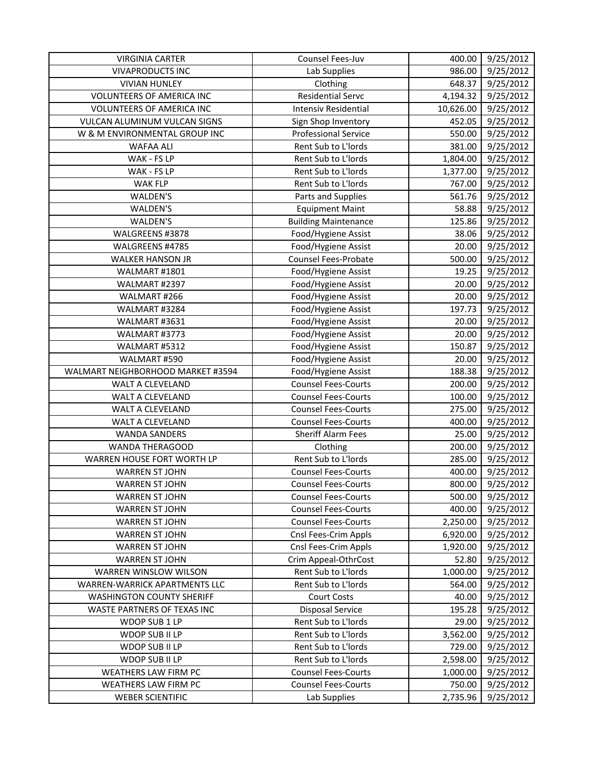| <b>VIRGINIA CARTER</b>                       | Counsel Fees-Juv                               | 400.00          | 9/25/2012              |
|----------------------------------------------|------------------------------------------------|-----------------|------------------------|
| <b>VIVAPRODUCTS INC</b>                      | Lab Supplies                                   | 986.00          | 9/25/2012              |
| <b>VIVIAN HUNLEY</b>                         | Clothing                                       | 648.37          | 9/25/2012              |
| <b>VOLUNTEERS OF AMERICA INC</b>             | <b>Residential Servc</b>                       | 4,194.32        | 9/25/2012              |
| <b>VOLUNTEERS OF AMERICA INC</b>             | <b>Intensiv Residential</b>                    | 10,626.00       | 9/25/2012              |
| VULCAN ALUMINUM VULCAN SIGNS                 | Sign Shop Inventory                            | 452.05          | 9/25/2012              |
| W & M ENVIRONMENTAL GROUP INC                | <b>Professional Service</b>                    | 550.00          | 9/25/2012              |
| <b>WAFAA ALI</b>                             | Rent Sub to L'Iords                            | 381.00          | 9/25/2012              |
| WAK - FS LP                                  | Rent Sub to L'Iords                            | 1,804.00        | 9/25/2012              |
| WAK - FS LP                                  | Rent Sub to L'Iords                            | 1,377.00        | 9/25/2012              |
| WAK FLP                                      | Rent Sub to L'Iords                            | 767.00          | $\frac{1}{9}$ /25/2012 |
| WALDEN'S                                     | Parts and Supplies                             | 561.76          | 9/25/2012              |
| WALDEN'S                                     | <b>Equipment Maint</b>                         | 58.88           | 9/25/2012              |
| WALDEN'S                                     | <b>Building Maintenance</b>                    | 125.86          | 9/25/2012              |
| WALGREENS #3878                              | Food/Hygiene Assist                            | 38.06           | 9/25/2012              |
| WALGREENS #4785                              | Food/Hygiene Assist                            | 20.00           | 9/25/2012              |
| <b>WALKER HANSON JR</b>                      | Counsel Fees-Probate                           | 500.00          | 9/25/2012              |
| WALMART #1801                                | Food/Hygiene Assist                            | 19.25           | 9/25/2012              |
| WALMART #2397                                | Food/Hygiene Assist                            | 20.00           | 9/25/2012              |
| WALMART #266                                 | Food/Hygiene Assist                            | 20.00           | 9/25/2012              |
| WALMART #3284                                | Food/Hygiene Assist                            | 197.73          | 9/25/2012              |
| WALMART #3631                                | Food/Hygiene Assist                            | 20.00           | 9/25/2012              |
| WALMART #3773                                | Food/Hygiene Assist                            | 20.00           | 9/25/2012              |
| WALMART #5312                                | Food/Hygiene Assist                            | 150.87          | 9/25/2012              |
| WALMART #590                                 | Food/Hygiene Assist                            | 20.00           | 9/25/2012              |
| WALMART NEIGHBORHOOD MARKET #3594            | Food/Hygiene Assist                            | 188.38          | 9/25/2012              |
| WALT A CLEVELAND                             | <b>Counsel Fees-Courts</b>                     | 200.00          | 9/25/2012              |
| WALT A CLEVELAND                             | <b>Counsel Fees-Courts</b>                     | 100.00          | 9/25/2012              |
| WALT A CLEVELAND                             | <b>Counsel Fees-Courts</b>                     | 275.00          | 9/25/2012              |
| WALT A CLEVELAND                             | <b>Counsel Fees-Courts</b>                     | 400.00          | 9/25/2012              |
| <b>WANDA SANDERS</b>                         | <b>Sheriff Alarm Fees</b>                      | 25.00           | 9/25/2012              |
| WANDA THERAGOOD                              | Clothing                                       | 200.00          | 9/25/2012              |
| WARREN HOUSE FORT WORTH LP                   | Rent Sub to L'Iords                            | 285.00          | 9/25/2012              |
| <b>WARREN ST JOHN</b>                        | <b>Counsel Fees-Courts</b>                     | 400.00          | 9/25/2012              |
| <b>WARREN ST JOHN</b>                        | <b>Counsel Fees-Courts</b>                     | 800.00          | 9/25/2012              |
| <b>WARREN ST JOHN</b>                        | <b>Counsel Fees-Courts</b>                     | 500.00          | 9/25/2012              |
| <b>WARREN ST JOHN</b>                        | <b>Counsel Fees-Courts</b>                     | 400.00          | 9/25/2012              |
| <b>WARREN ST JOHN</b>                        | <b>Counsel Fees-Courts</b>                     | 2,250.00        | 9/25/2012              |
| <b>WARREN ST JOHN</b>                        | Cnsl Fees-Crim Appls                           | 6,920.00        | 9/25/2012              |
| <b>WARREN ST JOHN</b>                        | Cnsl Fees-Crim Appls                           | 1,920.00        | 9/25/2012              |
| <b>WARREN ST JOHN</b>                        | Crim Appeal-OthrCost                           | 52.80           | 9/25/2012              |
| WARREN WINSLOW WILSON                        | Rent Sub to L'Iords                            | 1,000.00        | 9/25/2012              |
| WARREN-WARRICK APARTMENTS LLC                | Rent Sub to L'Iords                            | 564.00          | 9/25/2012              |
| <b>WASHINGTON COUNTY SHERIFF</b>             | <b>Court Costs</b>                             | 40.00           | 9/25/2012              |
| WASTE PARTNERS OF TEXAS INC<br>WDOP SUB 1 LP | <b>Disposal Service</b><br>Rent Sub to L'Iords | 195.28<br>29.00 | 9/25/2012<br>9/25/2012 |
| WDOP SUB II LP                               | Rent Sub to L'Iords                            | 3,562.00        | 9/25/2012              |
| WDOP SUB II LP                               | Rent Sub to L'Iords                            | 729.00          | 9/25/2012              |
| WDOP SUB II LP                               | Rent Sub to L'Iords                            | 2,598.00        | 9/25/2012              |
| WEATHERS LAW FIRM PC                         | <b>Counsel Fees-Courts</b>                     | 1,000.00        | 9/25/2012              |
| WEATHERS LAW FIRM PC                         | <b>Counsel Fees-Courts</b>                     | 750.00          | 9/25/2012              |
| <b>WEBER SCIENTIFIC</b>                      | Lab Supplies                                   | 2,735.96        | 9/25/2012              |
|                                              |                                                |                 |                        |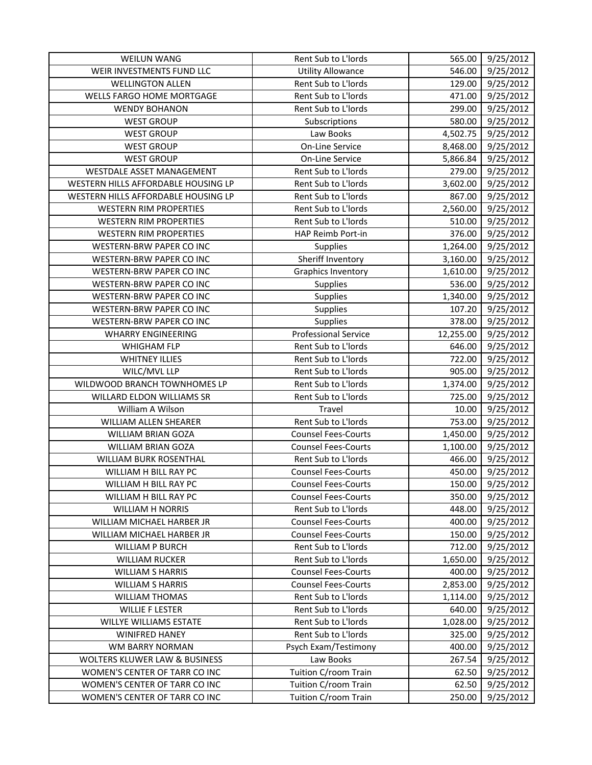| <b>WEILUN WANG</b>                       | Rent Sub to L'Iords         | 565.00    | 9/25/2012 |
|------------------------------------------|-----------------------------|-----------|-----------|
| WEIR INVESTMENTS FUND LLC                | <b>Utility Allowance</b>    | 546.00    | 9/25/2012 |
| <b>WELLINGTON ALLEN</b>                  | Rent Sub to L'Iords         | 129.00    | 9/25/2012 |
| WELLS FARGO HOME MORTGAGE                | Rent Sub to L'Iords         | 471.00    | 9/25/2012 |
| <b>WENDY BOHANON</b>                     | Rent Sub to L'Iords         | 299.00    | 9/25/2012 |
| <b>WEST GROUP</b>                        | Subscriptions               | 580.00    | 9/25/2012 |
| <b>WEST GROUP</b>                        | Law Books                   | 4,502.75  | 9/25/2012 |
| <b>WEST GROUP</b>                        | <b>On-Line Service</b>      | 8,468.00  | 9/25/2012 |
| <b>WEST GROUP</b>                        | On-Line Service             | 5,866.84  | 9/25/2012 |
| WESTDALE ASSET MANAGEMENT                | Rent Sub to L'Iords         | 279.00    | 9/25/2012 |
| WESTERN HILLS AFFORDABLE HOUSING LP      | Rent Sub to L'Iords         | 3,602.00  | 9/25/2012 |
| WESTERN HILLS AFFORDABLE HOUSING LP      | Rent Sub to L'Iords         | 867.00    | 9/25/2012 |
| <b>WESTERN RIM PROPERTIES</b>            | Rent Sub to L'Iords         | 2,560.00  | 9/25/2012 |
| <b>WESTERN RIM PROPERTIES</b>            | Rent Sub to L'Iords         | 510.00    | 9/25/2012 |
| <b>WESTERN RIM PROPERTIES</b>            | HAP Reimb Port-in           | 376.00    | 9/25/2012 |
| WESTERN-BRW PAPER CO INC                 | <b>Supplies</b>             | 1,264.00  | 9/25/2012 |
| <b>WESTERN-BRW PAPER CO INC</b>          | Sheriff Inventory           | 3,160.00  | 9/25/2012 |
| WESTERN-BRW PAPER CO INC                 | Graphics Inventory          | 1,610.00  | 9/25/2012 |
| <b>WESTERN-BRW PAPER CO INC</b>          | Supplies                    | 536.00    | 9/25/2012 |
| WESTERN-BRW PAPER CO INC                 | Supplies                    | 1,340.00  | 9/25/2012 |
| <b>WESTERN-BRW PAPER CO INC</b>          | Supplies                    | 107.20    | 9/25/2012 |
| WESTERN-BRW PAPER CO INC                 | Supplies                    | 378.00    | 9/25/2012 |
| <b>WHARRY ENGINEERING</b>                | <b>Professional Service</b> | 12,255.00 | 9/25/2012 |
| WHIGHAM FLP                              | Rent Sub to L'Iords         | 646.00    | 9/25/2012 |
| <b>WHITNEY ILLIES</b>                    | Rent Sub to L'Iords         | 722.00    | 9/25/2012 |
| WILC/MVL LLP                             | Rent Sub to L'Iords         | 905.00    | 9/25/2012 |
| WILDWOOD BRANCH TOWNHOMES LP             | Rent Sub to L'Iords         | 1,374.00  | 9/25/2012 |
| WILLARD ELDON WILLIAMS SR                | Rent Sub to L'Iords         | 725.00    | 9/25/2012 |
| William A Wilson                         | Travel                      | 10.00     | 9/25/2012 |
| WILLIAM ALLEN SHEARER                    | Rent Sub to L'Iords         | 753.00    | 9/25/2012 |
| WILLIAM BRIAN GOZA                       | <b>Counsel Fees-Courts</b>  | 1,450.00  | 9/25/2012 |
| WILLIAM BRIAN GOZA                       | <b>Counsel Fees-Courts</b>  | 1,100.00  | 9/25/2012 |
| <b>WILLIAM BURK ROSENTHAL</b>            | Rent Sub to L'Iords         | 466.00    | 9/25/2012 |
| WILLIAM H BILL RAY PC                    | <b>Counsel Fees-Courts</b>  | 450.00    | 9/25/2012 |
| WILLIAM H BILL RAY PC                    | <b>Counsel Fees-Courts</b>  | 150.00    | 9/25/2012 |
| WILLIAM H BILL RAY PC                    | <b>Counsel Fees-Courts</b>  | 350.00    | 9/25/2012 |
| <b>WILLIAM H NORRIS</b>                  | Rent Sub to L'Iords         | 448.00    | 9/25/2012 |
| WILLIAM MICHAEL HARBER JR                | <b>Counsel Fees-Courts</b>  | 400.00    | 9/25/2012 |
| WILLIAM MICHAEL HARBER JR                | <b>Counsel Fees-Courts</b>  | 150.00    | 9/25/2012 |
| <b>WILLIAM P BURCH</b>                   | Rent Sub to L'Iords         | 712.00    | 9/25/2012 |
| <b>WILLIAM RUCKER</b>                    | Rent Sub to L'Iords         | 1,650.00  | 9/25/2012 |
| <b>WILLIAM S HARRIS</b>                  | <b>Counsel Fees-Courts</b>  | 400.00    | 9/25/2012 |
| <b>WILLIAM S HARRIS</b>                  | <b>Counsel Fees-Courts</b>  | 2,853.00  | 9/25/2012 |
| <b>WILLIAM THOMAS</b>                    | Rent Sub to L'Iords         | 1,114.00  | 9/25/2012 |
| <b>WILLIE F LESTER</b>                   | Rent Sub to L'Iords         | 640.00    | 9/25/2012 |
| WILLYE WILLIAMS ESTATE                   | Rent Sub to L'Iords         | 1,028.00  | 9/25/2012 |
| <b>WINIFRED HANEY</b>                    | Rent Sub to L'Iords         | 325.00    | 9/25/2012 |
| WM BARRY NORMAN                          | Psych Exam/Testimony        | 400.00    | 9/25/2012 |
| <b>WOLTERS KLUWER LAW &amp; BUSINESS</b> | Law Books                   | 267.54    | 9/25/2012 |
| WOMEN'S CENTER OF TARR CO INC            | Tuition C/room Train        | 62.50     | 9/25/2012 |
| WOMEN'S CENTER OF TARR CO INC            | Tuition C/room Train        | 62.50     | 9/25/2012 |
| WOMEN'S CENTER OF TARR CO INC            | Tuition C/room Train        | 250.00    | 9/25/2012 |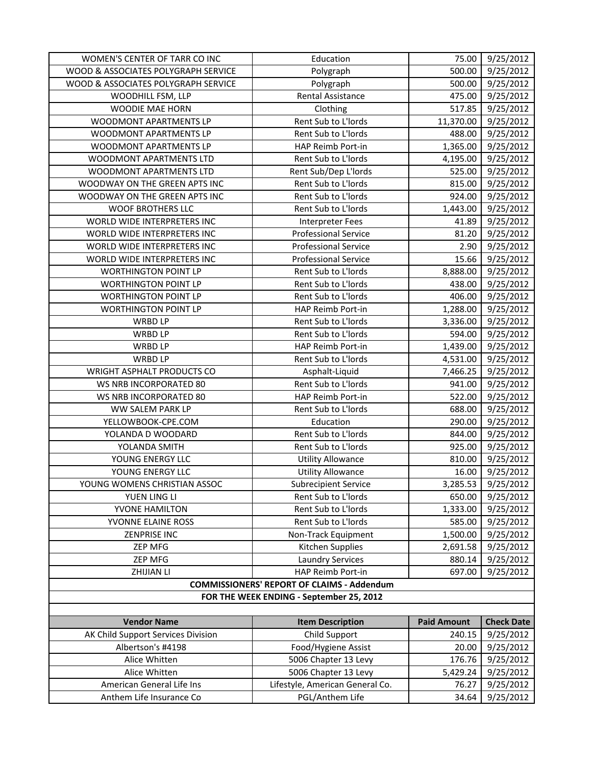| WOMEN'S CENTER OF TARR CO INC            | Education                                         | 75.00              | 9/25/2012         |
|------------------------------------------|---------------------------------------------------|--------------------|-------------------|
| WOOD & ASSOCIATES POLYGRAPH SERVICE      | Polygraph                                         | 500.00             | 9/25/2012         |
| WOOD & ASSOCIATES POLYGRAPH SERVICE      | Polygraph                                         | 500.00             | 9/25/2012         |
| WOODHILL FSM, LLP                        | <b>Rental Assistance</b>                          | 475.00             | 9/25/2012         |
| <b>WOODIE MAE HORN</b>                   | Clothing                                          | 517.85             | 9/25/2012         |
| WOODMONT APARTMENTS LP                   | Rent Sub to L'Iords                               | 11,370.00          | 9/25/2012         |
| WOODMONT APARTMENTS LP                   | Rent Sub to L'Iords                               | 488.00             | 9/25/2012         |
| WOODMONT APARTMENTS LP                   | HAP Reimb Port-in                                 | 1,365.00           | 9/25/2012         |
| WOODMONT APARTMENTS LTD                  | Rent Sub to L'Iords                               | 4,195.00           | 9/25/2012         |
| WOODMONT APARTMENTS LTD                  | Rent Sub/Dep L'Iords                              | 525.00             | 9/25/2012         |
| WOODWAY ON THE GREEN APTS INC            | Rent Sub to L'Iords                               | 815.00             | 9/25/2012         |
| WOODWAY ON THE GREEN APTS INC            | Rent Sub to L'Iords                               | 924.00             | 9/25/2012         |
| <b>WOOF BROTHERS LLC</b>                 | Rent Sub to L'Iords                               | 1,443.00           | 9/25/2012         |
| WORLD WIDE INTERPRETERS INC              | <b>Interpreter Fees</b>                           | 41.89              | 9/25/2012         |
| WORLD WIDE INTERPRETERS INC              | <b>Professional Service</b>                       | 81.20              | 9/25/2012         |
| WORLD WIDE INTERPRETERS INC              | <b>Professional Service</b>                       | 2.90               | 9/25/2012         |
| WORLD WIDE INTERPRETERS INC              | <b>Professional Service</b>                       | 15.66              | 9/25/2012         |
| <b>WORTHINGTON POINT LP</b>              | Rent Sub to L'Iords                               | 8,888.00           | 9/25/2012         |
| <b>WORTHINGTON POINT LP</b>              | Rent Sub to L'Iords                               | 438.00             | 9/25/2012         |
| <b>WORTHINGTON POINT LP</b>              | Rent Sub to L'Iords                               | 406.00             | 9/25/2012         |
| <b>WORTHINGTON POINT LP</b>              | HAP Reimb Port-in                                 | 1,288.00           | 9/25/2012         |
| WRBD LP                                  | Rent Sub to L'Iords                               | 3,336.00           | 9/25/2012         |
| <b>WRBD LP</b>                           | Rent Sub to L'Iords                               | 594.00             | 9/25/2012         |
| <b>WRBD LP</b>                           | HAP Reimb Port-in                                 | 1,439.00           | 9/25/2012         |
| <b>WRBD LP</b>                           | Rent Sub to L'Iords                               | 4,531.00           | 9/25/2012         |
| <b>WRIGHT ASPHALT PRODUCTS CO</b>        | Asphalt-Liquid                                    | 7,466.25           | 9/25/2012         |
| WS NRB INCORPORATED 80                   | Rent Sub to L'Iords                               | 941.00             | 9/25/2012         |
| WS NRB INCORPORATED 80                   | HAP Reimb Port-in                                 | 522.00             | 9/25/2012         |
| WW SALEM PARK LP                         | Rent Sub to L'Iords                               | 688.00             | 9/25/2012         |
| YELLOWBOOK-CPE.COM                       | Education                                         | 290.00             | 9/25/2012         |
| YOLANDA D WOODARD                        | Rent Sub to L'Iords                               | 844.00             | 9/25/2012         |
| YOLANDA SMITH                            | Rent Sub to L'Iords                               | 925.00             | 9/25/2012         |
| YOUNG ENERGY LLC                         | <b>Utility Allowance</b>                          | 810.00             | 9/25/2012         |
| YOUNG ENERGY LLC                         | <b>Utility Allowance</b>                          | 16.00              | 9/25/2012         |
| YOUNG WOMENS CHRISTIAN ASSOC             | <b>Subrecipient Service</b>                       | 3,285.53           | 9/25/2012         |
| YUEN LING LI                             | Rent Sub to L'Iords                               | 650.00             | 9/25/2012         |
| YVONE HAMILTON                           | Rent Sub to L'Iords                               | 1,333.00           | 9/25/2012         |
| YVONNE ELAINE ROSS                       | Rent Sub to L'Iords                               | 585.00             | 9/25/2012         |
| ZENPRISE INC                             | Non-Track Equipment                               | 1,500.00           | 9/25/2012         |
| ZEP MFG                                  | <b>Kitchen Supplies</b>                           | 2,691.58           | 9/25/2012         |
| <b>ZEP MFG</b>                           | <b>Laundry Services</b>                           | 880.14             | 9/25/2012         |
| ZHIJIAN LI                               | HAP Reimb Port-in                                 | 697.00             | 9/25/2012         |
|                                          | <b>COMMISSIONERS' REPORT OF CLAIMS - Addendum</b> |                    |                   |
| FOR THE WEEK ENDING - September 25, 2012 |                                                   |                    |                   |
|                                          |                                                   |                    |                   |
| <b>Vendor Name</b>                       | <b>Item Description</b>                           | <b>Paid Amount</b> | <b>Check Date</b> |
| AK Child Support Services Division       | Child Support                                     | 240.15             | 9/25/2012         |
| Albertson's #4198                        | Food/Hygiene Assist                               | 20.00              | 9/25/2012         |
| Alice Whitten                            | 5006 Chapter 13 Levy                              | 176.76             | 9/25/2012         |
| Alice Whitten                            | 5006 Chapter 13 Levy                              | 5,429.24           | 9/25/2012         |
| American General Life Ins                | Lifestyle, American General Co.                   | 76.27              | 9/25/2012         |
| Anthem Life Insurance Co                 | PGL/Anthem Life                                   | 34.64              | 9/25/2012         |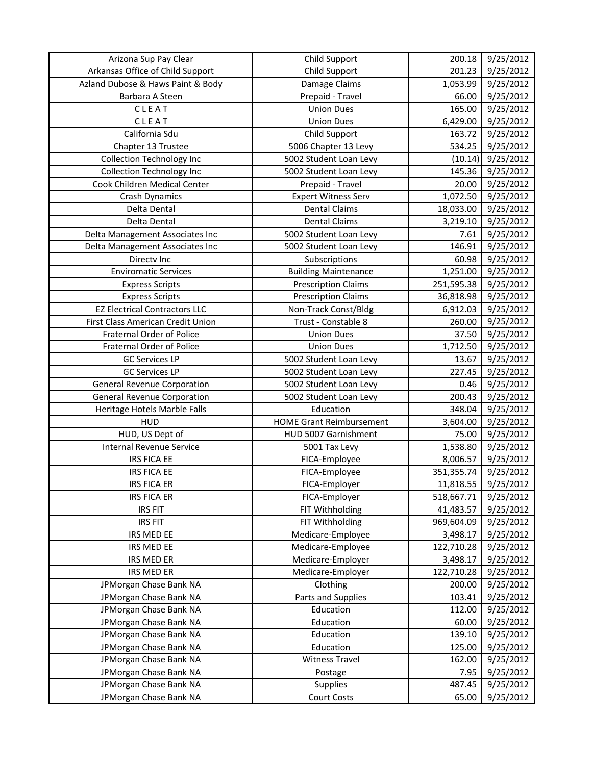| Arizona Sup Pay Clear                | Child Support                   | 200.18     | 9/25/2012              |
|--------------------------------------|---------------------------------|------------|------------------------|
| Arkansas Office of Child Support     | Child Support                   | 201.23     | 9/25/2012              |
| Azland Dubose & Haws Paint & Body    | Damage Claims                   | 1,053.99   | 9/25/2012              |
| Barbara A Steen                      | Prepaid - Travel                | 66.00      | 9/25/2012              |
| CLEAT                                | <b>Union Dues</b>               | 165.00     | 9/25/2012              |
| CLEAT                                | <b>Union Dues</b>               | 6,429.00   | 9/25/2012              |
| California Sdu                       | Child Support                   | 163.72     | 9/25/2012              |
| Chapter 13 Trustee                   | 5006 Chapter 13 Levy            | 534.25     | 9/25/2012              |
| <b>Collection Technology Inc</b>     | 5002 Student Loan Levy          | (10.14)    | 9/25/2012              |
| <b>Collection Technology Inc</b>     | 5002 Student Loan Levy          | 145.36     | 9/25/2012              |
| Cook Children Medical Center         | Prepaid - Travel                | 20.00      | $\frac{1}{9}$ /25/2012 |
| Crash Dynamics                       | <b>Expert Witness Serv</b>      | 1,072.50   | 9/25/2012              |
| Delta Dental                         | <b>Dental Claims</b>            | 18,033.00  | 9/25/2012              |
| Delta Dental                         | <b>Dental Claims</b>            | 3,219.10   | 9/25/2012              |
| Delta Management Associates Inc      | 5002 Student Loan Levy          | 7.61       | 9/25/2012              |
| Delta Management Associates Inc      | 5002 Student Loan Levy          | 146.91     | 9/25/2012              |
| Directv Inc                          | Subscriptions                   | 60.98      | 9/25/2012              |
| <b>Enviromatic Services</b>          | <b>Building Maintenance</b>     | 1,251.00   | 9/25/2012              |
| <b>Express Scripts</b>               | <b>Prescription Claims</b>      | 251,595.38 | 9/25/2012              |
| <b>Express Scripts</b>               | <b>Prescription Claims</b>      | 36,818.98  | 9/25/2012              |
| <b>EZ Electrical Contractors LLC</b> | Non-Track Const/Bldg            | 6,912.03   | 9/25/2012              |
| First Class American Credit Union    | Trust - Constable 8             | 260.00     | 9/25/2012              |
| <b>Fraternal Order of Police</b>     | <b>Union Dues</b>               | 37.50      | 9/25/2012              |
| <b>Fraternal Order of Police</b>     | <b>Union Dues</b>               | 1,712.50   | 9/25/2012              |
| <b>GC Services LP</b>                | 5002 Student Loan Levy          | 13.67      | 9/25/2012              |
| <b>GC Services LP</b>                | 5002 Student Loan Levy          | 227.45     | 9/25/2012              |
| <b>General Revenue Corporation</b>   | 5002 Student Loan Levy          | 0.46       | 9/25/2012              |
| <b>General Revenue Corporation</b>   | 5002 Student Loan Levy          | 200.43     | 9/25/2012              |
| Heritage Hotels Marble Falls         | Education                       | 348.04     | 9/25/2012              |
| <b>HUD</b>                           | <b>HOME Grant Reimbursement</b> | 3,604.00   | 9/25/2012              |
| HUD, US Dept of                      | HUD 5007 Garnishment            | 75.00      | 9/25/2012              |
| Internal Revenue Service             | 5001 Tax Levy                   | 1,538.80   | 9/25/2012              |
| <b>IRS FICA EE</b>                   | FICA-Employee                   | 8,006.57   | 9/25/2012              |
| <b>IRS FICA EE</b>                   | FICA-Employee                   | 351,355.74 | 9/25/2012              |
| IRS FICA ER                          | FICA-Employer                   | 11,818.55  | 9/25/2012              |
| <b>IRS FICA ER</b>                   | FICA-Employer                   | 518,667.71 | 9/25/2012              |
| <b>IRS FIT</b>                       | FIT Withholding                 | 41,483.57  | 9/25/2012              |
| <b>IRS FIT</b>                       | FIT Withholding                 | 969,604.09 | 9/25/2012              |
| IRS MED EE                           | Medicare-Employee               | 3,498.17   | 9/25/2012              |
| IRS MED EE                           | Medicare-Employee               | 122,710.28 | 9/25/2012              |
| <b>IRS MED ER</b>                    | Medicare-Employer               | 3,498.17   | 9/25/2012              |
| <b>IRS MED ER</b>                    | Medicare-Employer               | 122,710.28 | 9/25/2012              |
| JPMorgan Chase Bank NA               | Clothing                        | 200.00     | 9/25/2012              |
| JPMorgan Chase Bank NA               | Parts and Supplies              | 103.41     | 9/25/2012              |
| JPMorgan Chase Bank NA               | Education                       | 112.00     | 9/25/2012              |
| JPMorgan Chase Bank NA               | Education                       | 60.00      | 9/25/2012              |
| JPMorgan Chase Bank NA               | Education                       | 139.10     | 9/25/2012              |
| JPMorgan Chase Bank NA               | Education                       | 125.00     | 9/25/2012              |
| JPMorgan Chase Bank NA               | <b>Witness Travel</b>           | 162.00     | 9/25/2012              |
| JPMorgan Chase Bank NA               | Postage                         | 7.95       | 9/25/2012              |
| JPMorgan Chase Bank NA               | Supplies                        | 487.45     | 9/25/2012              |
| JPMorgan Chase Bank NA               | Court Costs                     | 65.00      | 9/25/2012              |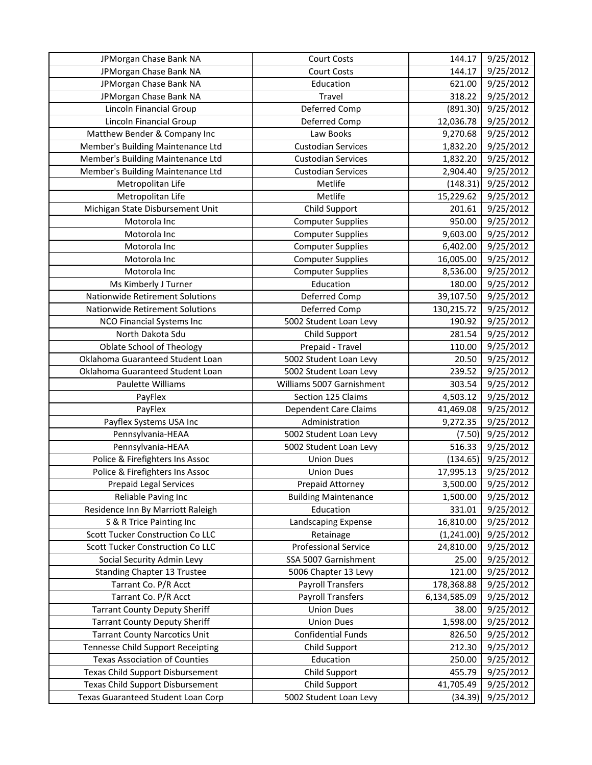| JPMorgan Chase Bank NA                   | <b>Court Costs</b>           | 144.17       | 9/25/2012 |
|------------------------------------------|------------------------------|--------------|-----------|
| JPMorgan Chase Bank NA                   | <b>Court Costs</b>           | 144.17       | 9/25/2012 |
| JPMorgan Chase Bank NA                   | Education                    | 621.00       | 9/25/2012 |
| JPMorgan Chase Bank NA                   | Travel                       | 318.22       | 9/25/2012 |
| Lincoln Financial Group                  | Deferred Comp                | (891.30)     | 9/25/2012 |
| <b>Lincoln Financial Group</b>           | Deferred Comp                | 12,036.78    | 9/25/2012 |
| Matthew Bender & Company Inc             | Law Books                    | 9,270.68     | 9/25/2012 |
| Member's Building Maintenance Ltd        | <b>Custodian Services</b>    | 1,832.20     | 9/25/2012 |
| Member's Building Maintenance Ltd        | <b>Custodian Services</b>    | 1,832.20     | 9/25/2012 |
| Member's Building Maintenance Ltd        | <b>Custodian Services</b>    | 2,904.40     | 9/25/2012 |
| Metropolitan Life                        | Metlife                      | (148.31)     | 9/25/2012 |
| Metropolitan Life                        | Metlife                      | 15,229.62    | 9/25/2012 |
| Michigan State Disbursement Unit         | Child Support                | 201.61       | 9/25/2012 |
| Motorola Inc                             | <b>Computer Supplies</b>     | 950.00       | 9/25/2012 |
| Motorola Inc                             | <b>Computer Supplies</b>     | 9,603.00     | 9/25/2012 |
| Motorola Inc                             | <b>Computer Supplies</b>     | 6,402.00     | 9/25/2012 |
| Motorola Inc                             | <b>Computer Supplies</b>     | 16,005.00    | 9/25/2012 |
| Motorola Inc                             | <b>Computer Supplies</b>     | 8,536.00     | 9/25/2012 |
| Ms Kimberly J Turner                     | Education                    | 180.00       | 9/25/2012 |
| Nationwide Retirement Solutions          | Deferred Comp                | 39,107.50    | 9/25/2012 |
| Nationwide Retirement Solutions          | Deferred Comp                | 130,215.72   | 9/25/2012 |
| NCO Financial Systems Inc                | 5002 Student Loan Levy       | 190.92       | 9/25/2012 |
| North Dakota Sdu                         | Child Support                | 281.54       | 9/25/2012 |
| <b>Oblate School of Theology</b>         | Prepaid - Travel             | 110.00       | 9/25/2012 |
| Oklahoma Guaranteed Student Loan         | 5002 Student Loan Levy       | 20.50        | 9/25/2012 |
| Oklahoma Guaranteed Student Loan         | 5002 Student Loan Levy       | 239.52       | 9/25/2012 |
| Paulette Williams                        | Williams 5007 Garnishment    | 303.54       | 9/25/2012 |
| PayFlex                                  | Section 125 Claims           | 4,503.12     | 9/25/2012 |
| PayFlex                                  | <b>Dependent Care Claims</b> | 41,469.08    | 9/25/2012 |
| Payflex Systems USA Inc                  | Administration               | 9,272.35     | 9/25/2012 |
| Pennsylvania-HEAA                        | 5002 Student Loan Levy       | (7.50)       | 9/25/2012 |
| Pennsylvania-HEAA                        | 5002 Student Loan Levy       | 516.33       | 9/25/2012 |
| Police & Firefighters Ins Assoc          | <b>Union Dues</b>            | (134.65)     | 9/25/2012 |
| Police & Firefighters Ins Assoc          | <b>Union Dues</b>            | 17,995.13    | 9/25/2012 |
| Prepaid Legal Services                   | Prepaid Attorney             | 3,500.00     | 9/25/2012 |
| Reliable Paving Inc                      | <b>Building Maintenance</b>  | 1,500.00     | 9/25/2012 |
| Residence Inn By Marriott Raleigh        | Education                    | 331.01       | 9/25/2012 |
| S & R Trice Painting Inc                 | Landscaping Expense          | 16,810.00    | 9/25/2012 |
| Scott Tucker Construction Co LLC         | Retainage                    | (1,241.00)   | 9/25/2012 |
| Scott Tucker Construction Co LLC         | <b>Professional Service</b>  | 24,810.00    | 9/25/2012 |
| Social Security Admin Levy               | SSA 5007 Garnishment         | 25.00        | 9/25/2012 |
| <b>Standing Chapter 13 Trustee</b>       | 5006 Chapter 13 Levy         | 121.00       | 9/25/2012 |
| Tarrant Co. P/R Acct                     | <b>Payroll Transfers</b>     | 178,368.88   | 9/25/2012 |
| Tarrant Co. P/R Acct                     | <b>Payroll Transfers</b>     | 6,134,585.09 | 9/25/2012 |
| <b>Tarrant County Deputy Sheriff</b>     | <b>Union Dues</b>            | 38.00        | 9/25/2012 |
| <b>Tarrant County Deputy Sheriff</b>     | <b>Union Dues</b>            | 1,598.00     | 9/25/2012 |
| <b>Tarrant County Narcotics Unit</b>     | <b>Confidential Funds</b>    | 826.50       | 9/25/2012 |
| <b>Tennesse Child Support Receipting</b> | Child Support                | 212.30       | 9/25/2012 |
| <b>Texas Association of Counties</b>     | Education                    | 250.00       | 9/25/2012 |
| Texas Child Support Disbursement         | Child Support                | 455.79       | 9/25/2012 |
| <b>Texas Child Support Disbursement</b>  | Child Support                | 41,705.49    | 9/25/2012 |
| Texas Guaranteed Student Loan Corp       | 5002 Student Loan Levy       | (34.39)      | 9/25/2012 |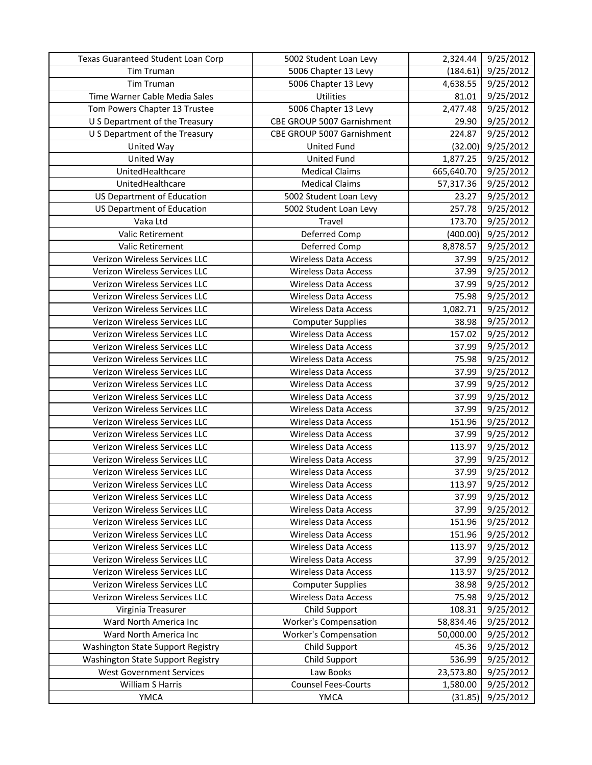| Texas Guaranteed Student Loan Corp | 5002 Student Loan Levy       | 2,324.44   | 9/25/2012 |
|------------------------------------|------------------------------|------------|-----------|
| Tim Truman                         | 5006 Chapter 13 Levy         | (184.61)   | 9/25/2012 |
| <b>Tim Truman</b>                  | 5006 Chapter 13 Levy         | 4,638.55   | 9/25/2012 |
| Time Warner Cable Media Sales      | Utilities                    | 81.01      | 9/25/2012 |
| Tom Powers Chapter 13 Trustee      | 5006 Chapter 13 Levy         | 2,477.48   | 9/25/2012 |
| U S Department of the Treasury     | CBE GROUP 5007 Garnishment   | 29.90      | 9/25/2012 |
| U S Department of the Treasury     | CBE GROUP 5007 Garnishment   | 224.87     | 9/25/2012 |
| United Way                         | <b>United Fund</b>           | (32.00)    | 9/25/2012 |
| United Way                         | <b>United Fund</b>           | 1,877.25   | 9/25/2012 |
| UnitedHealthcare                   | <b>Medical Claims</b>        | 665,640.70 | 9/25/2012 |
| UnitedHealthcare                   | <b>Medical Claims</b>        | 57,317.36  | 9/25/2012 |
| <b>US Department of Education</b>  | 5002 Student Loan Levy       | 23.27      | 9/25/2012 |
| <b>US Department of Education</b>  | 5002 Student Loan Levy       | 257.78     | 9/25/2012 |
| Vaka Ltd                           | Travel                       | 173.70     | 9/25/2012 |
| Valic Retirement                   | Deferred Comp                | (400.00)   | 9/25/2012 |
| <b>Valic Retirement</b>            | Deferred Comp                | 8,878.57   | 9/25/2012 |
| Verizon Wireless Services LLC      | <b>Wireless Data Access</b>  | 37.99      | 9/25/2012 |
| Verizon Wireless Services LLC      | <b>Wireless Data Access</b>  | 37.99      | 9/25/2012 |
| Verizon Wireless Services LLC      | <b>Wireless Data Access</b>  | 37.99      | 9/25/2012 |
| Verizon Wireless Services LLC      | <b>Wireless Data Access</b>  | 75.98      | 9/25/2012 |
| Verizon Wireless Services LLC      | <b>Wireless Data Access</b>  | 1,082.71   | 9/25/2012 |
| Verizon Wireless Services LLC      | <b>Computer Supplies</b>     | 38.98      | 9/25/2012 |
| Verizon Wireless Services LLC      | <b>Wireless Data Access</b>  | 157.02     | 9/25/2012 |
| Verizon Wireless Services LLC      | <b>Wireless Data Access</b>  | 37.99      | 9/25/2012 |
| Verizon Wireless Services LLC      | <b>Wireless Data Access</b>  | 75.98      | 9/25/2012 |
| Verizon Wireless Services LLC      | <b>Wireless Data Access</b>  | 37.99      | 9/25/2012 |
| Verizon Wireless Services LLC      | <b>Wireless Data Access</b>  | 37.99      | 9/25/2012 |
| Verizon Wireless Services LLC      | <b>Wireless Data Access</b>  | 37.99      | 9/25/2012 |
| Verizon Wireless Services LLC      | <b>Wireless Data Access</b>  | 37.99      | 9/25/2012 |
| Verizon Wireless Services LLC      | <b>Wireless Data Access</b>  | 151.96     | 9/25/2012 |
| Verizon Wireless Services LLC      | <b>Wireless Data Access</b>  | 37.99      | 9/25/2012 |
| Verizon Wireless Services LLC      | <b>Wireless Data Access</b>  | 113.97     | 9/25/2012 |
| Verizon Wireless Services LLC      | <b>Wireless Data Access</b>  | 37.99      | 9/25/2012 |
| Verizon Wireless Services LLC      | <b>Wireless Data Access</b>  | 37.99      | 9/25/2012 |
| Verizon Wireless Services LLC      | <b>Wireless Data Access</b>  | 113.97     | 9/25/2012 |
| Verizon Wireless Services LLC      | <b>Wireless Data Access</b>  | 37.99      | 9/25/2012 |
| Verizon Wireless Services LLC      | <b>Wireless Data Access</b>  | 37.99      | 9/25/2012 |
| Verizon Wireless Services LLC      | <b>Wireless Data Access</b>  | 151.96     | 9/25/2012 |
| Verizon Wireless Services LLC      | <b>Wireless Data Access</b>  | 151.96     | 9/25/2012 |
| Verizon Wireless Services LLC      | <b>Wireless Data Access</b>  | 113.97     | 9/25/2012 |
| Verizon Wireless Services LLC      | <b>Wireless Data Access</b>  | 37.99      | 9/25/2012 |
| Verizon Wireless Services LLC      | <b>Wireless Data Access</b>  | 113.97     | 9/25/2012 |
| Verizon Wireless Services LLC      | <b>Computer Supplies</b>     | 38.98      | 9/25/2012 |
| Verizon Wireless Services LLC      | <b>Wireless Data Access</b>  | 75.98      | 9/25/2012 |
| Virginia Treasurer                 | Child Support                | 108.31     | 9/25/2012 |
| Ward North America Inc             | <b>Worker's Compensation</b> | 58,834.46  | 9/25/2012 |
| Ward North America Inc             | <b>Worker's Compensation</b> | 50,000.00  | 9/25/2012 |
| Washington State Support Registry  | Child Support                | 45.36      | 9/25/2012 |
| Washington State Support Registry  | Child Support                | 536.99     | 9/25/2012 |
| <b>West Government Services</b>    | Law Books                    | 23,573.80  | 9/25/2012 |
| William S Harris                   | <b>Counsel Fees-Courts</b>   | 1,580.00   | 9/25/2012 |
| YMCA                               | <b>YMCA</b>                  | (31.85)    | 9/25/2012 |